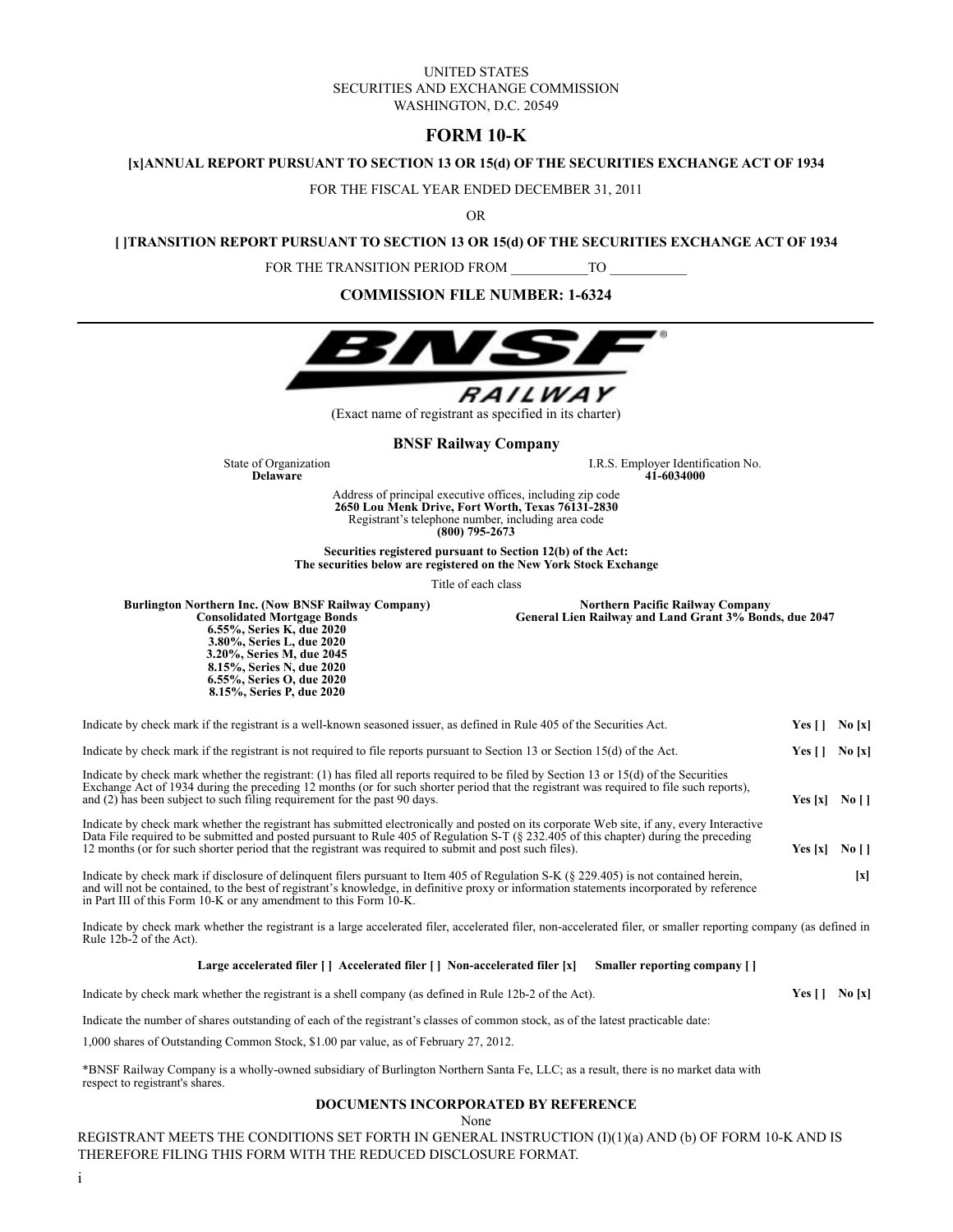#### UNITED STATES SECURITIES AND EXCHANGE COMMISSION WASHINGTON, D.C. 20549

### **FORM 10-K**

#### **[x]ANNUAL REPORT PURSUANT TO SECTION 13 OR 15(d) OF THE SECURITIES EXCHANGE ACT OF 1934**

FOR THE FISCAL YEAR ENDED DECEMBER 31, 2011

OR

**[ ]TRANSITION REPORT PURSUANT TO SECTION 13 OR 15(d) OF THE SECURITIES EXCHANGE ACT OF 1934**

FOR THE TRANSITION PERIOD FROM \_\_\_\_\_\_\_\_\_\_\_\_TO

**COMMISSION FILE NUMBER: 1-6324**



### *RAILWAY*

(Exact name of registrant as specified in its charter)

**BNSF Railway Company**

State of Organization **Delaware**

I.R.S. Employer Identification No. **41-6034000**

**Northern Pacific Railway Company General Lien Railway and Land Grant 3% Bonds, due 2047**

Address of principal executive offices, including zip code **2650 Lou Menk Drive, Fort Worth, Texas 76131-2830** Registrant's telephone number, including area code **(800) 795-2673**

**Securities registered pursuant to Section 12(b) of the Act: The securities below are registered on the New York Stock Exchange**

Title of each class

**Burlington Northern Inc. (Now BNSF Railway Company)** 

**Consolidated Mortgage Bonds 6.55%, Series K, due 2020 3.80%, Series L, due 2020 3.20%, Series M, due 2045 8.15%, Series N, due 2020 6.55%, Series O, due 2020 8.15%, Series P, due 2020**

| Indicate by check mark if the registrant is a well-known seasoned issuer, as defined in Rule 405 of the Securities Act.                                                                                                                                                                                                                                                                       | Yes [ ]            | $\overline{N}$ $\alpha$ $\overline{X}$ |
|-----------------------------------------------------------------------------------------------------------------------------------------------------------------------------------------------------------------------------------------------------------------------------------------------------------------------------------------------------------------------------------------------|--------------------|----------------------------------------|
| Indicate by check mark if the registrant is not required to file reports pursuant to Section 13 or Section 15(d) of the Act.                                                                                                                                                                                                                                                                  | Yes 11             | $\overline{N}$ $\alpha$ $\overline{X}$ |
| Indicate by check mark whether the registrant: (1) has filed all reports required to be filed by Section 13 or 15(d) of the Securities<br>Exchange Act of 1934 during the preceding 12 months (or for such shorter period that the registrant was required to file such reports),<br>and (2) has been subject to such filing requirement for the past 90 days.                                | Yes $[x]$ No $[$ ] |                                        |
| Indicate by check mark whether the registrant has submitted electronically and posted on its corporate Web site, if any, every Interactive<br>Data File required to be submitted and posted pursuant to Rule 405 of Regulation S-T (§ 232.405 of this chapter) during the preceding<br>12 months (or for such shorter period that the registrant was required to submit and post such files). | Yes $[x]$ No $[$   |                                        |
| Indicate by check mark if disclosure of delinguent filers pursuant to Item 405 of Regulation S-K (§ 229.405) is not contained herein,<br>and will not be contained, to the best of registrant's knowledge, in definitive proxy or information statements incorporated by reference<br>in Part III of this Form 10-K or any amendment to this Form 10-K.                                       |                    | $\mathbf{x}$                           |

Indicate by check mark whether the registrant is a large accelerated filer, accelerated filer, non-accelerated filer, or smaller reporting company (as defined in Rule 12b-2 of the Act).

Large accelerated filer [ ] Accelerated filer [ ] Non-accelerated filer [x] Smaller reporting company [ ]

Indicate by check mark whether the registrant is a shell company (as defined in Rule 12b-2 of the Act).

**Yes [ ] No [x]**

Indicate the number of shares outstanding of each of the registrant's classes of common stock, as of the latest practicable date:

1,000 shares of Outstanding Common Stock, \$1.00 par value, as of February 27, 2012.

\*BNSF Railway Company is a wholly-owned subsidiary of Burlington Northern Santa Fe, LLC; as a result, there is no market data with respect to registrant's shares.

#### **DOCUMENTS INCORPORATED BY REFERENCE**

None

REGISTRANT MEETS THE CONDITIONS SET FORTH IN GENERAL INSTRUCTION (I)(1)(a) AND (b) OF FORM 10-K AND IS THEREFORE FILING THIS FORM WITH THE REDUCED DISCLOSURE FORMAT.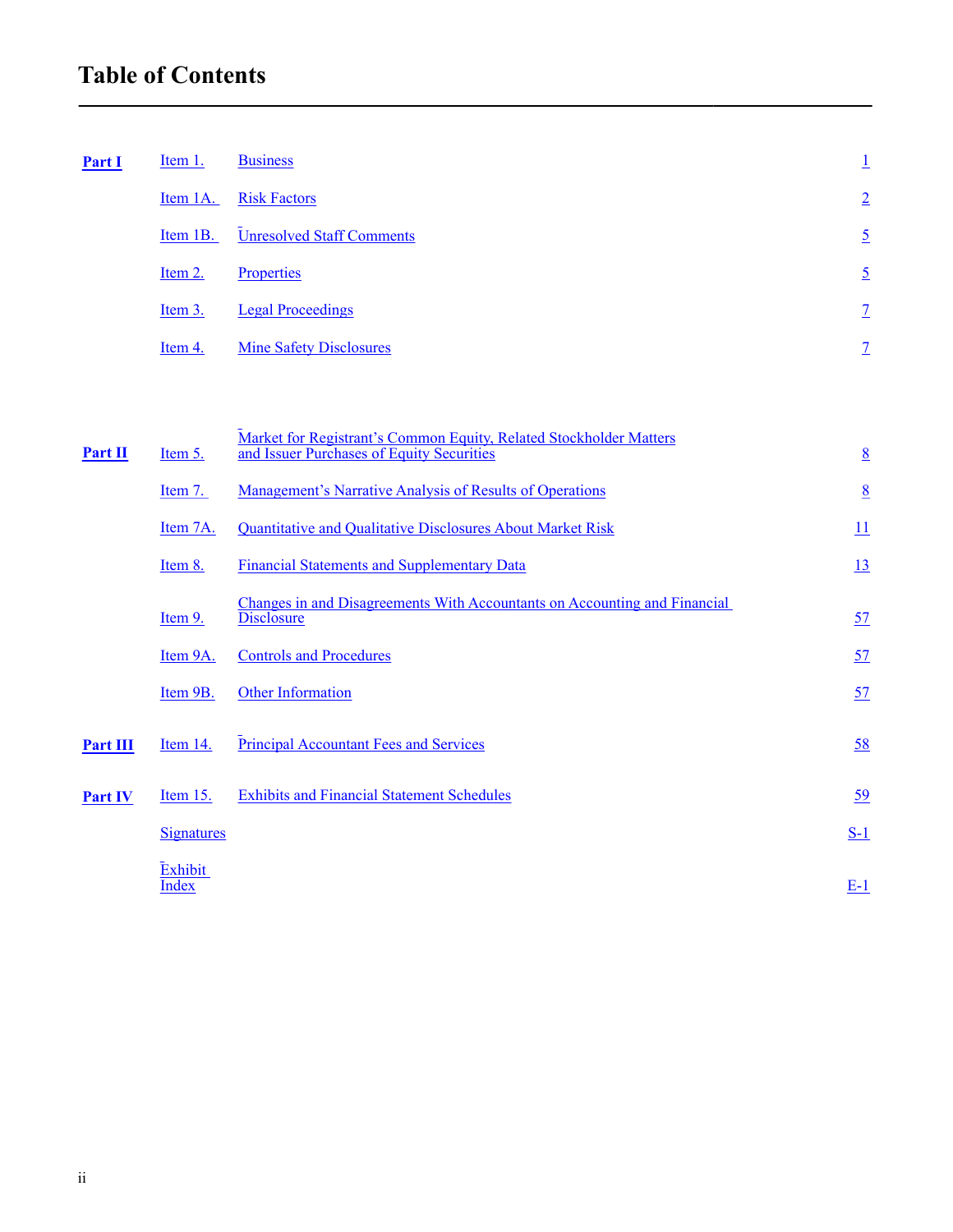# <span id="page-1-0"></span>**Table of Contents**

| Part I   | Item 1.                        | <b>Business</b>                                                                                                 | $\overline{1}$ |
|----------|--------------------------------|-----------------------------------------------------------------------------------------------------------------|----------------|
|          | Item 1A.                       | <b>Risk Factors</b>                                                                                             | $\overline{2}$ |
|          | Item 1B.                       | <b>Unresolved Staff Comments</b>                                                                                | $\overline{5}$ |
|          | Item 2.                        | <b>Properties</b>                                                                                               | $\overline{5}$ |
|          | Item 3.                        | <b>Legal Proceedings</b>                                                                                        | $\overline{1}$ |
|          | Item 4.                        | <b>Mine Safety Disclosures</b>                                                                                  | $\overline{1}$ |
|          |                                |                                                                                                                 |                |
| Part II  | Item 5.                        | Market for Registrant's Common Equity, Related Stockholder Matters<br>and Issuer Purchases of Equity Securities | 8              |
|          | Item 7.                        | Management's Narrative Analysis of Results of Operations                                                        | 8              |
|          | Item 7A.                       | Quantitative and Qualitative Disclosures About Market Risk                                                      | 11             |
|          | Item 8.                        | <b>Financial Statements and Supplementary Data</b>                                                              | 13             |
|          | Item 9.                        | Changes in and Disagreements With Accountants on Accounting and Financial<br><b>Disclosure</b>                  | 57             |
|          | Item 9A.                       | <b>Controls and Procedures</b>                                                                                  | 57             |
|          | Item 9B.                       | <b>Other Information</b>                                                                                        | 57             |
| Part III | Item 14.                       | <b>Principal Accountant Fees and Services</b>                                                                   | 58             |
| Part IV  | Item 15.                       | <b>Exhibits and Financial Statement Schedules</b>                                                               | 59             |
|          | <b>Signatures</b>              |                                                                                                                 | $S-1$          |
|          | <b>Exhibit</b><br><b>Index</b> |                                                                                                                 | $E-1$          |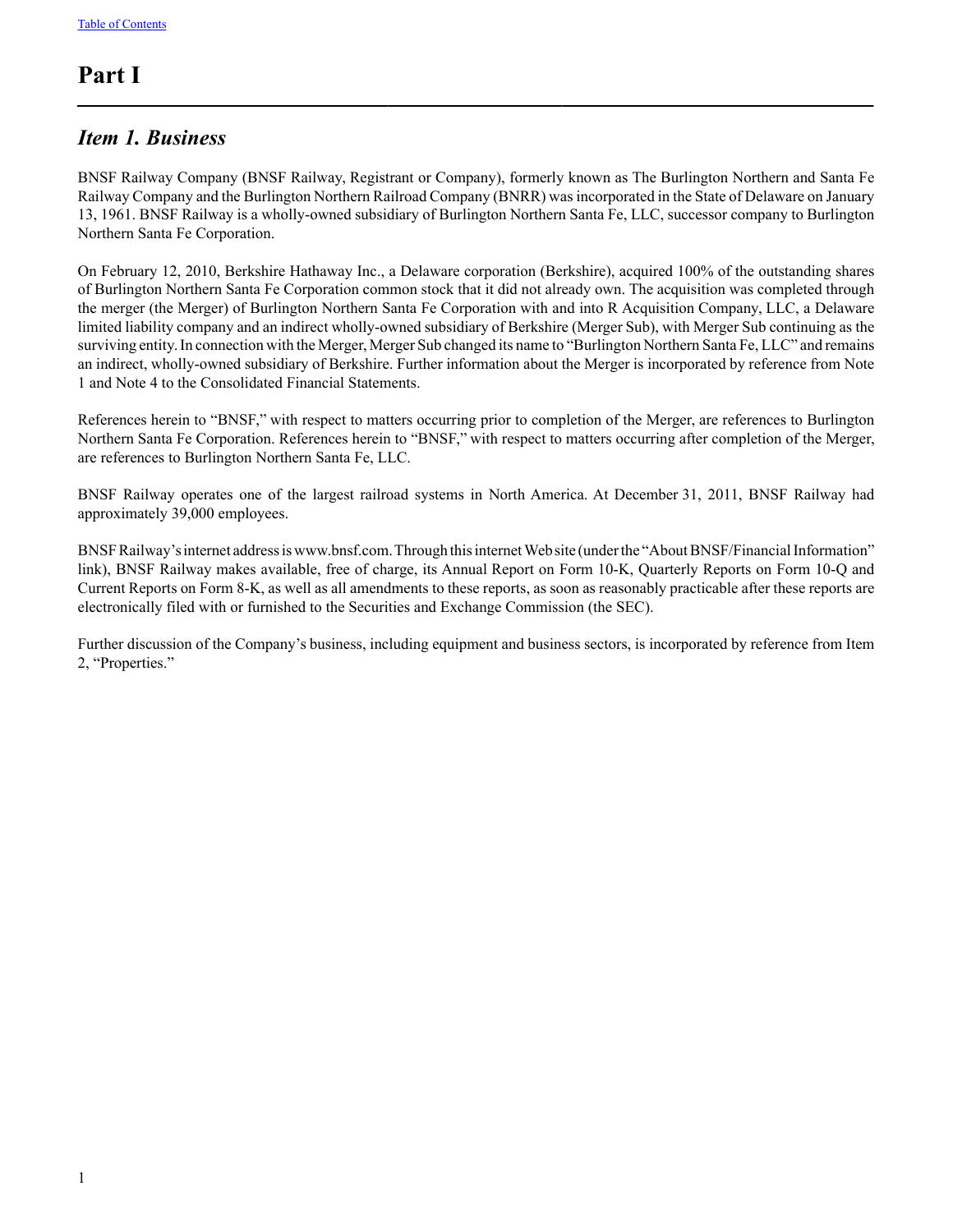# <span id="page-2-0"></span>**Part I**

### <span id="page-2-1"></span>*Item 1. Business*

BNSF Railway Company (BNSF Railway, Registrant or Company), formerly known as The Burlington Northern and Santa Fe Railway Company and the Burlington Northern Railroad Company (BNRR) was incorporated in the State of Delaware on January 13, 1961. BNSF Railway is a wholly-owned subsidiary of Burlington Northern Santa Fe, LLC, successor company to Burlington Northern Santa Fe Corporation.

On February 12, 2010, Berkshire Hathaway Inc., a Delaware corporation (Berkshire), acquired 100% of the outstanding shares of Burlington Northern Santa Fe Corporation common stock that it did not already own. The acquisition was completed through the merger (the Merger) of Burlington Northern Santa Fe Corporation with and into R Acquisition Company, LLC, a Delaware limited liability company and an indirect wholly-owned subsidiary of Berkshire (Merger Sub), with Merger Sub continuing as the surviving entity. In connection with the Merger, Merger Sub changed its name to "Burlington Northern Santa Fe, LLC" and remains an indirect, wholly-owned subsidiary of Berkshire. Further information about the Merger is incorporated by reference from Note 1 and Note 4 to the Consolidated Financial Statements.

References herein to "BNSF," with respect to matters occurring prior to completion of the Merger, are references to Burlington Northern Santa Fe Corporation. References herein to "BNSF," with respect to matters occurring after completion of the Merger, are references to Burlington Northern Santa Fe, LLC.

BNSF Railway operates one of the largest railroad systems in North America. At December 31, 2011, BNSF Railway had approximately 39,000 employees.

BNSF Railway's internet address is www.bnsf.com. Through this internet Web site (under the "About BNSF/Financial Information" link), BNSF Railway makes available, free of charge, its Annual Report on Form 10-K, Quarterly Reports on Form 10-Q and Current Reports on Form 8-K, as well as all amendments to these reports, as soon as reasonably practicable after these reports are electronically filed with or furnished to the Securities and Exchange Commission (the SEC).

Further discussion of the Company's business, including equipment and business sectors, is incorporated by reference from Item 2, "Properties."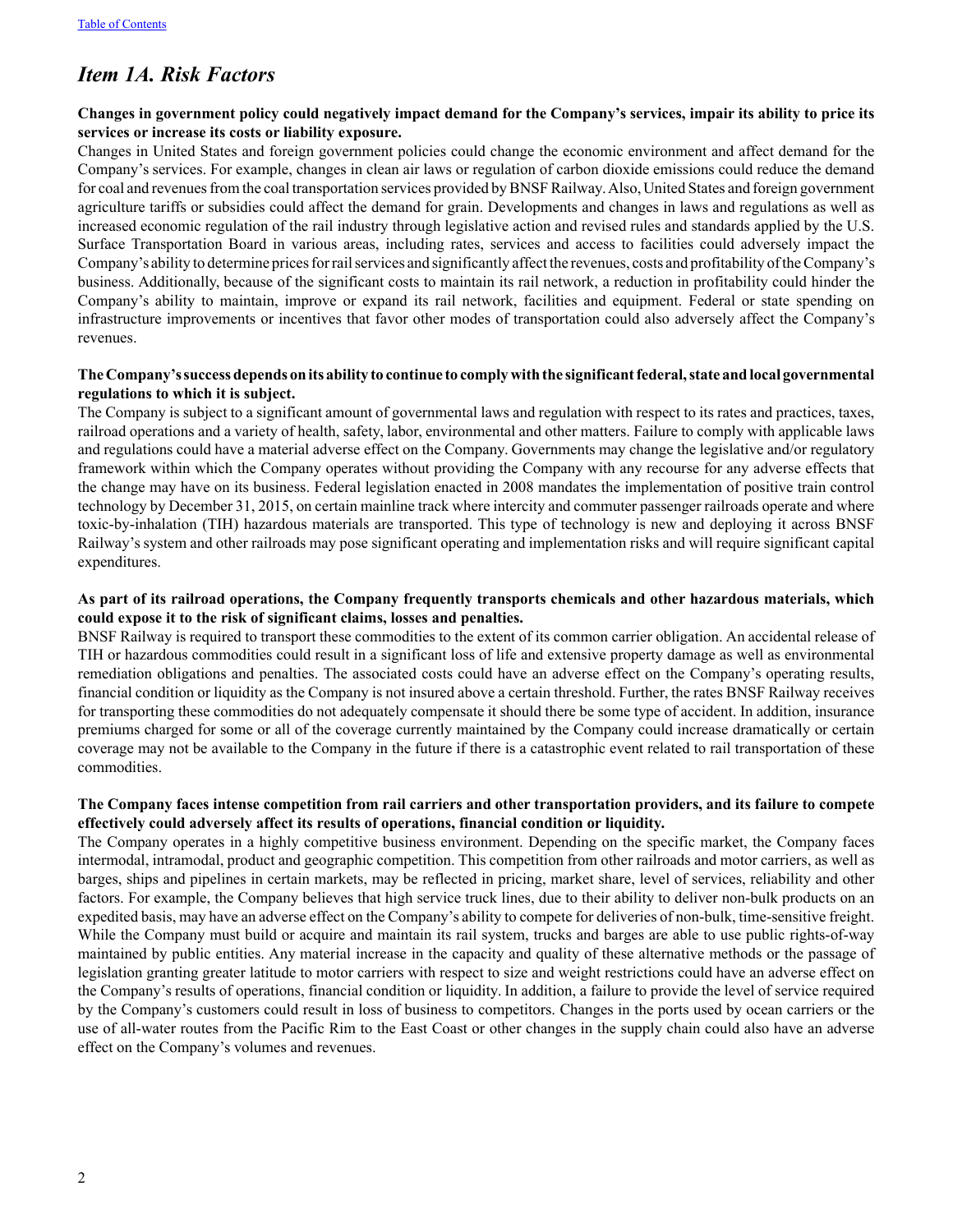### <span id="page-3-0"></span>*Item 1A. Risk Factors*

### **Changes in government policy could negatively impact demand for the Company's services, impair its ability to price its services or increase its costs or liability exposure.**

Changes in United States and foreign government policies could change the economic environment and affect demand for the Company's services. For example, changes in clean air laws or regulation of carbon dioxide emissions could reduce the demand for coal and revenues from the coal transportation services provided by BNSF Railway. Also, United States and foreign government agriculture tariffs or subsidies could affect the demand for grain. Developments and changes in laws and regulations as well as increased economic regulation of the rail industry through legislative action and revised rules and standards applied by the U.S. Surface Transportation Board in various areas, including rates, services and access to facilities could adversely impact the Company's ability to determine prices for rail services and significantly affect the revenues, costs and profitability of the Company's business. Additionally, because of the significant costs to maintain its rail network, a reduction in profitability could hinder the Company's ability to maintain, improve or expand its rail network, facilities and equipment. Federal or state spending on infrastructure improvements or incentives that favor other modes of transportation could also adversely affect the Company's revenues.

#### **The Company's success depends on its ability to continue to comply with the significant federal, state and local governmental regulations to which it is subject.**

The Company is subject to a significant amount of governmental laws and regulation with respect to its rates and practices, taxes, railroad operations and a variety of health, safety, labor, environmental and other matters. Failure to comply with applicable laws and regulations could have a material adverse effect on the Company. Governments may change the legislative and/or regulatory framework within which the Company operates without providing the Company with any recourse for any adverse effects that the change may have on its business. Federal legislation enacted in 2008 mandates the implementation of positive train control technology by December 31, 2015, on certain mainline track where intercity and commuter passenger railroads operate and where toxic-by-inhalation (TIH) hazardous materials are transported. This type of technology is new and deploying it across BNSF Railway's system and other railroads may pose significant operating and implementation risks and will require significant capital expenditures.

### **As part of its railroad operations, the Company frequently transports chemicals and other hazardous materials, which could expose it to the risk of significant claims, losses and penalties.**

BNSF Railway is required to transport these commodities to the extent of its common carrier obligation. An accidental release of TIH or hazardous commodities could result in a significant loss of life and extensive property damage as well as environmental remediation obligations and penalties. The associated costs could have an adverse effect on the Company's operating results, financial condition or liquidity as the Company is not insured above a certain threshold. Further, the rates BNSF Railway receives for transporting these commodities do not adequately compensate it should there be some type of accident. In addition, insurance premiums charged for some or all of the coverage currently maintained by the Company could increase dramatically or certain coverage may not be available to the Company in the future if there is a catastrophic event related to rail transportation of these commodities.

### **The Company faces intense competition from rail carriers and other transportation providers, and its failure to compete effectively could adversely affect its results of operations, financial condition or liquidity.**

The Company operates in a highly competitive business environment. Depending on the specific market, the Company faces intermodal, intramodal, product and geographic competition. This competition from other railroads and motor carriers, as well as barges, ships and pipelines in certain markets, may be reflected in pricing, market share, level of services, reliability and other factors. For example, the Company believes that high service truck lines, due to their ability to deliver non-bulk products on an expedited basis, may have an adverse effect on the Company's ability to compete for deliveries of non-bulk, time-sensitive freight. While the Company must build or acquire and maintain its rail system, trucks and barges are able to use public rights-of-way maintained by public entities. Any material increase in the capacity and quality of these alternative methods or the passage of legislation granting greater latitude to motor carriers with respect to size and weight restrictions could have an adverse effect on the Company's results of operations, financial condition or liquidity. In addition, a failure to provide the level of service required by the Company's customers could result in loss of business to competitors. Changes in the ports used by ocean carriers or the use of all-water routes from the Pacific Rim to the East Coast or other changes in the supply chain could also have an adverse effect on the Company's volumes and revenues.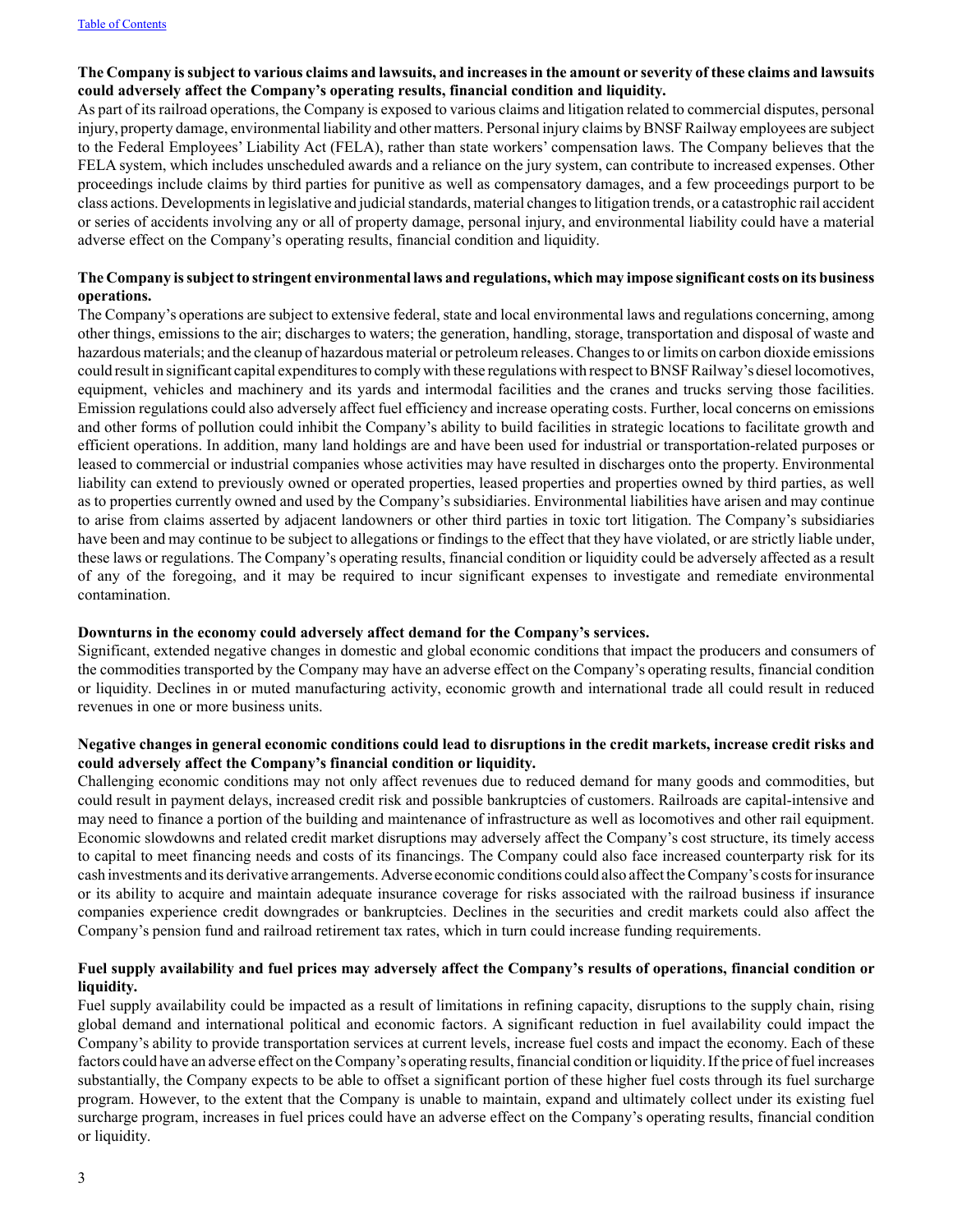### **The Company is subject to various claims and lawsuits, and increases in the amount or severity of these claims and lawsuits could adversely affect the Company's operating results, financial condition and liquidity.**

As part of its railroad operations, the Company is exposed to various claims and litigation related to commercial disputes, personal injury, property damage, environmental liability and other matters. Personal injury claims by BNSF Railway employees are subject to the Federal Employees' Liability Act (FELA), rather than state workers' compensation laws. The Company believes that the FELA system, which includes unscheduled awards and a reliance on the jury system, can contribute to increased expenses. Other proceedings include claims by third parties for punitive as well as compensatory damages, and a few proceedings purport to be class actions. Developments in legislative and judicial standards, material changes to litigation trends, or a catastrophic rail accident or series of accidents involving any or all of property damage, personal injury, and environmental liability could have a material adverse effect on the Company's operating results, financial condition and liquidity.

### **The Company is subject to stringent environmental laws and regulations, which may impose significant costs on its business operations.**

The Company's operations are subject to extensive federal, state and local environmental laws and regulations concerning, among other things, emissions to the air; discharges to waters; the generation, handling, storage, transportation and disposal of waste and hazardous materials; and the cleanup of hazardous material or petroleum releases. Changes to or limits on carbon dioxide emissions could result in significant capital expenditures to comply with these regulations with respect to BNSF Railway's diesel locomotives, equipment, vehicles and machinery and its yards and intermodal facilities and the cranes and trucks serving those facilities. Emission regulations could also adversely affect fuel efficiency and increase operating costs. Further, local concerns on emissions and other forms of pollution could inhibit the Company's ability to build facilities in strategic locations to facilitate growth and efficient operations. In addition, many land holdings are and have been used for industrial or transportation-related purposes or leased to commercial or industrial companies whose activities may have resulted in discharges onto the property. Environmental liability can extend to previously owned or operated properties, leased properties and properties owned by third parties, as well as to properties currently owned and used by the Company's subsidiaries. Environmental liabilities have arisen and may continue to arise from claims asserted by adjacent landowners or other third parties in toxic tort litigation. The Company's subsidiaries have been and may continue to be subject to allegations or findings to the effect that they have violated, or are strictly liable under, these laws or regulations. The Company's operating results, financial condition or liquidity could be adversely affected as a result of any of the foregoing, and it may be required to incur significant expenses to investigate and remediate environmental contamination.

### **Downturns in the economy could adversely affect demand for the Company's services.**

Significant, extended negative changes in domestic and global economic conditions that impact the producers and consumers of the commodities transported by the Company may have an adverse effect on the Company's operating results, financial condition or liquidity. Declines in or muted manufacturing activity, economic growth and international trade all could result in reduced revenues in one or more business units.

#### **Negative changes in general economic conditions could lead to disruptions in the credit markets, increase credit risks and could adversely affect the Company's financial condition or liquidity.**

Challenging economic conditions may not only affect revenues due to reduced demand for many goods and commodities, but could result in payment delays, increased credit risk and possible bankruptcies of customers. Railroads are capital-intensive and may need to finance a portion of the building and maintenance of infrastructure as well as locomotives and other rail equipment. Economic slowdowns and related credit market disruptions may adversely affect the Company's cost structure, its timely access to capital to meet financing needs and costs of its financings. The Company could also face increased counterparty risk for its cash investments and its derivative arrangements. Adverse economic conditions could also affect the Company's costs for insurance or its ability to acquire and maintain adequate insurance coverage for risks associated with the railroad business if insurance companies experience credit downgrades or bankruptcies. Declines in the securities and credit markets could also affect the Company's pension fund and railroad retirement tax rates, which in turn could increase funding requirements.

### **Fuel supply availability and fuel prices may adversely affect the Company's results of operations, financial condition or liquidity.**

Fuel supply availability could be impacted as a result of limitations in refining capacity, disruptions to the supply chain, rising global demand and international political and economic factors. A significant reduction in fuel availability could impact the Company's ability to provide transportation services at current levels, increase fuel costs and impact the economy. Each of these factors could have an adverse effect on the Company's operating results, financial condition or liquidity. If the price of fuel increases substantially, the Company expects to be able to offset a significant portion of these higher fuel costs through its fuel surcharge program. However, to the extent that the Company is unable to maintain, expand and ultimately collect under its existing fuel surcharge program, increases in fuel prices could have an adverse effect on the Company's operating results, financial condition or liquidity.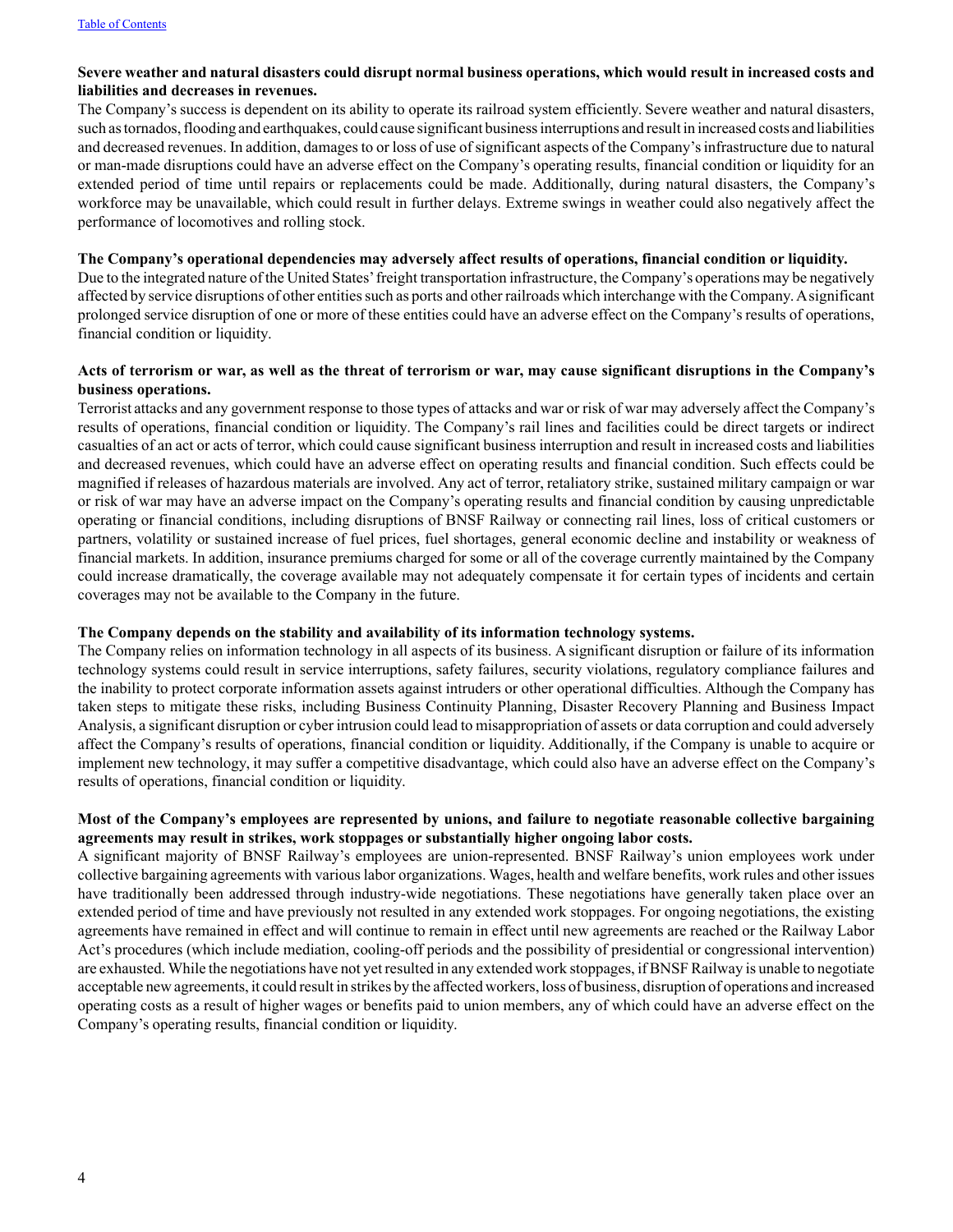#### **Severe weather and natural disasters could disrupt normal business operations, which would result in increased costs and liabilities and decreases in revenues.**

The Company's success is dependent on its ability to operate its railroad system efficiently. Severe weather and natural disasters, such as tornados, flooding and earthquakes, could cause significant business interruptions and result in increased costs and liabilities and decreased revenues. In addition, damages to or loss of use of significant aspects of the Company's infrastructure due to natural or man-made disruptions could have an adverse effect on the Company's operating results, financial condition or liquidity for an extended period of time until repairs or replacements could be made. Additionally, during natural disasters, the Company's workforce may be unavailable, which could result in further delays. Extreme swings in weather could also negatively affect the performance of locomotives and rolling stock.

#### **The Company's operational dependencies may adversely affect results of operations, financial condition or liquidity.**

Due to the integrated nature of the United States' freight transportation infrastructure, the Company's operations may be negatively affected by service disruptions of other entities such as ports and other railroads which interchange with the Company. Asignificant prolonged service disruption of one or more of these entities could have an adverse effect on the Company's results of operations, financial condition or liquidity.

### **Acts of terrorism or war, as well as the threat of terrorism or war, may cause significant disruptions in the Company's business operations.**

Terrorist attacks and any government response to those types of attacks and war or risk of war may adversely affect the Company's results of operations, financial condition or liquidity. The Company's rail lines and facilities could be direct targets or indirect casualties of an act or acts of terror, which could cause significant business interruption and result in increased costs and liabilities and decreased revenues, which could have an adverse effect on operating results and financial condition. Such effects could be magnified if releases of hazardous materials are involved. Any act of terror, retaliatory strike, sustained military campaign or war or risk of war may have an adverse impact on the Company's operating results and financial condition by causing unpredictable operating or financial conditions, including disruptions of BNSF Railway or connecting rail lines, loss of critical customers or partners, volatility or sustained increase of fuel prices, fuel shortages, general economic decline and instability or weakness of financial markets. In addition, insurance premiums charged for some or all of the coverage currently maintained by the Company could increase dramatically, the coverage available may not adequately compensate it for certain types of incidents and certain coverages may not be available to the Company in the future.

### **The Company depends on the stability and availability of its information technology systems.**

The Company relies on information technology in all aspects of its business. A significant disruption or failure of its information technology systems could result in service interruptions, safety failures, security violations, regulatory compliance failures and the inability to protect corporate information assets against intruders or other operational difficulties. Although the Company has taken steps to mitigate these risks, including Business Continuity Planning, Disaster Recovery Planning and Business Impact Analysis, a significant disruption or cyber intrusion could lead to misappropriation of assets or data corruption and could adversely affect the Company's results of operations, financial condition or liquidity. Additionally, if the Company is unable to acquire or implement new technology, it may suffer a competitive disadvantage, which could also have an adverse effect on the Company's results of operations, financial condition or liquidity.

#### **Most of the Company's employees are represented by unions, and failure to negotiate reasonable collective bargaining agreements may result in strikes, work stoppages or substantially higher ongoing labor costs.**

A significant majority of BNSF Railway's employees are union-represented. BNSF Railway's union employees work under collective bargaining agreements with various labor organizations. Wages, health and welfare benefits, work rules and other issues have traditionally been addressed through industry-wide negotiations. These negotiations have generally taken place over an extended period of time and have previously not resulted in any extended work stoppages. For ongoing negotiations, the existing agreements have remained in effect and will continue to remain in effect until new agreements are reached or the Railway Labor Act's procedures (which include mediation, cooling-off periods and the possibility of presidential or congressional intervention) are exhausted. While the negotiations have not yet resulted in any extended work stoppages, if BNSF Railway is unable to negotiate acceptable new agreements, it could result in strikes by the affected workers, loss of business, disruption of operations and increased operating costs as a result of higher wages or benefits paid to union members, any of which could have an adverse effect on the Company's operating results, financial condition or liquidity.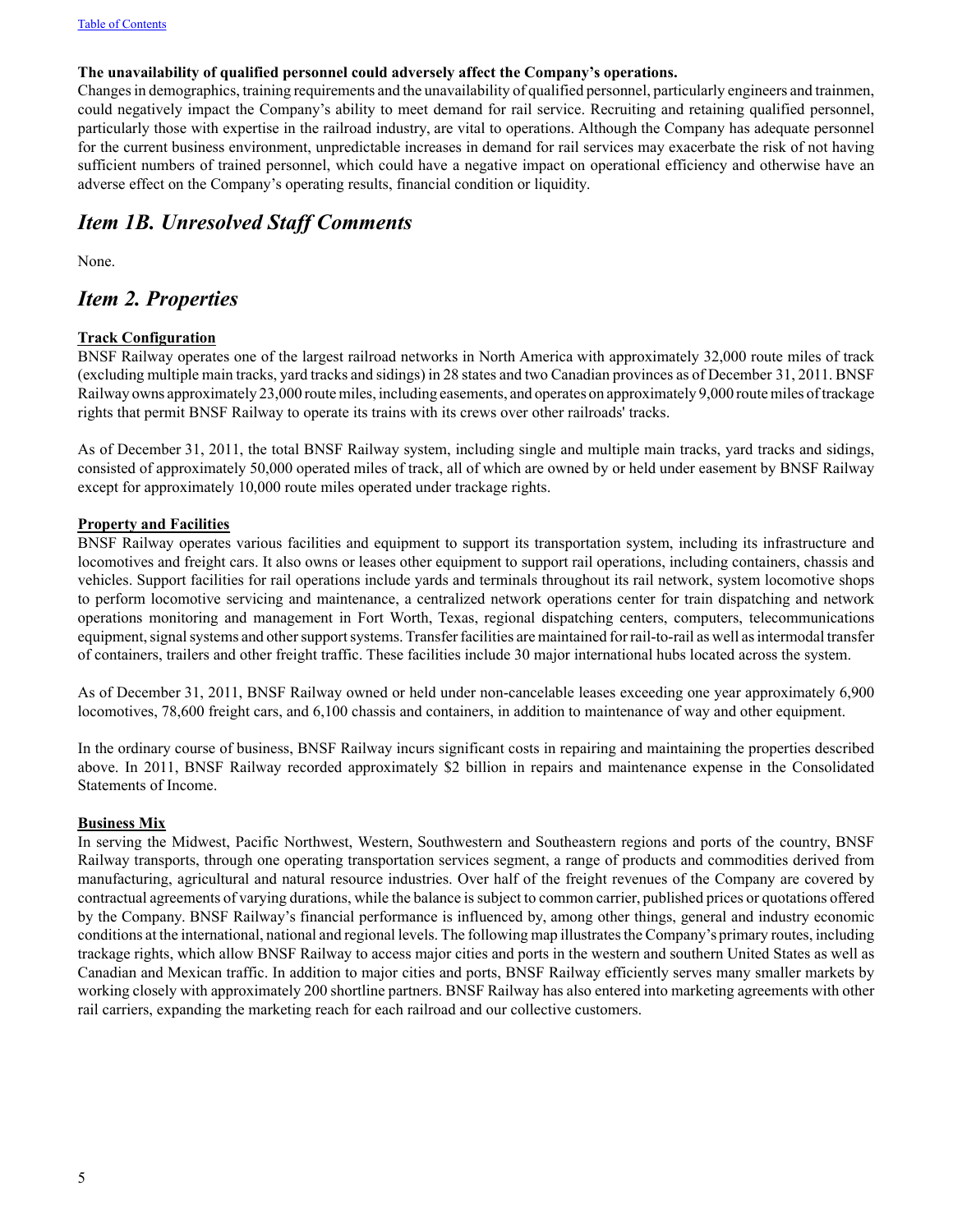#### **The unavailability of qualified personnel could adversely affect the Company's operations.**

Changes in demographics, training requirements and the unavailability of qualified personnel, particularly engineers and trainmen, could negatively impact the Company's ability to meet demand for rail service. Recruiting and retaining qualified personnel, particularly those with expertise in the railroad industry, are vital to operations. Although the Company has adequate personnel for the current business environment, unpredictable increases in demand for rail services may exacerbate the risk of not having sufficient numbers of trained personnel, which could have a negative impact on operational efficiency and otherwise have an adverse effect on the Company's operating results, financial condition or liquidity.

### <span id="page-6-0"></span>*Item 1B. Unresolved Staff Comments*

None.

### <span id="page-6-1"></span>*Item 2. Properties*

### **Track Configuration**

BNSF Railway operates one of the largest railroad networks in North America with approximately 32,000 route miles of track (excluding multiple main tracks, yard tracks and sidings) in 28 states and two Canadian provinces as of December 31, 2011. BNSF Railway owns approximately 23,000 route miles, including easements, and operates on approximately 9,000 route miles of trackage rights that permit BNSF Railway to operate its trains with its crews over other railroads' tracks.

As of December 31, 2011, the total BNSF Railway system, including single and multiple main tracks, yard tracks and sidings, consisted of approximately 50,000 operated miles of track, all of which are owned by or held under easement by BNSF Railway except for approximately 10,000 route miles operated under trackage rights.

#### **Property and Facilities**

BNSF Railway operates various facilities and equipment to support its transportation system, including its infrastructure and locomotives and freight cars. It also owns or leases other equipment to support rail operations, including containers, chassis and vehicles. Support facilities for rail operations include yards and terminals throughout its rail network, system locomotive shops to perform locomotive servicing and maintenance, a centralized network operations center for train dispatching and network operations monitoring and management in Fort Worth, Texas, regional dispatching centers, computers, telecommunications equipment, signal systems and other support systems. Transfer facilities are maintained for rail-to-rail as well as intermodal transfer of containers, trailers and other freight traffic. These facilities include 30 major international hubs located across the system.

As of December 31, 2011, BNSF Railway owned or held under non-cancelable leases exceeding one year approximately 6,900 locomotives, 78,600 freight cars, and 6,100 chassis and containers, in addition to maintenance of way and other equipment.

In the ordinary course of business, BNSF Railway incurs significant costs in repairing and maintaining the properties described above. In 2011, BNSF Railway recorded approximately \$2 billion in repairs and maintenance expense in the Consolidated Statements of Income.

#### **Business Mix**

In serving the Midwest, Pacific Northwest, Western, Southwestern and Southeastern regions and ports of the country, BNSF Railway transports, through one operating transportation services segment, a range of products and commodities derived from manufacturing, agricultural and natural resource industries. Over half of the freight revenues of the Company are covered by contractual agreements of varying durations, while the balance is subject to common carrier, published prices or quotations offered by the Company. BNSF Railway's financial performance is influenced by, among other things, general and industry economic conditions at the international, national and regional levels. The following map illustrates the Company's primary routes, including trackage rights, which allow BNSF Railway to access major cities and ports in the western and southern United States as well as Canadian and Mexican traffic. In addition to major cities and ports, BNSF Railway efficiently serves many smaller markets by working closely with approximately 200 shortline partners. BNSF Railway has also entered into marketing agreements with other rail carriers, expanding the marketing reach for each railroad and our collective customers.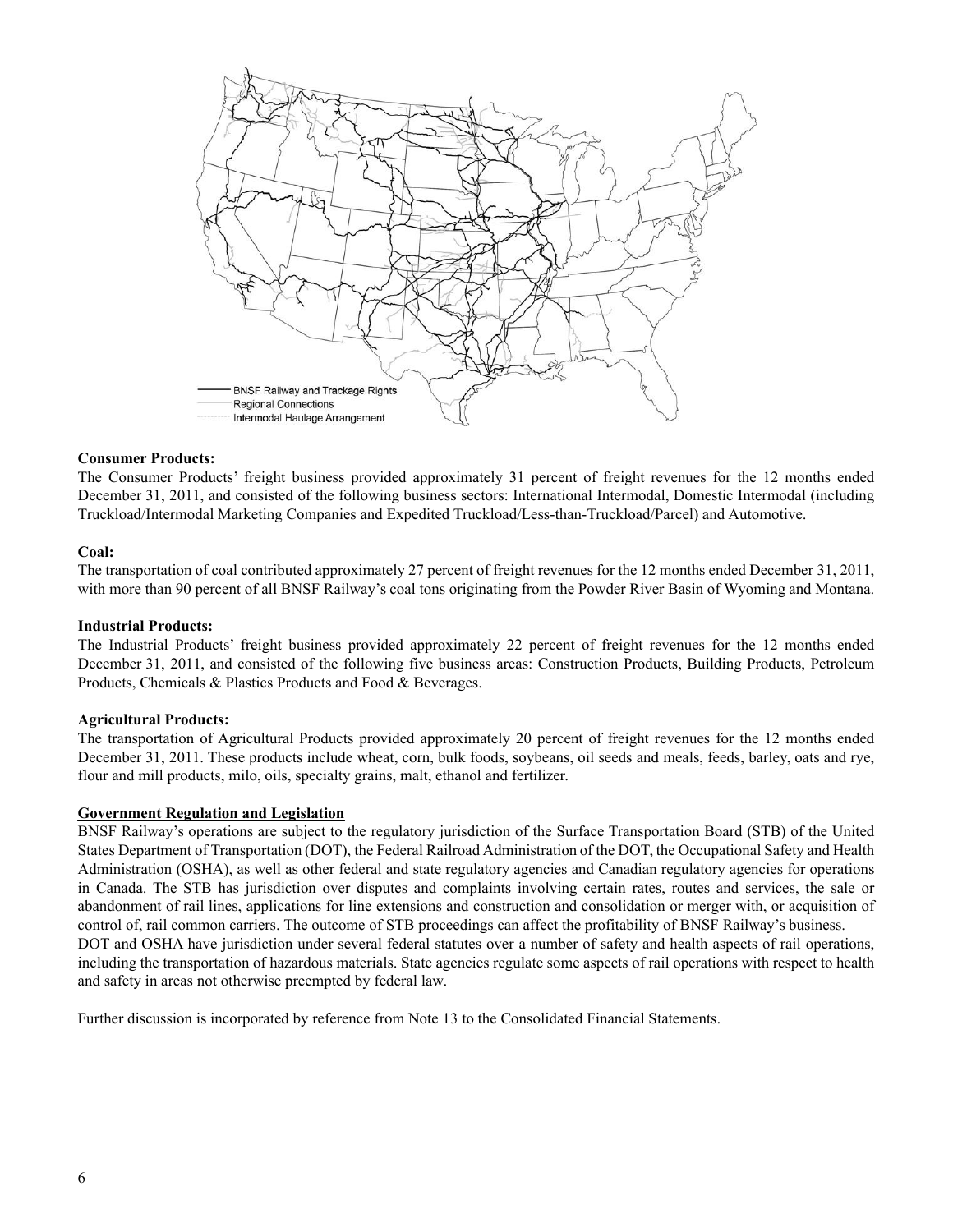

#### **Consumer Products:**

The Consumer Products' freight business provided approximately 31 percent of freight revenues for the 12 months ended December 31, 2011, and consisted of the following business sectors: International Intermodal, Domestic Intermodal (including Truckload/Intermodal Marketing Companies and Expedited Truckload/Less-than-Truckload/Parcel) and Automotive.

#### **Coal:**

The transportation of coal contributed approximately 27 percent of freight revenues for the 12 months ended December 31, 2011, with more than 90 percent of all BNSF Railway's coal tons originating from the Powder River Basin of Wyoming and Montana.

#### **Industrial Products:**

The Industrial Products' freight business provided approximately 22 percent of freight revenues for the 12 months ended December 31, 2011, and consisted of the following five business areas: Construction Products, Building Products, Petroleum Products, Chemicals & Plastics Products and Food & Beverages.

#### **Agricultural Products:**

The transportation of Agricultural Products provided approximately 20 percent of freight revenues for the 12 months ended December 31, 2011. These products include wheat, corn, bulk foods, soybeans, oil seeds and meals, feeds, barley, oats and rye, flour and mill products, milo, oils, specialty grains, malt, ethanol and fertilizer.

#### **Government Regulation and Legislation**

BNSF Railway's operations are subject to the regulatory jurisdiction of the Surface Transportation Board (STB) of the United States Department of Transportation (DOT), the Federal Railroad Administration of the DOT, the Occupational Safety and Health Administration (OSHA), as well as other federal and state regulatory agencies and Canadian regulatory agencies for operations in Canada. The STB has jurisdiction over disputes and complaints involving certain rates, routes and services, the sale or abandonment of rail lines, applications for line extensions and construction and consolidation or merger with, or acquisition of control of, rail common carriers. The outcome of STB proceedings can affect the profitability of BNSF Railway's business. DOT and OSHA have jurisdiction under several federal statutes over a number of safety and health aspects of rail operations, including the transportation of hazardous materials. State agencies regulate some aspects of rail operations with respect to health and safety in areas not otherwise preempted by federal law.

Further discussion is incorporated by reference from Note 13 to the Consolidated Financial Statements.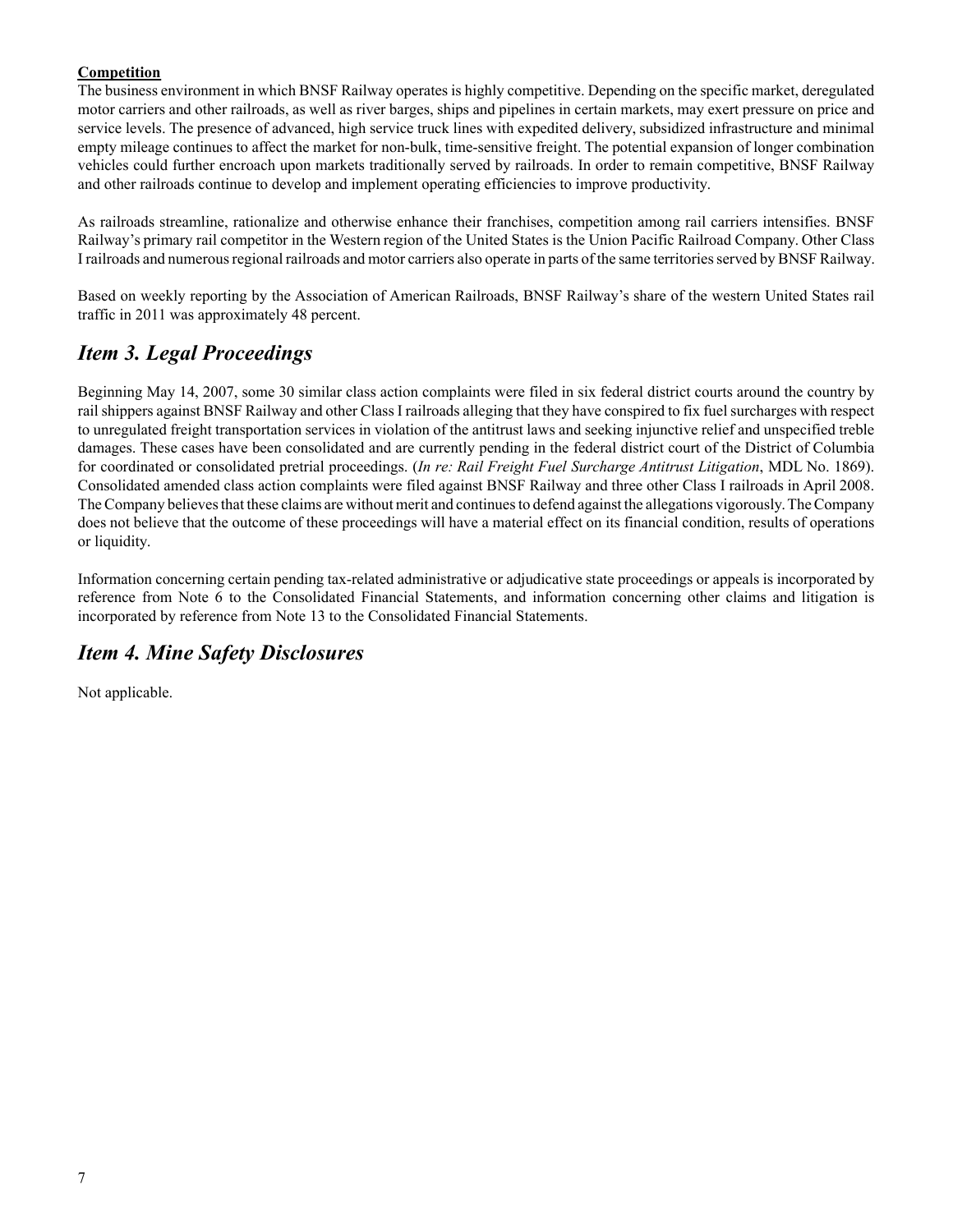### **Competition**

The business environment in which BNSF Railway operates is highly competitive. Depending on the specific market, deregulated motor carriers and other railroads, as well as river barges, ships and pipelines in certain markets, may exert pressure on price and service levels. The presence of advanced, high service truck lines with expedited delivery, subsidized infrastructure and minimal empty mileage continues to affect the market for non-bulk, time-sensitive freight. The potential expansion of longer combination vehicles could further encroach upon markets traditionally served by railroads. In order to remain competitive, BNSF Railway and other railroads continue to develop and implement operating efficiencies to improve productivity.

As railroads streamline, rationalize and otherwise enhance their franchises, competition among rail carriers intensifies. BNSF Railway's primary rail competitor in the Western region of the United States is the Union Pacific Railroad Company. Other Class I railroads and numerous regional railroads and motor carriers also operate in parts of the same territories served by BNSF Railway.

Based on weekly reporting by the Association of American Railroads, BNSF Railway's share of the western United States rail traffic in 2011 was approximately 48 percent.

# <span id="page-8-0"></span>*Item 3. Legal Proceedings*

Beginning May 14, 2007, some 30 similar class action complaints were filed in six federal district courts around the country by rail shippers against BNSF Railway and other Class I railroads alleging that they have conspired to fix fuel surcharges with respect to unregulated freight transportation services in violation of the antitrust laws and seeking injunctive relief and unspecified treble damages. These cases have been consolidated and are currently pending in the federal district court of the District of Columbia for coordinated or consolidated pretrial proceedings. (*In re: Rail Freight Fuel Surcharge Antitrust Litigation*, MDL No. 1869). Consolidated amended class action complaints were filed against BNSF Railway and three other Class I railroads in April 2008. The Company believes that these claims are without merit and continues to defend against the allegations vigorously. The Company does not believe that the outcome of these proceedings will have a material effect on its financial condition, results of operations or liquidity.

Information concerning certain pending tax-related administrative or adjudicative state proceedings or appeals is incorporated by reference from Note 6 to the Consolidated Financial Statements, and information concerning other claims and litigation is incorporated by reference from Note 13 to the Consolidated Financial Statements.

# <span id="page-8-1"></span>*Item 4. Mine Safety Disclosures*

Not applicable.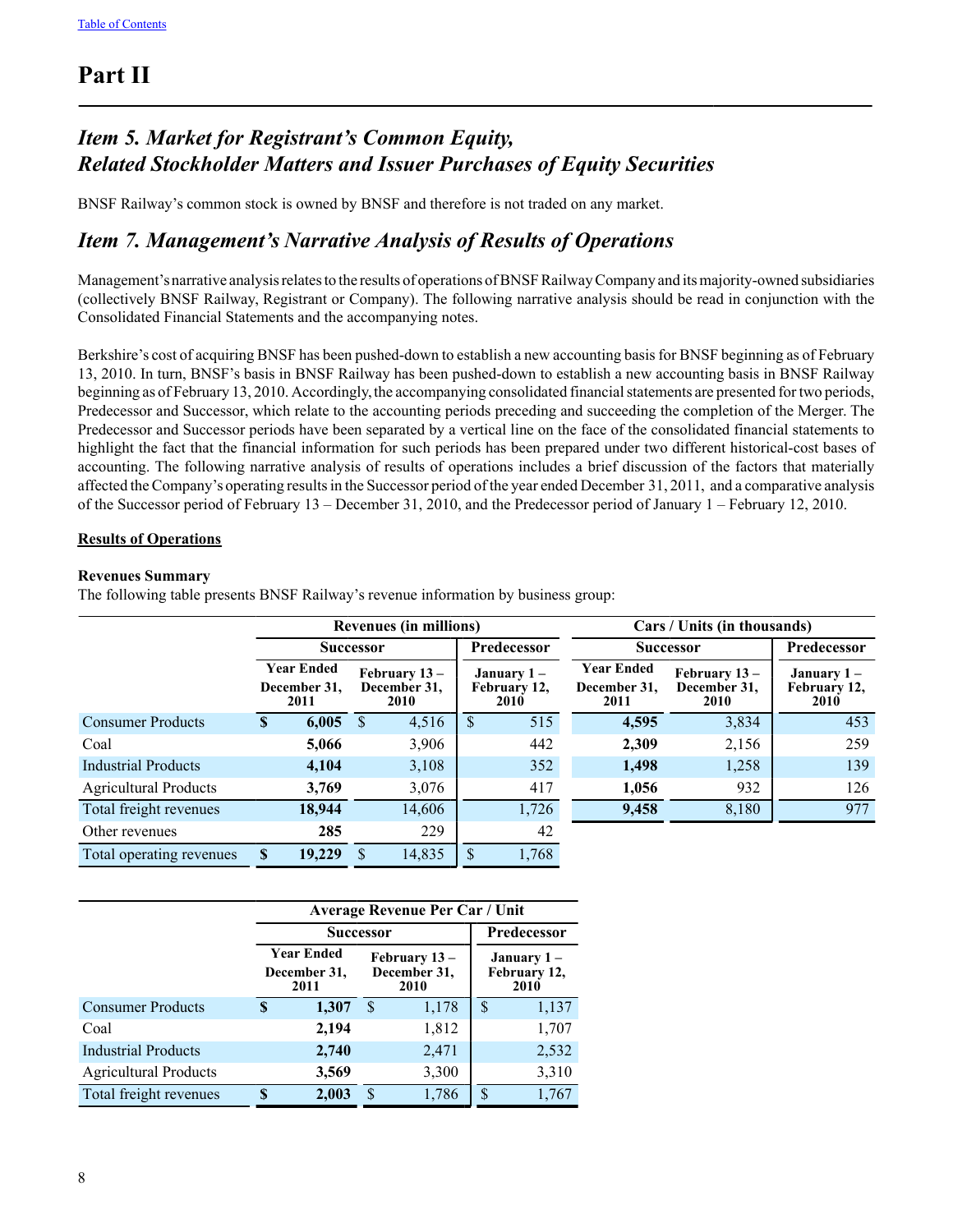# <span id="page-9-0"></span>**Part II**

# <span id="page-9-1"></span>*Item 5. Market for Registrant's Common Equity, Related Stockholder Matters and Issuer Purchases of Equity Securities*

BNSF Railway's common stock is owned by BNSF and therefore is not traded on any market.

## <span id="page-9-2"></span>*Item 7. Management's Narrative Analysis of Results of Operations*

Management's narrative analysis relates to the results of operations of BNSF Railway Company and its majority-owned subsidiaries (collectively BNSF Railway, Registrant or Company). The following narrative analysis should be read in conjunction with the Consolidated Financial Statements and the accompanying notes.

Berkshire's cost of acquiring BNSF has been pushed-down to establish a new accounting basis for BNSF beginning as of February 13, 2010. In turn, BNSF's basis in BNSF Railway has been pushed-down to establish a new accounting basis in BNSF Railway beginning as of February 13, 2010. Accordingly, the accompanying consolidated financial statements are presented for two periods, Predecessor and Successor, which relate to the accounting periods preceding and succeeding the completion of the Merger. The Predecessor and Successor periods have been separated by a vertical line on the face of the consolidated financial statements to highlight the fact that the financial information for such periods has been prepared under two different historical-cost bases of accounting. The following narrative analysis of results of operations includes a brief discussion of the factors that materially affected the Company's operating results in the Successor period of the year ended December 31, 2011, and a comparative analysis of the Successor period of February 13 – December 31, 2010, and the Predecessor period of January 1 – February 12, 2010.

### **Results of Operations**

### **Revenues Summary**

The following table presents BNSF Railway's revenue information by business group:

|                                           |                  |        |                                                | <b>Revenues (in millions)</b> |                                       | Cars / Units (in thousands) |                                           |                                              |                                           |  |  |
|-------------------------------------------|------------------|--------|------------------------------------------------|-------------------------------|---------------------------------------|-----------------------------|-------------------------------------------|----------------------------------------------|-------------------------------------------|--|--|
|                                           | <b>Successor</b> |        |                                                | Predecessor                   |                                       | <b>Successor</b>            | Predecessor                               |                                              |                                           |  |  |
| <b>Year Ended</b><br>December 31.<br>2011 |                  |        | February $13 -$<br>December 31,<br><b>2010</b> |                               | January $1 -$<br>February 12,<br>2010 |                             | <b>Year Ended</b><br>December 31,<br>2011 | February 13 –<br>December 31,<br><b>2010</b> | January 1-<br>February 12,<br><b>2010</b> |  |  |
| <b>Consumer Products</b>                  | S                | 6,005  | -S                                             | 4,516                         | $\mathbf S$                           | 515                         | 4,595                                     | 3,834                                        | 453                                       |  |  |
| Coal                                      |                  | 5,066  |                                                | 3,906                         |                                       | 442                         | 2,309                                     | 2,156                                        | 259                                       |  |  |
| <b>Industrial Products</b>                |                  | 4,104  |                                                | 3,108                         |                                       | 352                         | 1,498                                     | 1,258                                        | 139                                       |  |  |
| <b>Agricultural Products</b>              |                  | 3,769  |                                                | 3,076                         |                                       | 417                         | 1,056                                     | 932                                          | 126                                       |  |  |
| Total freight revenues                    |                  | 18,944 |                                                | 14,606                        |                                       | 1,726                       | 9,458                                     | 8,180                                        | 977                                       |  |  |
| Other revenues                            |                  | 285    |                                                | 229                           |                                       | 42                          |                                           |                                              |                                           |  |  |
| Total operating revenues                  |                  | 19,229 |                                                | 14,835                        |                                       | 1,768                       |                                           |                                              |                                           |  |  |

|                              | <b>Average Revenue Per Car / Unit</b>     |                  |             |                                       |                                    |       |  |  |  |
|------------------------------|-------------------------------------------|------------------|-------------|---------------------------------------|------------------------------------|-------|--|--|--|
|                              |                                           | <b>Successor</b> | Predecessor |                                       |                                    |       |  |  |  |
|                              | <b>Year Ended</b><br>December 31,<br>2011 |                  |             | February 13 –<br>December 31,<br>2010 | January 1-<br>February 12,<br>2010 |       |  |  |  |
| <b>Consumer Products</b>     | S                                         | 1,307            | \$          | 1,178                                 | \$.                                | 1,137 |  |  |  |
| Coal                         |                                           | 2,194            |             | 1,812                                 |                                    | 1,707 |  |  |  |
| <b>Industrial Products</b>   |                                           | 2,740            |             | 2,471                                 |                                    | 2,532 |  |  |  |
| <b>Agricultural Products</b> |                                           | 3,569            |             | 3,300                                 |                                    | 3,310 |  |  |  |
| Total freight revenues       | \$                                        | 2,003            | \$.         | 1,786                                 | S                                  | 1,767 |  |  |  |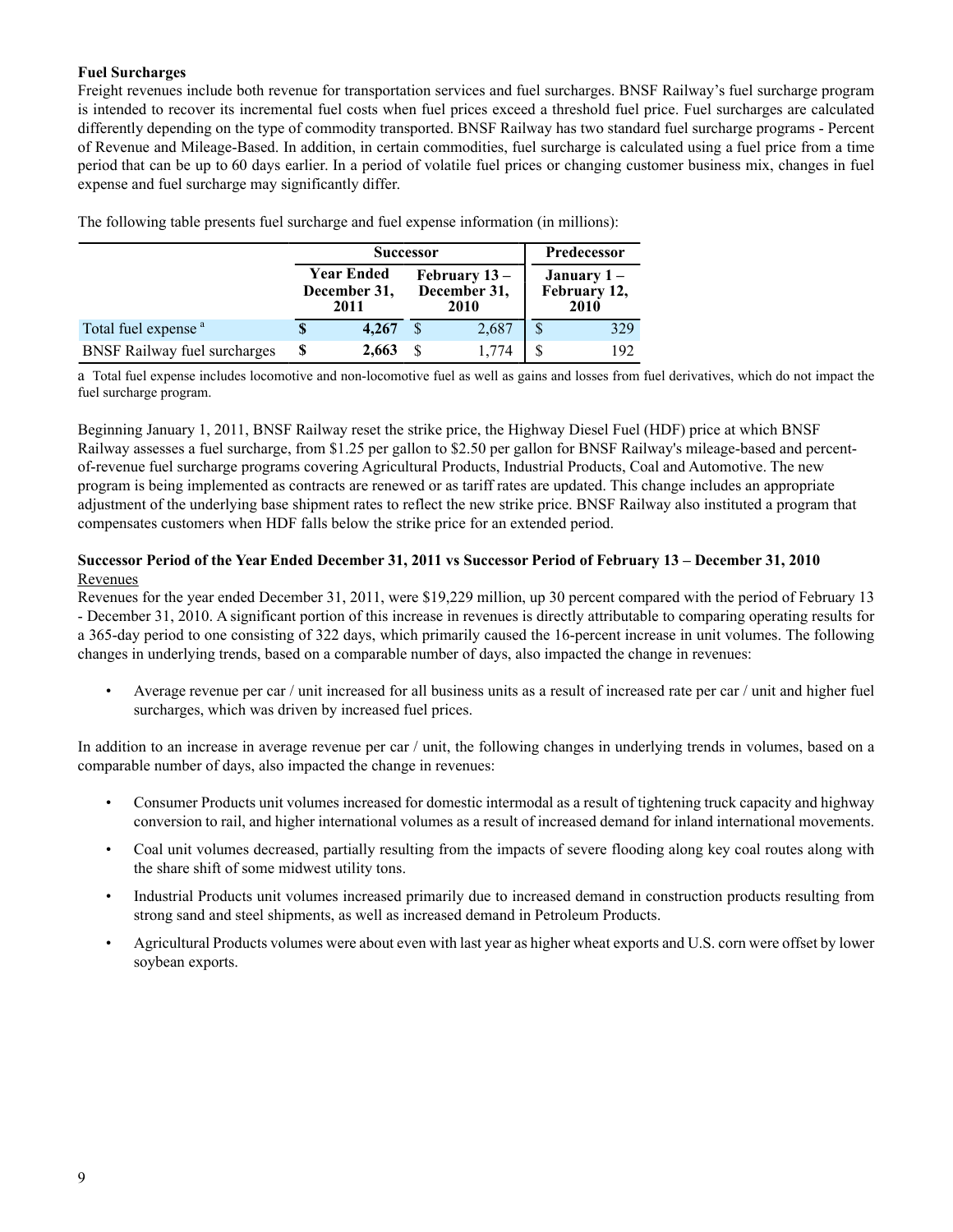### **Fuel Surcharges**

Freight revenues include both revenue for transportation services and fuel surcharges. BNSF Railway's fuel surcharge program is intended to recover its incremental fuel costs when fuel prices exceed a threshold fuel price. Fuel surcharges are calculated differently depending on the type of commodity transported. BNSF Railway has two standard fuel surcharge programs - Percent of Revenue and Mileage-Based. In addition, in certain commodities, fuel surcharge is calculated using a fuel price from a time period that can be up to 60 days earlier. In a period of volatile fuel prices or changing customer business mix, changes in fuel expense and fuel surcharge may significantly differ.

|                                     |    | <b>Successor</b>                   |  |                                       | Predecessor                           |     |  |
|-------------------------------------|----|------------------------------------|--|---------------------------------------|---------------------------------------|-----|--|
|                                     |    | Year Ended<br>December 31,<br>2011 |  | February 13 –<br>December 31,<br>2010 | January $1 -$<br>February 12,<br>2010 |     |  |
| Total fuel expense <sup>a</sup>     |    | 4.267                              |  | 2,687                                 |                                       | 329 |  |
| <b>BNSF Railway fuel surcharges</b> | \$ | 2,663                              |  | 1.774                                 |                                       | 192 |  |

The following table presents fuel surcharge and fuel expense information (in millions):

a Total fuel expense includes locomotive and non-locomotive fuel as well as gains and losses from fuel derivatives, which do not impact the fuel surcharge program.

Beginning January 1, 2011, BNSF Railway reset the strike price, the Highway Diesel Fuel (HDF) price at which BNSF Railway assesses a fuel surcharge, from \$1.25 per gallon to \$2.50 per gallon for BNSF Railway's mileage-based and percentof-revenue fuel surcharge programs covering Agricultural Products, Industrial Products, Coal and Automotive. The new program is being implemented as contracts are renewed or as tariff rates are updated. This change includes an appropriate adjustment of the underlying base shipment rates to reflect the new strike price. BNSF Railway also instituted a program that compensates customers when HDF falls below the strike price for an extended period.

### **Successor Period of the Year Ended December 31, 2011 vs Successor Period of February 13 – December 31, 2010**  Revenues

Revenues for the year ended December 31, 2011, were \$19,229 million, up 30 percent compared with the period of February 13 - December 31, 2010. A significant portion of this increase in revenues is directly attributable to comparing operating results for a 365-day period to one consisting of 322 days, which primarily caused the 16-percent increase in unit volumes. The following changes in underlying trends, based on a comparable number of days, also impacted the change in revenues:

• Average revenue per car / unit increased for all business units as a result of increased rate per car / unit and higher fuel surcharges, which was driven by increased fuel prices.

In addition to an increase in average revenue per car / unit, the following changes in underlying trends in volumes, based on a comparable number of days, also impacted the change in revenues:

- Consumer Products unit volumes increased for domestic intermodal as a result of tightening truck capacity and highway conversion to rail, and higher international volumes as a result of increased demand for inland international movements.
- Coal unit volumes decreased, partially resulting from the impacts of severe flooding along key coal routes along with the share shift of some midwest utility tons.
- Industrial Products unit volumes increased primarily due to increased demand in construction products resulting from strong sand and steel shipments, as well as increased demand in Petroleum Products.
- Agricultural Products volumes were about even with last year as higher wheat exports and U.S. corn were offset by lower soybean exports.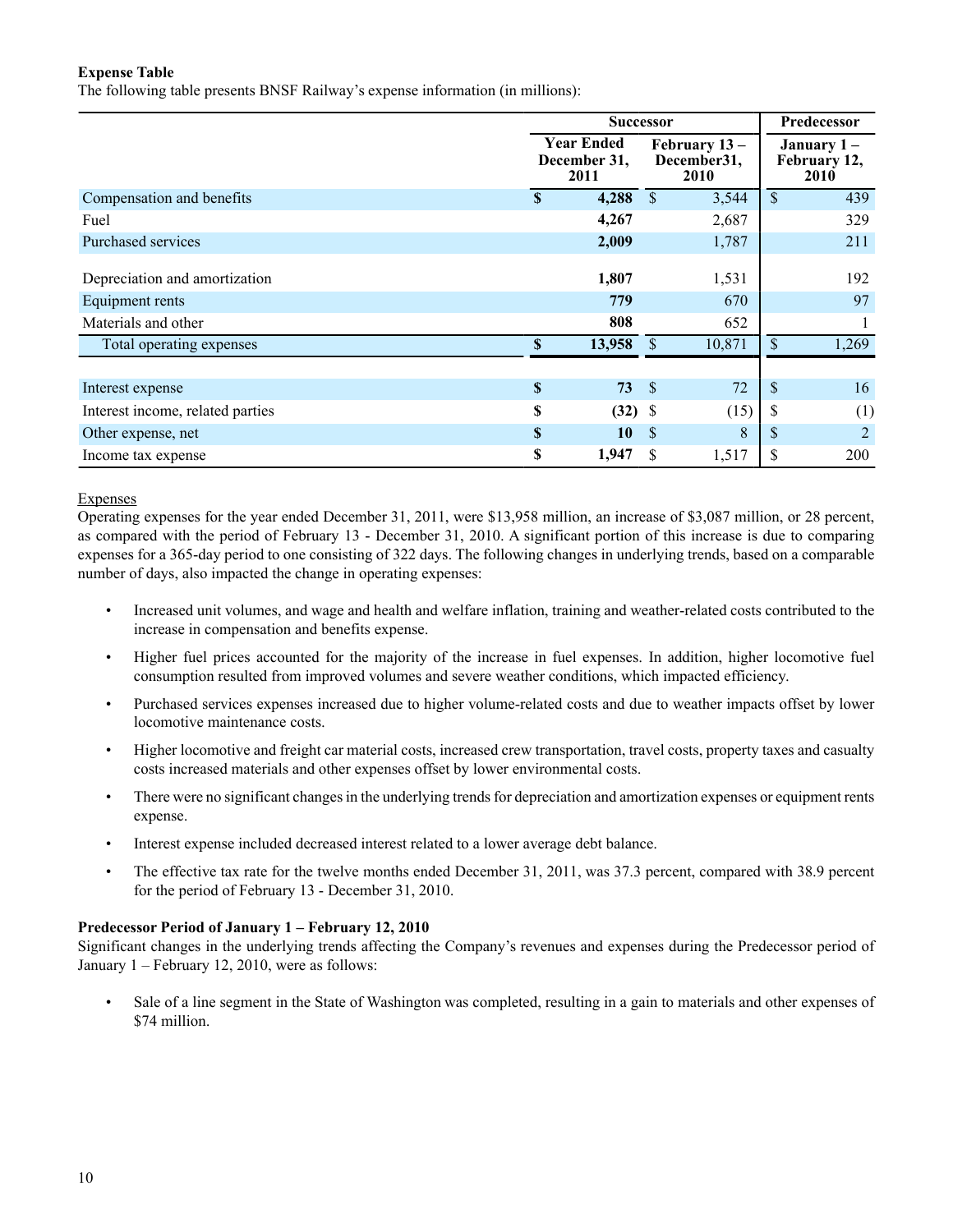### **Expense Table**

The following table presents BNSF Railway's expense information (in millions):

|                                  | <b>Successor</b> |                                           |                    |                                       |                                       | Predecessor |  |
|----------------------------------|------------------|-------------------------------------------|--------------------|---------------------------------------|---------------------------------------|-------------|--|
|                                  |                  | <b>Year Ended</b><br>December 31,<br>2011 |                    | February $13-$<br>December31,<br>2010 | January $1 -$<br>February 12,<br>2010 |             |  |
| Compensation and benefits        | S                | 4,288                                     | $\mathbf{\hat{s}}$ | 3,544                                 | $\mathcal{S}$                         | 439         |  |
| Fuel                             |                  | 4,267                                     |                    | 2,687                                 |                                       | 329         |  |
| Purchased services               |                  | 2,009                                     |                    | 1,787                                 |                                       | 211         |  |
| Depreciation and amortization    |                  | 1,807                                     |                    | 1,531                                 |                                       | 192         |  |
| Equipment rents                  |                  | 779                                       |                    | 670                                   |                                       | 97          |  |
| Materials and other              |                  | 808                                       |                    | 652                                   |                                       |             |  |
| Total operating expenses         | \$               | 13,958                                    | <sup>\$</sup>      | 10,871                                | \$                                    | 1,269       |  |
|                                  |                  |                                           |                    |                                       |                                       |             |  |
| Interest expense                 | $\mathbf S$      | 73                                        | <b>S</b>           | 72                                    | \$                                    | 16          |  |
| Interest income, related parties | \$               | $(32)$ \$                                 |                    | (15)                                  | S                                     | (1)         |  |
| Other expense, net               | \$               | 10                                        | <sup>S</sup>       | 8                                     | D                                     | 2           |  |
| Income tax expense               | \$               | 1,947                                     | S                  | 1,517                                 | S                                     | 200         |  |

#### Expenses

Operating expenses for the year ended December 31, 2011, were \$13,958 million, an increase of \$3,087 million, or 28 percent, as compared with the period of February 13 - December 31, 2010. A significant portion of this increase is due to comparing expenses for a 365-day period to one consisting of 322 days. The following changes in underlying trends, based on a comparable number of days, also impacted the change in operating expenses:

- Increased unit volumes, and wage and health and welfare inflation, training and weather-related costs contributed to the increase in compensation and benefits expense.
- Higher fuel prices accounted for the majority of the increase in fuel expenses. In addition, higher locomotive fuel consumption resulted from improved volumes and severe weather conditions, which impacted efficiency.
- Purchased services expenses increased due to higher volume-related costs and due to weather impacts offset by lower locomotive maintenance costs.
- Higher locomotive and freight car material costs, increased crew transportation, travel costs, property taxes and casualty costs increased materials and other expenses offset by lower environmental costs.
- There were no significant changes in the underlying trends for depreciation and amortization expenses or equipment rents expense.
- Interest expense included decreased interest related to a lower average debt balance.
- The effective tax rate for the twelve months ended December 31, 2011, was 37.3 percent, compared with 38.9 percent for the period of February 13 - December 31, 2010.

### **Predecessor Period of January 1 – February 12, 2010**

Significant changes in the underlying trends affecting the Company's revenues and expenses during the Predecessor period of January 1 – February 12, 2010, were as follows:

Sale of a line segment in the State of Washington was completed, resulting in a gain to materials and other expenses of \$74 million.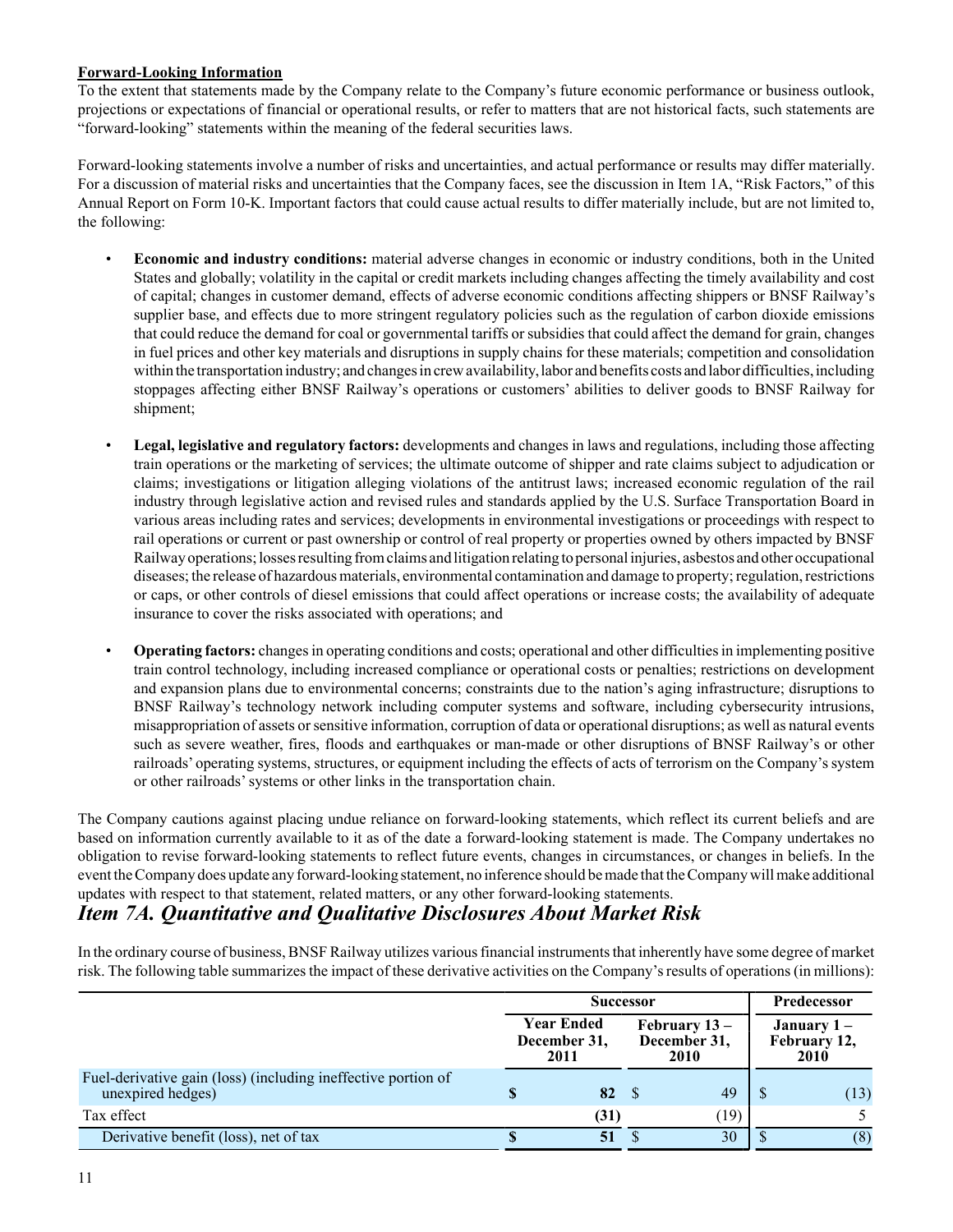### **Forward-Looking Information**

To the extent that statements made by the Company relate to the Company's future economic performance or business outlook, projections or expectations of financial or operational results, or refer to matters that are not historical facts, such statements are "forward-looking" statements within the meaning of the federal securities laws.

Forward-looking statements involve a number of risks and uncertainties, and actual performance or results may differ materially. For a discussion of material risks and uncertainties that the Company faces, see the discussion in Item 1A, "Risk Factors," of this Annual Report on Form 10-K. Important factors that could cause actual results to differ materially include, but are not limited to, the following:

- **Economic and industry conditions:** material adverse changes in economic or industry conditions, both in the United States and globally; volatility in the capital or credit markets including changes affecting the timely availability and cost of capital; changes in customer demand, effects of adverse economic conditions affecting shippers or BNSF Railway's supplier base, and effects due to more stringent regulatory policies such as the regulation of carbon dioxide emissions that could reduce the demand for coal or governmental tariffs or subsidies that could affect the demand for grain, changes in fuel prices and other key materials and disruptions in supply chains for these materials; competition and consolidation within the transportation industry; and changes in crew availability, labor and benefits costs and labor difficulties, including stoppages affecting either BNSF Railway's operations or customers' abilities to deliver goods to BNSF Railway for shipment;
- **Legal, legislative and regulatory factors:** developments and changes in laws and regulations, including those affecting train operations or the marketing of services; the ultimate outcome of shipper and rate claims subject to adjudication or claims; investigations or litigation alleging violations of the antitrust laws; increased economic regulation of the rail industry through legislative action and revised rules and standards applied by the U.S. Surface Transportation Board in various areas including rates and services; developments in environmental investigations or proceedings with respect to rail operations or current or past ownership or control of real property or properties owned by others impacted by BNSF Railway operations; losses resulting from claims and litigation relating to personal injuries, asbestos and other occupational diseases; the release of hazardous materials, environmental contamination and damage to property; regulation, restrictions or caps, or other controls of diesel emissions that could affect operations or increase costs; the availability of adequate insurance to cover the risks associated with operations; and
- **Operating factors:** changes in operating conditions and costs; operational and other difficulties in implementing positive train control technology, including increased compliance or operational costs or penalties; restrictions on development and expansion plans due to environmental concerns; constraints due to the nation's aging infrastructure; disruptions to BNSF Railway's technology network including computer systems and software, including cybersecurity intrusions, misappropriation of assets or sensitive information, corruption of data or operational disruptions; as well as natural events such as severe weather, fires, floods and earthquakes or man-made or other disruptions of BNSF Railway's or other railroads' operating systems, structures, or equipment including the effects of acts of terrorism on the Company's system or other railroads'systems or other links in the transportation chain.

The Company cautions against placing undue reliance on forward-looking statements, which reflect its current beliefs and are based on information currently available to it as of the date a forward-looking statement is made. The Company undertakes no obligation to revise forward-looking statements to reflect future events, changes in circumstances, or changes in beliefs. In the event the Company does update any forward-looking statement, no inference should be made that the Company will make additional updates with respect to that statement, related matters, or any other forward-looking statements.

## <span id="page-12-0"></span>*Item 7A. Quantitative and Qualitative Disclosures About Market Risk*

In the ordinary course of business, BNSF Railway utilizes various financial instruments that inherently have some degree of market risk. The following table summarizes the impact of these derivative activities on the Company's results of operations (in millions):

|                                                                                    |                                           | <b>Successor</b> |  | Predecessor                            |                                              |      |
|------------------------------------------------------------------------------------|-------------------------------------------|------------------|--|----------------------------------------|----------------------------------------------|------|
|                                                                                    | <b>Year Ended</b><br>December 31,<br>2011 |                  |  | February $13-$<br>December 31,<br>2010 | January $1 -$<br>February 12,<br><b>2010</b> |      |
| Fuel-derivative gain (loss) (including ineffective portion of<br>unexpired hedges) |                                           | 82               |  | 49                                     |                                              | (13) |
| Tax effect                                                                         |                                           | (31)             |  | (19)                                   |                                              |      |
| Derivative benefit (loss), net of tax                                              |                                           | 51               |  | 30 <sup>°</sup>                        |                                              | (8)  |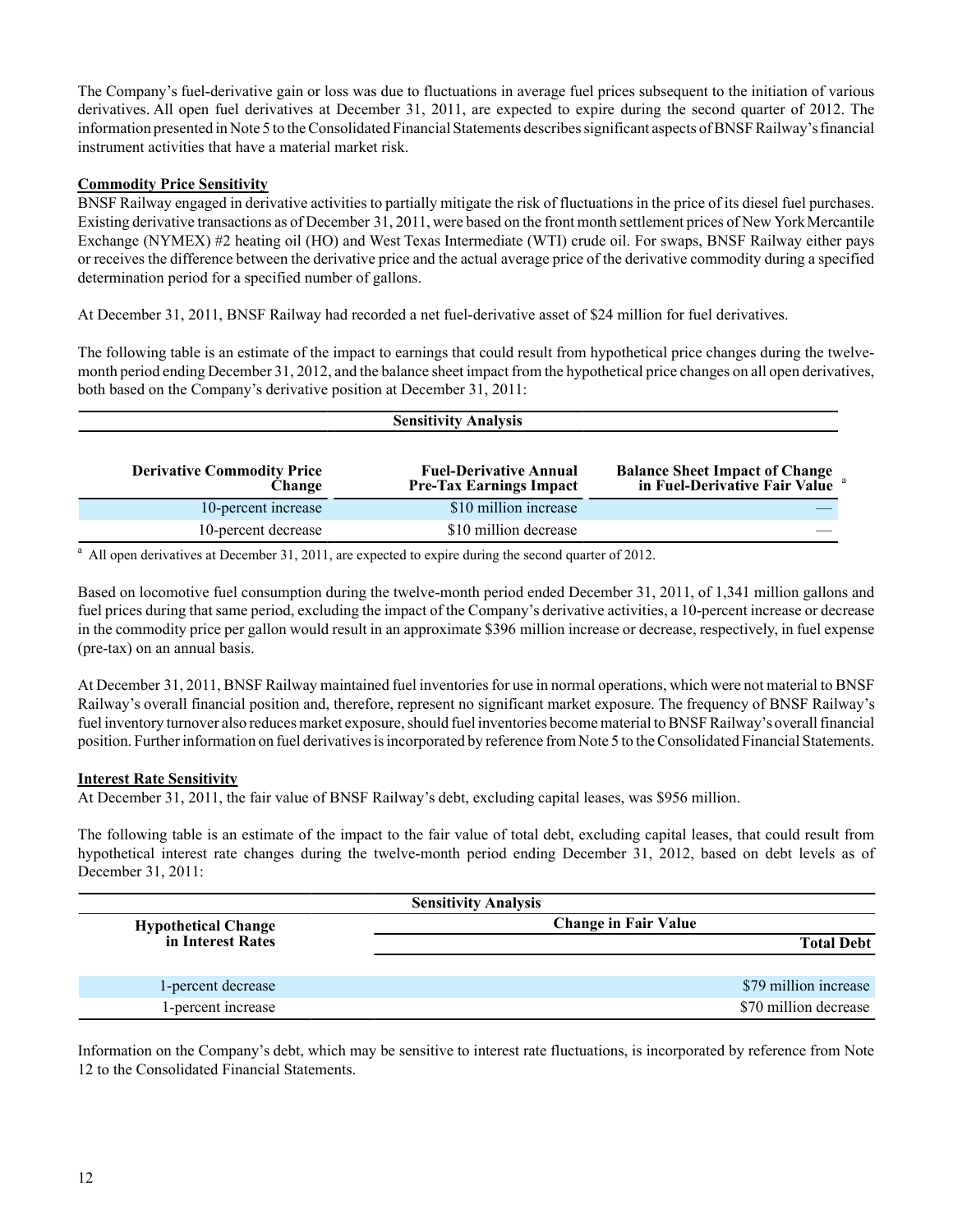The Company's fuel-derivative gain or loss was due to fluctuations in average fuel prices subsequent to the initiation of various derivatives. All open fuel derivatives at December 31, 2011, are expected to expire during the second quarter of 2012. The information presented in Note 5 to the Consolidated Financial Statements describes significant aspects of BNSF Railway's financial instrument activities that have a material market risk.

### **Commodity Price Sensitivity**

BNSF Railway engaged in derivative activities to partially mitigate the risk of fluctuations in the price of its diesel fuel purchases. Existing derivative transactions as of December 31, 2011, were based on the front month settlement prices of New York Mercantile Exchange (NYMEX) #2 heating oil (HO) and West Texas Intermediate (WTI) crude oil. For swaps, BNSF Railway either pays or receives the difference between the derivative price and the actual average price of the derivative commodity during a specified determination period for a specified number of gallons.

At December 31, 2011, BNSF Railway had recorded a net fuel-derivative asset of \$24 million for fuel derivatives.

The following table is an estimate of the impact to earnings that could result from hypothetical price changes during the twelvemonth period ending December 31, 2012, and the balance sheet impact from the hypothetical price changes on all open derivatives, both based on the Company's derivative position at December 31, 2011:

| <b>Sensitivity Analysis</b>                 |                                                                 |                                                                         |  |  |  |  |  |
|---------------------------------------------|-----------------------------------------------------------------|-------------------------------------------------------------------------|--|--|--|--|--|
| <b>Derivative Commodity Price</b><br>Change | <b>Fuel-Derivative Annual</b><br><b>Pre-Tax Earnings Impact</b> | <b>Balance Sheet Impact of Change<br/>in Fuel-Derivative Fair Value</b> |  |  |  |  |  |
| 10-percent increase                         | \$10 million increase                                           |                                                                         |  |  |  |  |  |
| 10-percent decrease                         | \$10 million decrease                                           |                                                                         |  |  |  |  |  |

 $^{\text{a}}$  All open derivatives at December 31, 2011, are expected to expire during the second quarter of 2012.

Based on locomotive fuel consumption during the twelve-month period ended December 31, 2011, of 1,341 million gallons and fuel prices during that same period, excluding the impact of the Company's derivative activities, a 10-percent increase or decrease in the commodity price per gallon would result in an approximate \$396 million increase or decrease, respectively, in fuel expense (pre-tax) on an annual basis.

At December 31, 2011, BNSF Railway maintained fuel inventories for use in normal operations, which were not material to BNSF Railway's overall financial position and, therefore, represent no significant market exposure. The frequency of BNSF Railway's fuel inventory turnover also reduces market exposure, should fuel inventories become material to BNSF Railway's overall financial position. Further information on fuel derivatives is incorporated by reference from Note 5 to the Consolidated Financial Statements.

### **Interest Rate Sensitivity**

At December 31, 2011, the fair value of BNSF Railway's debt, excluding capital leases, was \$956 million.

The following table is an estimate of the impact to the fair value of total debt, excluding capital leases, that could result from hypothetical interest rate changes during the twelve-month period ending December 31, 2012, based on debt levels as of December 31, 2011:

| <b>Sensitivity Analysis</b> |
|-----------------------------|
| <b>Change in Fair Value</b> |
| <b>Total Debt</b>           |
|                             |
| \$79 million increase       |
| \$70 million decrease       |
|                             |

Information on the Company's debt, which may be sensitive to interest rate fluctuations, is incorporated by reference from Note 12 to the Consolidated Financial Statements.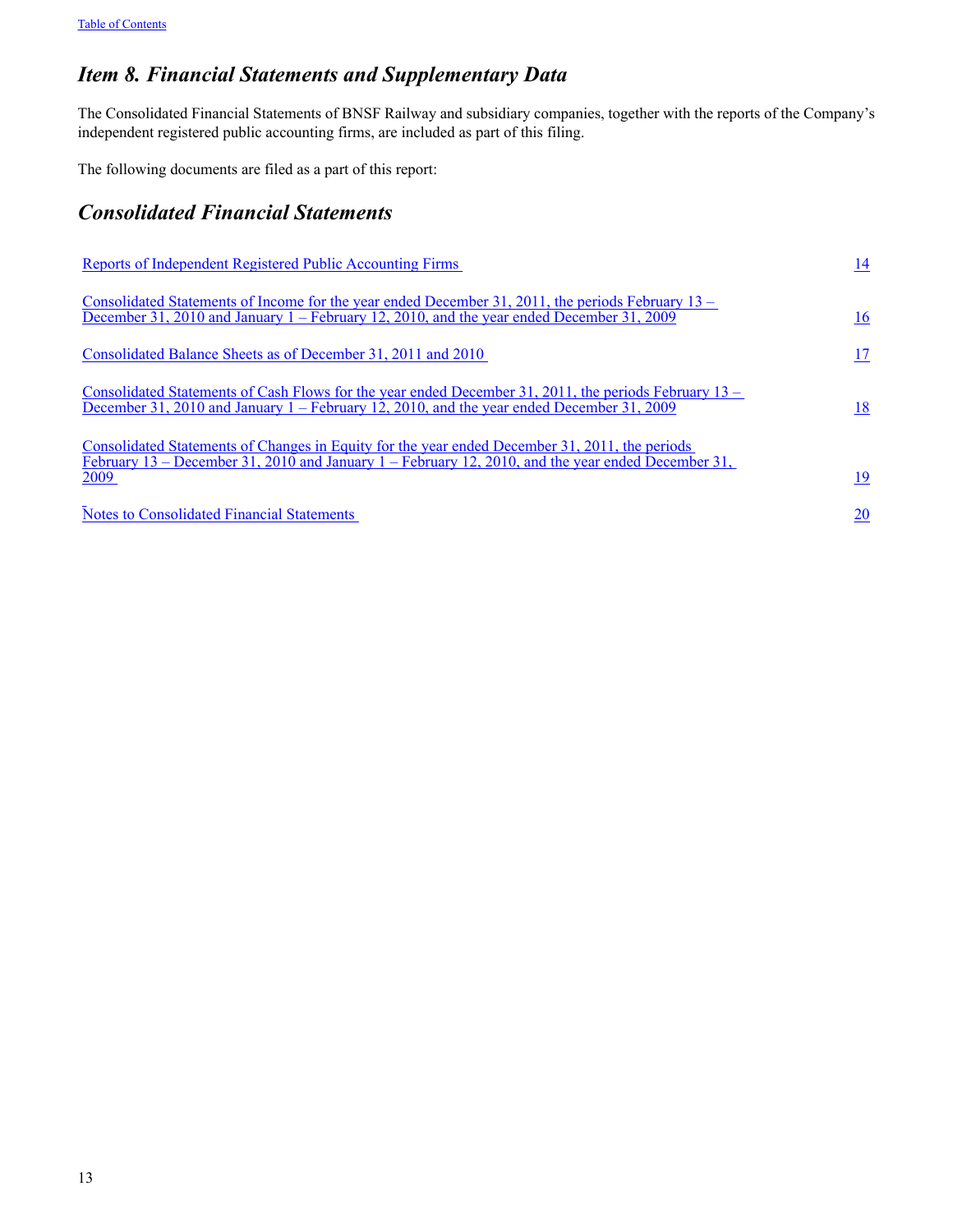# <span id="page-14-0"></span>*Item 8. Financial Statements and Supplementary Data*

The Consolidated Financial Statements of BNSF Railway and subsidiary companies, together with the reports of the Company's independent registered public accounting firms, are included as part of this filing.

The following documents are filed as a part of this report:

# *Consolidated Financial Statements*

| Reports of Independent Registered Public Accounting Firms                                                                                                                                                    | 14              |
|--------------------------------------------------------------------------------------------------------------------------------------------------------------------------------------------------------------|-----------------|
| Consolidated Statements of Income for the year ended December 31, 2011, the periods February 13 –<br>December 31, 2010 and January 1 – February 12, 2010, and the year ended December 31, 2009               | 16              |
| Consolidated Balance Sheets as of December 31, 2011 and 2010                                                                                                                                                 | 17              |
| Consolidated Statements of Cash Flows for the year ended December 31, 2011, the periods February $13 -$<br>December 31, 2010 and January 1 – February 12, 2010, and the year ended December 31, 2009         | 18              |
| Consolidated Statements of Changes in Equity for the year ended December 31, 2011, the periods<br>February 13 – December 31, 2010 and January 1 – February 12, 2010, and the year ended December 31,<br>2009 | 19              |
| Notes to Consolidated Financial Statements                                                                                                                                                                   | $\overline{20}$ |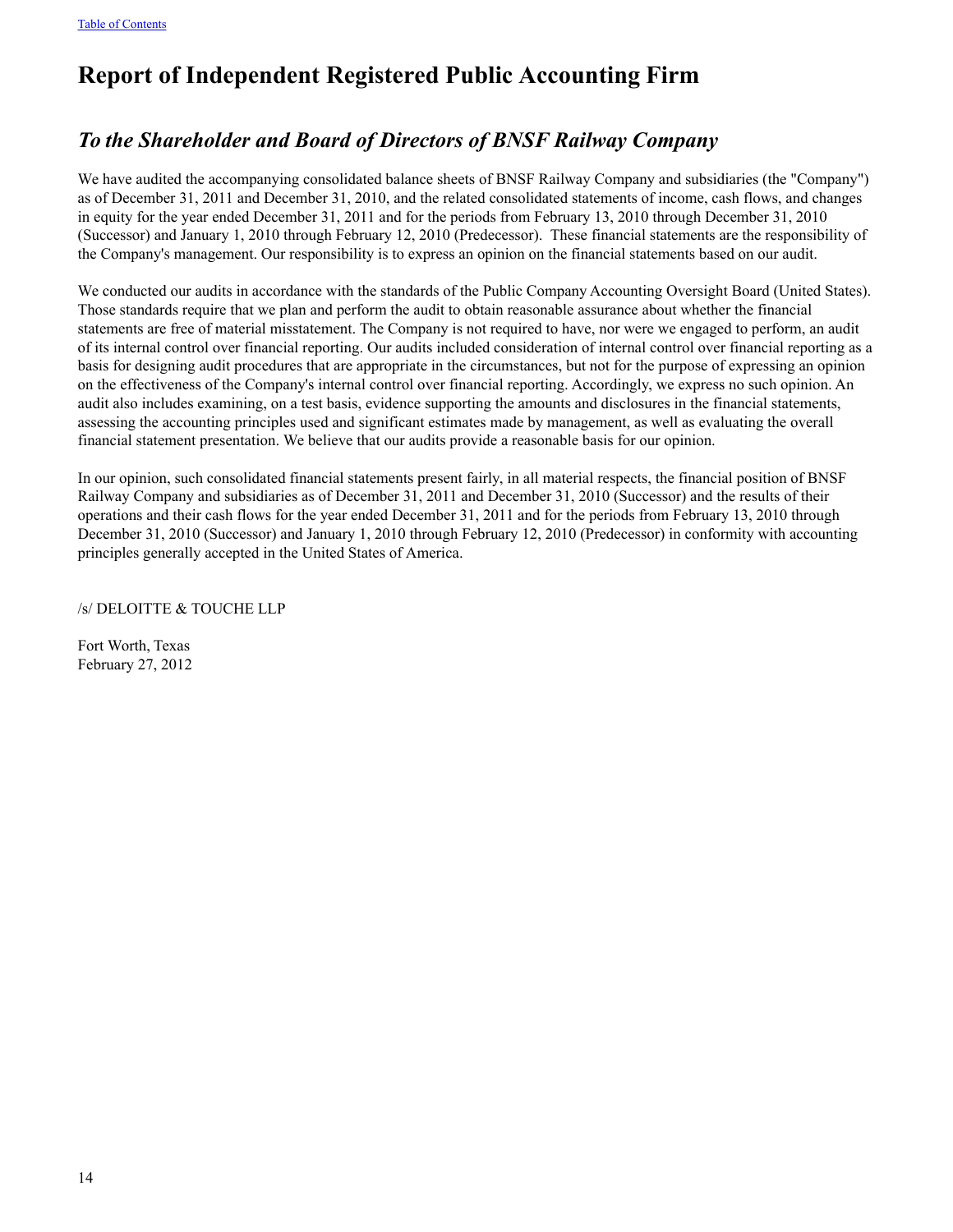# <span id="page-15-0"></span>**Report of Independent Registered Public Accounting Firm**

# *To the Shareholder and Board of Directors of BNSF Railway Company*

We have audited the accompanying consolidated balance sheets of BNSF Railway Company and subsidiaries (the "Company") as of December 31, 2011 and December 31, 2010, and the related consolidated statements of income, cash flows, and changes in equity for the year ended December 31, 2011 and for the periods from February 13, 2010 through December 31, 2010 (Successor) and January 1, 2010 through February 12, 2010 (Predecessor). These financial statements are the responsibility of the Company's management. Our responsibility is to express an opinion on the financial statements based on our audit.

We conducted our audits in accordance with the standards of the Public Company Accounting Oversight Board (United States). Those standards require that we plan and perform the audit to obtain reasonable assurance about whether the financial statements are free of material misstatement. The Company is not required to have, nor were we engaged to perform, an audit of its internal control over financial reporting. Our audits included consideration of internal control over financial reporting as a basis for designing audit procedures that are appropriate in the circumstances, but not for the purpose of expressing an opinion on the effectiveness of the Company's internal control over financial reporting. Accordingly, we express no such opinion. An audit also includes examining, on a test basis, evidence supporting the amounts and disclosures in the financial statements, assessing the accounting principles used and significant estimates made by management, as well as evaluating the overall financial statement presentation. We believe that our audits provide a reasonable basis for our opinion.

In our opinion, such consolidated financial statements present fairly, in all material respects, the financial position of BNSF Railway Company and subsidiaries as of December 31, 2011 and December 31, 2010 (Successor) and the results of their operations and their cash flows for the year ended December 31, 2011 and for the periods from February 13, 2010 through December 31, 2010 (Successor) and January 1, 2010 through February 12, 2010 (Predecessor) in conformity with accounting principles generally accepted in the United States of America.

/s/ DELOITTE & TOUCHE LLP

Fort Worth, Texas February 27, 2012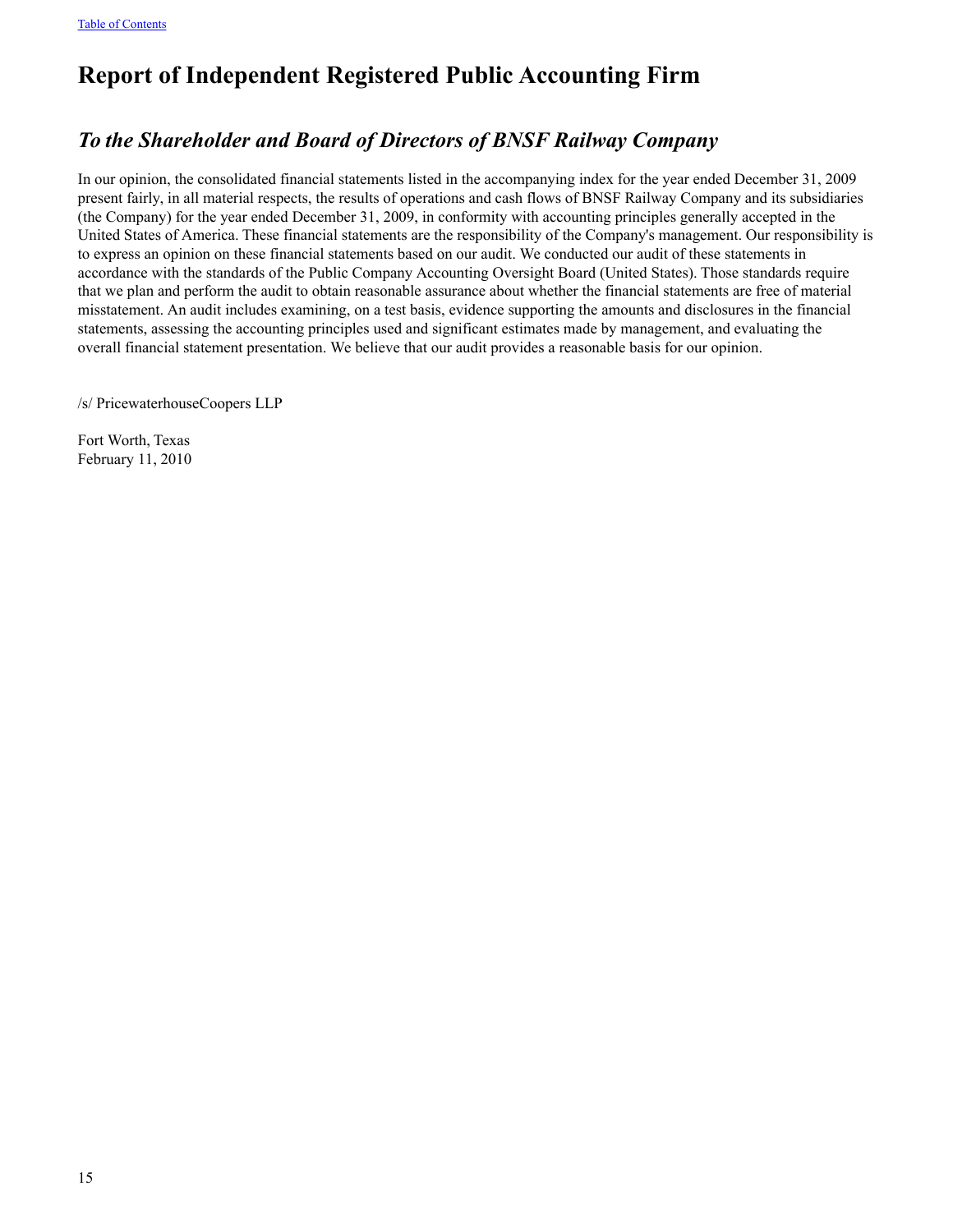#### [Table of Contents](#page-1-0)

# **Report of Independent Registered Public Accounting Firm**

# *To the Shareholder and Board of Directors of BNSF Railway Company*

In our opinion, the consolidated financial statements listed in the accompanying index for the year ended December 31, 2009 present fairly, in all material respects, the results of operations and cash flows of BNSF Railway Company and its subsidiaries (the Company) for the year ended December 31, 2009, in conformity with accounting principles generally accepted in the United States of America. These financial statements are the responsibility of the Company's management. Our responsibility is to express an opinion on these financial statements based on our audit. We conducted our audit of these statements in accordance with the standards of the Public Company Accounting Oversight Board (United States). Those standards require that we plan and perform the audit to obtain reasonable assurance about whether the financial statements are free of material misstatement. An audit includes examining, on a test basis, evidence supporting the amounts and disclosures in the financial statements, assessing the accounting principles used and significant estimates made by management, and evaluating the overall financial statement presentation. We believe that our audit provides a reasonable basis for our opinion.

/s/ PricewaterhouseCoopers LLP

Fort Worth, Texas February 11, 2010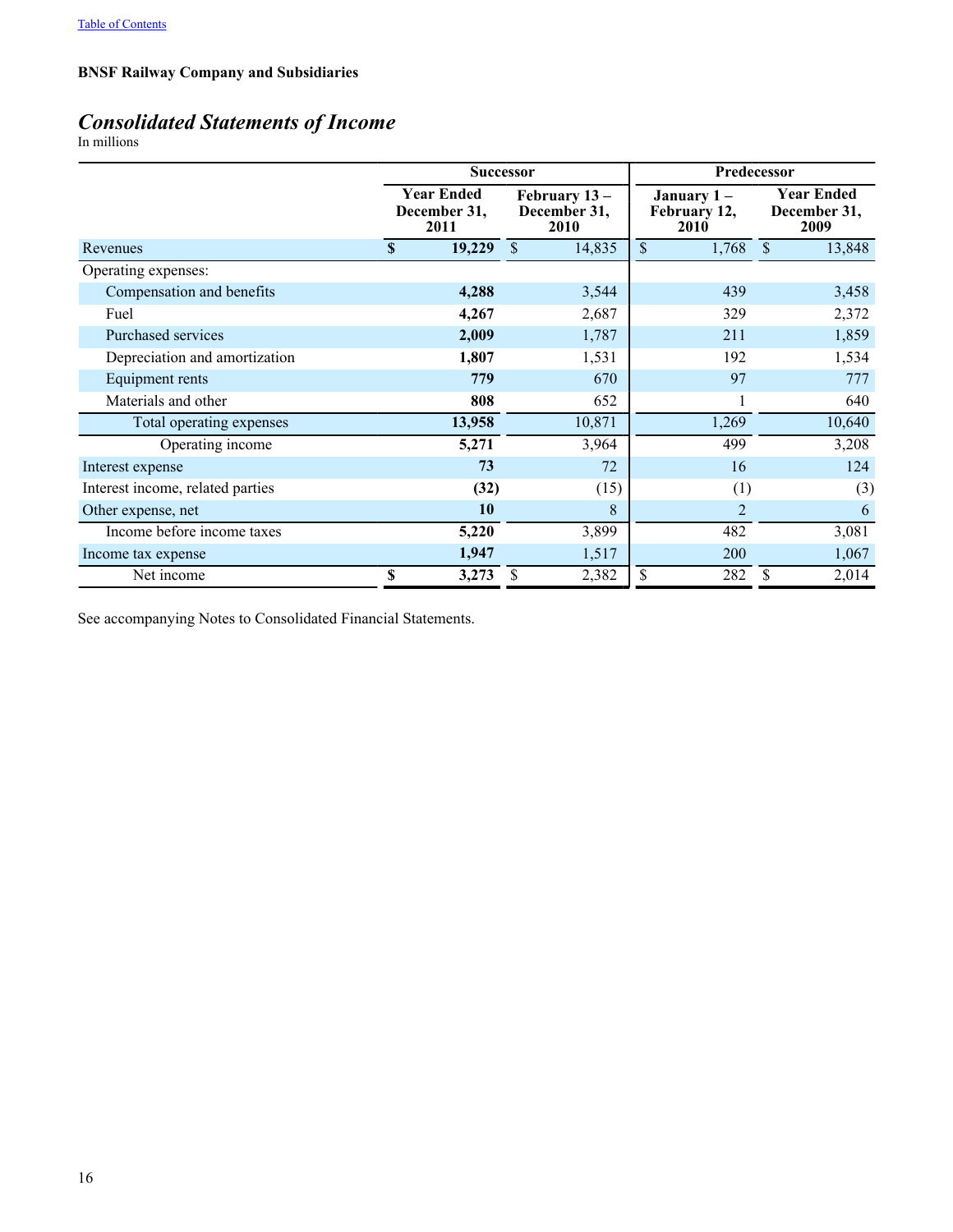### <span id="page-17-0"></span>*Consolidated Statements of Income*

In millions

|                                  |                                           |        | <b>Successor</b>                      | Predecessor |                                       |                |                                           |        |
|----------------------------------|-------------------------------------------|--------|---------------------------------------|-------------|---------------------------------------|----------------|-------------------------------------------|--------|
|                                  | <b>Year Ended</b><br>December 31,<br>2011 |        | February 13 -<br>December 31,<br>2010 |             | January $1 -$<br>February 12,<br>2010 |                | <b>Year Ended</b><br>December 31,<br>2009 |        |
| Revenues                         | \$                                        | 19,229 | \$.                                   | 14,835      | \$                                    | 1,768          | $\mathcal{S}$                             | 13,848 |
| Operating expenses:              |                                           |        |                                       |             |                                       |                |                                           |        |
| Compensation and benefits        |                                           | 4,288  |                                       | 3,544       |                                       | 439            |                                           | 3,458  |
| Fuel                             |                                           | 4,267  |                                       | 2,687       |                                       | 329            |                                           | 2,372  |
| Purchased services               |                                           | 2,009  |                                       | 1,787       |                                       | 211            |                                           | 1,859  |
| Depreciation and amortization    |                                           | 1,807  |                                       | 1,531       |                                       | 192            |                                           | 1,534  |
| Equipment rents                  |                                           | 779    |                                       | 670         |                                       | 97             |                                           | 777    |
| Materials and other              |                                           | 808    |                                       | 652         |                                       |                |                                           | 640    |
| Total operating expenses         |                                           | 13,958 |                                       | 10,871      |                                       | 1,269          |                                           | 10,640 |
| Operating income                 |                                           | 5,271  |                                       | 3,964       |                                       | 499            |                                           | 3,208  |
| Interest expense                 |                                           | 73     |                                       | 72          |                                       | 16             |                                           | 124    |
| Interest income, related parties |                                           | (32)   |                                       | (15)        |                                       | (1)            |                                           | (3)    |
| Other expense, net               |                                           | 10     |                                       | 8           |                                       | $\overline{2}$ |                                           | 6      |
| Income before income taxes       |                                           | 5,220  |                                       | 3,899       |                                       | 482            |                                           | 3,081  |
| Income tax expense               |                                           | 1,947  |                                       | 1,517       |                                       | 200            |                                           | 1,067  |
| Net income                       | \$                                        | 3,273  | \$                                    | 2,382       | \$                                    | 282            | \$                                        | 2,014  |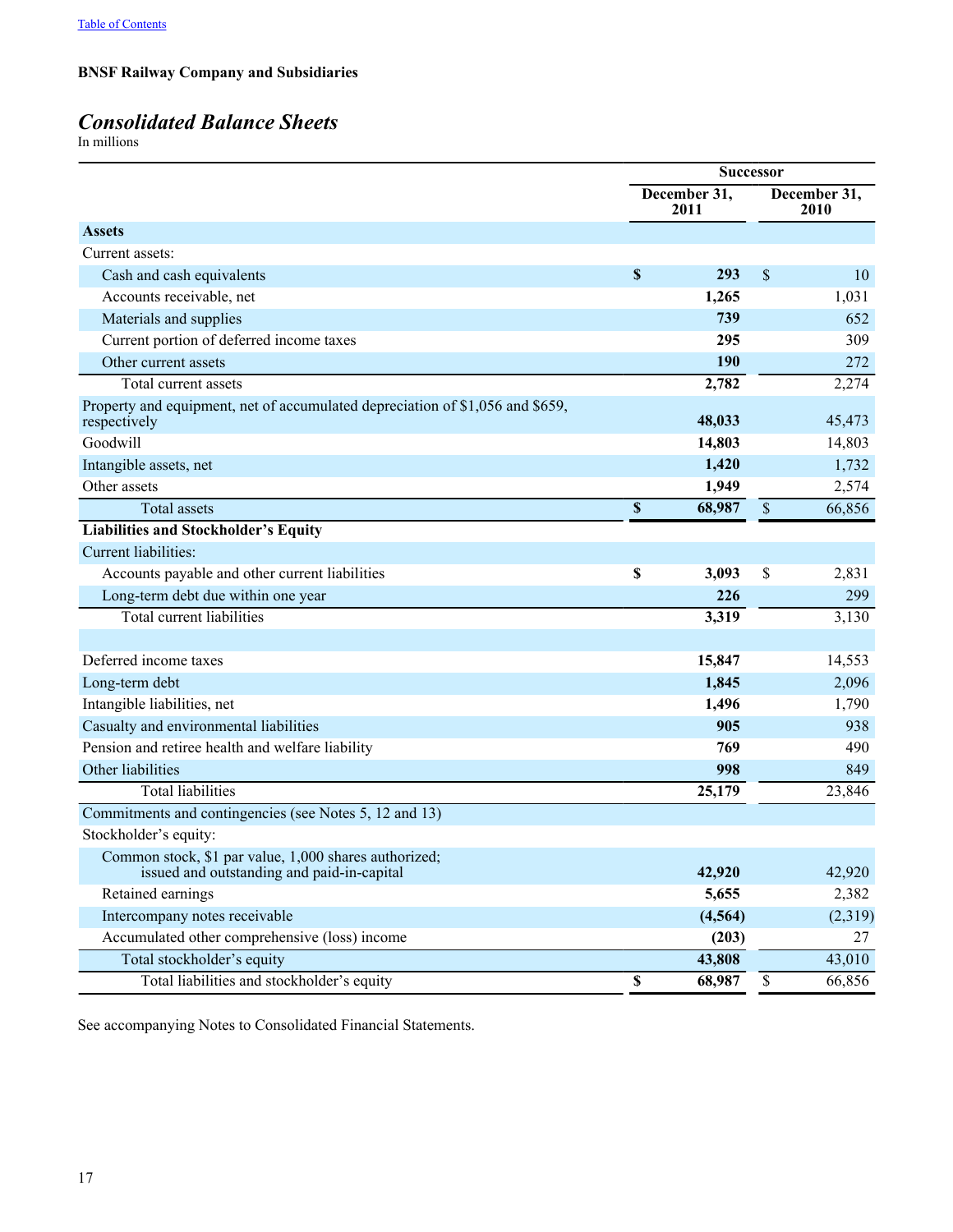# <span id="page-18-0"></span>*Consolidated Balance Sheets*

In millions

|                                                                                                     | Successor                 |                      |               |                      |
|-----------------------------------------------------------------------------------------------------|---------------------------|----------------------|---------------|----------------------|
|                                                                                                     |                           | December 31,<br>2011 |               | December 31,<br>2010 |
| <b>Assets</b>                                                                                       |                           |                      |               |                      |
| Current assets:                                                                                     |                           |                      |               |                      |
| Cash and cash equivalents                                                                           | $\pmb{\mathbb{S}}$        | 293                  | \$            | 10                   |
| Accounts receivable, net                                                                            |                           | 1,265                |               | 1,031                |
| Materials and supplies                                                                              |                           | 739                  |               | 652                  |
| Current portion of deferred income taxes                                                            |                           | 295                  |               | 309                  |
| Other current assets                                                                                |                           | 190                  |               | 272                  |
| Total current assets                                                                                |                           | 2,782                |               | 2,274                |
| Property and equipment, net of accumulated depreciation of \$1,056 and \$659,<br>respectively       |                           | 48,033               |               | 45,473               |
| Goodwill                                                                                            |                           | 14,803               |               | 14,803               |
| Intangible assets, net                                                                              |                           | 1,420                |               | 1,732                |
| Other assets                                                                                        |                           | 1,949                |               | 2,574                |
| <b>Total assets</b>                                                                                 | \$                        | 68,987               | $\mathcal{S}$ | 66,856               |
| <b>Liabilities and Stockholder's Equity</b>                                                         |                           |                      |               |                      |
| Current liabilities:                                                                                |                           |                      |               |                      |
| Accounts payable and other current liabilities                                                      | \$                        | 3,093                | \$            | 2,831                |
| Long-term debt due within one year                                                                  |                           | 226                  |               | 299                  |
| Total current liabilities                                                                           |                           | 3,319                |               | 3,130                |
|                                                                                                     |                           |                      |               |                      |
| Deferred income taxes                                                                               |                           | 15,847               |               | 14,553               |
| Long-term debt                                                                                      |                           | 1,845                |               | 2,096                |
| Intangible liabilities, net                                                                         |                           | 1,496                |               | 1,790                |
| Casualty and environmental liabilities                                                              |                           | 905                  |               | 938                  |
| Pension and retiree health and welfare liability                                                    |                           | 769                  |               | 490                  |
| Other liabilities                                                                                   |                           | 998                  |               | 849                  |
| <b>Total liabilities</b>                                                                            |                           | 25,179               |               | 23,846               |
| Commitments and contingencies (see Notes 5, 12 and 13)                                              |                           |                      |               |                      |
| Stockholder's equity:                                                                               |                           |                      |               |                      |
| Common stock, \$1 par value, 1,000 shares authorized;<br>issued and outstanding and paid-in-capital |                           | 42,920               |               | 42,920               |
| Retained earnings                                                                                   |                           | 5,655                |               | 2,382                |
| Intercompany notes receivable                                                                       |                           | (4, 564)             |               | (2,319)              |
| Accumulated other comprehensive (loss) income                                                       |                           | (203)                |               | 27                   |
| Total stockholder's equity                                                                          |                           | 43,808               |               | 43,010               |
| Total liabilities and stockholder's equity                                                          | $\boldsymbol{\mathsf{S}}$ | 68,987               | $\mathbb S$   | 66,856               |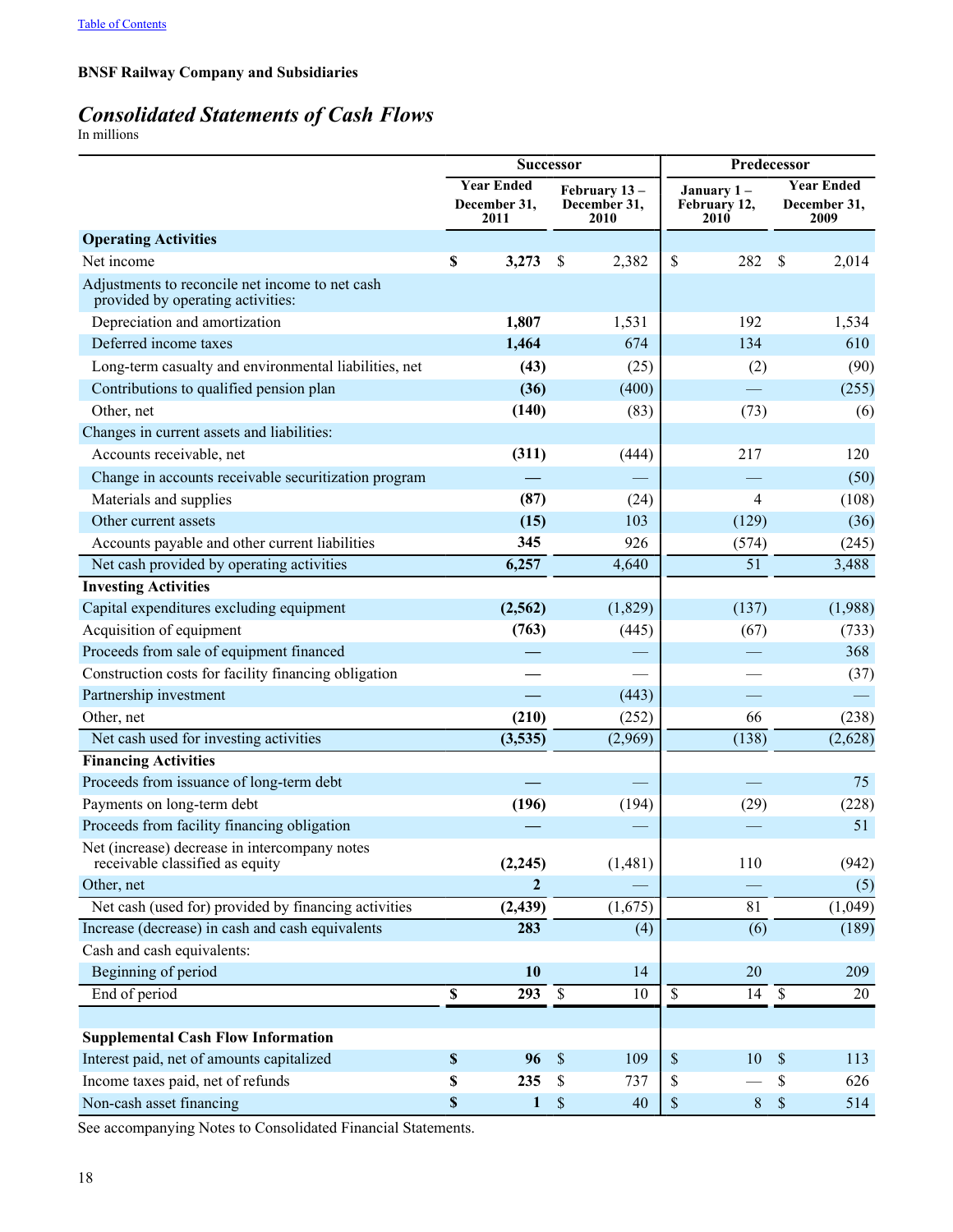## <span id="page-19-0"></span>*Consolidated Statements of Cash Flows*

In millions

|                                                                                      | Successor |                                           | Predecessor                          |         |                 |                                      |               |                                           |
|--------------------------------------------------------------------------------------|-----------|-------------------------------------------|--------------------------------------|---------|-----------------|--------------------------------------|---------------|-------------------------------------------|
|                                                                                      |           | <b>Year Ended</b><br>December 31,<br>2011 | February 13-<br>December 31,<br>2010 |         |                 | January $1-$<br>February 12,<br>2010 |               | <b>Year Ended</b><br>December 31,<br>2009 |
| <b>Operating Activities</b>                                                          |           |                                           |                                      |         |                 |                                      |               |                                           |
| Net income                                                                           | \$        | 3,273                                     | S                                    | 2,382   | \$              | 282                                  | \$            | 2,014                                     |
| Adjustments to reconcile net income to net cash<br>provided by operating activities: |           |                                           |                                      |         |                 |                                      |               |                                           |
| Depreciation and amortization                                                        |           | 1,807                                     |                                      | 1,531   |                 | 192                                  |               | 1,534                                     |
| Deferred income taxes                                                                |           | 1,464                                     |                                      | 674     |                 | 134                                  |               | 610                                       |
| Long-term casualty and environmental liabilities, net                                |           | (43)                                      |                                      | (25)    |                 | (2)                                  |               | (90)                                      |
| Contributions to qualified pension plan                                              |           | (36)                                      |                                      | (400)   |                 |                                      |               | (255)                                     |
| Other, net                                                                           |           | (140)                                     |                                      | (83)    |                 | (73)                                 |               | (6)                                       |
| Changes in current assets and liabilities:                                           |           |                                           |                                      |         |                 |                                      |               |                                           |
| Accounts receivable, net                                                             |           | (311)                                     |                                      | (444)   |                 | 217                                  |               | 120                                       |
| Change in accounts receivable securitization program                                 |           |                                           |                                      |         |                 |                                      |               | (50)                                      |
| Materials and supplies                                                               |           | (87)                                      |                                      | (24)    |                 | 4                                    |               | (108)                                     |
| Other current assets                                                                 |           | (15)                                      |                                      | 103     |                 | (129)                                |               | (36)                                      |
| Accounts payable and other current liabilities                                       |           | 345                                       |                                      | 926     |                 | (574)                                |               | (245)                                     |
| Net cash provided by operating activities                                            |           | 6,257                                     |                                      | 4,640   |                 | 51                                   |               | 3,488                                     |
| <b>Investing Activities</b>                                                          |           |                                           |                                      |         |                 |                                      |               |                                           |
| Capital expenditures excluding equipment                                             |           | (2,562)                                   |                                      | (1,829) |                 | (137)                                |               | (1,988)                                   |
| Acquisition of equipment                                                             |           | (763)                                     |                                      | (445)   |                 | (67)                                 |               | (733)                                     |
| Proceeds from sale of equipment financed                                             |           |                                           |                                      |         |                 |                                      |               | 368                                       |
| Construction costs for facility financing obligation                                 |           |                                           |                                      |         |                 |                                      |               | (37)                                      |
| Partnership investment                                                               |           |                                           |                                      | (443)   |                 |                                      |               |                                           |
| Other, net                                                                           |           | (210)                                     |                                      | (252)   |                 | 66                                   |               | (238)                                     |
| Net cash used for investing activities                                               |           | (3,535)                                   |                                      | (2,969) |                 | (138)                                |               | (2,628)                                   |
| <b>Financing Activities</b>                                                          |           |                                           |                                      |         |                 |                                      |               |                                           |
| Proceeds from issuance of long-term debt                                             |           |                                           |                                      |         |                 |                                      |               | 75                                        |
| Payments on long-term debt                                                           |           | (196)                                     |                                      | (194)   |                 | (29)                                 |               | (228)                                     |
| Proceeds from facility financing obligation                                          |           |                                           |                                      |         |                 |                                      |               | 51                                        |
| Net (increase) decrease in intercompany notes<br>receivable classified as equity     |           | (2, 245)                                  |                                      | (1,481) |                 | 110                                  |               | (942)                                     |
| Other, net                                                                           |           | $\overline{2}$                            |                                      |         |                 |                                      |               | (5)                                       |
| Net cash (used for) provided by financing activities                                 |           | (2, 439)                                  |                                      | (1,675) |                 | 81                                   |               | (1,049)                                   |
| Increase (decrease) in cash and cash equivalents                                     |           | 283                                       |                                      | (4)     |                 | (6)                                  |               | (189)                                     |
| Cash and cash equivalents:                                                           |           |                                           |                                      |         |                 |                                      |               |                                           |
| Beginning of period                                                                  |           | 10                                        |                                      | 14      |                 | 20                                   |               | 209                                       |
| End of period                                                                        | \$        | $\overline{293}$                          | $\overline{\mathcal{S}}$             | 10      | $\overline{\$}$ |                                      |               | 20                                        |
| <b>Supplemental Cash Flow Information</b>                                            |           |                                           |                                      |         |                 |                                      |               |                                           |
| Interest paid, net of amounts capitalized                                            | \$        | 96                                        | \$                                   | 109     | \$              | 10                                   | $\mathbb{S}$  | 113                                       |
| Income taxes paid, net of refunds                                                    | \$        | 235                                       | $\mathbb S$                          | 737     | \$              |                                      | \$            | 626                                       |
| Non-cash asset financing                                                             | \$        | $\mathbf{1}$                              | $\mathbb S$                          | 40      | \$              | $8\,$                                | $\mathcal{S}$ | 514                                       |
|                                                                                      |           |                                           |                                      |         |                 |                                      |               |                                           |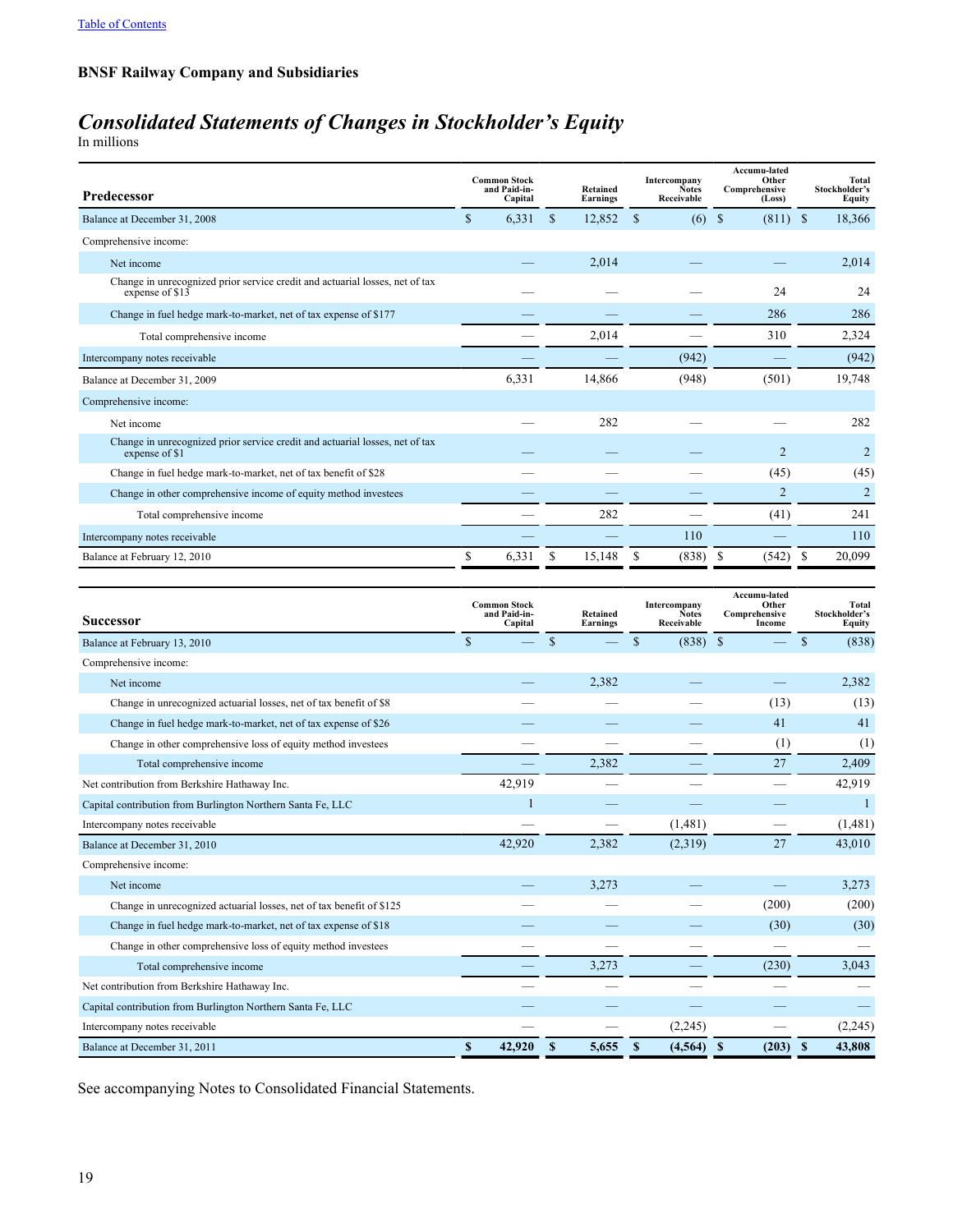## <span id="page-20-0"></span>*Consolidated Statements of Changes in Stockholder's Equity*

In millions

| <b>Predecessor</b>                                                                              |              | <b>Common Stock</b><br>and Paid-in-<br>Capital |               | <b>Retained</b><br>Earnings | Intercompany<br><b>Notes</b><br>Receivable |     | Accumu-lated<br>Other<br>Comprehensive<br>(Loss) | <b>Total</b><br>Stockholder's<br><b>Equity</b> |  |
|-------------------------------------------------------------------------------------------------|--------------|------------------------------------------------|---------------|-----------------------------|--------------------------------------------|-----|--------------------------------------------------|------------------------------------------------|--|
| Balance at December 31, 2008                                                                    | $\mathbb{S}$ | 6,331                                          | <sup>\$</sup> | 12,852                      | <sup>\$</sup>                              | (6) | \$<br>$(811)$ \$                                 | 18,366                                         |  |
| Comprehensive income:                                                                           |              |                                                |               |                             |                                            |     |                                                  |                                                |  |
| Net income                                                                                      |              |                                                |               | 2,014                       |                                            |     |                                                  | 2,014                                          |  |
| Change in unrecognized prior service credit and actuarial losses, net of tax<br>expense of \$13 |              |                                                |               |                             |                                            |     | 24                                               | 24                                             |  |
| Change in fuel hedge mark-to-market, net of tax expense of \$177                                |              |                                                |               |                             |                                            |     | 286                                              | 286                                            |  |
| Total comprehensive income                                                                      |              |                                                |               | 2,014                       |                                            |     | 310                                              | 2,324                                          |  |
| Intercompany notes receivable                                                                   |              |                                                |               |                             | (942)                                      |     |                                                  | (942)                                          |  |
| Balance at December 31, 2009                                                                    |              | 6,331                                          |               | 14,866                      | (948)                                      |     | (501)                                            | 19,748                                         |  |
| Comprehensive income:                                                                           |              |                                                |               |                             |                                            |     |                                                  |                                                |  |
| Net income                                                                                      |              |                                                |               | 282                         |                                            |     |                                                  | 282                                            |  |
| Change in unrecognized prior service credit and actuarial losses, net of tax<br>expense of \$1  |              |                                                |               |                             |                                            |     | $\overline{2}$                                   | $\overline{2}$                                 |  |
| Change in fuel hedge mark-to-market, net of tax benefit of \$28                                 |              |                                                |               |                             |                                            |     | (45)                                             | (45)                                           |  |
| Change in other comprehensive income of equity method investees                                 |              |                                                |               |                             |                                            |     | $\overline{2}$                                   | $\overline{2}$                                 |  |
| Total comprehensive income                                                                      |              |                                                |               | 282                         |                                            |     | (41)                                             | 241                                            |  |
| Intercompany notes receivable                                                                   |              |                                                |               |                             | 110                                        |     |                                                  | 110                                            |  |
| Balance at February 12, 2010                                                                    | \$           | 6,331                                          | S             | 15,148                      | (838)                                      |     | S<br>(542)                                       | 20,099<br>S                                    |  |

| <b>Successor</b>                                                     | <b>Common Stock</b><br>and Paid-in-<br>Capital | Retained<br>Earnings |    | Intercompany<br><b>Notes</b><br>Receivable | Accumu-lated<br>Other<br>Comprehensive<br>Income | Total<br>Stockholder's<br><b>Equity</b> |
|----------------------------------------------------------------------|------------------------------------------------|----------------------|----|--------------------------------------------|--------------------------------------------------|-----------------------------------------|
| Balance at February 13, 2010                                         | \$                                             | \$                   | \$ | (838)                                      | \$                                               | $\mathbb{S}$<br>(838)                   |
| Comprehensive income:                                                |                                                |                      |    |                                            |                                                  |                                         |
| Net income                                                           |                                                | 2,382                |    |                                            |                                                  | 2,382                                   |
| Change in unrecognized actuarial losses, net of tax benefit of \$8   |                                                |                      |    |                                            | (13)                                             | (13)                                    |
| Change in fuel hedge mark-to-market, net of tax expense of \$26      |                                                |                      |    |                                            | 41                                               | 41                                      |
| Change in other comprehensive loss of equity method investees        |                                                |                      |    |                                            | (1)                                              | (1)                                     |
| Total comprehensive income                                           |                                                | 2,382                |    |                                            | 27                                               | 2,409                                   |
| Net contribution from Berkshire Hathaway Inc.                        | 42,919                                         |                      |    |                                            |                                                  | 42,919                                  |
| Capital contribution from Burlington Northern Santa Fe, LLC          | 1                                              |                      |    |                                            |                                                  |                                         |
| Intercompany notes receivable                                        |                                                |                      |    | (1,481)                                    |                                                  | (1,481)                                 |
| Balance at December 31, 2010                                         | 42,920                                         | 2,382                |    | (2,319)                                    | 27                                               | 43,010                                  |
| Comprehensive income:                                                |                                                |                      |    |                                            |                                                  |                                         |
| Net income                                                           |                                                | 3,273                |    |                                            |                                                  | 3,273                                   |
| Change in unrecognized actuarial losses, net of tax benefit of \$125 |                                                |                      |    |                                            | (200)                                            | (200)                                   |
| Change in fuel hedge mark-to-market, net of tax expense of \$18      |                                                |                      |    |                                            | (30)                                             | (30)                                    |
| Change in other comprehensive loss of equity method investees        |                                                |                      |    |                                            |                                                  |                                         |
| Total comprehensive income                                           |                                                | 3,273                |    |                                            | (230)                                            | 3,043                                   |
| Net contribution from Berkshire Hathaway Inc.                        |                                                |                      |    |                                            |                                                  |                                         |
| Capital contribution from Burlington Northern Santa Fe, LLC          |                                                |                      |    |                                            |                                                  |                                         |
| Intercompany notes receivable                                        |                                                |                      |    | (2,245)                                    |                                                  | (2,245)                                 |
| Balance at December 31, 2011                                         | \$<br>42,920                                   | \$<br>5,655          | S  | $(4,564)$ \$                               | (203)                                            | 43,808<br>-\$                           |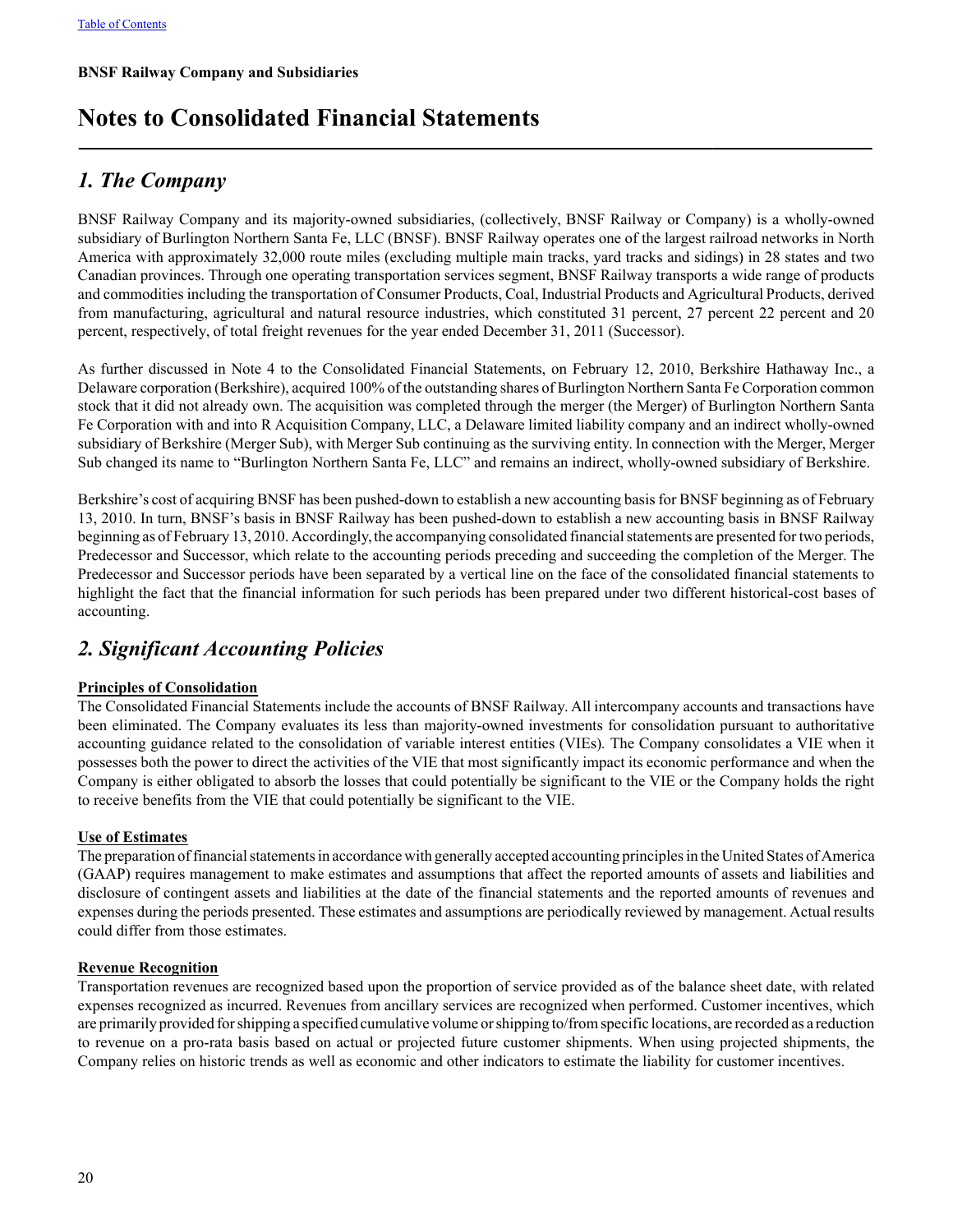# <span id="page-21-0"></span>**Notes to Consolidated Financial Statements**

# *1. The Company*

BNSF Railway Company and its majority-owned subsidiaries, (collectively, BNSF Railway or Company) is a wholly-owned subsidiary of Burlington Northern Santa Fe, LLC (BNSF). BNSF Railway operates one of the largest railroad networks in North America with approximately 32,000 route miles (excluding multiple main tracks, yard tracks and sidings) in 28 states and two Canadian provinces. Through one operating transportation services segment, BNSF Railway transports a wide range of products and commodities including the transportation of Consumer Products, Coal, Industrial Products and Agricultural Products, derived from manufacturing, agricultural and natural resource industries, which constituted 31 percent, 27 percent 22 percent and 20 percent, respectively, of total freight revenues for the year ended December 31, 2011 (Successor).

As further discussed in Note 4 to the Consolidated Financial Statements, on February 12, 2010, Berkshire Hathaway Inc., a Delaware corporation (Berkshire), acquired 100% of the outstanding shares of Burlington Northern Santa Fe Corporation common stock that it did not already own. The acquisition was completed through the merger (the Merger) of Burlington Northern Santa Fe Corporation with and into R Acquisition Company, LLC, a Delaware limited liability company and an indirect wholly-owned subsidiary of Berkshire (Merger Sub), with Merger Sub continuing as the surviving entity. In connection with the Merger, Merger Sub changed its name to "Burlington Northern Santa Fe, LLC" and remains an indirect, wholly-owned subsidiary of Berkshire.

Berkshire's cost of acquiring BNSF has been pushed-down to establish a new accounting basis for BNSF beginning as of February 13, 2010. In turn, BNSF's basis in BNSF Railway has been pushed-down to establish a new accounting basis in BNSF Railway beginning as of February 13, 2010. Accordingly, the accompanying consolidated financial statements are presented for two periods, Predecessor and Successor, which relate to the accounting periods preceding and succeeding the completion of the Merger. The Predecessor and Successor periods have been separated by a vertical line on the face of the consolidated financial statements to highlight the fact that the financial information for such periods has been prepared under two different historical-cost bases of accounting.

# *2. Significant Accounting Policies*

### **Principles of Consolidation**

The Consolidated Financial Statements include the accounts of BNSF Railway. All intercompany accounts and transactions have been eliminated. The Company evaluates its less than majority-owned investments for consolidation pursuant to authoritative accounting guidance related to the consolidation of variable interest entities (VIEs)*.* The Company consolidates a VIE when it possesses both the power to direct the activities of the VIE that most significantly impact its economic performance and when the Company is either obligated to absorb the losses that could potentially be significant to the VIE or the Company holds the right to receive benefits from the VIE that could potentially be significant to the VIE.

### **Use of Estimates**

The preparation of financial statements in accordance with generally accepted accounting principles in the United States of America (GAAP) requires management to make estimates and assumptions that affect the reported amounts of assets and liabilities and disclosure of contingent assets and liabilities at the date of the financial statements and the reported amounts of revenues and expenses during the periods presented. These estimates and assumptions are periodically reviewed by management. Actual results could differ from those estimates.

### **Revenue Recognition**

Transportation revenues are recognized based upon the proportion of service provided as of the balance sheet date, with related expenses recognized as incurred. Revenues from ancillary services are recognized when performed. Customer incentives, which are primarily provided for shipping a specified cumulative volume or shipping to/from specific locations, are recorded as a reduction to revenue on a pro-rata basis based on actual or projected future customer shipments. When using projected shipments, the Company relies on historic trends as well as economic and other indicators to estimate the liability for customer incentives.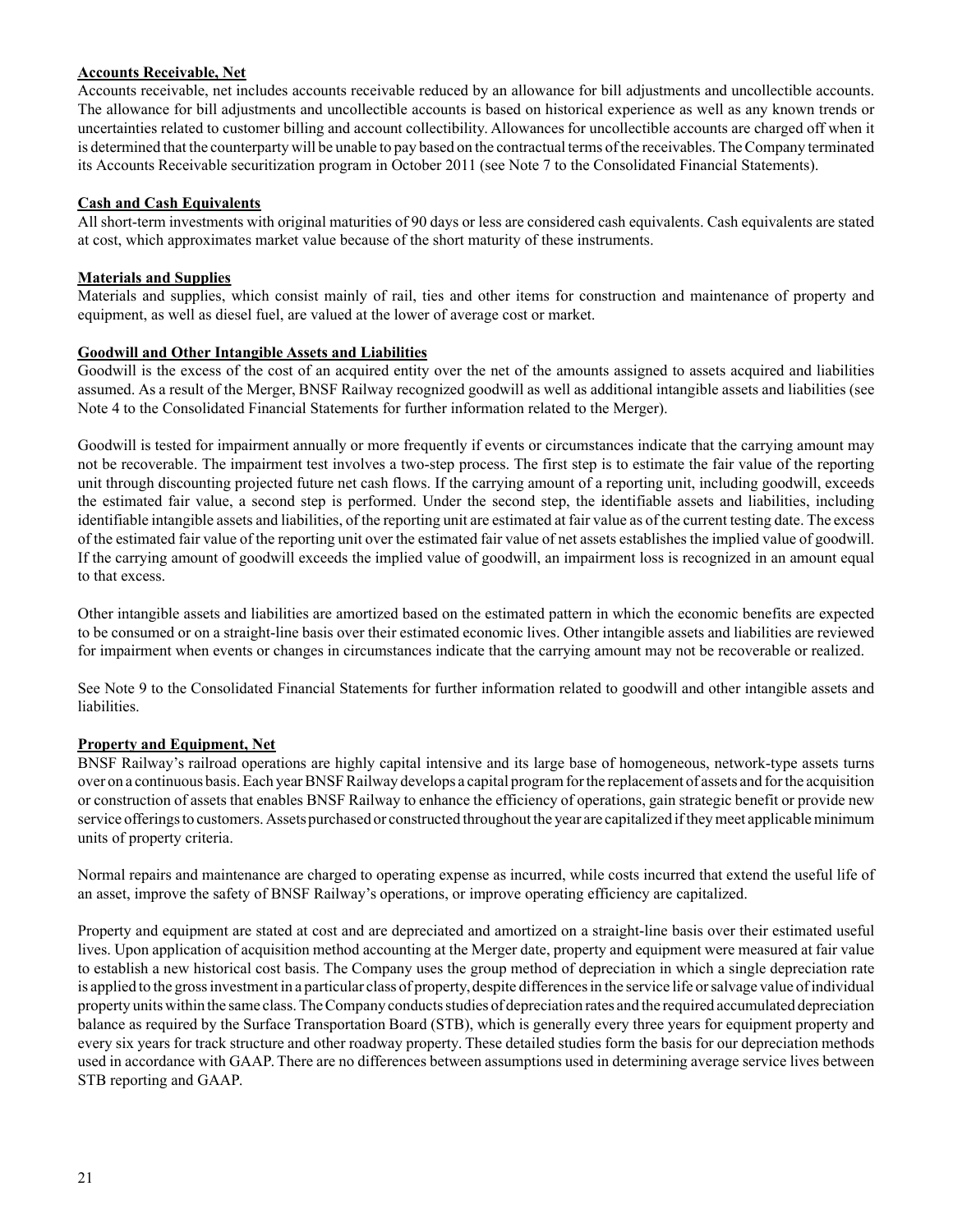### **Accounts Receivable, Net**

Accounts receivable, net includes accounts receivable reduced by an allowance for bill adjustments and uncollectible accounts. The allowance for bill adjustments and uncollectible accounts is based on historical experience as well as any known trends or uncertainties related to customer billing and account collectibility. Allowances for uncollectible accounts are charged off when it is determined that the counterparty will be unable to pay based on the contractual terms of the receivables. The Company terminated its Accounts Receivable securitization program in October 2011 (see Note 7 to the Consolidated Financial Statements).

### **Cash and Cash Equivalents**

All short-term investments with original maturities of 90 days or less are considered cash equivalents. Cash equivalents are stated at cost, which approximates market value because of the short maturity of these instruments.

### **Materials and Supplies**

Materials and supplies, which consist mainly of rail, ties and other items for construction and maintenance of property and equipment, as well as diesel fuel, are valued at the lower of average cost or market.

### **Goodwill and Other Intangible Assets and Liabilities**

Goodwill is the excess of the cost of an acquired entity over the net of the amounts assigned to assets acquired and liabilities assumed. As a result of the Merger, BNSF Railway recognized goodwill as well as additional intangible assets and liabilities (see Note 4 to the Consolidated Financial Statements for further information related to the Merger).

Goodwill is tested for impairment annually or more frequently if events or circumstances indicate that the carrying amount may not be recoverable. The impairment test involves a two-step process. The first step is to estimate the fair value of the reporting unit through discounting projected future net cash flows. If the carrying amount of a reporting unit, including goodwill, exceeds the estimated fair value, a second step is performed. Under the second step, the identifiable assets and liabilities, including identifiable intangible assets and liabilities, of the reporting unit are estimated at fair value as of the current testing date. The excess of the estimated fair value of the reporting unit over the estimated fair value of net assets establishes the implied value of goodwill. If the carrying amount of goodwill exceeds the implied value of goodwill, an impairment loss is recognized in an amount equal to that excess.

Other intangible assets and liabilities are amortized based on the estimated pattern in which the economic benefits are expected to be consumed or on a straight-line basis over their estimated economic lives. Other intangible assets and liabilities are reviewed for impairment when events or changes in circumstances indicate that the carrying amount may not be recoverable or realized.

See Note 9 to the Consolidated Financial Statements for further information related to goodwill and other intangible assets and liabilities.

### **Property and Equipment, Net**

BNSF Railway's railroad operations are highly capital intensive and its large base of homogeneous, network-type assets turns over on a continuous basis. Each year BNSF Railway develops a capital program for the replacement of assets and for the acquisition or construction of assets that enables BNSF Railway to enhance the efficiency of operations, gain strategic benefit or provide new service offerings to customers. Assets purchased or constructed throughout the year are capitalized if they meet applicable minimum units of property criteria.

Normal repairs and maintenance are charged to operating expense as incurred, while costs incurred that extend the useful life of an asset, improve the safety of BNSF Railway's operations, or improve operating efficiency are capitalized.

Property and equipment are stated at cost and are depreciated and amortized on a straight-line basis over their estimated useful lives. Upon application of acquisition method accounting at the Merger date, property and equipment were measured at fair value to establish a new historical cost basis. The Company uses the group method of depreciation in which a single depreciation rate is applied to the gross investment in a particular class of property, despite differences in the service life or salvage value of individual property units within the same class. The Company conducts studies of depreciation rates and the required accumulated depreciation balance as required by the Surface Transportation Board (STB), which is generally every three years for equipment property and every six years for track structure and other roadway property. These detailed studies form the basis for our depreciation methods used in accordance with GAAP. There are no differences between assumptions used in determining average service lives between STB reporting and GAAP.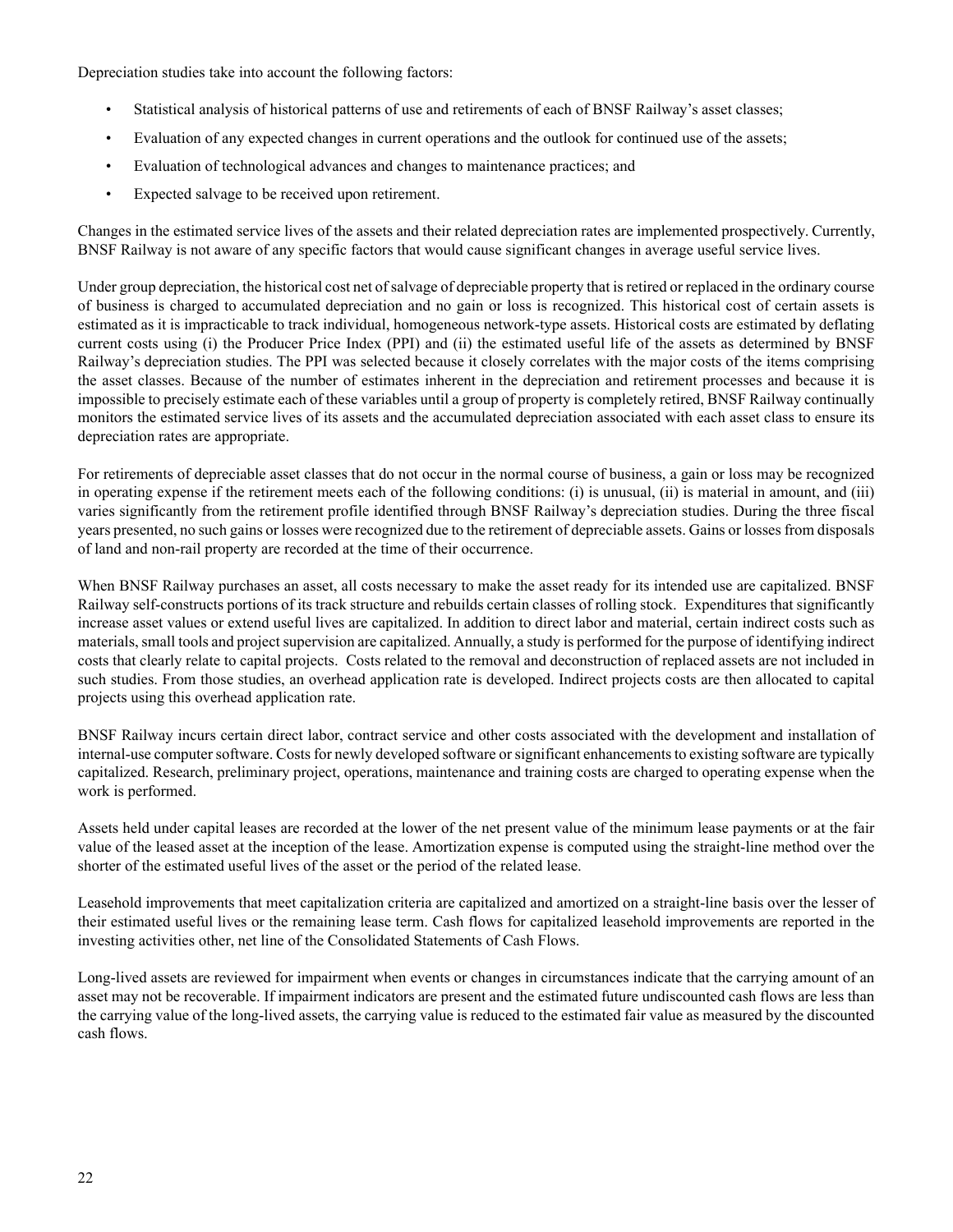Depreciation studies take into account the following factors:

- Statistical analysis of historical patterns of use and retirements of each of BNSF Railway's asset classes;
- Evaluation of any expected changes in current operations and the outlook for continued use of the assets;
- Evaluation of technological advances and changes to maintenance practices; and
- Expected salvage to be received upon retirement.

Changes in the estimated service lives of the assets and their related depreciation rates are implemented prospectively. Currently, BNSF Railway is not aware of any specific factors that would cause significant changes in average useful service lives.

Under group depreciation, the historical cost net of salvage of depreciable property that is retired or replaced in the ordinary course of business is charged to accumulated depreciation and no gain or loss is recognized. This historical cost of certain assets is estimated as it is impracticable to track individual, homogeneous network-type assets. Historical costs are estimated by deflating current costs using (i) the Producer Price Index (PPI) and (ii) the estimated useful life of the assets as determined by BNSF Railway's depreciation studies. The PPI was selected because it closely correlates with the major costs of the items comprising the asset classes. Because of the number of estimates inherent in the depreciation and retirement processes and because it is impossible to precisely estimate each of these variables until a group of property is completely retired, BNSF Railway continually monitors the estimated service lives of its assets and the accumulated depreciation associated with each asset class to ensure its depreciation rates are appropriate.

For retirements of depreciable asset classes that do not occur in the normal course of business, a gain or loss may be recognized in operating expense if the retirement meets each of the following conditions: (i) is unusual, (ii) is material in amount, and (iii) varies significantly from the retirement profile identified through BNSF Railway's depreciation studies. During the three fiscal years presented, no such gains or losses were recognized due to the retirement of depreciable assets. Gains or losses from disposals of land and non-rail property are recorded at the time of their occurrence.

When BNSF Railway purchases an asset, all costs necessary to make the asset ready for its intended use are capitalized. BNSF Railway self-constructs portions of its track structure and rebuilds certain classes of rolling stock. Expenditures that significantly increase asset values or extend useful lives are capitalized. In addition to direct labor and material, certain indirect costs such as materials, small tools and project supervision are capitalized. Annually, a study is performed for the purpose of identifying indirect costs that clearly relate to capital projects. Costs related to the removal and deconstruction of replaced assets are not included in such studies. From those studies, an overhead application rate is developed. Indirect projects costs are then allocated to capital projects using this overhead application rate.

BNSF Railway incurs certain direct labor, contract service and other costs associated with the development and installation of internal-use computer software. Costs for newly developed software or significant enhancements to existing software are typically capitalized. Research, preliminary project, operations, maintenance and training costs are charged to operating expense when the work is performed.

Assets held under capital leases are recorded at the lower of the net present value of the minimum lease payments or at the fair value of the leased asset at the inception of the lease. Amortization expense is computed using the straight-line method over the shorter of the estimated useful lives of the asset or the period of the related lease.

Leasehold improvements that meet capitalization criteria are capitalized and amortized on a straight-line basis over the lesser of their estimated useful lives or the remaining lease term. Cash flows for capitalized leasehold improvements are reported in the investing activities other, net line of the Consolidated Statements of Cash Flows.

Long-lived assets are reviewed for impairment when events or changes in circumstances indicate that the carrying amount of an asset may not be recoverable. If impairment indicators are present and the estimated future undiscounted cash flows are less than the carrying value of the long-lived assets, the carrying value is reduced to the estimated fair value as measured by the discounted cash flows.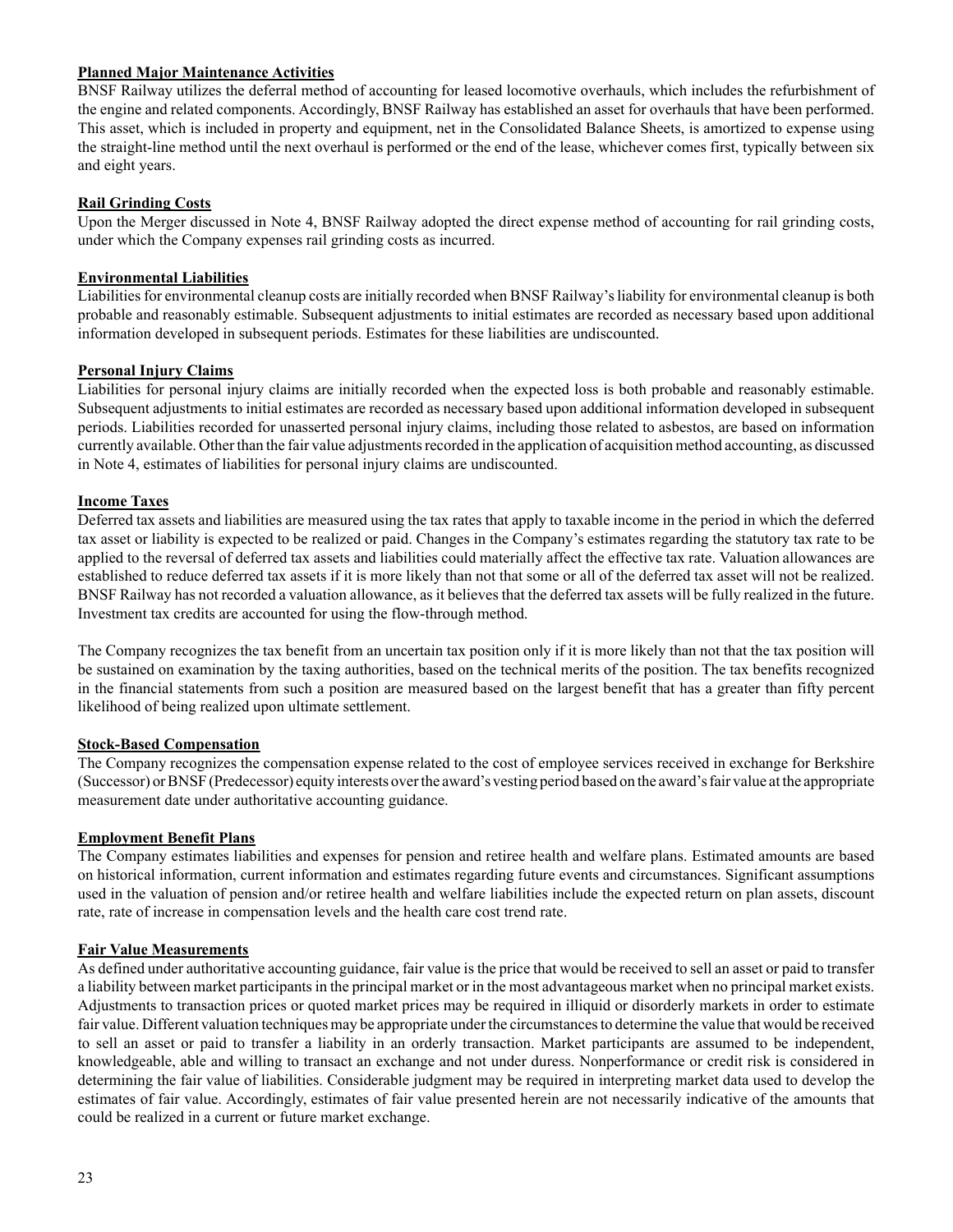### **Planned Major Maintenance Activities**

BNSF Railway utilizes the deferral method of accounting for leased locomotive overhauls, which includes the refurbishment of the engine and related components. Accordingly, BNSF Railway has established an asset for overhauls that have been performed. This asset, which is included in property and equipment, net in the Consolidated Balance Sheets, is amortized to expense using the straight-line method until the next overhaul is performed or the end of the lease, whichever comes first, typically between six and eight years.

#### **Rail Grinding Costs**

Upon the Merger discussed in Note 4, BNSF Railway adopted the direct expense method of accounting for rail grinding costs, under which the Company expenses rail grinding costs as incurred.

#### **Environmental Liabilities**

Liabilities for environmental cleanup costs are initially recorded when BNSF Railway's liability for environmental cleanup is both probable and reasonably estimable. Subsequent adjustments to initial estimates are recorded as necessary based upon additional information developed in subsequent periods. Estimates for these liabilities are undiscounted.

#### **Personal Injury Claims**

Liabilities for personal injury claims are initially recorded when the expected loss is both probable and reasonably estimable. Subsequent adjustments to initial estimates are recorded as necessary based upon additional information developed in subsequent periods. Liabilities recorded for unasserted personal injury claims, including those related to asbestos, are based on information currently available. Other than the fair value adjustments recorded in the application of acquisition method accounting, as discussed in Note 4, estimates of liabilities for personal injury claims are undiscounted.

### **Income Taxes**

Deferred tax assets and liabilities are measured using the tax rates that apply to taxable income in the period in which the deferred tax asset or liability is expected to be realized or paid. Changes in the Company's estimates regarding the statutory tax rate to be applied to the reversal of deferred tax assets and liabilities could materially affect the effective tax rate. Valuation allowances are established to reduce deferred tax assets if it is more likely than not that some or all of the deferred tax asset will not be realized. BNSF Railway has not recorded a valuation allowance, as it believes that the deferred tax assets will be fully realized in the future. Investment tax credits are accounted for using the flow-through method.

The Company recognizes the tax benefit from an uncertain tax position only if it is more likely than not that the tax position will be sustained on examination by the taxing authorities, based on the technical merits of the position. The tax benefits recognized in the financial statements from such a position are measured based on the largest benefit that has a greater than fifty percent likelihood of being realized upon ultimate settlement.

### **Stock-Based Compensation**

The Company recognizes the compensation expense related to the cost of employee services received in exchange for Berkshire (Successor) or BNSF (Predecessor) equity interests over the award's vesting period based on the award's fair value at the appropriate measurement date under authoritative accounting guidance.

#### **Employment Benefit Plans**

The Company estimates liabilities and expenses for pension and retiree health and welfare plans. Estimated amounts are based on historical information, current information and estimates regarding future events and circumstances. Significant assumptions used in the valuation of pension and/or retiree health and welfare liabilities include the expected return on plan assets, discount rate, rate of increase in compensation levels and the health care cost trend rate.

#### **Fair Value Measurements**

As defined under authoritative accounting guidance, fair value is the price that would be received to sell an asset or paid to transfer a liability between market participants in the principal market or in the most advantageous market when no principal market exists. Adjustments to transaction prices or quoted market prices may be required in illiquid or disorderly markets in order to estimate fair value. Different valuation techniques may be appropriate under the circumstances to determine the value that would be received to sell an asset or paid to transfer a liability in an orderly transaction. Market participants are assumed to be independent, knowledgeable, able and willing to transact an exchange and not under duress. Nonperformance or credit risk is considered in determining the fair value of liabilities. Considerable judgment may be required in interpreting market data used to develop the estimates of fair value. Accordingly, estimates of fair value presented herein are not necessarily indicative of the amounts that could be realized in a current or future market exchange.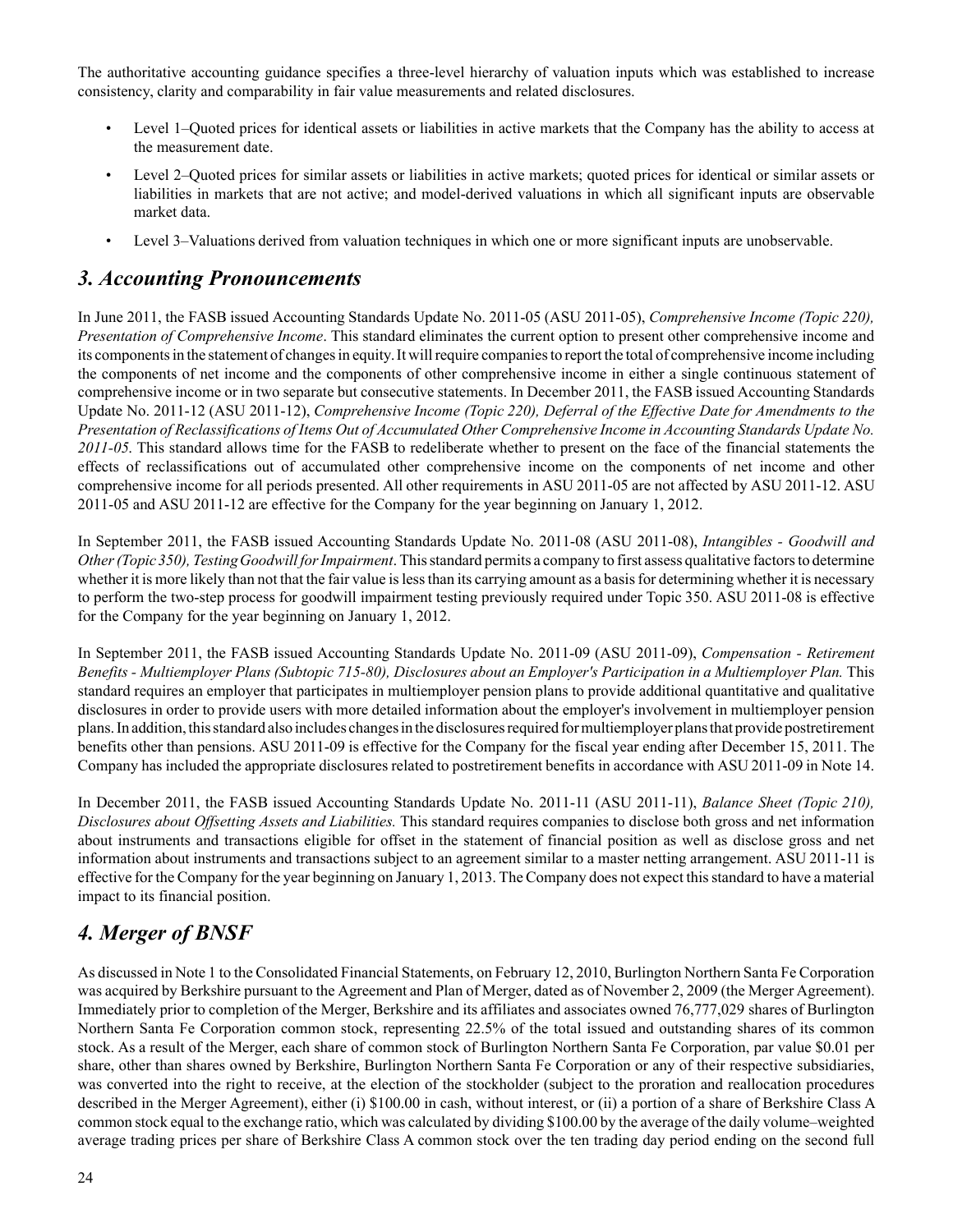The authoritative accounting guidance specifies a three-level hierarchy of valuation inputs which was established to increase consistency, clarity and comparability in fair value measurements and related disclosures.

- Level 1–Quoted prices for identical assets or liabilities in active markets that the Company has the ability to access at the measurement date.
- Level 2–Quoted prices for similar assets or liabilities in active markets; quoted prices for identical or similar assets or liabilities in markets that are not active; and model-derived valuations in which all significant inputs are observable market data.
- Level 3–Valuations derived from valuation techniques in which one or more significant inputs are unobservable.

## *3. Accounting Pronouncements*

In June 2011, the FASB issued Accounting Standards Update No. 2011-05 (ASU 2011-05), *Comprehensive Income (Topic 220), Presentation of Comprehensive Income*. This standard eliminates the current option to present other comprehensive income and its components in the statement of changes in equity. It will require companies to report the total of comprehensive income including the components of net income and the components of other comprehensive income in either a single continuous statement of comprehensive income or in two separate but consecutive statements. In December 2011, the FASB issued Accounting Standards Update No. 2011-12 (ASU 2011-12), *Comprehensive Income (Topic 220), Deferral of the Effective Date for Amendments to the Presentation of Reclassifications of Items Out of Accumulated Other Comprehensive Income in Accounting Standards Update No. 2011-05*. This standard allows time for the FASB to redeliberate whether to present on the face of the financial statements the effects of reclassifications out of accumulated other comprehensive income on the components of net income and other comprehensive income for all periods presented. All other requirements in ASU 2011-05 are not affected by ASU 2011-12. ASU 2011-05 and ASU 2011-12 are effective for the Company for the year beginning on January 1, 2012.

In September 2011, the FASB issued Accounting Standards Update No. 2011-08 (ASU 2011-08), *Intangibles - Goodwill and Other (Topic 350), Testing Goodwill for Impairment*. This standard permits a company to first assess qualitative factors to determine whether it is more likely than not that the fair value is less than its carrying amount as a basis for determining whether it is necessary to perform the two-step process for goodwill impairment testing previously required under Topic 350. ASU 2011-08 is effective for the Company for the year beginning on January 1, 2012.

In September 2011, the FASB issued Accounting Standards Update No. 2011-09 (ASU 2011-09), *Compensation - Retirement Benefits - Multiemployer Plans (Subtopic 715-80), Disclosures about an Employer's Participation in a Multiemployer Plan. This* standard requires an employer that participates in multiemployer pension plans to provide additional quantitative and qualitative disclosures in order to provide users with more detailed information about the employer's involvement in multiemployer pension plans. In addition, this standard also includes changes in the disclosures required for multiemployer plans that provide postretirement benefits other than pensions. ASU 2011-09 is effective for the Company for the fiscal year ending after December 15, 2011. The Company has included the appropriate disclosures related to postretirement benefits in accordance with ASU 2011-09 in Note 14.

In December 2011, the FASB issued Accounting Standards Update No. 2011-11 (ASU 2011-11), *Balance Sheet (Topic 210), Disclosures about Offsetting Assets and Liabilities.* This standard requires companies to disclose both gross and net information about instruments and transactions eligible for offset in the statement of financial position as well as disclose gross and net information about instruments and transactions subject to an agreement similar to a master netting arrangement. ASU 2011-11 is effective for the Company for the year beginning on January 1, 2013. The Company does not expect this standard to have a material impact to its financial position.

# *4. Merger of BNSF*

As discussed in Note 1 to the Consolidated Financial Statements, on February 12, 2010, Burlington Northern Santa Fe Corporation was acquired by Berkshire pursuant to the Agreement and Plan of Merger, dated as of November 2, 2009 (the Merger Agreement). Immediately prior to completion of the Merger, Berkshire and its affiliates and associates owned 76,777,029 shares of Burlington Northern Santa Fe Corporation common stock, representing 22.5% of the total issued and outstanding shares of its common stock. As a result of the Merger, each share of common stock of Burlington Northern Santa Fe Corporation, par value \$0.01 per share, other than shares owned by Berkshire, Burlington Northern Santa Fe Corporation or any of their respective subsidiaries, was converted into the right to receive, at the election of the stockholder (subject to the proration and reallocation procedures described in the Merger Agreement), either (i) \$100.00 in cash, without interest, or (ii) a portion of a share of Berkshire Class A common stock equal to the exchange ratio, which was calculated by dividing \$100.00 by the average of the daily volume–weighted average trading prices per share of Berkshire Class A common stock over the ten trading day period ending on the second full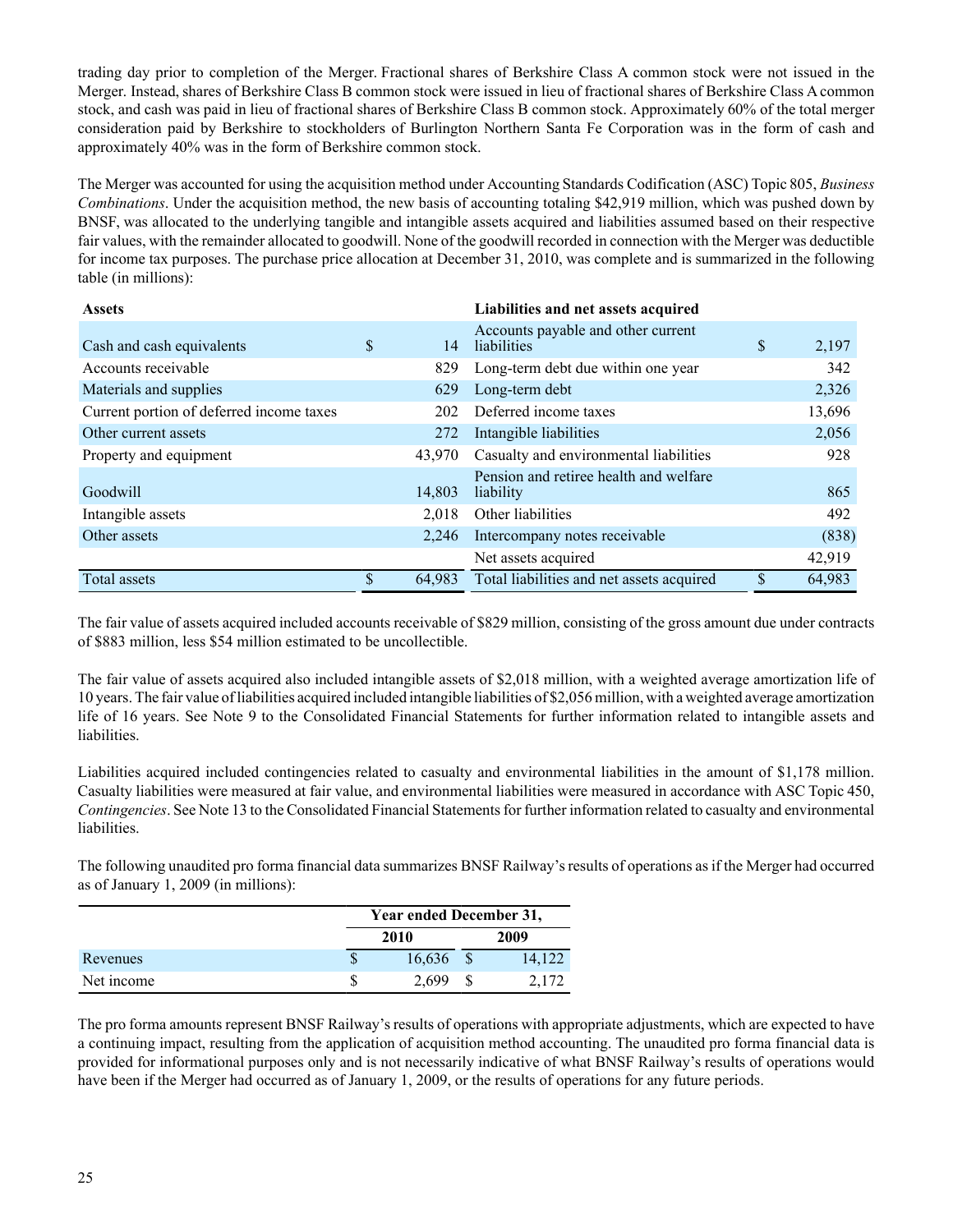trading day prior to completion of the Merger. Fractional shares of Berkshire Class A common stock were not issued in the Merger. Instead, shares of Berkshire Class B common stock were issued in lieu of fractional shares of Berkshire Class Acommon stock, and cash was paid in lieu of fractional shares of Berkshire Class B common stock. Approximately 60% of the total merger consideration paid by Berkshire to stockholders of Burlington Northern Santa Fe Corporation was in the form of cash and approximately 40% was in the form of Berkshire common stock.

The Merger was accounted for using the acquisition method under Accounting Standards Codification (ASC) Topic 805, *Business Combinations*. Under the acquisition method, the new basis of accounting totaling \$42,919 million, which was pushed down by BNSF, was allocated to the underlying tangible and intangible assets acquired and liabilities assumed based on their respective fair values, with the remainder allocated to goodwill. None of the goodwill recorded in connection with the Merger was deductible for income tax purposes. The purchase price allocation at December 31, 2010, was complete and is summarized in the following table (in millions):

| <b>Assets</b>                            |          | Liabilities and net assets acquired                 |             |
|------------------------------------------|----------|-----------------------------------------------------|-------------|
| Cash and cash equivalents                | \$<br>14 | Accounts payable and other current<br>liabilities   | \$<br>2,197 |
| Accounts receivable                      | 829      | Long-term debt due within one year                  | 342         |
| Materials and supplies                   | 629      | Long-term debt                                      | 2,326       |
| Current portion of deferred income taxes | 202      | Deferred income taxes                               | 13,696      |
| Other current assets                     | 272      | Intangible liabilities                              | 2,056       |
| Property and equipment                   | 43.970   | Casualty and environmental liabilities              | 928         |
| Goodwill                                 | 14,803   | Pension and retiree health and welfare<br>liability | 865         |
| Intangible assets                        | 2,018    | Other liabilities                                   | 492         |
| Other assets                             | 2.246    | Intercompany notes receivable                       | (838)       |
|                                          |          | Net assets acquired                                 | 42,919      |
| Total assets                             | 64.983   | Total liabilities and net assets acquired           | 64,983      |

The fair value of assets acquired included accounts receivable of \$829 million, consisting of the gross amount due under contracts of \$883 million, less \$54 million estimated to be uncollectible.

The fair value of assets acquired also included intangible assets of \$2,018 million, with a weighted average amortization life of 10 years. The fair value of liabilities acquired included intangible liabilities of \$2,056 million, with a weighted average amortization life of 16 years. See Note 9 to the Consolidated Financial Statements for further information related to intangible assets and liabilities.

Liabilities acquired included contingencies related to casualty and environmental liabilities in the amount of \$1,178 million. Casualty liabilities were measured at fair value, and environmental liabilities were measured in accordance with ASC Topic 450, *Contingencies*. See Note 13 to the Consolidated Financial Statements for further information related to casualty and environmental liabilities.

The following unaudited pro forma financial data summarizes BNSF Railway's results of operations as if the Merger had occurred as of January 1, 2009 (in millions):

|            | Year ended December 31, |  |        |  |  |  |
|------------|-------------------------|--|--------|--|--|--|
|            | 2010                    |  | 2009   |  |  |  |
| Revenues   | 16,636                  |  | 14.122 |  |  |  |
| Net income | 2.699                   |  | 2.172  |  |  |  |

The pro forma amounts represent BNSF Railway's results of operations with appropriate adjustments, which are expected to have a continuing impact, resulting from the application of acquisition method accounting. The unaudited pro forma financial data is provided for informational purposes only and is not necessarily indicative of what BNSF Railway's results of operations would have been if the Merger had occurred as of January 1, 2009, or the results of operations for any future periods.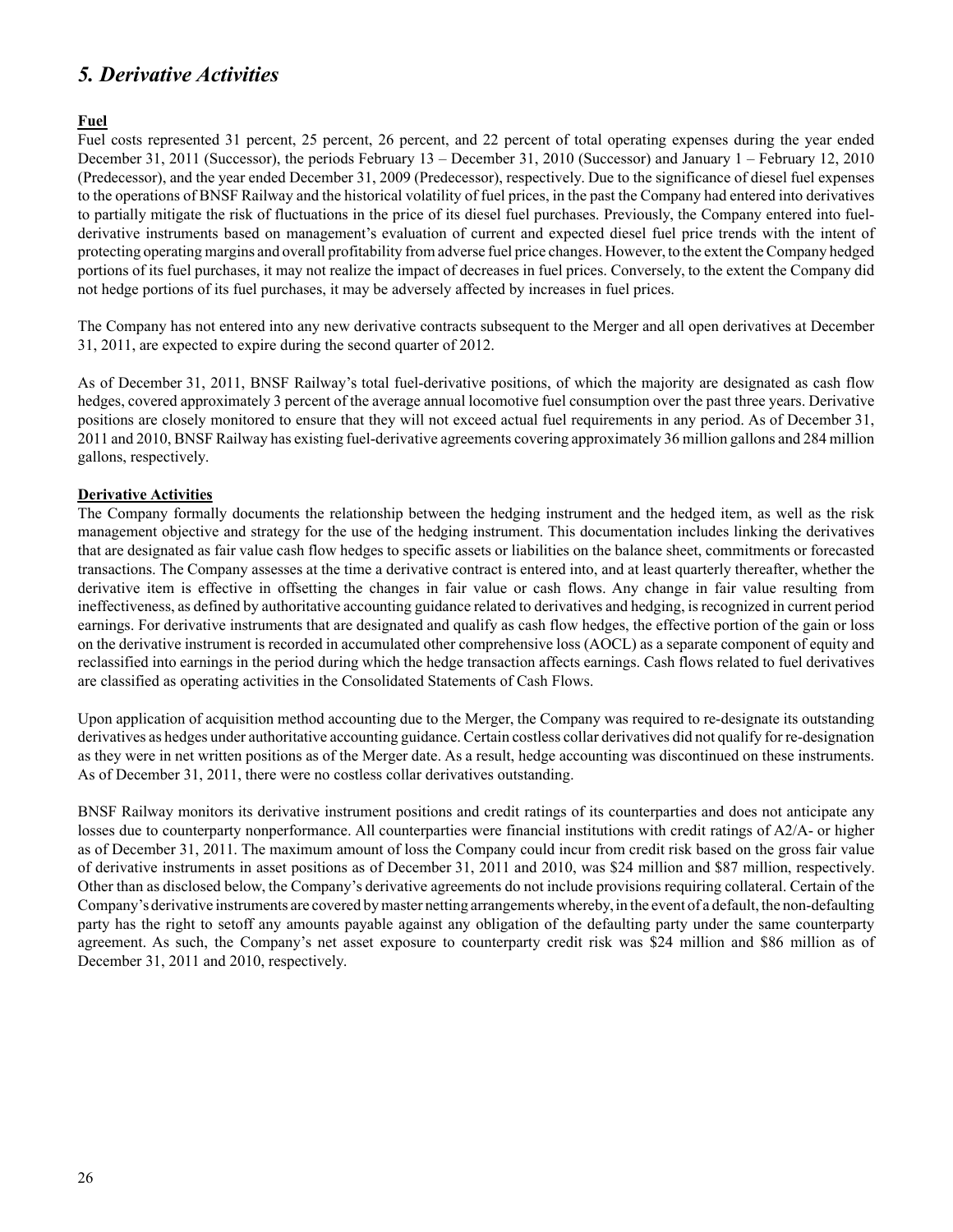## *5. Derivative Activities*

### **Fuel**

Fuel costs represented 31 percent, 25 percent, 26 percent, and 22 percent of total operating expenses during the year ended December 31, 2011 (Successor), the periods February 13 – December 31, 2010 (Successor) and January 1 – February 12, 2010 (Predecessor), and the year ended December 31, 2009 (Predecessor), respectively. Due to the significance of diesel fuel expenses to the operations of BNSF Railway and the historical volatility of fuel prices, in the past the Company had entered into derivatives to partially mitigate the risk of fluctuations in the price of its diesel fuel purchases. Previously, the Company entered into fuelderivative instruments based on management's evaluation of current and expected diesel fuel price trends with the intent of protecting operating margins and overall profitability from adverse fuel price changes. However, to the extent the Company hedged portions of its fuel purchases, it may not realize the impact of decreases in fuel prices. Conversely, to the extent the Company did not hedge portions of its fuel purchases, it may be adversely affected by increases in fuel prices.

The Company has not entered into any new derivative contracts subsequent to the Merger and all open derivatives at December 31, 2011, are expected to expire during the second quarter of 2012.

As of December 31, 2011, BNSF Railway's total fuel-derivative positions, of which the majority are designated as cash flow hedges, covered approximately 3 percent of the average annual locomotive fuel consumption over the past three years. Derivative positions are closely monitored to ensure that they will not exceed actual fuel requirements in any period. As of December 31, 2011 and 2010, BNSF Railway has existing fuel-derivative agreements covering approximately 36 million gallons and 284 million gallons, respectively.

### **Derivative Activities**

The Company formally documents the relationship between the hedging instrument and the hedged item, as well as the risk management objective and strategy for the use of the hedging instrument. This documentation includes linking the derivatives that are designated as fair value cash flow hedges to specific assets or liabilities on the balance sheet, commitments or forecasted transactions. The Company assesses at the time a derivative contract is entered into, and at least quarterly thereafter, whether the derivative item is effective in offsetting the changes in fair value or cash flows. Any change in fair value resulting from ineffectiveness, as defined by authoritative accounting guidance related to derivatives and hedging, is recognized in current period earnings. For derivative instruments that are designated and qualify as cash flow hedges, the effective portion of the gain or loss on the derivative instrument is recorded in accumulated other comprehensive loss (AOCL) as a separate component of equity and reclassified into earnings in the period during which the hedge transaction affects earnings. Cash flows related to fuel derivatives are classified as operating activities in the Consolidated Statements of Cash Flows.

Upon application of acquisition method accounting due to the Merger, the Company was required to re-designate its outstanding derivatives as hedges under authoritative accounting guidance. Certain costless collar derivatives did not qualify for re-designation as they were in net written positions as of the Merger date. As a result, hedge accounting was discontinued on these instruments. As of December 31, 2011, there were no costless collar derivatives outstanding.

BNSF Railway monitors its derivative instrument positions and credit ratings of its counterparties and does not anticipate any losses due to counterparty nonperformance. All counterparties were financial institutions with credit ratings of A2/A- or higher as of December 31, 2011. The maximum amount of loss the Company could incur from credit risk based on the gross fair value of derivative instruments in asset positions as of December 31, 2011 and 2010, was \$24 million and \$87 million, respectively. Other than as disclosed below, the Company's derivative agreements do not include provisions requiring collateral. Certain of the Company's derivative instruments are covered by master netting arrangements whereby, in the event of a default, the non-defaulting party has the right to setoff any amounts payable against any obligation of the defaulting party under the same counterparty agreement. As such, the Company's net asset exposure to counterparty credit risk was \$24 million and \$86 million as of December 31, 2011 and 2010, respectively.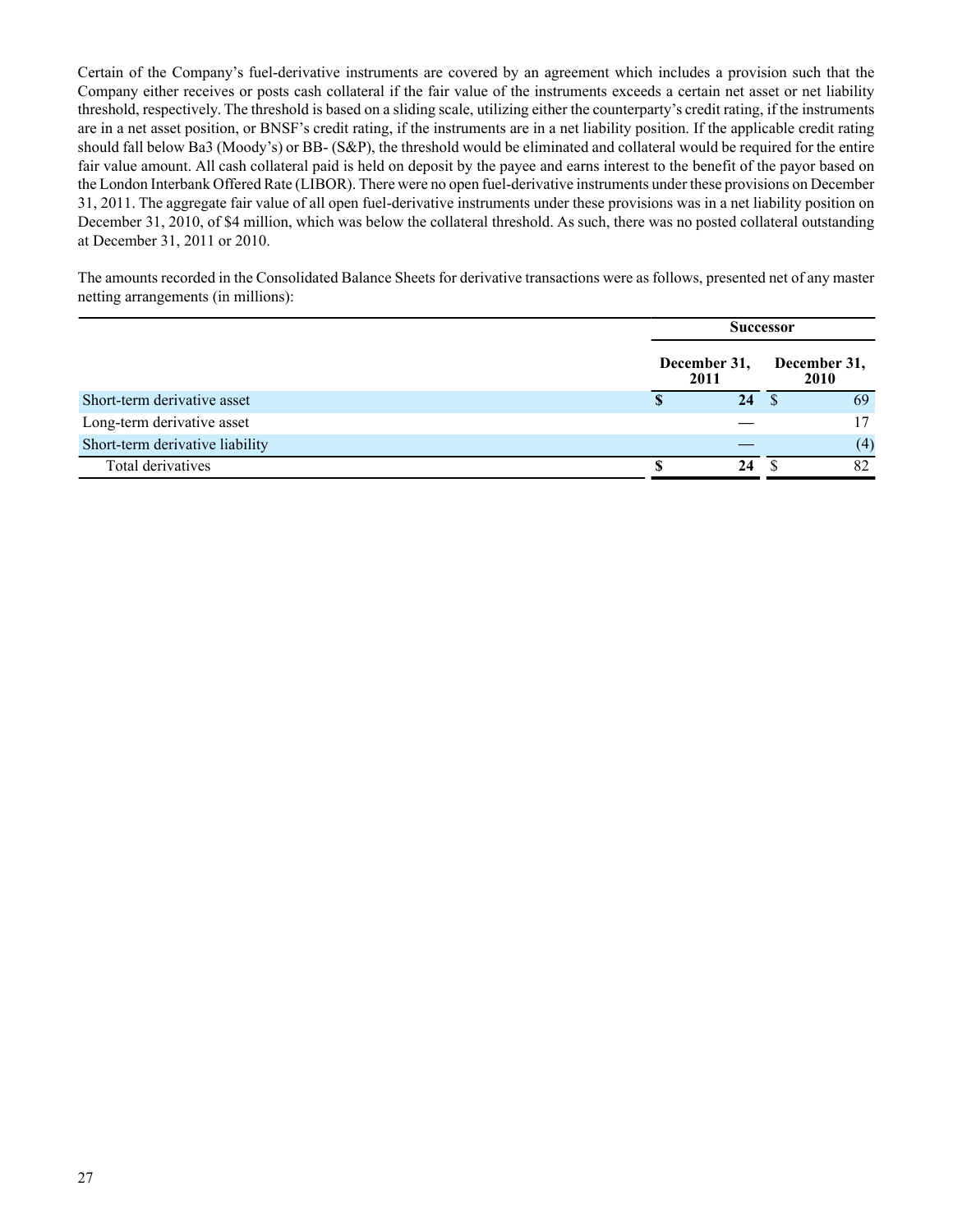Certain of the Company's fuel-derivative instruments are covered by an agreement which includes a provision such that the Company either receives or posts cash collateral if the fair value of the instruments exceeds a certain net asset or net liability threshold, respectively. The threshold is based on a sliding scale, utilizing either the counterparty's credit rating, if the instruments are in a net asset position, or BNSF's credit rating, if the instruments are in a net liability position. If the applicable credit rating should fall below Ba3 (Moody's) or BB- (S&P), the threshold would be eliminated and collateral would be required for the entire fair value amount. All cash collateral paid is held on deposit by the payee and earns interest to the benefit of the payor based on the London Interbank Offered Rate (LIBOR). There were no open fuel-derivative instruments under these provisions on December 31, 2011. The aggregate fair value of all open fuel-derivative instruments under these provisions was in a net liability position on December 31, 2010, of \$4 million, which was below the collateral threshold. As such, there was no posted collateral outstanding at December 31, 2011 or 2010.

The amounts recorded in the Consolidated Balance Sheets for derivative transactions were as follows, presented net of any master netting arrangements (in millions):

|                                 | Successor            |    |                      |     |  |
|---------------------------------|----------------------|----|----------------------|-----|--|
|                                 | December 31,<br>2011 |    | December 31,<br>2010 |     |  |
| Short-term derivative asset     | Φ                    | 24 |                      | 69  |  |
| Long-term derivative asset      |                      |    |                      | 17  |  |
| Short-term derivative liability |                      |    |                      | (4) |  |
| Total derivatives               |                      | 24 |                      | 82  |  |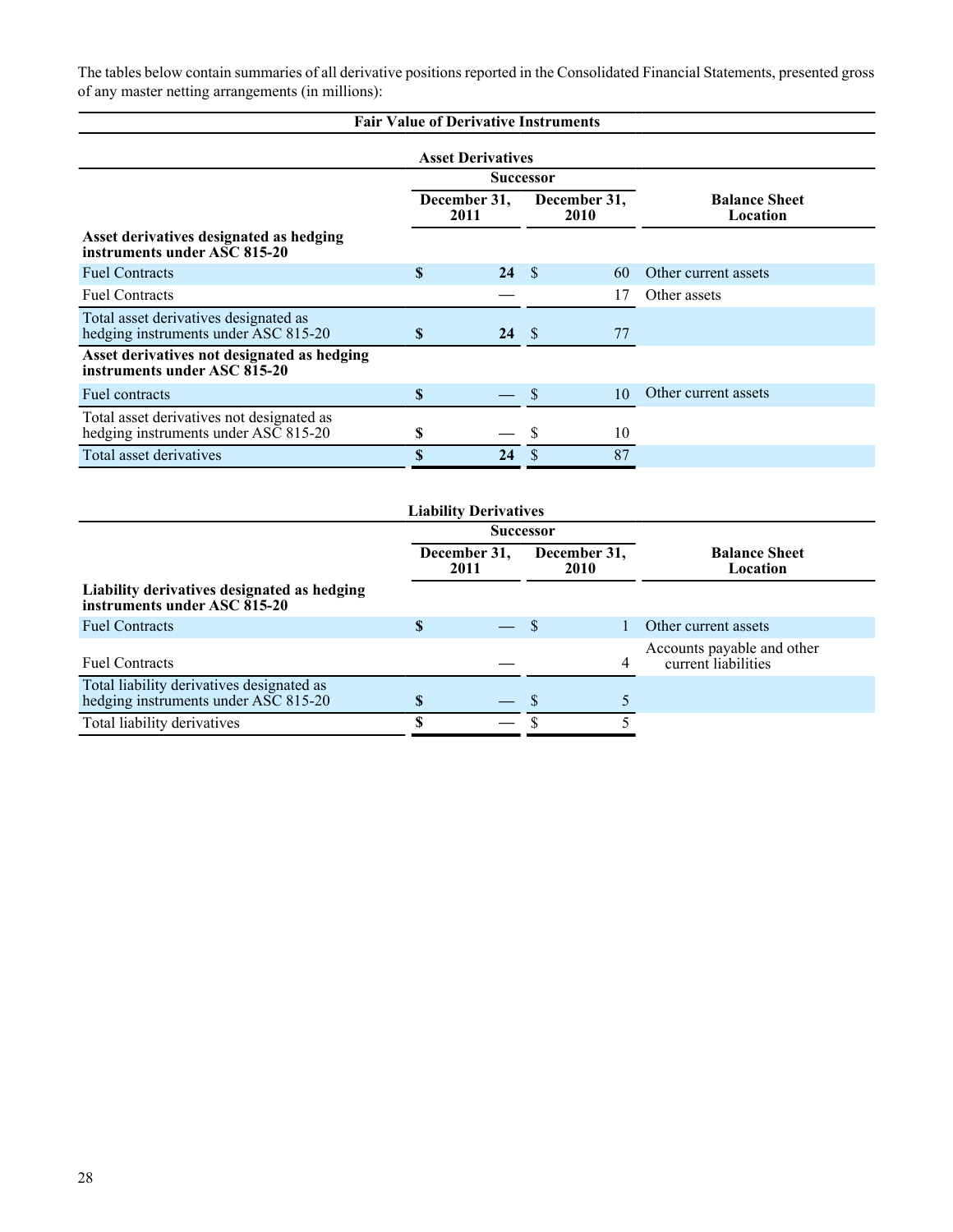The tables below contain summaries of all derivative positions reported in the Consolidated Financial Statements, presented gross of any master netting arrangements (in millions):

|                                                                                   |    | <b>Fair Value of Derivative Instruments</b> |                      |    |                                  |
|-----------------------------------------------------------------------------------|----|---------------------------------------------|----------------------|----|----------------------------------|
|                                                                                   |    | <b>Asset Derivatives</b>                    |                      |    |                                  |
|                                                                                   |    |                                             | <b>Successor</b>     |    |                                  |
|                                                                                   |    | December 31,<br>2011                        | December 31,<br>2010 |    | <b>Balance Sheet</b><br>Location |
| Asset derivatives designated as hedging<br>instruments under ASC 815-20           |    |                                             |                      |    |                                  |
| <b>Fuel Contracts</b>                                                             | \$ | 24                                          | -S                   | 60 | Other current assets             |
| <b>Fuel Contracts</b>                                                             |    |                                             |                      | 17 | Other assets                     |
| Total asset derivatives designated as<br>hedging instruments under ASC 815-20     | \$ | 24S                                         |                      | 77 |                                  |
| Asset derivatives not designated as hedging<br>instruments under ASC 815-20       |    |                                             |                      |    |                                  |
| Fuel contracts                                                                    | \$ |                                             |                      | 10 | Other current assets             |
| Total asset derivatives not designated as<br>hedging instruments under ASC 815-20 | S  |                                             |                      | 10 |                                  |
| Total asset derivatives                                                           | \$ | 24                                          |                      | 87 |                                  |

|                                                                                   | <b>Liability Derivatives</b> |                  |                      |   |                                                   |
|-----------------------------------------------------------------------------------|------------------------------|------------------|----------------------|---|---------------------------------------------------|
|                                                                                   |                              | <b>Successor</b> |                      |   |                                                   |
|                                                                                   | December 31,<br>2011         |                  | December 31,<br>2010 |   | <b>Balance Sheet</b><br>Location                  |
| Liability derivatives designated as hedging<br>instruments under ASC 815-20       |                              |                  |                      |   |                                                   |
| <b>Fuel Contracts</b>                                                             |                              |                  |                      |   | Other current assets                              |
| <b>Fuel Contracts</b>                                                             |                              |                  |                      | 4 | Accounts payable and other<br>current liabilities |
| Total liability derivatives designated as<br>hedging instruments under ASC 815-20 | S                            |                  |                      |   |                                                   |
| Total liability derivatives                                                       |                              |                  |                      |   |                                                   |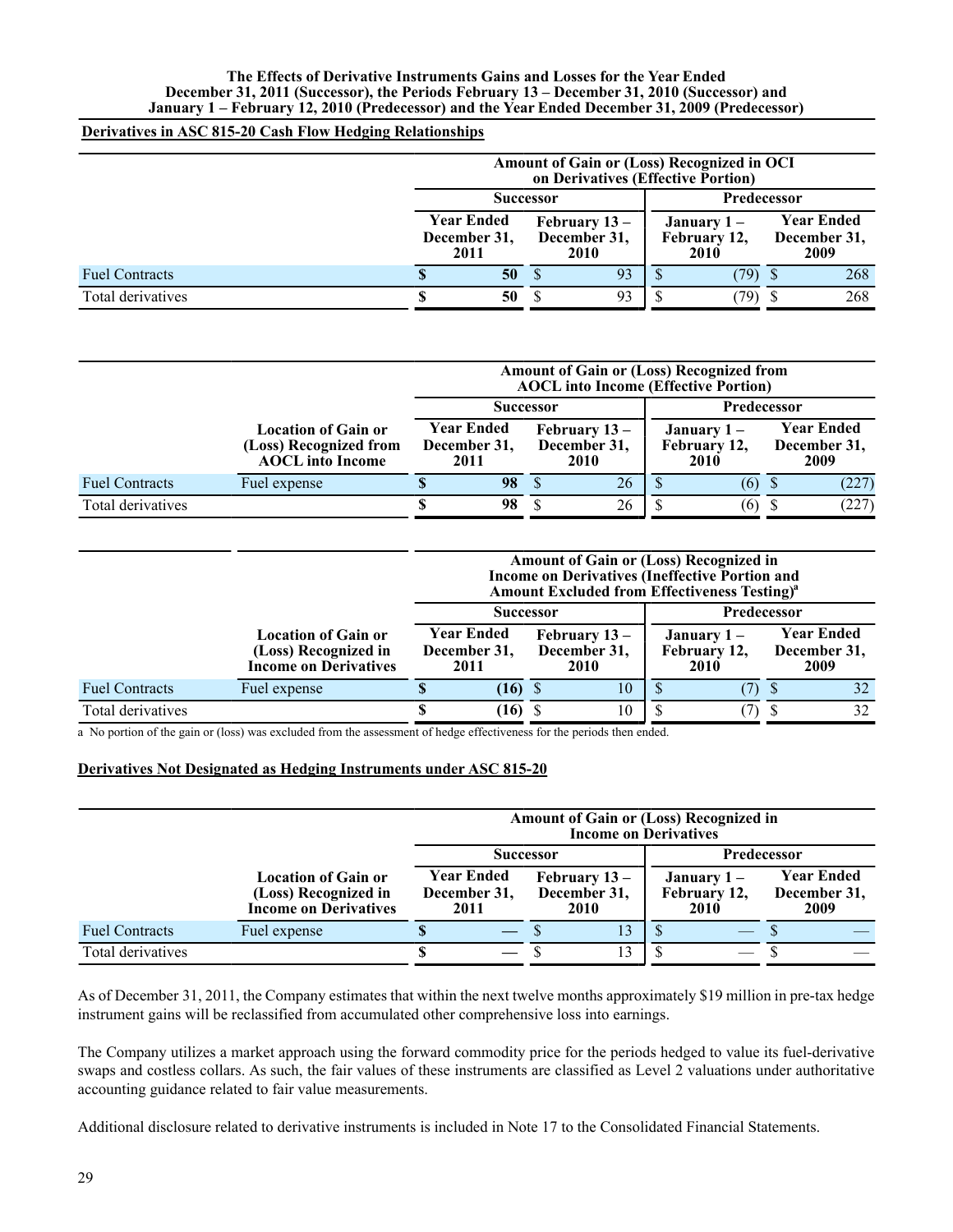#### **The Effects of Derivative Instruments Gains and Losses for the Year Ended December 31, 2011 (Successor), the Periods February 13 – December 31, 2010 (Successor) and January 1 – February 12, 2010 (Predecessor) and the Year Ended December 31, 2009 (Predecessor)**

### **Derivatives in ASC 815-20 Cash Flow Hedging Relationships**

|                       | Amount of Gain or (Loss) Recognized in OCI<br>on Derivatives (Effective Portion)   |    |  |             |                                    |                                           |  |     |  |  |
|-----------------------|------------------------------------------------------------------------------------|----|--|-------------|------------------------------------|-------------------------------------------|--|-----|--|--|
|                       | <b>Successor</b>                                                                   |    |  | Predecessor |                                    |                                           |  |     |  |  |
|                       | <b>Year Ended</b><br>February 13 –<br>December 31,<br>December 31,<br>2011<br>2010 |    |  |             | January 1-<br>February 12,<br>2010 | <b>Year Ended</b><br>December 31,<br>2009 |  |     |  |  |
| <b>Fuel Contracts</b> |                                                                                    | 50 |  | 93          |                                    | (79)                                      |  | 268 |  |  |
| Total derivatives     |                                                                                    | 50 |  | 93          |                                    | 79)                                       |  | 268 |  |  |

|                       |                                                                                 | Amount of Gain or (Loss) Recognized from<br><b>AOCL</b> into Income (Effective Portion) |                  |                                       |    |                                    |             |                                           |       |  |  |  |
|-----------------------|---------------------------------------------------------------------------------|-----------------------------------------------------------------------------------------|------------------|---------------------------------------|----|------------------------------------|-------------|-------------------------------------------|-------|--|--|--|
|                       |                                                                                 |                                                                                         | <b>Successor</b> |                                       |    |                                    | Predecessor |                                           |       |  |  |  |
|                       | <b>Location of Gain or</b><br>(Loss) Recognized from<br><b>AOCL</b> into Income | <b>Year Ended</b><br>December 31,<br>2011                                               |                  | February 13 –<br>December 31,<br>2010 |    | January 1-<br>February 12,<br>2010 |             | <b>Year Ended</b><br>December 31,<br>2009 |       |  |  |  |
| <b>Fuel Contracts</b> | Fuel expense                                                                    |                                                                                         | 98               |                                       | 26 |                                    | $(6)$ \$    |                                           | (227) |  |  |  |
| Total derivatives     |                                                                                 |                                                                                         | 98               |                                       | 26 |                                    | (6)         |                                           | (227) |  |  |  |

|                       |                                                                                    |   | Amount of Gain or (Loss) Recognized in<br><b>Income on Derivatives (Ineffective Portion and</b><br>Amount Excluded from Effectiveness Testing) <sup>a</sup> |  |                                              |             |                                    |                                           |    |  |  |
|-----------------------|------------------------------------------------------------------------------------|---|-------------------------------------------------------------------------------------------------------------------------------------------------------------|--|----------------------------------------------|-------------|------------------------------------|-------------------------------------------|----|--|--|
|                       |                                                                                    |   | <b>Successor</b>                                                                                                                                            |  |                                              | Predecessor |                                    |                                           |    |  |  |
|                       | <b>Location of Gain or</b><br>(Loss) Recognized in<br><b>Income on Derivatives</b> |   | <b>Year Ended</b><br>December 31,<br>2011                                                                                                                   |  | February 13 –<br>December 31,<br><b>2010</b> |             | January 1-<br>February 12,<br>2010 | <b>Year Ended</b><br>December 31,<br>2009 |    |  |  |
| <b>Fuel Contracts</b> | Fuel expense                                                                       | S | $(16)$ \$                                                                                                                                                   |  | 10                                           |             | (7)                                | -S                                        | 32 |  |  |
| Total derivatives     |                                                                                    |   | (16)                                                                                                                                                        |  | 10                                           |             |                                    |                                           | 32 |  |  |

a No portion of the gain or (loss) was excluded from the assessment of hedge effectiveness for the periods then ended.

#### **Derivatives Not Designated as Hedging Instruments under ASC 815-20**

|                       |                                                                                    |  |                                        | <b>Amount of Gain or (Loss) Recognized in</b><br><b>Income on Derivatives</b> |                                           |  |  |
|-----------------------|------------------------------------------------------------------------------------|--|----------------------------------------|-------------------------------------------------------------------------------|-------------------------------------------|--|--|
|                       |                                                                                    |  | Successor                              |                                                                               | Predecessor                               |  |  |
|                       | <b>Location of Gain or</b><br>(Loss) Recognized in<br><b>Income on Derivatives</b> |  | February $13-$<br>December 31,<br>2010 | January $1 -$<br>February 12.<br>2010                                         | <b>Year Ended</b><br>December 31,<br>2009 |  |  |
| <b>Fuel Contracts</b> | Fuel expense                                                                       |  |                                        | $\overline{\phantom{a}}$                                                      |                                           |  |  |
| Total derivatives     |                                                                                    |  |                                        |                                                                               |                                           |  |  |

As of December 31, 2011, the Company estimates that within the next twelve months approximately \$19 million in pre-tax hedge instrument gains will be reclassified from accumulated other comprehensive loss into earnings.

The Company utilizes a market approach using the forward commodity price for the periods hedged to value its fuel-derivative swaps and costless collars. As such, the fair values of these instruments are classified as Level 2 valuations under authoritative accounting guidance related to fair value measurements.

Additional disclosure related to derivative instruments is included in Note 17 to the Consolidated Financial Statements.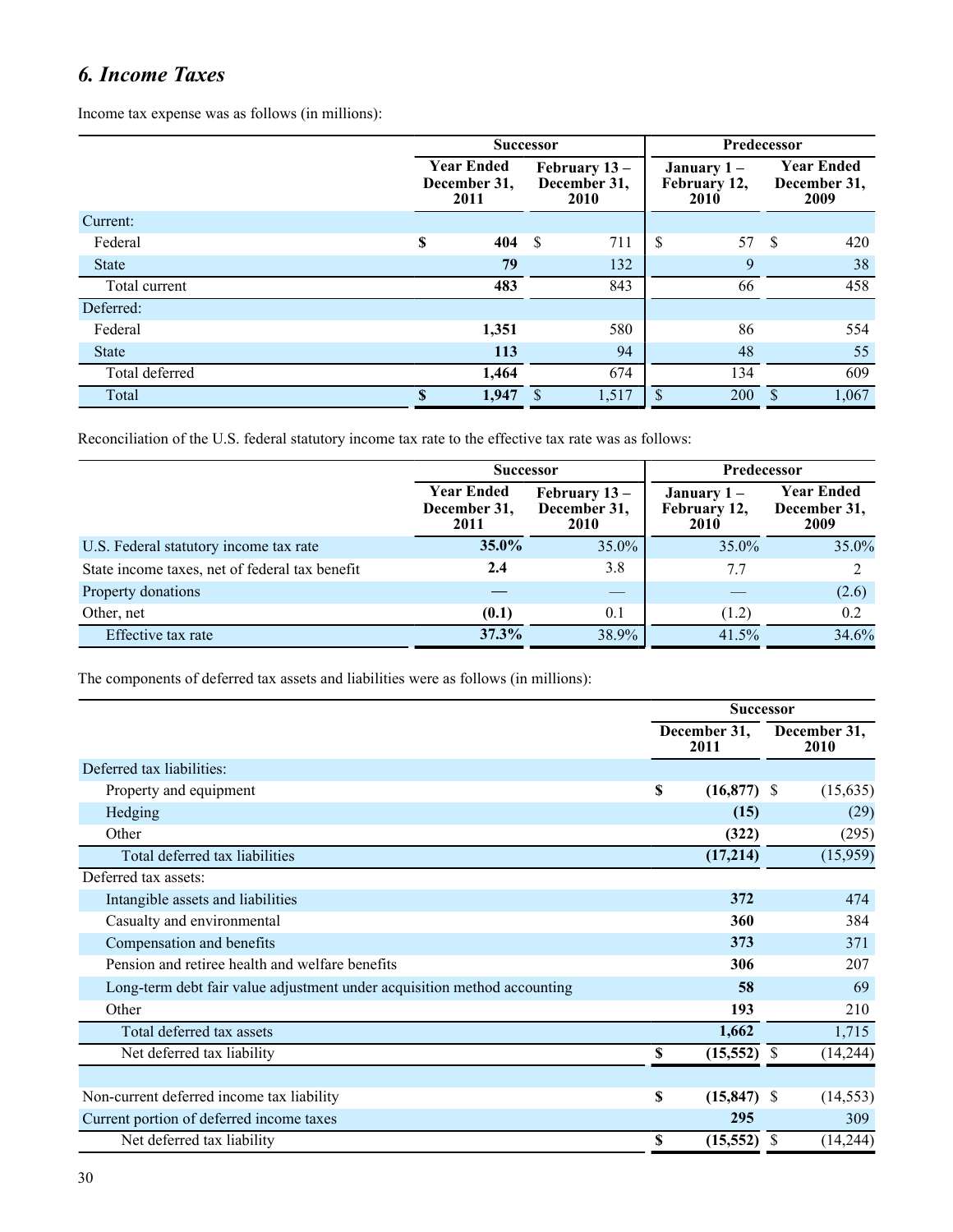# *6. Income Taxes*

Income tax expense was as follows (in millions):

|                |                                           | <b>Successor</b>                               | <b>Predecessor</b>                           |                                           |  |  |  |
|----------------|-------------------------------------------|------------------------------------------------|----------------------------------------------|-------------------------------------------|--|--|--|
|                | <b>Year Ended</b><br>December 31,<br>2011 | February $13 -$<br>December 31,<br><b>2010</b> | January $1 -$<br>February 12,<br><b>2010</b> | <b>Year Ended</b><br>December 31,<br>2009 |  |  |  |
| Current:       |                                           |                                                |                                              |                                           |  |  |  |
| Federal        | \$<br>404                                 | S<br>711                                       | \$<br>57                                     | - \$<br>420                               |  |  |  |
| <b>State</b>   | 79                                        | 132                                            | 9                                            | 38                                        |  |  |  |
| Total current  | 483                                       | 843                                            | 66                                           | 458                                       |  |  |  |
| Deferred:      |                                           |                                                |                                              |                                           |  |  |  |
| Federal        | 1,351                                     | 580                                            | 86                                           | 554                                       |  |  |  |
| <b>State</b>   | 113                                       | 94                                             | 48                                           | 55                                        |  |  |  |
| Total deferred | 1,464                                     | 674                                            | 134                                          | 609                                       |  |  |  |
| Total          | $\mathbf{s}$<br>1,947                     | 1,517                                          | \$<br>200                                    | 1,067<br><sup>\$</sup>                    |  |  |  |

Reconciliation of the U.S. federal statutory income tax rate to the effective tax rate was as follows:

|                                                | <b>Successor</b>                          |                                        | <b>Predecessor</b>                 |                                           |  |
|------------------------------------------------|-------------------------------------------|----------------------------------------|------------------------------------|-------------------------------------------|--|
|                                                | <b>Year Ended</b><br>December 31,<br>2011 | February $13-$<br>December 31,<br>2010 | January 1-<br>February 12,<br>2010 | <b>Year Ended</b><br>December 31,<br>2009 |  |
| U.S. Federal statutory income tax rate         | $35.0\%$                                  | $35.0\%$                               | 35.0%                              | 35.0%                                     |  |
| State income taxes, net of federal tax benefit | 2.4                                       | 3.8                                    | 7.7                                |                                           |  |
| Property donations                             |                                           |                                        |                                    | (2.6)                                     |  |
| Other, net                                     | (0.1)                                     | 0.1                                    | (1.2)                              | 0.2                                       |  |
| Effective tax rate                             | 37.3%                                     | 38.9%                                  | 41.5%                              | 34.6%                                     |  |

The components of deferred tax assets and liabilities were as follows (in millions):

|                                                                          | Successor |                      |   |                      |
|--------------------------------------------------------------------------|-----------|----------------------|---|----------------------|
|                                                                          |           | December 31,<br>2011 |   | December 31,<br>2010 |
| Deferred tax liabilities:                                                |           |                      |   |                      |
| Property and equipment                                                   | S         | $(16,877)$ \$        |   | (15, 635)            |
| Hedging                                                                  |           | (15)                 |   | (29)                 |
| Other                                                                    |           | (322)                |   | (295)                |
| Total deferred tax liabilities                                           |           | (17,214)             |   | (15,959)             |
| Deferred tax assets:                                                     |           |                      |   |                      |
| Intangible assets and liabilities                                        |           | 372                  |   | 474                  |
| Casualty and environmental                                               |           | 360                  |   | 384                  |
| Compensation and benefits                                                |           | 373                  |   | 371                  |
| Pension and retiree health and welfare benefits                          |           | 306                  |   | 207                  |
| Long-term debt fair value adjustment under acquisition method accounting |           | 58                   |   | 69                   |
| Other                                                                    |           | 193                  |   | 210                  |
| Total deferred tax assets                                                |           | 1,662                |   | 1,715                |
| Net deferred tax liability                                               | \$        | $(15,552)$ \$        |   | (14, 244)            |
|                                                                          |           |                      |   |                      |
| Non-current deferred income tax liability                                | S         | $(15,847)$ \$        |   | (14, 553)            |
| Current portion of deferred income taxes                                 |           | 295                  |   | 309                  |
| Net deferred tax liability                                               | \$        | (15, 552)            | S | (14,244)             |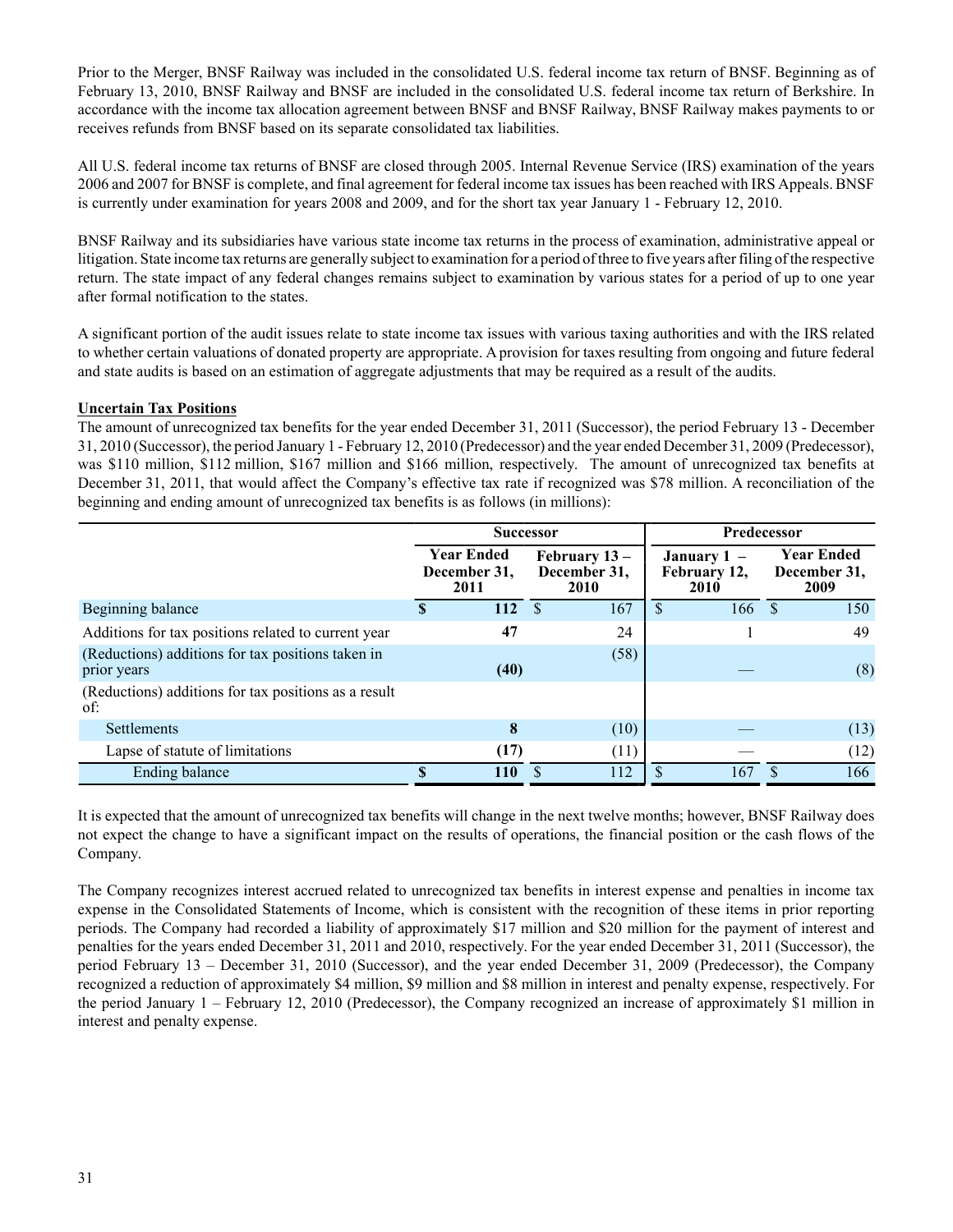Prior to the Merger, BNSF Railway was included in the consolidated U.S. federal income tax return of BNSF. Beginning as of February 13, 2010, BNSF Railway and BNSF are included in the consolidated U.S. federal income tax return of Berkshire. In accordance with the income tax allocation agreement between BNSF and BNSF Railway, BNSF Railway makes payments to or receives refunds from BNSF based on its separate consolidated tax liabilities.

All U.S. federal income tax returns of BNSF are closed through 2005. Internal Revenue Service (IRS) examination of the years 2006 and 2007 for BNSF is complete, and final agreement for federal income tax issues has been reached with IRS Appeals. BNSF is currently under examination for years 2008 and 2009, and for the short tax year January 1 - February 12, 2010.

BNSF Railway and its subsidiaries have various state income tax returns in the process of examination, administrative appeal or litigation. State income tax returns are generally subject to examination for a period of three to five years after filing of the respective return. The state impact of any federal changes remains subject to examination by various states for a period of up to one year after formal notification to the states.

A significant portion of the audit issues relate to state income tax issues with various taxing authorities and with the IRS related to whether certain valuations of donated property are appropriate. Aprovision for taxes resulting from ongoing and future federal and state audits is based on an estimation of aggregate adjustments that may be required as a result of the audits.

### **Uncertain Tax Positions**

The amount of unrecognized tax benefits for the year ended December 31, 2011 (Successor), the period February 13 - December 31, 2010 (Successor), the period January 1 - February 12, 2010 (Predecessor) and the year ended December 31, 2009 (Predecessor), was \$110 million, \$112 million, \$167 million and \$166 million, respectively. The amount of unrecognized tax benefits at December 31, 2011, that would affect the Company's effective tax rate if recognized was \$78 million. A reconciliation of the beginning and ending amount of unrecognized tax benefits is as follows (in millions):

|                                                                  | <b>Successor</b>                          |      |                                       |      |                                     | Predecessor |                                           |      |  |
|------------------------------------------------------------------|-------------------------------------------|------|---------------------------------------|------|-------------------------------------|-------------|-------------------------------------------|------|--|
|                                                                  | <b>Year Ended</b><br>December 31,<br>2011 |      | February 13 –<br>December 31,<br>2010 |      | January 1 –<br>February 12,<br>2010 |             | <b>Year Ended</b><br>December 31,<br>2009 |      |  |
| Beginning balance                                                |                                           | 112  |                                       | 167  | S                                   | 166         | - \$                                      | 150  |  |
| Additions for tax positions related to current year              |                                           | 47   |                                       | 24   |                                     |             |                                           | 49   |  |
| (Reductions) additions for tax positions taken in<br>prior years |                                           | (40) |                                       | (58) |                                     |             |                                           | (8)  |  |
| (Reductions) additions for tax positions as a result<br>of:      |                                           |      |                                       |      |                                     |             |                                           |      |  |
| <b>Settlements</b>                                               |                                           | 8    |                                       | (10) |                                     |             |                                           | (13) |  |
| Lapse of statute of limitations                                  |                                           | (17) |                                       | (11) |                                     |             |                                           | (12) |  |
| Ending balance                                                   | S                                         | 110  |                                       | 112  |                                     | 167         | \$.                                       | 166  |  |

It is expected that the amount of unrecognized tax benefits will change in the next twelve months; however, BNSF Railway does not expect the change to have a significant impact on the results of operations, the financial position or the cash flows of the Company.

The Company recognizes interest accrued related to unrecognized tax benefits in interest expense and penalties in income tax expense in the Consolidated Statements of Income, which is consistent with the recognition of these items in prior reporting periods. The Company had recorded a liability of approximately \$17 million and \$20 million for the payment of interest and penalties for the years ended December 31, 2011 and 2010, respectively. For the year ended December 31, 2011 (Successor), the period February 13 – December 31, 2010 (Successor), and the year ended December 31, 2009 (Predecessor), the Company recognized a reduction of approximately \$4 million, \$9 million and \$8 million in interest and penalty expense, respectively. For the period January 1 – February 12, 2010 (Predecessor), the Company recognized an increase of approximately \$1 million in interest and penalty expense.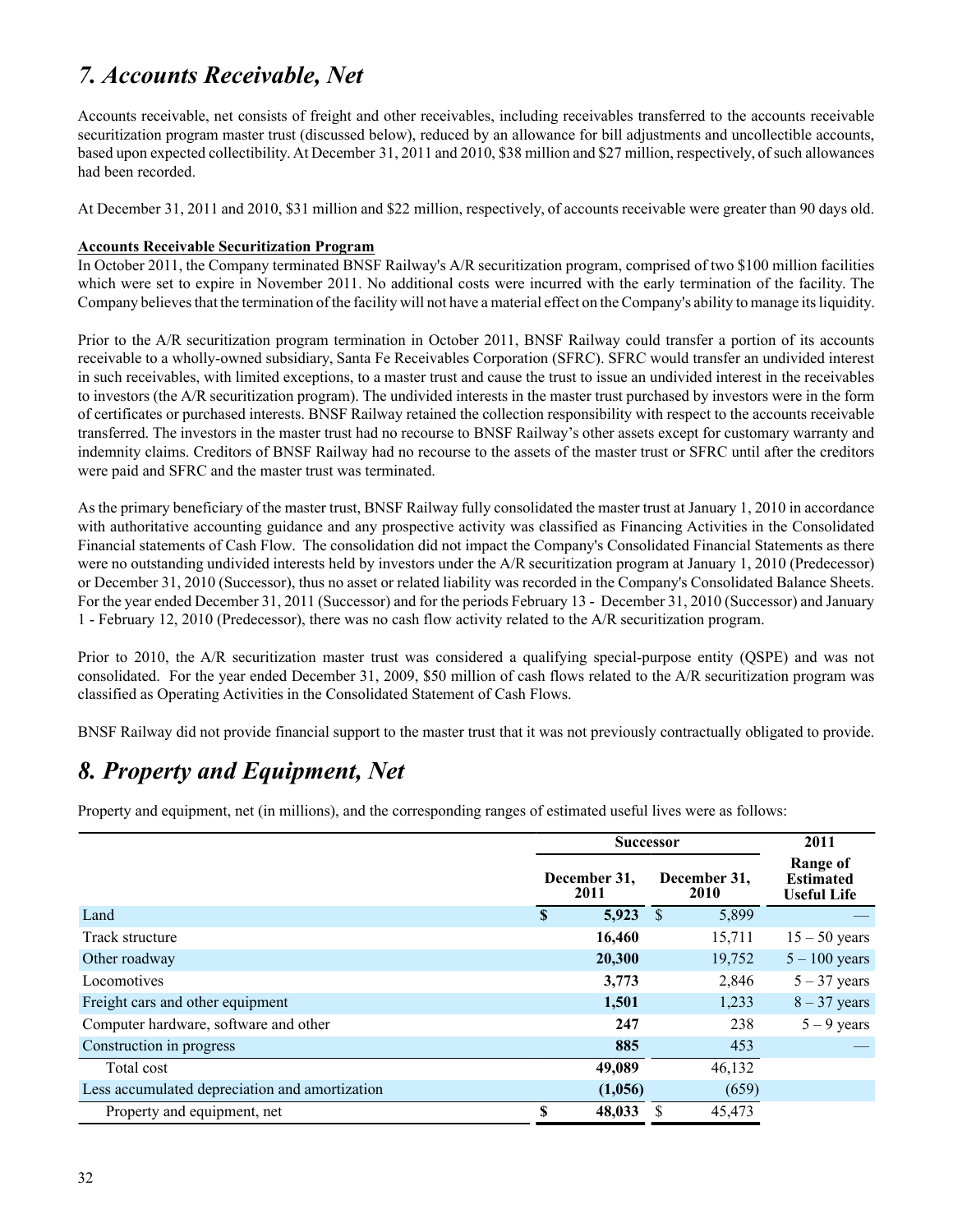# *7. Accounts Receivable, Net*

Accounts receivable, net consists of freight and other receivables, including receivables transferred to the accounts receivable securitization program master trust (discussed below), reduced by an allowance for bill adjustments and uncollectible accounts, based upon expected collectibility. At December 31, 2011 and 2010, \$38 million and \$27 million, respectively, of such allowances had been recorded.

At December 31, 2011 and 2010, \$31 million and \$22 million, respectively, of accounts receivable were greater than 90 days old.

### **Accounts Receivable Securitization Program**

In October 2011, the Company terminated BNSF Railway's A/R securitization program, comprised of two \$100 million facilities which were set to expire in November 2011. No additional costs were incurred with the early termination of the facility. The Company believes that the termination of the facility will not have a material effect on the Company's ability to manage its liquidity.

Prior to the A/R securitization program termination in October 2011, BNSF Railway could transfer a portion of its accounts receivable to a wholly-owned subsidiary, Santa Fe Receivables Corporation (SFRC). SFRC would transfer an undivided interest in such receivables, with limited exceptions, to a master trust and cause the trust to issue an undivided interest in the receivables to investors (the A/R securitization program). The undivided interests in the master trust purchased by investors were in the form of certificates or purchased interests. BNSF Railway retained the collection responsibility with respect to the accounts receivable transferred. The investors in the master trust had no recourse to BNSF Railway's other assets except for customary warranty and indemnity claims. Creditors of BNSF Railway had no recourse to the assets of the master trust or SFRC until after the creditors were paid and SFRC and the master trust was terminated.

As the primary beneficiary of the master trust, BNSF Railway fully consolidated the master trust at January 1, 2010 in accordance with authoritative accounting guidance and any prospective activity was classified as Financing Activities in the Consolidated Financial statements of Cash Flow. The consolidation did not impact the Company's Consolidated Financial Statements as there were no outstanding undivided interests held by investors under the A/R securitization program at January 1, 2010 (Predecessor) or December 31, 2010 (Successor), thus no asset or related liability was recorded in the Company's Consolidated Balance Sheets. For the year ended December 31, 2011 (Successor) and for the periods February 13 - December 31, 2010 (Successor) and January 1 - February 12, 2010 (Predecessor), there was no cash flow activity related to the A/R securitization program.

Prior to 2010, the A/R securitization master trust was considered a qualifying special-purpose entity (QSPE) and was not consolidated. For the year ended December 31, 2009, \$50 million of cash flows related to the A/R securitization program was classified as Operating Activities in the Consolidated Statement of Cash Flows.

BNSF Railway did not provide financial support to the master trust that it was not previously contractually obligated to provide.

# *8. Property and Equipment, Net*

Property and equipment, net (in millions), and the corresponding ranges of estimated useful lives were as follows:

|                                                |   | <b>Successor</b>     |                      |                                                    |  |
|------------------------------------------------|---|----------------------|----------------------|----------------------------------------------------|--|
|                                                |   | December 31,<br>2011 | December 31,<br>2010 | Range of<br><b>Estimated</b><br><b>Useful Life</b> |  |
| Land                                           | S | 5,923                | 5,899<br>- \$        |                                                    |  |
| Track structure                                |   | 16,460               | 15,711               | $15 - 50$ years                                    |  |
| Other roadway                                  |   | 20,300               | 19,752               | $5 - 100$ years                                    |  |
| Locomotives                                    |   | 3,773                | 2,846                | $5 - 37$ years                                     |  |
| Freight cars and other equipment               |   | 1,501                | 1,233                | $8 - 37$ years                                     |  |
| Computer hardware, software and other          |   | 247                  | 238                  | $5 - 9$ years                                      |  |
| Construction in progress                       |   | 885                  | 453                  |                                                    |  |
| Total cost                                     |   | 49,089               | 46,132               |                                                    |  |
| Less accumulated depreciation and amortization |   | (1,056)              | (659)                |                                                    |  |
| Property and equipment, net                    | S | 48,033               | 45,473               |                                                    |  |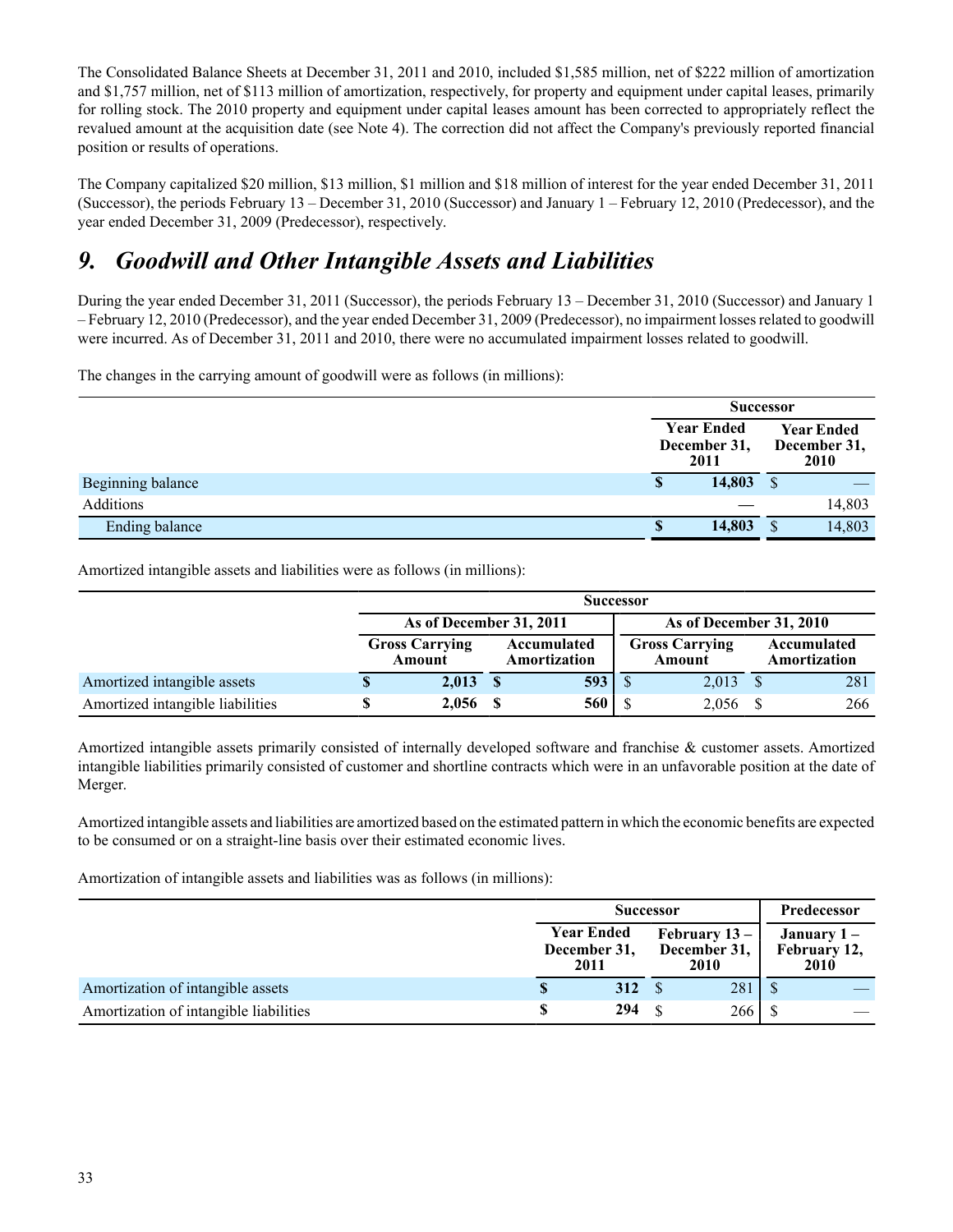The Consolidated Balance Sheets at December 31, 2011 and 2010, included \$1,585 million, net of \$222 million of amortization and \$1,757 million, net of \$113 million of amortization, respectively, for property and equipment under capital leases, primarily for rolling stock. The 2010 property and equipment under capital leases amount has been corrected to appropriately reflect the revalued amount at the acquisition date (see Note 4). The correction did not affect the Company's previously reported financial position or results of operations.

The Company capitalized \$20 million, \$13 million, \$1 million and \$18 million of interest for the year ended December 31, 2011 (Successor), the periods February 13 – December 31, 2010 (Successor) and January 1 – February 12, 2010 (Predecessor), and the year ended December 31, 2009 (Predecessor), respectively.

# *9. Goodwill and Other Intangible Assets and Liabilities*

During the year ended December 31, 2011 (Successor), the periods February 13 – December 31, 2010 (Successor) and January 1 – February 12, 2010 (Predecessor), and the year ended December 31, 2009 (Predecessor), no impairment losses related to goodwill were incurred. As of December 31, 2011 and 2010, there were no accumulated impairment losses related to goodwill.

The changes in the carrying amount of goodwill were as follows (in millions):

|                   |                                           | <b>Successor</b> |                                           |        |
|-------------------|-------------------------------------------|------------------|-------------------------------------------|--------|
|                   | <b>Year Ended</b><br>December 31,<br>2011 |                  | <b>Year Ended</b><br>December 31,<br>2010 |        |
| Beginning balance | S                                         | 14,803           | S                                         |        |
| Additions         |                                           |                  |                                           | 14,803 |
| Ending balance    | S                                         | 14,803           |                                           | 14,803 |

Amortized intangible assets and liabilities were as follows (in millions):

|                                  |                                 | <b>Successor</b>        |  |                             |                         |                                 |                             |     |  |  |  |  |
|----------------------------------|---------------------------------|-------------------------|--|-----------------------------|-------------------------|---------------------------------|-----------------------------|-----|--|--|--|--|
|                                  |                                 | As of December 31, 2011 |  |                             | As of December 31, 2010 |                                 |                             |     |  |  |  |  |
|                                  | <b>Gross Carrying</b><br>Amount |                         |  | Accumulated<br>Amortization |                         | <b>Gross Carrying</b><br>Amount | Accumulated<br>Amortization |     |  |  |  |  |
| Amortized intangible assets      |                                 | $2,013$ \$              |  | 593                         |                         | 2,013                           | - \$                        | 281 |  |  |  |  |
| Amortized intangible liabilities |                                 | 2,056                   |  | 560                         |                         | 2,056                           |                             | 266 |  |  |  |  |

Amortized intangible assets primarily consisted of internally developed software and franchise & customer assets. Amortized intangible liabilities primarily consisted of customer and shortline contracts which were in an unfavorable position at the date of Merger.

Amortized intangible assets and liabilities are amortized based on the estimated pattern in which the economic benefits are expected to be consumed or on a straight-line basis over their estimated economic lives.

Amortization of intangible assets and liabilities was as follows (in millions):

|                                        |                                           | <b>Successor</b>                       | <b>Predecessor</b>                           |  |
|----------------------------------------|-------------------------------------------|----------------------------------------|----------------------------------------------|--|
|                                        | <b>Year Ended</b><br>December 31,<br>2011 | February $13-$<br>December 31,<br>2010 | January $1 -$<br>February 12,<br><b>2010</b> |  |
| Amortization of intangible assets      | 312                                       | 281                                    |                                              |  |
| Amortization of intangible liabilities | 294                                       | 266                                    |                                              |  |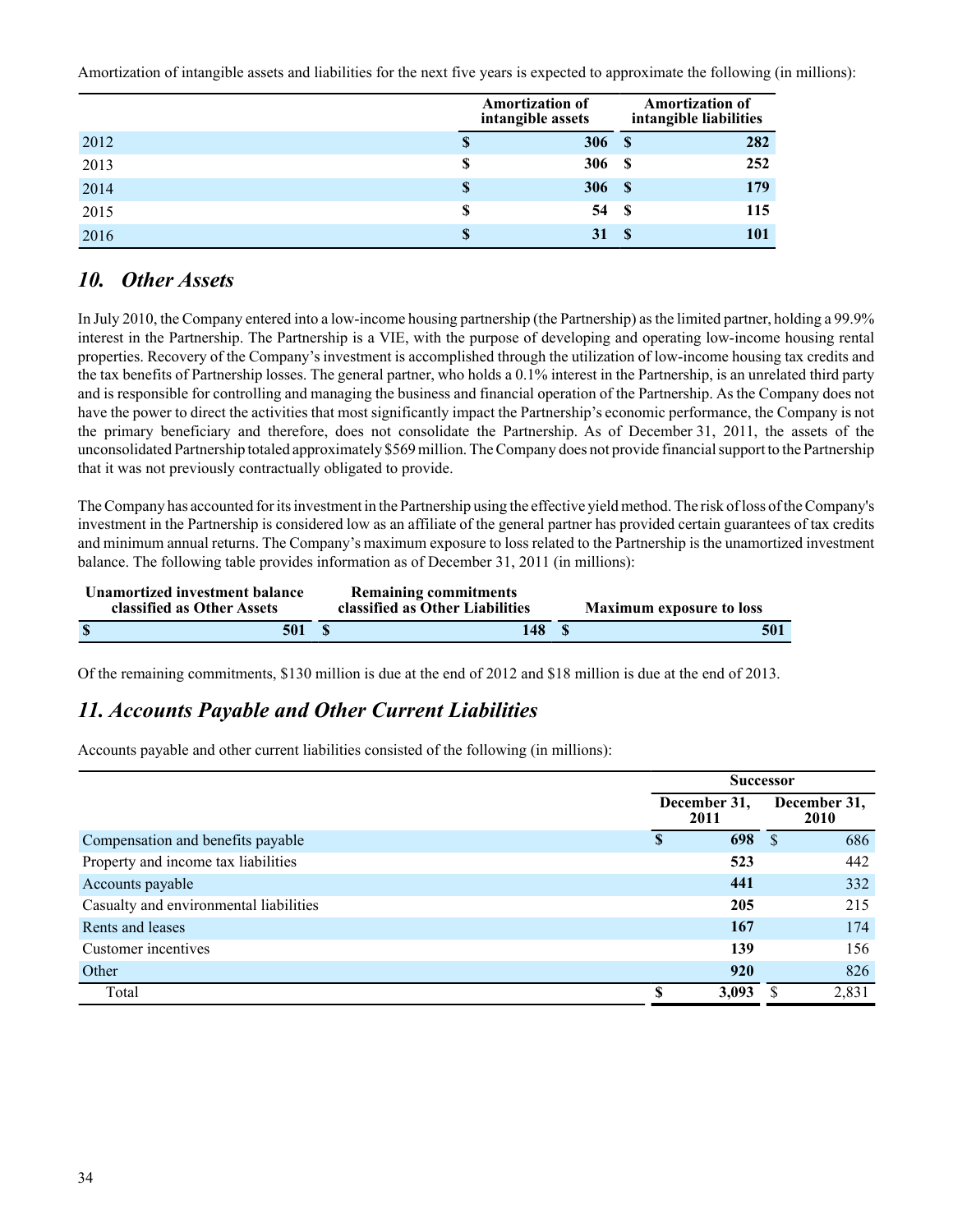Amortization of intangible assets and liabilities for the next five years is expected to approximate the following (in millions):

|      |              | <b>Amortization of</b><br>intangible assets | <b>Amortization of</b><br>intangible liabilities |     |  |
|------|--------------|---------------------------------------------|--------------------------------------------------|-----|--|
| 2012 | S            | 306 \$                                      |                                                  | 282 |  |
| 2013 | S            | 306 \$                                      |                                                  | 252 |  |
| 2014 | $\mathbf{s}$ | 306 <sub>5</sub>                            |                                                  | 179 |  |
| 2015 | \$           | 54                                          | - \$                                             | 115 |  |
| 2016 | \$           | 31                                          | - \$                                             | 101 |  |

### *10. Other Assets*

In July 2010, the Company entered into a low-income housing partnership (the Partnership) as the limited partner, holding a 99.9% interest in the Partnership. The Partnership is a VIE, with the purpose of developing and operating low-income housing rental properties. Recovery of the Company's investment is accomplished through the utilization of low-income housing tax credits and the tax benefits of Partnership losses. The general partner, who holds a 0.1% interest in the Partnership, is an unrelated third party and is responsible for controlling and managing the business and financial operation of the Partnership. As the Company does not have the power to direct the activities that most significantly impact the Partnership's economic performance, the Company is not the primary beneficiary and therefore, does not consolidate the Partnership. As of December 31, 2011, the assets of the unconsolidated Partnership totaled approximately \$569 million. The Company does not provide financial support to the Partnership that it was not previously contractually obligated to provide.

The Company has accounted for its investment in the Partnership using the effective yield method. The risk of loss of the Company's investment in the Partnership is considered low as an affiliate of the general partner has provided certain guarantees of tax credits and minimum annual returns. The Company's maximum exposure to loss related to the Partnership is the unamortized investment balance. The following table provides information as of December 31, 2011 (in millions):

| Unamortized investment balance<br>classified as Other Assets |      | <b>Remaining commitments</b><br>classified as Other Liabilities | <b>Maximum exposure to loss</b> |
|--------------------------------------------------------------|------|-----------------------------------------------------------------|---------------------------------|
| 501                                                          | - \$ | 148 S                                                           | 501                             |

Of the remaining commitments, \$130 million is due at the end of 2012 and \$18 million is due at the end of 2013.

## *11. Accounts Payable and Other Current Liabilities*

Accounts payable and other current liabilities consisted of the following (in millions):

|                                        | <b>Successor</b> |                      |                      |       |  |
|----------------------------------------|------------------|----------------------|----------------------|-------|--|
|                                        |                  | December 31,<br>2011 | December 31,<br>2010 |       |  |
| Compensation and benefits payable      | S                | 698                  | $\mathbf{\hat{S}}$   | 686   |  |
| Property and income tax liabilities    |                  | 523                  |                      | 442   |  |
| Accounts payable                       |                  | 441                  |                      | 332   |  |
| Casualty and environmental liabilities |                  | 205                  |                      | 215   |  |
| Rents and leases                       |                  | 167                  |                      | 174   |  |
| Customer incentives                    |                  | 139                  |                      | 156   |  |
| Other                                  |                  | 920                  |                      | 826   |  |
| Total                                  | S                | 3,093                |                      | 2,831 |  |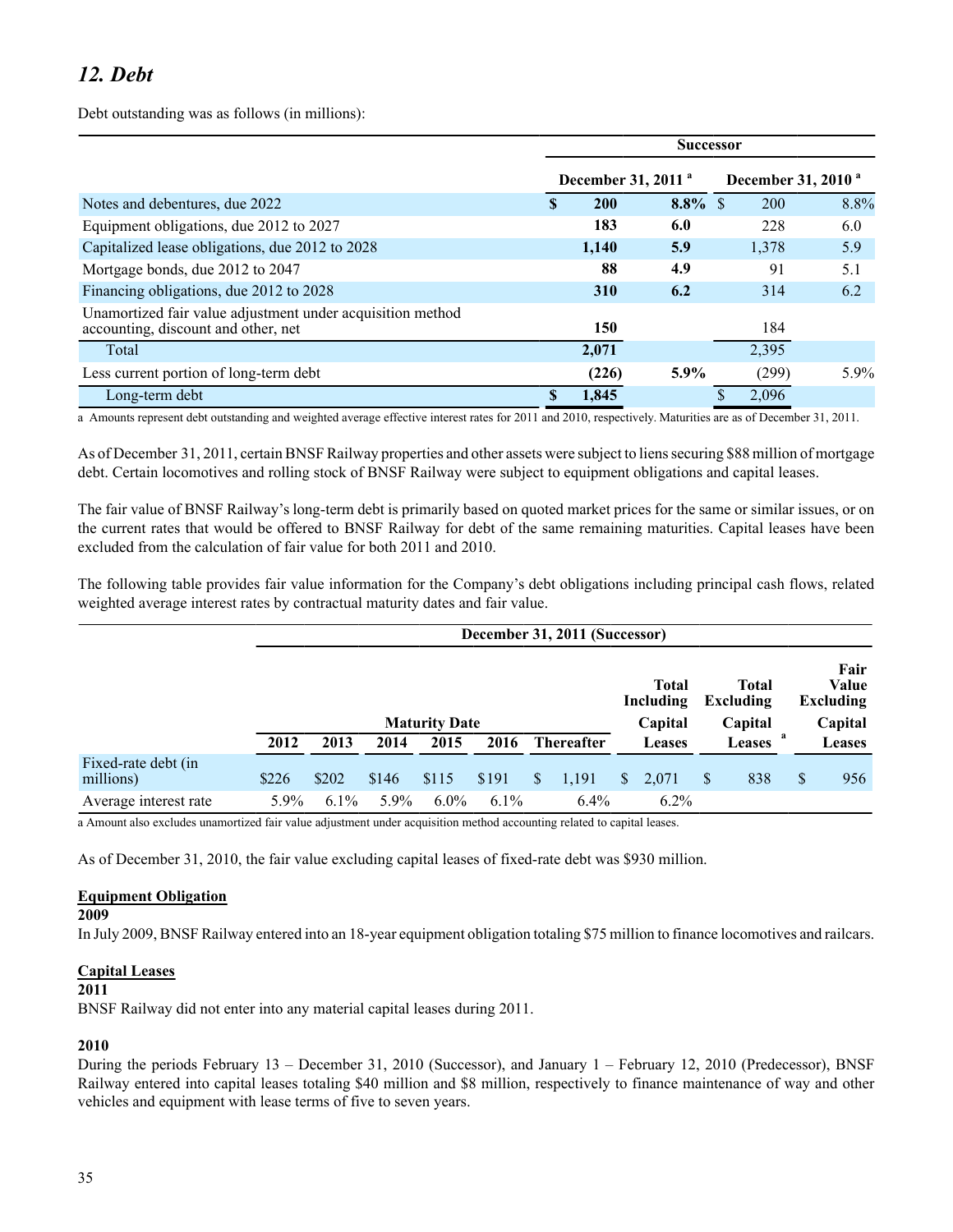# *12. Debt*

Debt outstanding was as follows (in millions):

|                                                                                                   |               | <b>Successor</b>               |            |                                |      |  |  |  |
|---------------------------------------------------------------------------------------------------|---------------|--------------------------------|------------|--------------------------------|------|--|--|--|
|                                                                                                   |               | December 31, 2011 <sup>a</sup> |            | December 31, 2010 <sup>a</sup> |      |  |  |  |
| Notes and debentures, due 2022                                                                    | <sup>\$</sup> | <b>200</b>                     | $8.8\%$ \$ | 200                            | 8.8% |  |  |  |
| Equipment obligations, due 2012 to 2027                                                           |               | 183                            | 6.0        | 228                            | 6.0  |  |  |  |
| Capitalized lease obligations, due 2012 to 2028                                                   |               | 1,140                          | 5.9        | 1,378                          | 5.9  |  |  |  |
| Mortgage bonds, due 2012 to 2047                                                                  |               | 88                             | 4.9        | 91                             | 5.1  |  |  |  |
| Financing obligations, due 2012 to 2028                                                           |               | 310                            | 6.2        | 314                            | 6.2  |  |  |  |
| Unamortized fair value adjustment under acquisition method<br>accounting, discount and other, net |               | 150                            |            | 184                            |      |  |  |  |
| Total                                                                                             |               | 2,071                          |            | 2,395                          |      |  |  |  |
| Less current portion of long-term debt                                                            |               | (226)                          | $5.9\%$    | (299)                          | 5.9% |  |  |  |
| Long-term debt                                                                                    | S             | 1,845                          |            | 2,096                          |      |  |  |  |

a Amounts represent debt outstanding and weighted average effective interest rates for 2011 and 2010, respectively. Maturities are as of December 31, 2011.

As of December 31, 2011, certain BNSF Railway properties and other assets were subject to liens securing \$88 million of mortgage debt. Certain locomotives and rolling stock of BNSF Railway were subject to equipment obligations and capital leases.

The fair value of BNSF Railway's long-term debt is primarily based on quoted market prices for the same or similar issues, or on the current rates that would be offered to BNSF Railway for debt of the same remaining maturities. Capital leases have been excluded from the calculation of fair value for both 2011 and 2010.

The following table provides fair value information for the Company's debt obligations including principal cash flows, related weighted average interest rates by contractual maturity dates and fair value.

|                                  |       | December 31, 2011 (Successor) |         |                              |         |              |                   |              |                                                       |    |                                                |    |                                                               |
|----------------------------------|-------|-------------------------------|---------|------------------------------|---------|--------------|-------------------|--------------|-------------------------------------------------------|----|------------------------------------------------|----|---------------------------------------------------------------|
|                                  | 2012  | 2013                          | 2014    | <b>Maturity Date</b><br>2015 | 2016    |              | <b>Thereafter</b> |              | <b>Total</b><br>Including<br>Capital<br><b>Leases</b> |    | Total<br>Excluding<br>Capital<br><b>Leases</b> |    | Fair<br>Value<br><b>Excluding</b><br>Capital<br><b>Leases</b> |
| Fixed-rate debt (in<br>millions) | \$226 | \$202                         | \$146   | \$115                        | \$191   | <sup>S</sup> | 1,191             | <sup>S</sup> | 2,071                                                 | S. | 838                                            | \$ | 956                                                           |
| Average interest rate            | 5.9%  | $6.1\%$                       | $5.9\%$ | $6.0\%$                      | $6.1\%$ |              | $6.4\%$           |              | $6.2\%$                                               |    |                                                |    |                                                               |

a Amount also excludes unamortized fair value adjustment under acquisition method accounting related to capital leases.

As of December 31, 2010, the fair value excluding capital leases of fixed-rate debt was \$930 million.

### **Equipment Obligation**

**2009**

In July 2009, BNSF Railway entered into an 18-year equipment obligation totaling \$75 million to finance locomotives and railcars.

#### **Capital Leases**

#### **2011**

BNSF Railway did not enter into any material capital leases during 2011.

#### **2010**

During the periods February 13 – December 31, 2010 (Successor), and January 1 – February 12, 2010 (Predecessor), BNSF Railway entered into capital leases totaling \$40 million and \$8 million, respectively to finance maintenance of way and other vehicles and equipment with lease terms of five to seven years.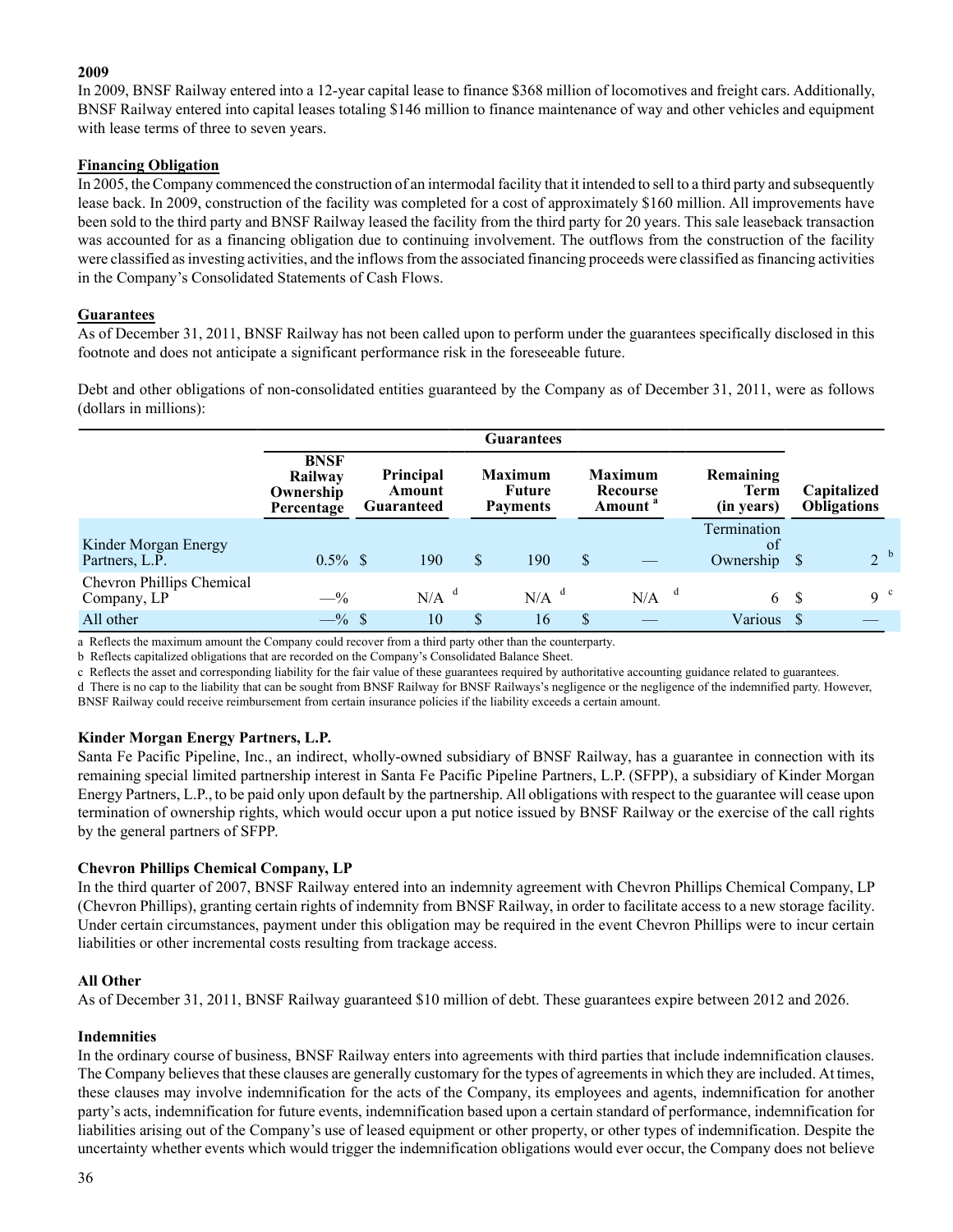### **2009**

In 2009, BNSF Railway entered into a 12-year capital lease to finance \$368 million of locomotives and freight cars. Additionally, BNSF Railway entered into capital leases totaling \$146 million to finance maintenance of way and other vehicles and equipment with lease terms of three to seven years.

### **Financing Obligation**

In 2005, the Company commenced the construction of an intermodal facility that it intended to sell to a third party and subsequently lease back. In 2009, construction of the facility was completed for a cost of approximately \$160 million. All improvements have been sold to the third party and BNSF Railway leased the facility from the third party for 20 years. This sale leaseback transaction was accounted for as a financing obligation due to continuing involvement. The outflows from the construction of the facility were classified as investing activities, and the inflows from the associated financing proceeds were classified as financing activities in the Company's Consolidated Statements of Cash Flows.

### **Guarantees**

As of December 31, 2011, BNSF Railway has not been called upon to perform under the guarantees specifically disclosed in this footnote and does not anticipate a significant performance risk in the foreseeable future.

Debt and other obligations of non-consolidated entities guaranteed by the Company as of December 31, 2011, were as follows (dollars in millions):

|                                          |                                                   |                                   |                    | <b>Guarantees</b>                           |                                                   |                                 |      |                                   |
|------------------------------------------|---------------------------------------------------|-----------------------------------|--------------------|---------------------------------------------|---------------------------------------------------|---------------------------------|------|-----------------------------------|
|                                          | <b>BNSF</b><br>Railway<br>Ownership<br>Percentage | Principal<br>Amount<br>Guaranteed |                    | <b>Maximum</b><br>Future<br><b>Payments</b> | <b>Maximum</b><br>Recourse<br>Amount <sup>a</sup> | Remaining<br>Term<br>(in years) |      | Capitalized<br><b>Obligations</b> |
| Kinder Morgan Energy<br>Partners, L.P.   | $0.5\%$ \$                                        | 190                               |                    | \$<br>190                                   | <sup>\$</sup>                                     | Termination<br>of<br>Ownership  | - \$ | 2 <sup>b</sup>                    |
| Chevron Phillips Chemical<br>Company, LP | $-$ %                                             |                                   | $N/A$ <sup>d</sup> | $N/A$ <sup>d</sup>                          | N/A                                               | 6 \$                            |      | 9 <sup>c</sup>                    |
| All other                                | $-$ % \$                                          | 10                                |                    | \$<br>16                                    | \$                                                | Various \$                      |      |                                   |

a Reflects the maximum amount the Company could recover from a third party other than the counterparty.

b Reflects capitalized obligations that are recorded on the Company's Consolidated Balance Sheet.

c Reflects the asset and corresponding liability for the fair value of these guarantees required by authoritative accounting guidance related to guarantees.

d There is no cap to the liability that can be sought from BNSF Railway for BNSF Railways's negligence or the negligence of the indemnified party. However, BNSF Railway could receive reimbursement from certain insurance policies if the liability exceeds a certain amount.

### **Kinder Morgan Energy Partners, L.P.**

Santa Fe Pacific Pipeline, Inc., an indirect, wholly-owned subsidiary of BNSF Railway, has a guarantee in connection with its remaining special limited partnership interest in Santa Fe Pacific Pipeline Partners, L.P. (SFPP), a subsidiary of Kinder Morgan Energy Partners, L.P., to be paid only upon default by the partnership. All obligations with respect to the guarantee will cease upon termination of ownership rights, which would occur upon a put notice issued by BNSF Railway or the exercise of the call rights by the general partners of SFPP.

### **Chevron Phillips Chemical Company, LP**

In the third quarter of 2007, BNSF Railway entered into an indemnity agreement with Chevron Phillips Chemical Company, LP (Chevron Phillips), granting certain rights of indemnity from BNSF Railway, in order to facilitate access to a new storage facility. Under certain circumstances, payment under this obligation may be required in the event Chevron Phillips were to incur certain liabilities or other incremental costs resulting from trackage access.

### **All Other**

As of December 31, 2011, BNSF Railway guaranteed \$10 million of debt. These guarantees expire between 2012 and 2026.

### **Indemnities**

In the ordinary course of business, BNSF Railway enters into agreements with third parties that include indemnification clauses. The Company believes that these clauses are generally customary for the types of agreements in which they are included. At times, these clauses may involve indemnification for the acts of the Company, its employees and agents, indemnification for another party's acts, indemnification for future events, indemnification based upon a certain standard of performance, indemnification for liabilities arising out of the Company's use of leased equipment or other property, or other types of indemnification. Despite the uncertainty whether events which would trigger the indemnification obligations would ever occur, the Company does not believe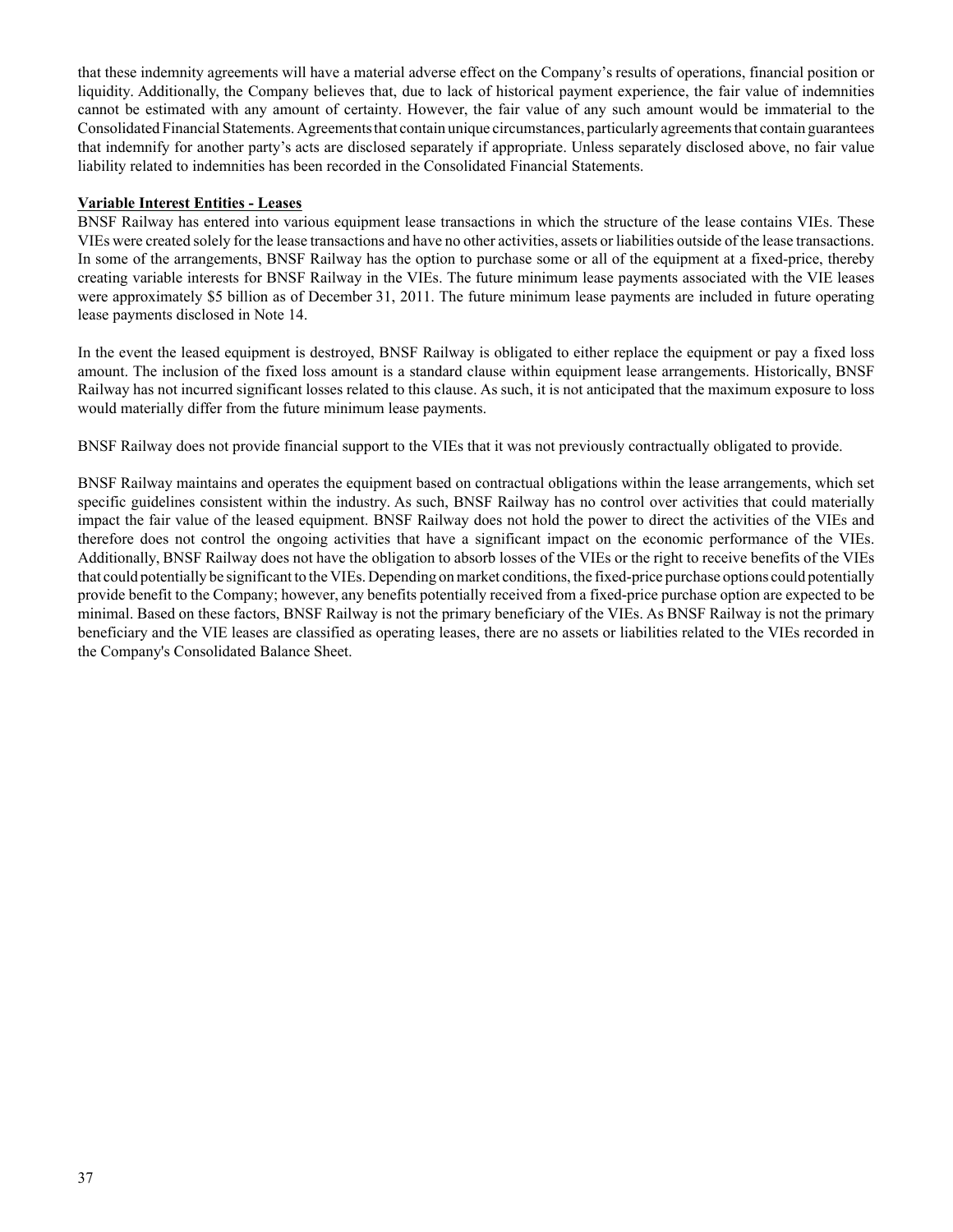that these indemnity agreements will have a material adverse effect on the Company's results of operations, financial position or liquidity. Additionally, the Company believes that, due to lack of historical payment experience, the fair value of indemnities cannot be estimated with any amount of certainty. However, the fair value of any such amount would be immaterial to the Consolidated Financial Statements. Agreements that contain unique circumstances, particularly agreements that contain guarantees that indemnify for another party's acts are disclosed separately if appropriate. Unless separately disclosed above, no fair value liability related to indemnities has been recorded in the Consolidated Financial Statements.

### **Variable Interest Entities - Leases**

BNSF Railway has entered into various equipment lease transactions in which the structure of the lease contains VIEs. These VIEs were created solely for the lease transactions and have no other activities, assets or liabilities outside of the lease transactions. In some of the arrangements, BNSF Railway has the option to purchase some or all of the equipment at a fixed-price, thereby creating variable interests for BNSF Railway in the VIEs. The future minimum lease payments associated with the VIE leases were approximately \$5 billion as of December 31, 2011. The future minimum lease payments are included in future operating lease payments disclosed in Note 14.

In the event the leased equipment is destroyed, BNSF Railway is obligated to either replace the equipment or pay a fixed loss amount. The inclusion of the fixed loss amount is a standard clause within equipment lease arrangements. Historically, BNSF Railway has not incurred significant losses related to this clause. As such, it is not anticipated that the maximum exposure to loss would materially differ from the future minimum lease payments.

BNSF Railway does not provide financial support to the VIEs that it was not previously contractually obligated to provide.

BNSF Railway maintains and operates the equipment based on contractual obligations within the lease arrangements, which set specific guidelines consistent within the industry. As such, BNSF Railway has no control over activities that could materially impact the fair value of the leased equipment. BNSF Railway does not hold the power to direct the activities of the VIEs and therefore does not control the ongoing activities that have a significant impact on the economic performance of the VIEs. Additionally, BNSF Railway does not have the obligation to absorb losses of the VIEs or the right to receive benefits of the VIEs that could potentially be significant to the VIEs. Depending on market conditions, the fixed-price purchase options could potentially provide benefit to the Company; however, any benefits potentially received from a fixed-price purchase option are expected to be minimal. Based on these factors, BNSF Railway is not the primary beneficiary of the VIEs. As BNSF Railway is not the primary beneficiary and the VIE leases are classified as operating leases, there are no assets or liabilities related to the VIEs recorded in the Company's Consolidated Balance Sheet.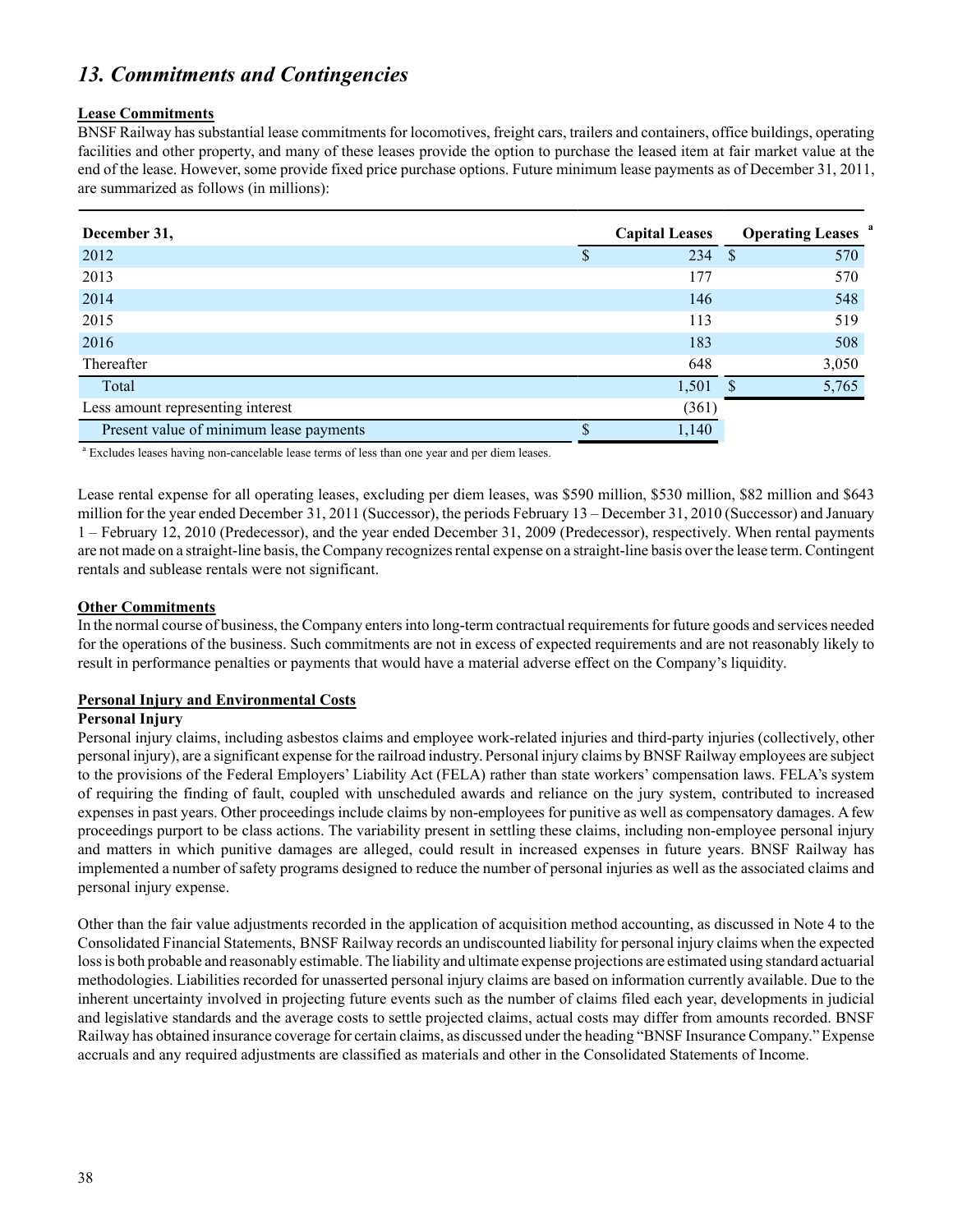## *13. Commitments and Contingencies*

### **Lease Commitments**

BNSF Railway has substantial lease commitments for locomotives, freight cars, trailers and containers, office buildings, operating facilities and other property, and many of these leases provide the option to purchase the leased item at fair market value at the end of the lease. However, some provide fixed price purchase options. Future minimum lease payments as of December 31, 2011, are summarized as follows (in millions):

| December 31,                            | <b>Capital Leases</b> | <b>Operating Leases</b> <sup>a</sup> |
|-----------------------------------------|-----------------------|--------------------------------------|
| 2012                                    | 234                   | 570<br><sup>\$</sup>                 |
| 2013                                    | 177                   | 570                                  |
| 2014                                    | 146                   | 548                                  |
| 2015                                    | 113                   | 519                                  |
| 2016                                    | 183                   | 508                                  |
| Thereafter                              | 648                   | 3,050                                |
| Total                                   | 1,501                 | 5,765<br><b>S</b>                    |
| Less amount representing interest       | (361)                 |                                      |
| Present value of minimum lease payments | 1,140                 |                                      |

<sup>a</sup> Excludes leases having non-cancelable lease terms of less than one year and per diem leases.

Lease rental expense for all operating leases, excluding per diem leases, was \$590 million, \$530 million, \$82 million and \$643 million for the year ended December 31, 2011 (Successor), the periods February 13 – December 31, 2010 (Successor) and January 1 – February 12, 2010 (Predecessor), and the year ended December 31, 2009 (Predecessor), respectively. When rental payments are not made on a straight-line basis, the Company recognizes rental expense on a straight-line basis over the lease term. Contingent rentals and sublease rentals were not significant.

### **Other Commitments**

In the normal course of business, the Company enters into long-term contractual requirements for future goods and services needed for the operations of the business. Such commitments are not in excess of expected requirements and are not reasonably likely to result in performance penalties or payments that would have a material adverse effect on the Company's liquidity.

### **Personal Injury and Environmental Costs**

### **Personal Injury**

Personal injury claims, including asbestos claims and employee work-related injuries and third-party injuries (collectively, other personal injury), are a significant expense for the railroad industry. Personal injury claims by BNSF Railway employees are subject to the provisions of the Federal Employers' Liability Act (FELA) rather than state workers' compensation laws. FELA's system of requiring the finding of fault, coupled with unscheduled awards and reliance on the jury system, contributed to increased expenses in past years. Other proceedings include claims by non-employees for punitive as well as compensatory damages. Afew proceedings purport to be class actions. The variability present in settling these claims, including non-employee personal injury and matters in which punitive damages are alleged, could result in increased expenses in future years. BNSF Railway has implemented a number of safety programs designed to reduce the number of personal injuries as well as the associated claims and personal injury expense.

Other than the fair value adjustments recorded in the application of acquisition method accounting, as discussed in Note 4 to the Consolidated Financial Statements, BNSF Railway records an undiscounted liability for personal injury claims when the expected loss is both probable and reasonably estimable. The liability and ultimate expense projections are estimated using standard actuarial methodologies. Liabilities recorded for unasserted personal injury claims are based on information currently available. Due to the inherent uncertainty involved in projecting future events such as the number of claims filed each year, developments in judicial and legislative standards and the average costs to settle projected claims, actual costs may differ from amounts recorded. BNSF Railway has obtained insurance coverage for certain claims, as discussed under the heading "BNSF Insurance Company." Expense accruals and any required adjustments are classified as materials and other in the Consolidated Statements of Income.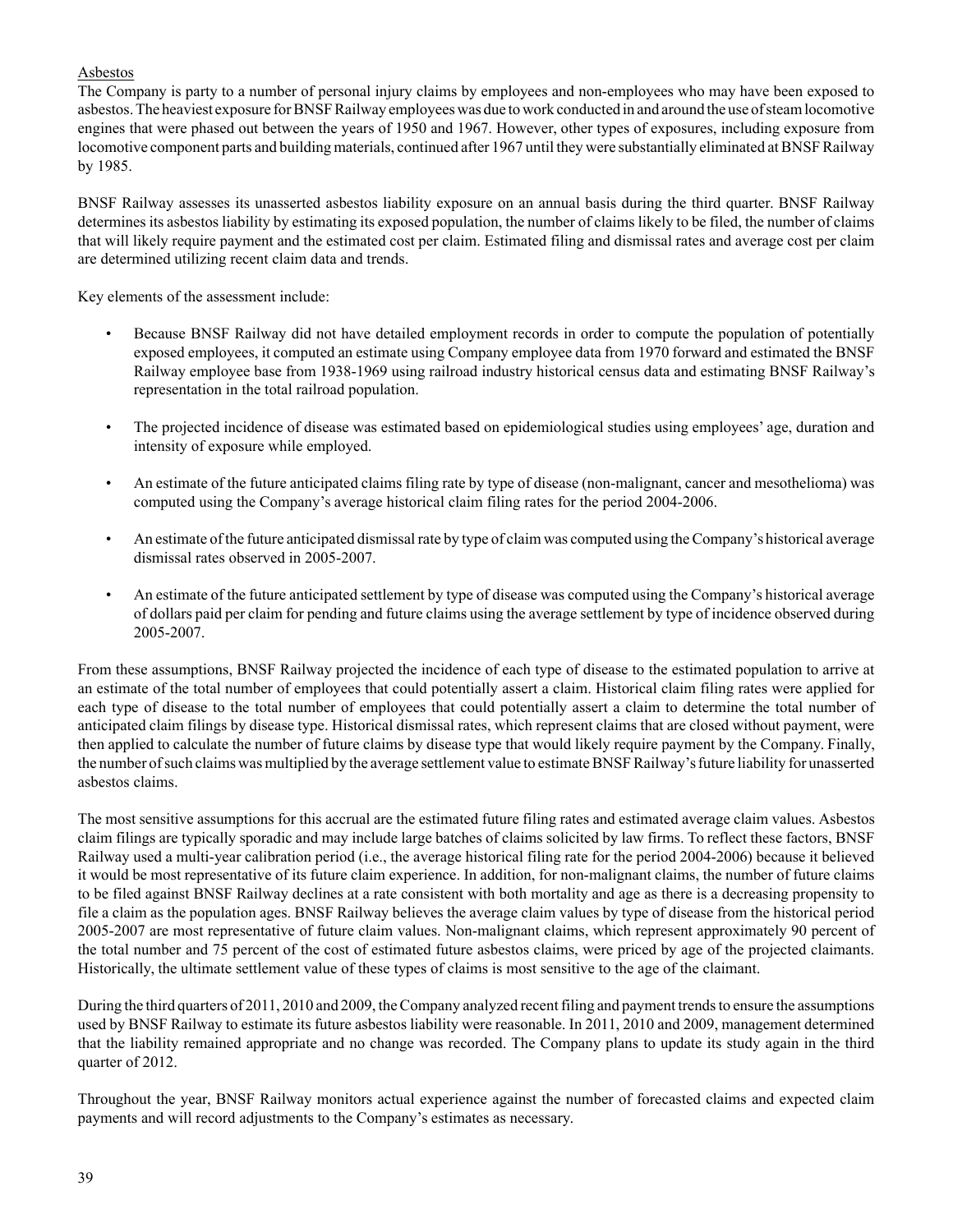### Asbestos

The Company is party to a number of personal injury claims by employees and non-employees who may have been exposed to asbestos. The heaviest exposure for BNSF Railway employees was due to work conducted in and around the use of steam locomotive engines that were phased out between the years of 1950 and 1967. However, other types of exposures, including exposure from locomotive component parts and building materials, continued after 1967 until they were substantially eliminated at BNSF Railway by 1985.

BNSF Railway assesses its unasserted asbestos liability exposure on an annual basis during the third quarter. BNSF Railway determines its asbestos liability by estimating its exposed population, the number of claims likely to be filed, the number of claims that will likely require payment and the estimated cost per claim. Estimated filing and dismissal rates and average cost per claim are determined utilizing recent claim data and trends.

Key elements of the assessment include:

- Because BNSF Railway did not have detailed employment records in order to compute the population of potentially exposed employees, it computed an estimate using Company employee data from 1970 forward and estimated the BNSF Railway employee base from 1938-1969 using railroad industry historical census data and estimating BNSF Railway's representation in the total railroad population.
- The projected incidence of disease was estimated based on epidemiological studies using employees' age, duration and intensity of exposure while employed.
- An estimate of the future anticipated claims filing rate by type of disease (non-malignant, cancer and mesothelioma) was computed using the Company's average historical claim filing rates for the period 2004-2006.
- An estimate of the future anticipated dismissal rate by type of claim was computed using the Company's historical average dismissal rates observed in 2005-2007.
- An estimate of the future anticipated settlement by type of disease was computed using the Company's historical average of dollars paid per claim for pending and future claims using the average settlement by type of incidence observed during 2005-2007.

From these assumptions, BNSF Railway projected the incidence of each type of disease to the estimated population to arrive at an estimate of the total number of employees that could potentially assert a claim. Historical claim filing rates were applied for each type of disease to the total number of employees that could potentially assert a claim to determine the total number of anticipated claim filings by disease type. Historical dismissal rates, which represent claims that are closed without payment, were then applied to calculate the number of future claims by disease type that would likely require payment by the Company. Finally, the number of such claims was multiplied by the average settlement value to estimate BNSF Railway's future liability for unasserted asbestos claims.

The most sensitive assumptions for this accrual are the estimated future filing rates and estimated average claim values. Asbestos claim filings are typically sporadic and may include large batches of claims solicited by law firms. To reflect these factors, BNSF Railway used a multi-year calibration period (i.e., the average historical filing rate for the period 2004-2006) because it believed it would be most representative of its future claim experience. In addition, for non-malignant claims, the number of future claims to be filed against BNSF Railway declines at a rate consistent with both mortality and age as there is a decreasing propensity to file a claim as the population ages. BNSF Railway believes the average claim values by type of disease from the historical period 2005-2007 are most representative of future claim values. Non-malignant claims, which represent approximately 90 percent of the total number and 75 percent of the cost of estimated future asbestos claims, were priced by age of the projected claimants. Historically, the ultimate settlement value of these types of claims is most sensitive to the age of the claimant.

During the third quarters of 2011, 2010 and 2009, the Company analyzed recent filing and payment trends to ensure the assumptions used by BNSF Railway to estimate its future asbestos liability were reasonable. In 2011, 2010 and 2009, management determined that the liability remained appropriate and no change was recorded. The Company plans to update its study again in the third quarter of 2012.

Throughout the year, BNSF Railway monitors actual experience against the number of forecasted claims and expected claim payments and will record adjustments to the Company's estimates as necessary.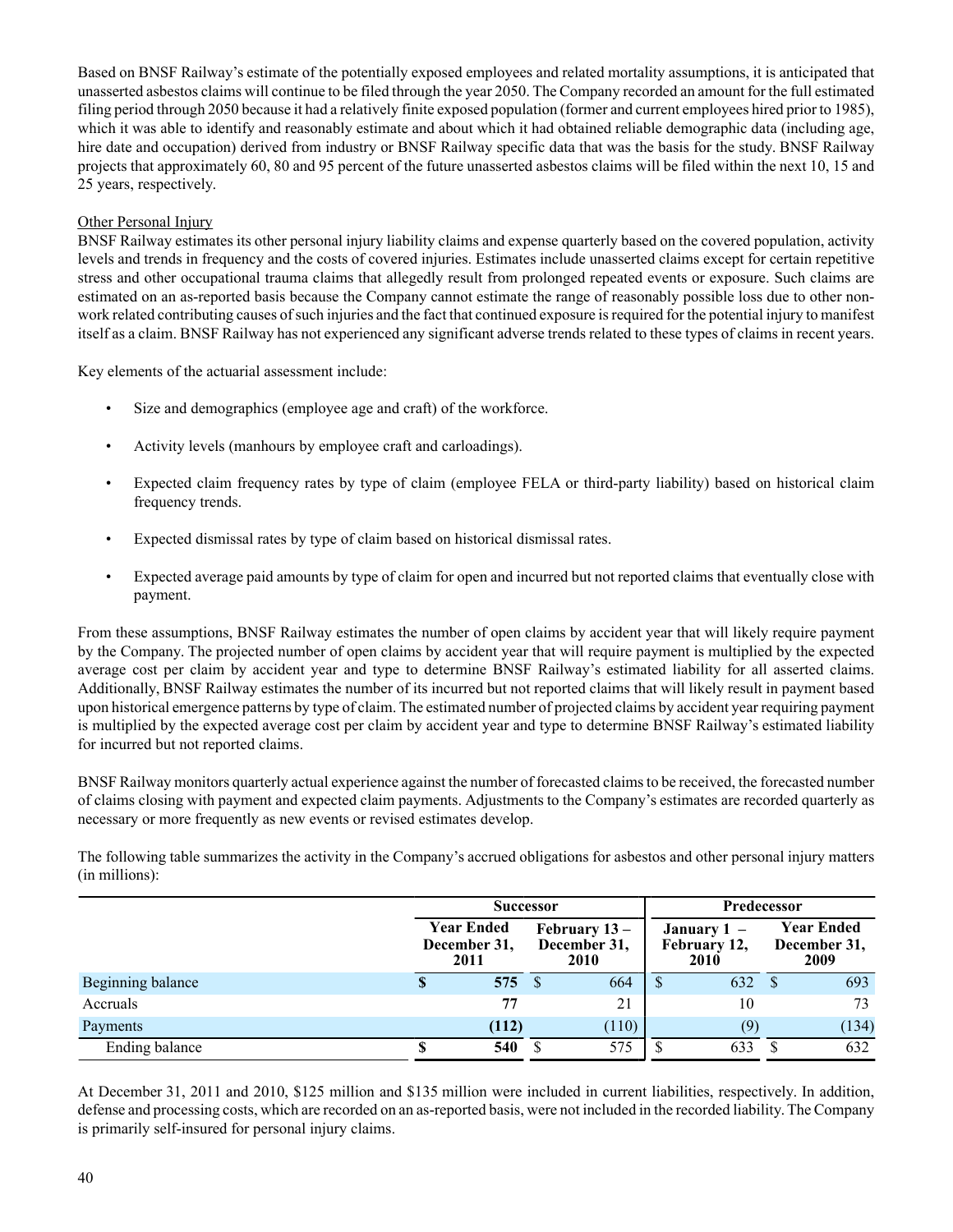Based on BNSF Railway's estimate of the potentially exposed employees and related mortality assumptions, it is anticipated that unasserted asbestos claims will continue to be filed through the year 2050. The Company recorded an amount for the full estimated filing period through 2050 because it had a relatively finite exposed population (former and current employees hired prior to 1985), which it was able to identify and reasonably estimate and about which it had obtained reliable demographic data (including age, hire date and occupation) derived from industry or BNSF Railway specific data that was the basis for the study. BNSF Railway projects that approximately 60, 80 and 95 percent of the future unasserted asbestos claims will be filed within the next 10, 15 and 25 years, respectively.

### Other Personal Injury

BNSF Railway estimates its other personal injury liability claims and expense quarterly based on the covered population, activity levels and trends in frequency and the costs of covered injuries. Estimates include unasserted claims except for certain repetitive stress and other occupational trauma claims that allegedly result from prolonged repeated events or exposure. Such claims are estimated on an as-reported basis because the Company cannot estimate the range of reasonably possible loss due to other nonwork related contributing causes of such injuries and the fact that continued exposure is required for the potential injury to manifest itself as a claim. BNSF Railway has not experienced any significant adverse trends related to these types of claims in recent years.

Key elements of the actuarial assessment include:

- Size and demographics (employee age and craft) of the workforce.
- Activity levels (manhours by employee craft and carloadings).
- Expected claim frequency rates by type of claim (employee FELA or third-party liability) based on historical claim frequency trends.
- Expected dismissal rates by type of claim based on historical dismissal rates.
- Expected average paid amounts by type of claim for open and incurred but not reported claims that eventually close with payment.

From these assumptions, BNSF Railway estimates the number of open claims by accident year that will likely require payment by the Company. The projected number of open claims by accident year that will require payment is multiplied by the expected average cost per claim by accident year and type to determine BNSF Railway's estimated liability for all asserted claims. Additionally, BNSF Railway estimates the number of its incurred but not reported claims that will likely result in payment based upon historical emergence patterns by type of claim. The estimated number of projected claims by accident year requiring payment is multiplied by the expected average cost per claim by accident year and type to determine BNSF Railway's estimated liability for incurred but not reported claims.

BNSF Railway monitors quarterly actual experience against the number of forecasted claims to be received, the forecasted number of claims closing with payment and expected claim payments. Adjustments to the Company's estimates are recorded quarterly as necessary or more frequently as new events or revised estimates develop.

The following table summarizes the activity in the Company's accrued obligations for asbestos and other personal injury matters (in millions):

|                   |                                           | <b>Successor</b> |  | Predecessor                            |   |                                       |  |                                           |  |
|-------------------|-------------------------------------------|------------------|--|----------------------------------------|---|---------------------------------------|--|-------------------------------------------|--|
|                   | <b>Year Ended</b><br>December 31,<br>2011 |                  |  | February $13-$<br>December 31,<br>2010 |   | January $1 -$<br>February 12.<br>2010 |  | <b>Year Ended</b><br>December 31,<br>2009 |  |
| Beginning balance | Φ                                         | 575              |  | 664                                    | S | 632                                   |  | 693                                       |  |
| Accruals          |                                           | 77               |  | 21                                     |   | 10                                    |  | 73                                        |  |
| Payments          |                                           | (112)            |  | (110)                                  |   | (9)                                   |  | (134)                                     |  |
| Ending balance    |                                           | 540              |  | 575                                    |   | 633                                   |  | 632                                       |  |

At December 31, 2011 and 2010, \$125 million and \$135 million were included in current liabilities, respectively. In addition, defense and processing costs, which are recorded on an as-reported basis, were not included in the recorded liability. The Company is primarily self-insured for personal injury claims.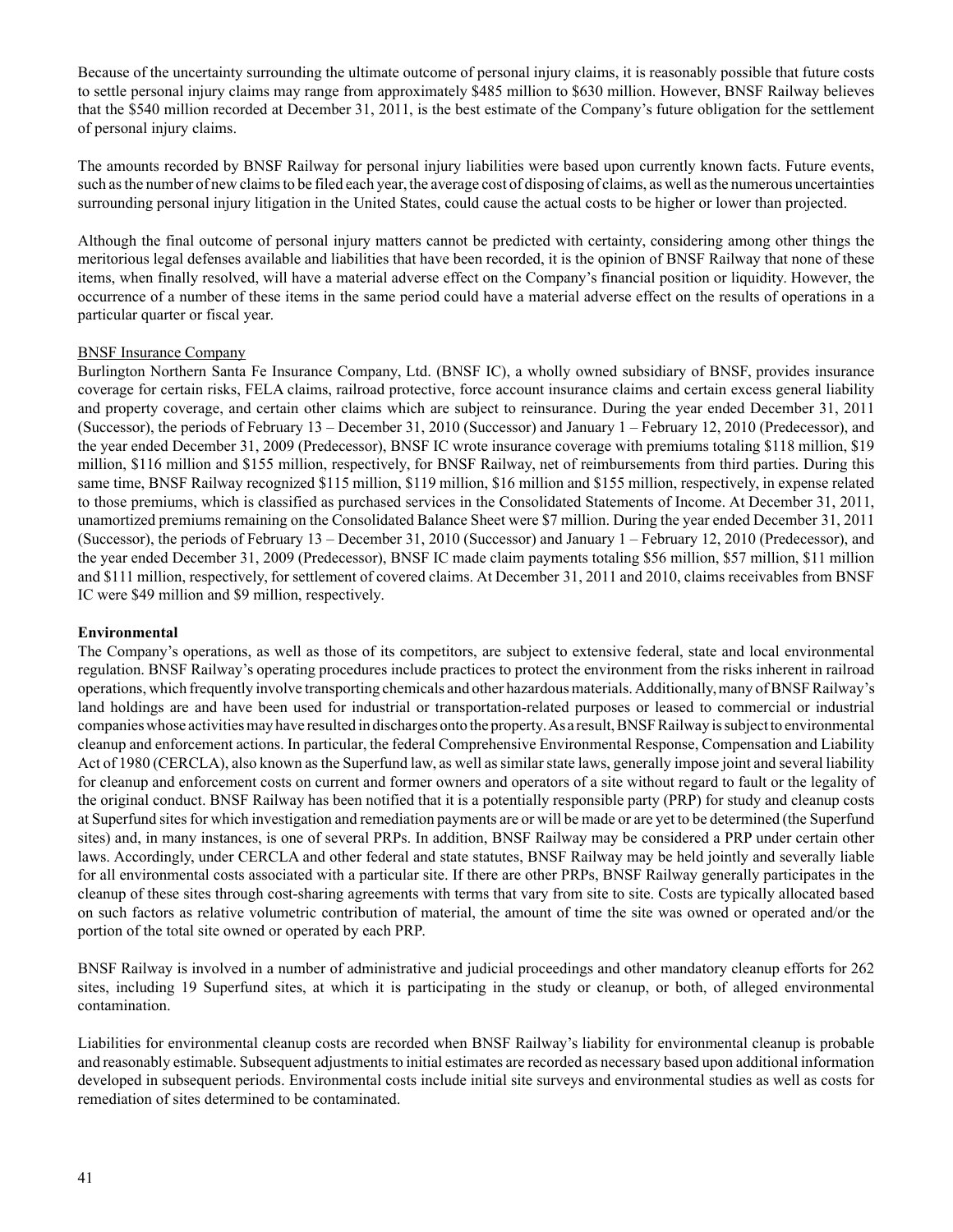Because of the uncertainty surrounding the ultimate outcome of personal injury claims, it is reasonably possible that future costs to settle personal injury claims may range from approximately \$485 million to \$630 million. However, BNSF Railway believes that the \$540 million recorded at December 31, 2011, is the best estimate of the Company's future obligation for the settlement of personal injury claims.

The amounts recorded by BNSF Railway for personal injury liabilities were based upon currently known facts. Future events, such as the number of new claims to be filed each year, the average cost of disposing of claims, as well as the numerous uncertainties surrounding personal injury litigation in the United States, could cause the actual costs to be higher or lower than projected.

Although the final outcome of personal injury matters cannot be predicted with certainty, considering among other things the meritorious legal defenses available and liabilities that have been recorded, it is the opinion of BNSF Railway that none of these items, when finally resolved, will have a material adverse effect on the Company's financial position or liquidity. However, the occurrence of a number of these items in the same period could have a material adverse effect on the results of operations in a particular quarter or fiscal year.

### BNSF Insurance Company

Burlington Northern Santa Fe Insurance Company, Ltd. (BNSF IC), a wholly owned subsidiary of BNSF, provides insurance coverage for certain risks, FELA claims, railroad protective, force account insurance claims and certain excess general liability and property coverage, and certain other claims which are subject to reinsurance. During the year ended December 31, 2011 (Successor), the periods of February 13 – December 31, 2010 (Successor) and January 1 – February 12, 2010 (Predecessor), and the year ended December 31, 2009 (Predecessor), BNSF IC wrote insurance coverage with premiums totaling \$118 million, \$19 million, \$116 million and \$155 million, respectively, for BNSF Railway, net of reimbursements from third parties. During this same time, BNSF Railway recognized \$115 million, \$119 million, \$16 million and \$155 million, respectively, in expense related to those premiums, which is classified as purchased services in the Consolidated Statements of Income. At December 31, 2011, unamortized premiums remaining on the Consolidated Balance Sheet were \$7 million. During the year ended December 31, 2011 (Successor), the periods of February 13 – December 31, 2010 (Successor) and January 1 – February 12, 2010 (Predecessor), and the year ended December 31, 2009 (Predecessor), BNSF IC made claim payments totaling \$56 million, \$57 million, \$11 million and \$111 million, respectively, for settlement of covered claims. At December 31, 2011 and 2010, claims receivables from BNSF IC were \$49 million and \$9 million, respectively.

### **Environmental**

The Company's operations, as well as those of its competitors, are subject to extensive federal, state and local environmental regulation. BNSF Railway's operating procedures include practices to protect the environment from the risks inherent in railroad operations, which frequently involve transporting chemicals and other hazardous materials. Additionally, many of BNSF Railway's land holdings are and have been used for industrial or transportation-related purposes or leased to commercial or industrial companies whose activities may have resulted in discharges onto the property. As a result, BNSF Railway is subject to environmental cleanup and enforcement actions. In particular, the federal Comprehensive Environmental Response, Compensation and Liability Act of 1980 (CERCLA), also known as the Superfund law, as well as similar state laws, generally impose joint and several liability for cleanup and enforcement costs on current and former owners and operators of a site without regard to fault or the legality of the original conduct. BNSF Railway has been notified that it is a potentially responsible party (PRP) for study and cleanup costs at Superfund sites for which investigation and remediation payments are or will be made or are yet to be determined (the Superfund sites) and, in many instances, is one of several PRPs. In addition, BNSF Railway may be considered a PRP under certain other laws. Accordingly, under CERCLA and other federal and state statutes, BNSF Railway may be held jointly and severally liable for all environmental costs associated with a particular site. If there are other PRPs, BNSF Railway generally participates in the cleanup of these sites through cost-sharing agreements with terms that vary from site to site. Costs are typically allocated based on such factors as relative volumetric contribution of material, the amount of time the site was owned or operated and/or the portion of the total site owned or operated by each PRP.

BNSF Railway is involved in a number of administrative and judicial proceedings and other mandatory cleanup efforts for 262 sites, including 19 Superfund sites, at which it is participating in the study or cleanup, or both, of alleged environmental contamination.

Liabilities for environmental cleanup costs are recorded when BNSF Railway's liability for environmental cleanup is probable and reasonably estimable. Subsequent adjustments to initial estimates are recorded as necessary based upon additional information developed in subsequent periods. Environmental costs include initial site surveys and environmental studies as well as costs for remediation of sites determined to be contaminated.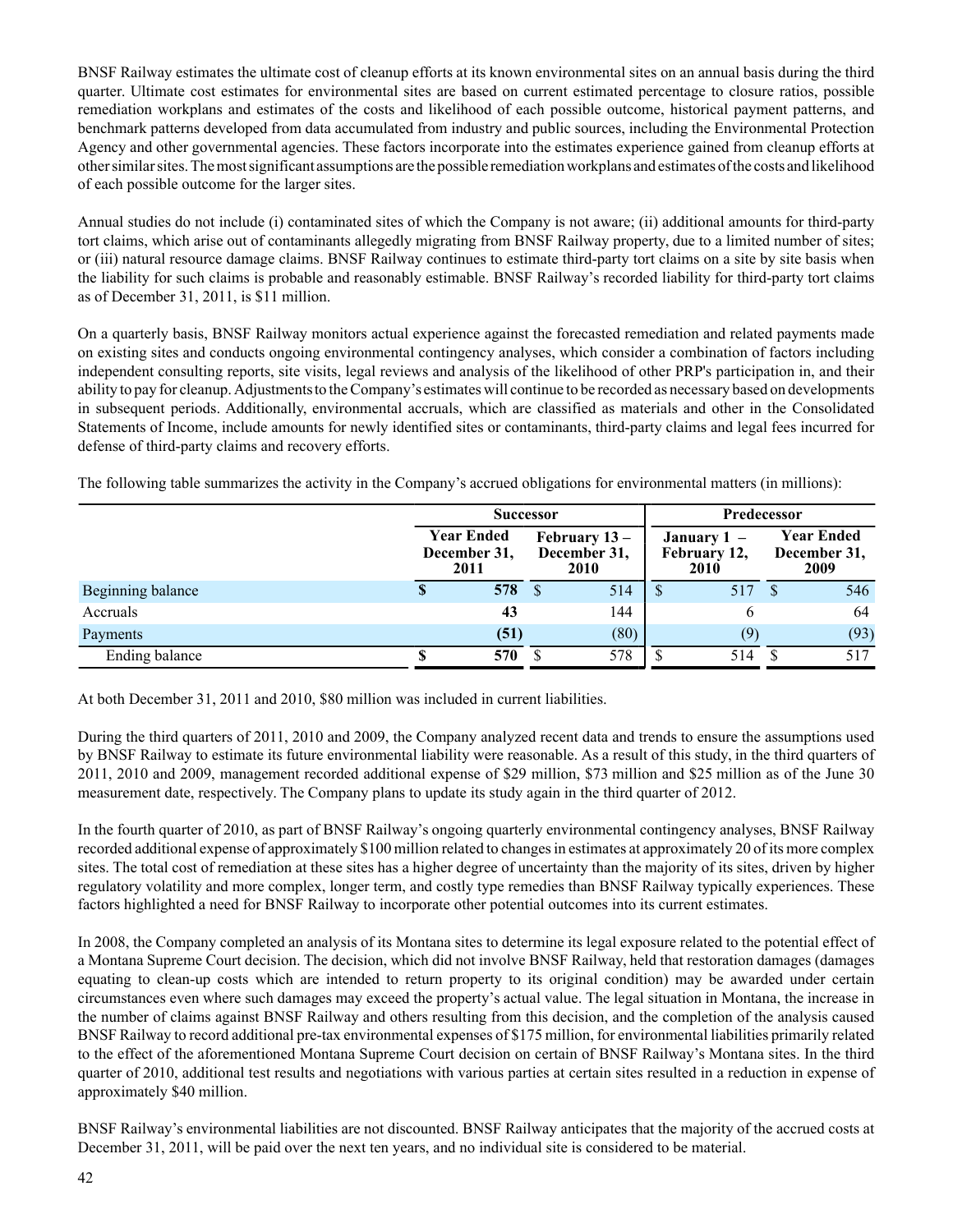BNSF Railway estimates the ultimate cost of cleanup efforts at its known environmental sites on an annual basis during the third quarter. Ultimate cost estimates for environmental sites are based on current estimated percentage to closure ratios, possible remediation workplans and estimates of the costs and likelihood of each possible outcome, historical payment patterns, and benchmark patterns developed from data accumulated from industry and public sources, including the Environmental Protection Agency and other governmental agencies. These factors incorporate into the estimates experience gained from cleanup efforts at other similar sites. The most significant assumptions are the possible remediation workplans and estimates of the costs and likelihood of each possible outcome for the larger sites.

Annual studies do not include (i) contaminated sites of which the Company is not aware; (ii) additional amounts for third-party tort claims, which arise out of contaminants allegedly migrating from BNSF Railway property, due to a limited number of sites; or (iii) natural resource damage claims. BNSF Railway continues to estimate third-party tort claims on a site by site basis when the liability for such claims is probable and reasonably estimable. BNSF Railway's recorded liability for third-party tort claims as of December 31, 2011, is \$11 million.

On a quarterly basis, BNSF Railway monitors actual experience against the forecasted remediation and related payments made on existing sites and conducts ongoing environmental contingency analyses, which consider a combination of factors including independent consulting reports, site visits, legal reviews and analysis of the likelihood of other PRP's participation in, and their ability to pay for cleanup. Adjustments to the Company's estimates will continue to be recorded as necessary based on developments in subsequent periods. Additionally, environmental accruals, which are classified as materials and other in the Consolidated Statements of Income, include amounts for newly identified sites or contaminants, third-party claims and legal fees incurred for defense of third-party claims and recovery efforts.

The following table summarizes the activity in the Company's accrued obligations for environmental matters (in millions):

|                   |                                           | Successor |                                        |      | Predecessor                           |     |                                           |      |  |
|-------------------|-------------------------------------------|-----------|----------------------------------------|------|---------------------------------------|-----|-------------------------------------------|------|--|
|                   | <b>Year Ended</b><br>December 31,<br>2011 |           | February $13-$<br>December 31,<br>2010 |      | January $1 -$<br>February 12,<br>2010 |     | <b>Year Ended</b><br>December 31,<br>2009 |      |  |
| Beginning balance | Φ                                         | 578       |                                        | 514  | S                                     | 517 |                                           | 546  |  |
| Accruals          |                                           | 43        |                                        | 144  |                                       | b   |                                           | 64   |  |
| Payments          |                                           | (51)      |                                        | (80) |                                       | (9) |                                           | (93) |  |
| Ending balance    |                                           | 570       |                                        | 578  |                                       | 514 |                                           | 517  |  |

At both December 31, 2011 and 2010, \$80 million was included in current liabilities.

During the third quarters of 2011, 2010 and 2009, the Company analyzed recent data and trends to ensure the assumptions used by BNSF Railway to estimate its future environmental liability were reasonable. As a result of this study, in the third quarters of 2011, 2010 and 2009, management recorded additional expense of \$29 million, \$73 million and \$25 million as of the June 30 measurement date, respectively. The Company plans to update its study again in the third quarter of 2012.

In the fourth quarter of 2010, as part of BNSF Railway's ongoing quarterly environmental contingency analyses, BNSF Railway recorded additional expense of approximately \$100 million related to changes in estimates at approximately 20 of its more complex sites. The total cost of remediation at these sites has a higher degree of uncertainty than the majority of its sites, driven by higher regulatory volatility and more complex, longer term, and costly type remedies than BNSF Railway typically experiences. These factors highlighted a need for BNSF Railway to incorporate other potential outcomes into its current estimates.

In 2008, the Company completed an analysis of its Montana sites to determine its legal exposure related to the potential effect of a Montana Supreme Court decision. The decision, which did not involve BNSF Railway, held that restoration damages (damages equating to clean-up costs which are intended to return property to its original condition) may be awarded under certain circumstances even where such damages may exceed the property's actual value. The legal situation in Montana, the increase in the number of claims against BNSF Railway and others resulting from this decision, and the completion of the analysis caused BNSF Railway to record additional pre-tax environmental expenses of \$175 million, for environmental liabilities primarily related to the effect of the aforementioned Montana Supreme Court decision on certain of BNSF Railway's Montana sites. In the third quarter of 2010, additional test results and negotiations with various parties at certain sites resulted in a reduction in expense of approximately \$40 million.

BNSF Railway's environmental liabilities are not discounted. BNSF Railway anticipates that the majority of the accrued costs at December 31, 2011, will be paid over the next ten years, and no individual site is considered to be material.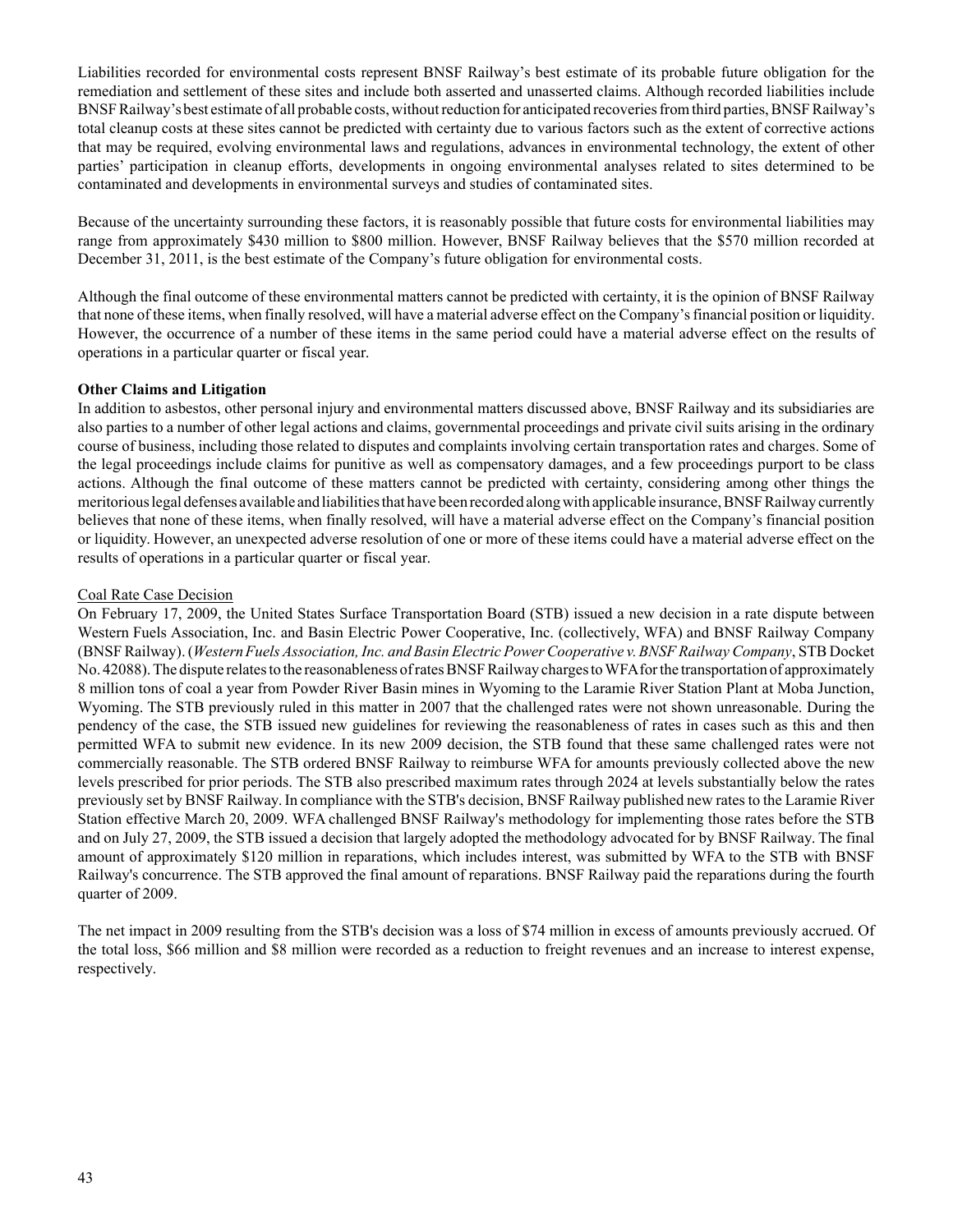Liabilities recorded for environmental costs represent BNSF Railway's best estimate of its probable future obligation for the remediation and settlement of these sites and include both asserted and unasserted claims. Although recorded liabilities include BNSF Railway's best estimate of all probable costs, without reduction for anticipated recoveries from third parties, BNSF Railway's total cleanup costs at these sites cannot be predicted with certainty due to various factors such as the extent of corrective actions that may be required, evolving environmental laws and regulations, advances in environmental technology, the extent of other parties' participation in cleanup efforts, developments in ongoing environmental analyses related to sites determined to be contaminated and developments in environmental surveys and studies of contaminated sites.

Because of the uncertainty surrounding these factors, it is reasonably possible that future costs for environmental liabilities may range from approximately \$430 million to \$800 million. However, BNSF Railway believes that the \$570 million recorded at December 31, 2011, is the best estimate of the Company's future obligation for environmental costs.

Although the final outcome of these environmental matters cannot be predicted with certainty, it is the opinion of BNSF Railway that none of these items, when finally resolved, will have a material adverse effect on the Company's financial position or liquidity. However, the occurrence of a number of these items in the same period could have a material adverse effect on the results of operations in a particular quarter or fiscal year.

### **Other Claims and Litigation**

In addition to asbestos, other personal injury and environmental matters discussed above, BNSF Railway and its subsidiaries are also parties to a number of other legal actions and claims, governmental proceedings and private civil suits arising in the ordinary course of business, including those related to disputes and complaints involving certain transportation rates and charges. Some of the legal proceedings include claims for punitive as well as compensatory damages, and a few proceedings purport to be class actions. Although the final outcome of these matters cannot be predicted with certainty, considering among other things the meritorious legal defenses available and liabilities that have been recorded along with applicable insurance, BNSF Railway currently believes that none of these items, when finally resolved, will have a material adverse effect on the Company's financial position or liquidity. However, an unexpected adverse resolution of one or more of these items could have a material adverse effect on the results of operations in a particular quarter or fiscal year.

### Coal Rate Case Decision

On February 17, 2009, the United States Surface Transportation Board (STB) issued a new decision in a rate dispute between Western Fuels Association, Inc. and Basin Electric Power Cooperative, Inc. (collectively, WFA) and BNSF Railway Company (BNSF Railway). (*Western Fuels Association, Inc. and Basin Electric Power Cooperative v. BNSF Railway Company*, STB Docket No. 42088). The dispute relates to the reasonableness of rates BNSF Railway charges to WFAfor the transportation of approximately 8 million tons of coal a year from Powder River Basin mines in Wyoming to the Laramie River Station Plant at Moba Junction, Wyoming. The STB previously ruled in this matter in 2007 that the challenged rates were not shown unreasonable. During the pendency of the case, the STB issued new guidelines for reviewing the reasonableness of rates in cases such as this and then permitted WFA to submit new evidence. In its new 2009 decision, the STB found that these same challenged rates were not commercially reasonable. The STB ordered BNSF Railway to reimburse WFA for amounts previously collected above the new levels prescribed for prior periods. The STB also prescribed maximum rates through 2024 at levels substantially below the rates previously set by BNSF Railway. In compliance with the STB's decision, BNSF Railway published new rates to the Laramie River Station effective March 20, 2009. WFA challenged BNSF Railway's methodology for implementing those rates before the STB and on July 27, 2009, the STB issued a decision that largely adopted the methodology advocated for by BNSF Railway. The final amount of approximately \$120 million in reparations, which includes interest, was submitted by WFA to the STB with BNSF Railway's concurrence. The STB approved the final amount of reparations. BNSF Railway paid the reparations during the fourth quarter of 2009.

The net impact in 2009 resulting from the STB's decision was a loss of \$74 million in excess of amounts previously accrued. Of the total loss, \$66 million and \$8 million were recorded as a reduction to freight revenues and an increase to interest expense, respectively.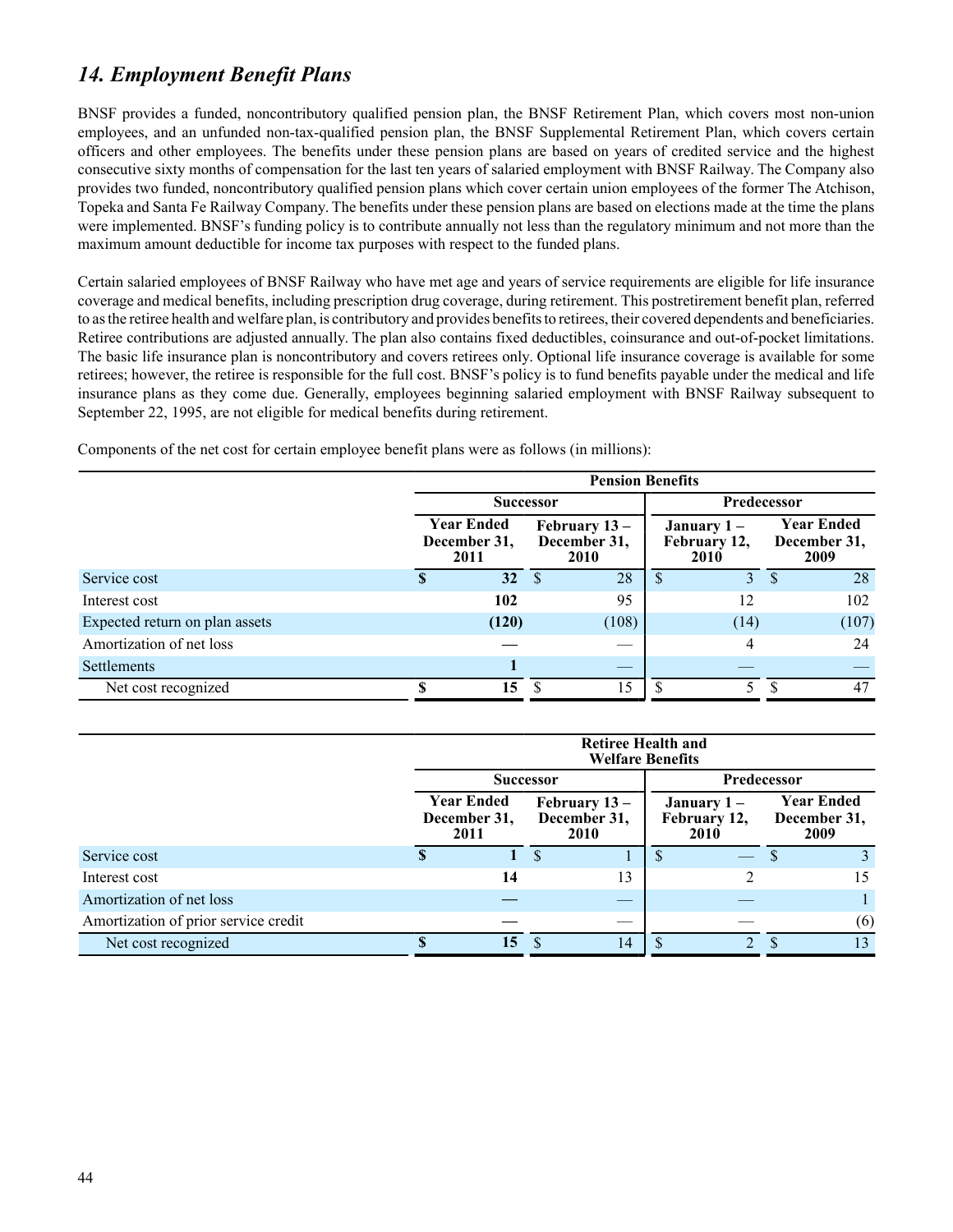# *14. Employment Benefit Plans*

BNSF provides a funded, noncontributory qualified pension plan, the BNSF Retirement Plan, which covers most non-union employees, and an unfunded non-tax-qualified pension plan, the BNSF Supplemental Retirement Plan, which covers certain officers and other employees. The benefits under these pension plans are based on years of credited service and the highest consecutive sixty months of compensation for the last ten years of salaried employment with BNSF Railway. The Company also provides two funded, noncontributory qualified pension plans which cover certain union employees of the former The Atchison, Topeka and Santa Fe Railway Company. The benefits under these pension plans are based on elections made at the time the plans were implemented. BNSF's funding policy is to contribute annually not less than the regulatory minimum and not more than the maximum amount deductible for income tax purposes with respect to the funded plans.

Certain salaried employees of BNSF Railway who have met age and years of service requirements are eligible for life insurance coverage and medical benefits, including prescription drug coverage, during retirement. This postretirement benefit plan, referred to as the retiree health and welfare plan, is contributory and provides benefits to retirees, their covered dependents and beneficiaries. Retiree contributions are adjusted annually. The plan also contains fixed deductibles, coinsurance and out-of-pocket limitations. The basic life insurance plan is noncontributory and covers retirees only. Optional life insurance coverage is available for some retirees; however, the retiree is responsible for the full cost. BNSF's policy is to fund benefits payable under the medical and life insurance plans as they come due. Generally, employees beginning salaried employment with BNSF Railway subsequent to September 22, 1995, are not eligible for medical benefits during retirement.

Components of the net cost for certain employee benefit plans were as follows (in millions):

|                                |   | <b>Pension Benefits</b>                   |    |                                       |             |                                    |               |                                           |  |  |  |  |
|--------------------------------|---|-------------------------------------------|----|---------------------------------------|-------------|------------------------------------|---------------|-------------------------------------------|--|--|--|--|
|                                |   | Successor                                 |    |                                       | Predecessor |                                    |               |                                           |  |  |  |  |
|                                |   | <b>Year Ended</b><br>December 31,<br>2011 |    | February 13 –<br>December 31,<br>2010 |             | January 1-<br>February 12,<br>2010 |               | <b>Year Ended</b><br>December 31,<br>2009 |  |  |  |  |
| Service cost                   | S | 32                                        | -S | 28                                    | \$          | 3 <sup>1</sup>                     | <sup>\$</sup> | 28                                        |  |  |  |  |
| Interest cost                  |   | 102                                       |    | 95                                    |             | 12                                 |               | 102                                       |  |  |  |  |
| Expected return on plan assets |   | (120)                                     |    | (108)                                 |             | (14)                               |               | (107)                                     |  |  |  |  |
| Amortization of net loss       |   |                                           |    |                                       |             | 4                                  |               | 24                                        |  |  |  |  |
| <b>Settlements</b>             |   |                                           |    |                                       |             |                                    |               |                                           |  |  |  |  |
| Net cost recognized            |   | 15                                        |    | 15                                    |             |                                    |               | 47                                        |  |  |  |  |

|                                      | <b>Retiree Health and</b><br><b>Welfare Benefits</b> |  |                                         |    |                                    |                                           |     |  |  |  |  |
|--------------------------------------|------------------------------------------------------|--|-----------------------------------------|----|------------------------------------|-------------------------------------------|-----|--|--|--|--|
|                                      |                                                      |  | <b>Successor</b>                        |    |                                    | Predecessor                               |     |  |  |  |  |
|                                      | <b>Year Ended</b><br>December 31,<br>2011            |  | February $13 -$<br>December 31,<br>2010 |    | January 1-<br>February 12,<br>2010 | <b>Year Ended</b><br>December 31,<br>2009 |     |  |  |  |  |
| Service cost                         |                                                      |  |                                         | S  |                                    |                                           | 3   |  |  |  |  |
| Interest cost                        | 14                                                   |  | 13                                      |    | ↑                                  |                                           | 15  |  |  |  |  |
| Amortization of net loss             |                                                      |  |                                         |    |                                    |                                           |     |  |  |  |  |
| Amortization of prior service credit |                                                      |  |                                         |    |                                    |                                           | (6) |  |  |  |  |
| Net cost recognized                  | 15                                                   |  | 14                                      | -S | $\mathcal{L}$                      | £.                                        | 13  |  |  |  |  |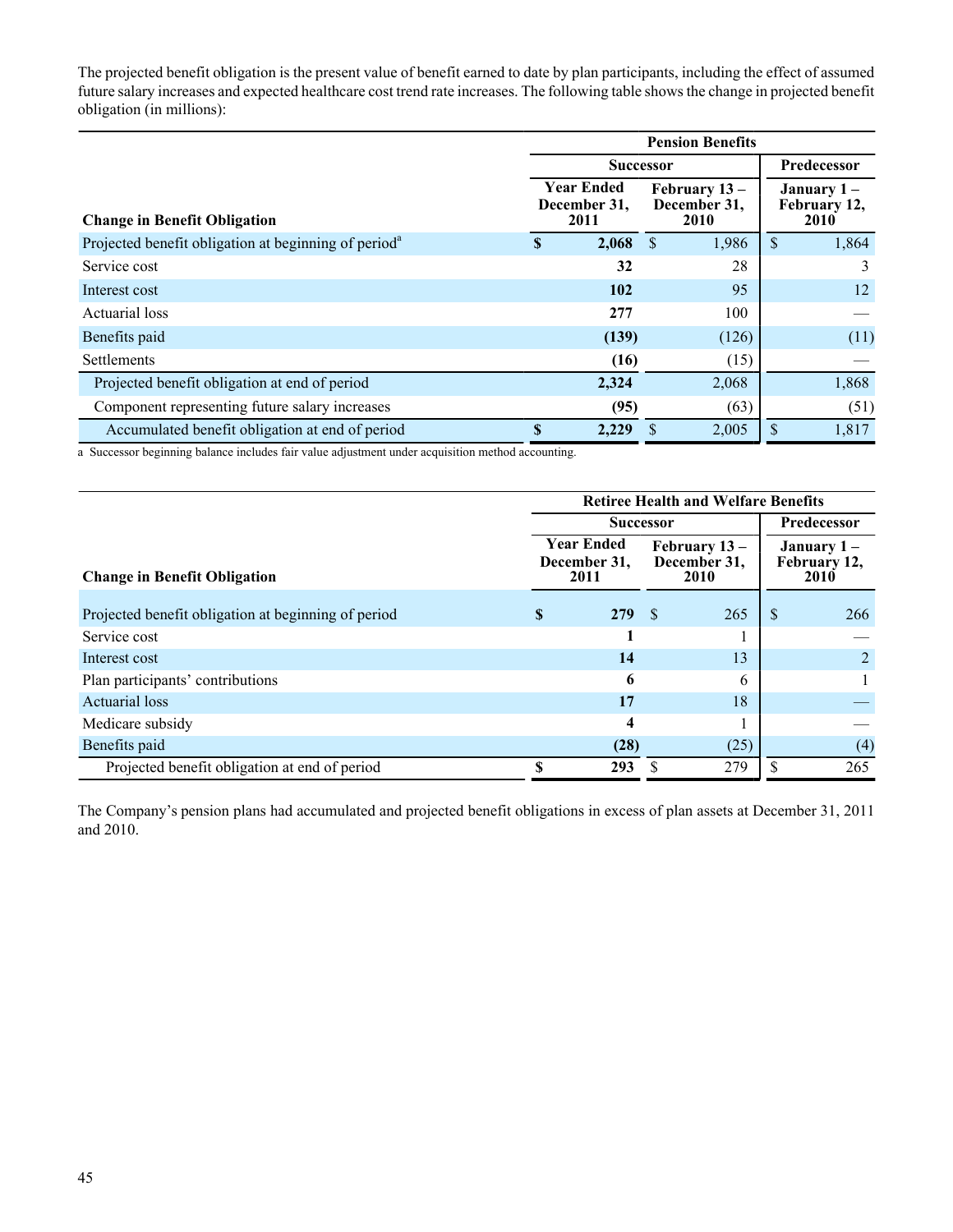The projected benefit obligation is the present value of benefit earned to date by plan participants, including the effect of assumed future salary increases and expected healthcare cost trend rate increases. The following table shows the change in projected benefit obligation (in millions):

|                                                                  | <b>Pension Benefits</b> |                                           |                                       |                                    |  |  |  |  |  |
|------------------------------------------------------------------|-------------------------|-------------------------------------------|---------------------------------------|------------------------------------|--|--|--|--|--|
|                                                                  |                         | Predecessor                               |                                       |                                    |  |  |  |  |  |
| <b>Change in Benefit Obligation</b>                              |                         | <b>Year Ended</b><br>December 31,<br>2011 | February 13 –<br>December 31,<br>2010 | January 1-<br>February 12,<br>2010 |  |  |  |  |  |
| Projected benefit obligation at beginning of period <sup>a</sup> | S                       | 2,068                                     | - \$<br>1,986                         | \$<br>1,864                        |  |  |  |  |  |
| Service cost                                                     |                         | 32                                        | 28                                    | 3                                  |  |  |  |  |  |
| Interest cost                                                    |                         | 102                                       | 95                                    | 12                                 |  |  |  |  |  |
| Actuarial loss                                                   |                         | 277                                       | 100                                   |                                    |  |  |  |  |  |
| Benefits paid                                                    |                         | (139)                                     | (126)                                 | (11)                               |  |  |  |  |  |
| <b>Settlements</b>                                               |                         | (16)                                      | (15)                                  |                                    |  |  |  |  |  |
| Projected benefit obligation at end of period                    |                         | 2,324                                     | 2,068                                 | 1,868                              |  |  |  |  |  |
| Component representing future salary increases                   |                         | (95)                                      | (63)<br>(51)                          |                                    |  |  |  |  |  |
| Accumulated benefit obligation at end of period                  | S                       | 2,229                                     | 2,005                                 | 1,817                              |  |  |  |  |  |

a Successor beginning balance includes fair value adjustment under acquisition method accounting.

|                                                     |   |                                           | <b>Retiree Health and Welfare Benefits</b> |               |                                           |
|-----------------------------------------------------|---|-------------------------------------------|--------------------------------------------|---------------|-------------------------------------------|
|                                                     |   |                                           | Predecessor                                |               |                                           |
| <b>Change in Benefit Obligation</b>                 |   | <b>Year Ended</b><br>December 31,<br>2011 | February 13 –<br>December 31,<br>2010      |               | January 1-<br>February 12,<br><b>2010</b> |
| Projected benefit obligation at beginning of period | S | 279S                                      | 265                                        | <sup>\$</sup> | 266                                       |
| Service cost                                        |   |                                           |                                            |               |                                           |
| Interest cost                                       |   | 14                                        | 13                                         |               |                                           |
| Plan participants' contributions                    |   | 6                                         | 6                                          |               |                                           |
| Actuarial loss                                      |   | 17                                        | 18                                         |               |                                           |
| Medicare subsidy                                    |   | 4                                         |                                            |               |                                           |
| Benefits paid                                       |   | (28)                                      | (25)                                       |               | (4)                                       |
| Projected benefit obligation at end of period       |   | 293                                       | 279                                        |               | 265                                       |

The Company's pension plans had accumulated and projected benefit obligations in excess of plan assets at December 31, 2011 and 2010.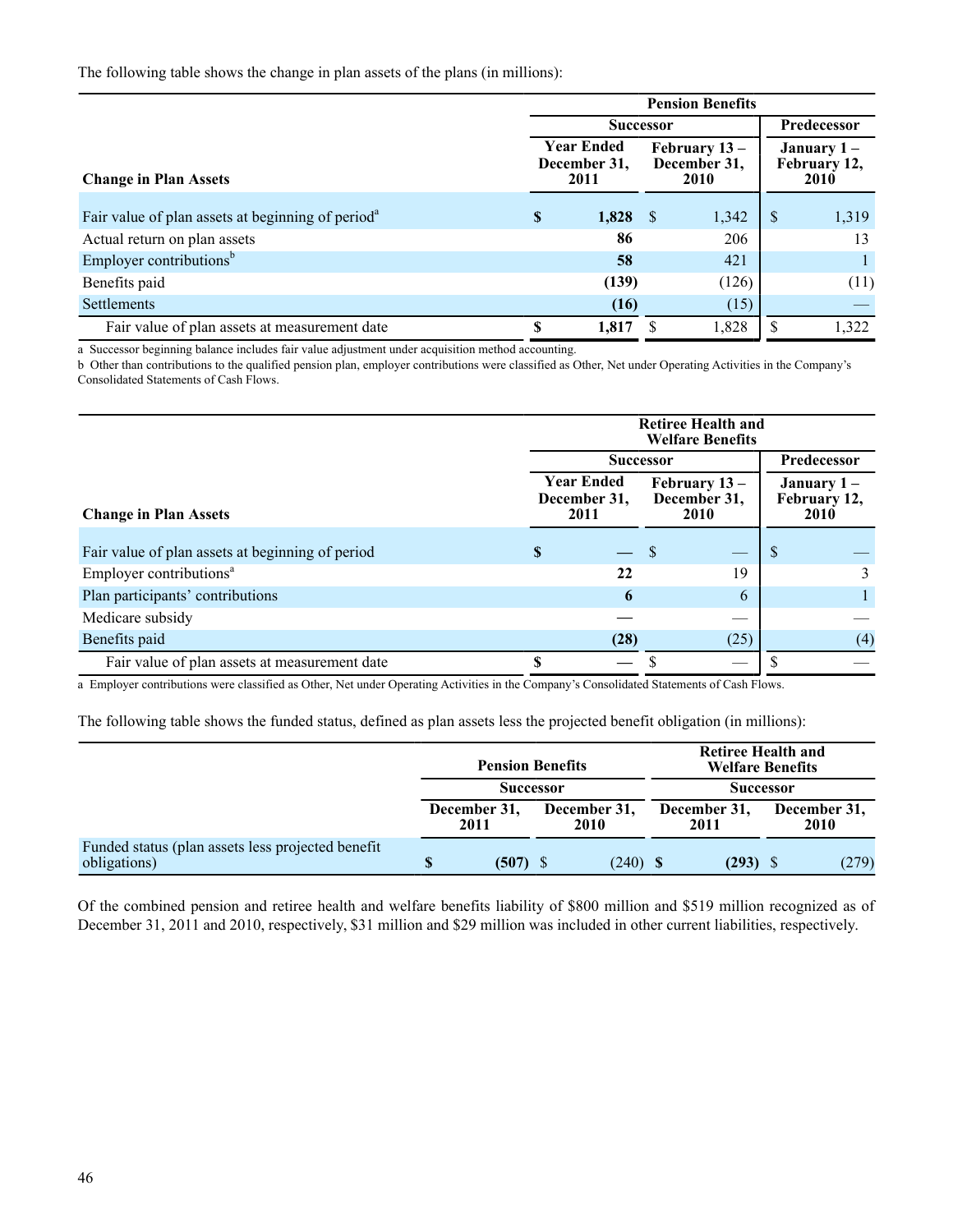The following table shows the change in plan assets of the plans (in millions):

|                                                               |   |                                           |  | <b>Pension Benefits</b>                 |              |                                    |
|---------------------------------------------------------------|---|-------------------------------------------|--|-----------------------------------------|--------------|------------------------------------|
|                                                               |   | <b>Successor</b>                          |  |                                         |              | Predecessor                        |
| <b>Change in Plan Assets</b>                                  |   | <b>Year Ended</b><br>December 31,<br>2011 |  | February $13 -$<br>December 31,<br>2010 |              | January 1-<br>February 12,<br>2010 |
| Fair value of plan assets at beginning of period <sup>a</sup> | S | $1,828$ \$                                |  | 1,342                                   | <sup>S</sup> | 1,319                              |
| Actual return on plan assets                                  |   | 86                                        |  | 206                                     |              | 13                                 |
| Employer contributions <sup>b</sup>                           |   | 58                                        |  | 421                                     |              |                                    |
| Benefits paid                                                 |   | (139)                                     |  | (126)                                   |              | (11)                               |
| <b>Settlements</b>                                            |   | (16)                                      |  | (15)                                    |              |                                    |
| Fair value of plan assets at measurement date                 | S | 1,817                                     |  | 1,828                                   | S            | 1,322                              |

a Successor beginning balance includes fair value adjustment under acquisition method accounting.

b Other than contributions to the qualified pension plan, employer contributions were classified as Other, Net under Operating Activities in the Company's Consolidated Statements of Cash Flows.

|                                                  | <b>Retiree Health and</b><br><b>Welfare Benefits</b> |                                           |  |                                       |                                           |             |  |  |  |  |  |
|--------------------------------------------------|------------------------------------------------------|-------------------------------------------|--|---------------------------------------|-------------------------------------------|-------------|--|--|--|--|--|
|                                                  |                                                      | <b>Successor</b>                          |  |                                       |                                           | Predecessor |  |  |  |  |  |
| <b>Change in Plan Assets</b>                     |                                                      | <b>Year Ended</b><br>December 31,<br>2011 |  | February 13 –<br>December 31,<br>2010 | January 1-<br>February 12,<br><b>2010</b> |             |  |  |  |  |  |
|                                                  |                                                      |                                           |  |                                       |                                           |             |  |  |  |  |  |
| Fair value of plan assets at beginning of period |                                                      |                                           |  |                                       | D                                         |             |  |  |  |  |  |
| Employer contributions <sup>a</sup>              |                                                      | 22                                        |  | 19                                    |                                           | 3           |  |  |  |  |  |
| Plan participants' contributions                 |                                                      | 6                                         |  | 6                                     |                                           |             |  |  |  |  |  |
| Medicare subsidy                                 |                                                      |                                           |  |                                       |                                           |             |  |  |  |  |  |
| Benefits paid                                    |                                                      | (28)                                      |  | (25)                                  |                                           | (4)         |  |  |  |  |  |
| Fair value of plan assets at measurement date    |                                                      |                                           |  |                                       |                                           |             |  |  |  |  |  |

a Employer contributions were classified as Other, Net under Operating Activities in the Company's Consolidated Statements of Cash Flows.

The following table shows the funded status, defined as plan assets less the projected benefit obligation (in millions):

|                                                                    | <b>Pension Benefits</b> |                      | <b>Retiree Health and</b><br><b>Welfare Benefits</b> |                      |       |
|--------------------------------------------------------------------|-------------------------|----------------------|------------------------------------------------------|----------------------|-------|
|                                                                    | <b>Successor</b>        |                      | <b>Successor</b>                                     |                      |       |
|                                                                    | December 31,<br>2011    | December 31,<br>2010 | December 31,<br>2011                                 | December 31,<br>2010 |       |
| Funded status (plan assets less projected benefit)<br>obligations) | $(507)$ \$              | (240)                | (293)                                                |                      | (279) |

Of the combined pension and retiree health and welfare benefits liability of \$800 million and \$519 million recognized as of December 31, 2011 and 2010, respectively, \$31 million and \$29 million was included in other current liabilities, respectively.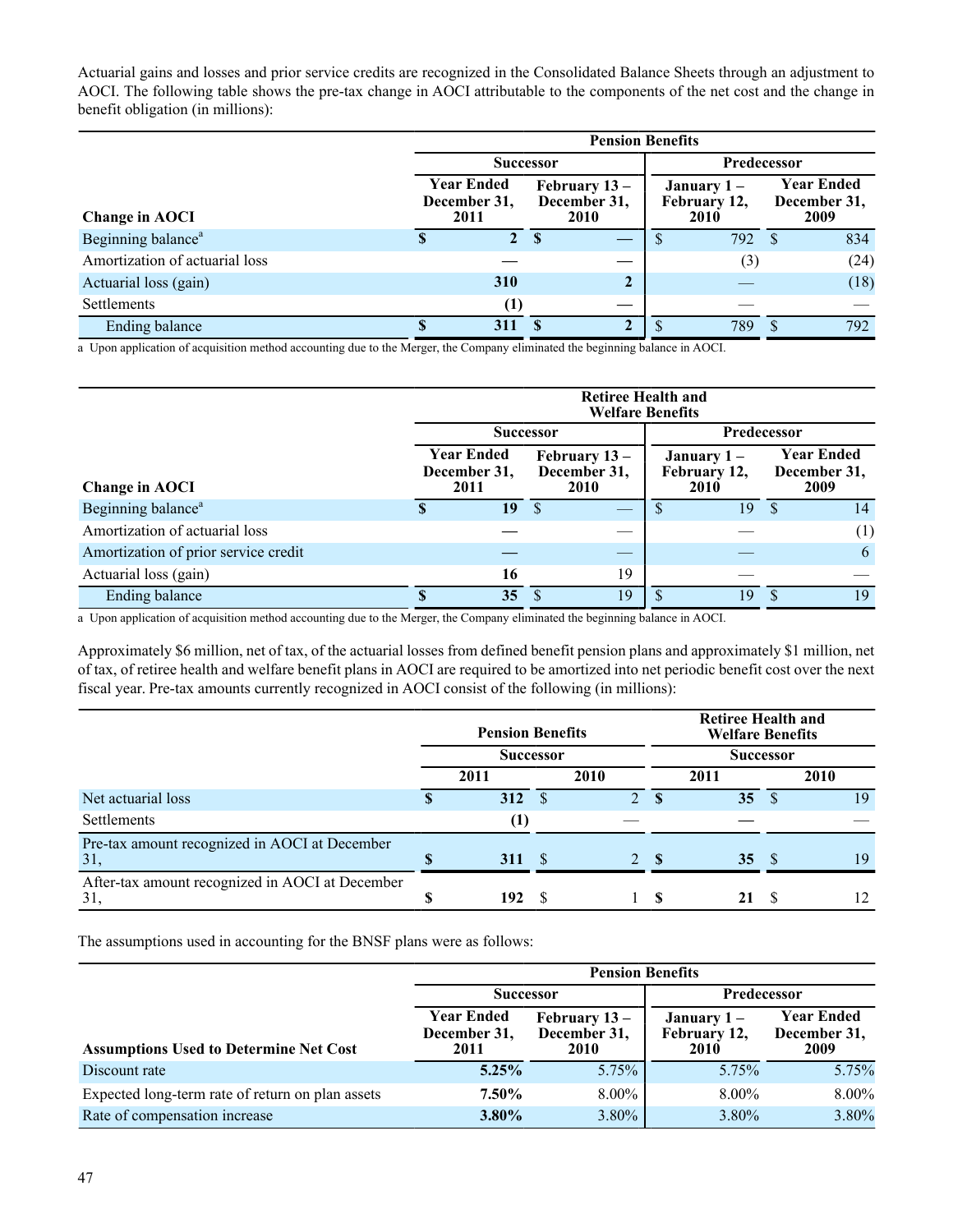Actuarial gains and losses and prior service credits are recognized in the Consolidated Balance Sheets through an adjustment to AOCI. The following table shows the pre-tax change in AOCI attributable to the components of the net cost and the change in benefit obligation (in millions):

|                                | <b>Pension Benefits</b>                   |                                        |                                       |                                           |  |  |  |  |  |
|--------------------------------|-------------------------------------------|----------------------------------------|---------------------------------------|-------------------------------------------|--|--|--|--|--|
|                                |                                           | <b>Successor</b>                       | <b>Predecessor</b>                    |                                           |  |  |  |  |  |
| <b>Change in AOCI</b>          | <b>Year Ended</b><br>December 31,<br>2011 | February $13-$<br>December 31,<br>2010 | January $1 -$<br>February 12,<br>2010 | <b>Year Ended</b><br>December 31,<br>2009 |  |  |  |  |  |
| Beginning balance <sup>a</sup> | $2^{\circ}$<br>S                          | <b>S</b>                               | 792<br>S                              | 834<br><sup>\$</sup>                      |  |  |  |  |  |
| Amortization of actuarial loss |                                           |                                        | (3)                                   | (24)                                      |  |  |  |  |  |
| Actuarial loss (gain)          | <b>310</b>                                | $\mathbf{2}$                           |                                       | (18)                                      |  |  |  |  |  |
| <b>Settlements</b>             | (1)                                       |                                        |                                       |                                           |  |  |  |  |  |
| Ending balance                 | 311                                       | <b>S</b>                               | 789                                   | 792<br>\$.                                |  |  |  |  |  |

a Upon application of acquisition method accounting due to the Merger, the Company eliminated the beginning balance in AOCI.

|                                      |    | <b>Retiree Health and</b><br><b>Welfare Benefits</b> |    |                                               |   |                                    |                                           |     |  |  |  |
|--------------------------------------|----|------------------------------------------------------|----|-----------------------------------------------|---|------------------------------------|-------------------------------------------|-----|--|--|--|
|                                      |    | <b>Successor</b>                                     |    |                                               |   | Predecessor                        |                                           |     |  |  |  |
| <b>Change in AOCI</b>                |    | <b>Year Ended</b><br>December 31,<br>2011            |    | February $13-$<br>December 31,<br><b>2010</b> |   | January 1-<br>February 12,<br>2010 | <b>Year Ended</b><br>December 31,<br>2009 |     |  |  |  |
| Beginning balance <sup>a</sup>       | S. | 19                                                   | -S |                                               | S | 19                                 | -S                                        | 14  |  |  |  |
| Amortization of actuarial loss       |    |                                                      |    |                                               |   |                                    |                                           | (1) |  |  |  |
| Amortization of prior service credit |    |                                                      |    |                                               |   |                                    |                                           | 6   |  |  |  |
| Actuarial loss (gain)                |    | 16                                                   |    | 19                                            |   |                                    |                                           |     |  |  |  |
| <b>Ending balance</b>                |    | 35 <sub>5</sub>                                      |    | 19                                            |   | 19                                 |                                           | 19  |  |  |  |

a Upon application of acquisition method accounting due to the Merger, the Company eliminated the beginning balance in AOCI.

Approximately \$6 million, net of tax, of the actuarial losses from defined benefit pension plans and approximately \$1 million, net of tax, of retiree health and welfare benefit plans in AOCI are required to be amortized into net periodic benefit cost over the next fiscal year. Pre-tax amounts currently recognized in AOCI consist of the following (in millions):

|                                                        | <b>Pension Benefits</b> |             |                  | <b>Retiree Health and</b><br><b>Welfare Benefits</b> |     |      |
|--------------------------------------------------------|-------------------------|-------------|------------------|------------------------------------------------------|-----|------|
|                                                        | <b>Successor</b>        |             | <b>Successor</b> |                                                      |     |      |
|                                                        | 2011                    | 2010        |                  | 2011                                                 |     | 2010 |
| Net actuarial loss                                     | 312                     | $2^{\circ}$ | S                | 35                                                   |     | 19   |
| <b>Settlements</b>                                     |                         |             |                  |                                                      |     |      |
| Pre-tax amount recognized in AOCI at December<br>31,   | 311                     | $2^{\circ}$ | -8               | 35                                                   | - 8 | 19   |
| After-tax amount recognized in AOCI at December<br>31, | 192                     |             |                  | 21                                                   |     | 12   |

The assumptions used in accounting for the BNSF plans were as follows:

|                                                  | <b>Pension Benefits</b>                   |                                        |                                    |                                           |  |  |  |  |  |  |
|--------------------------------------------------|-------------------------------------------|----------------------------------------|------------------------------------|-------------------------------------------|--|--|--|--|--|--|
|                                                  | <b>Successor</b>                          |                                        | Predecessor                        |                                           |  |  |  |  |  |  |
| <b>Assumptions Used to Determine Net Cost</b>    | <b>Year Ended</b><br>December 31,<br>2011 | February $13-$<br>December 31,<br>2010 | January 1-<br>February 12,<br>2010 | <b>Year Ended</b><br>December 31,<br>2009 |  |  |  |  |  |  |
| Discount rate                                    | $5.25\%$                                  | $5.75\%$                               | 5.75%                              | 5.75%                                     |  |  |  |  |  |  |
| Expected long-term rate of return on plan assets | 7.50%                                     | 8.00%                                  | $8.00\%$                           | $8.00\%$                                  |  |  |  |  |  |  |
| Rate of compensation increase                    | $3.80\%$                                  | 3.80%                                  | 3.80%                              | 3.80%                                     |  |  |  |  |  |  |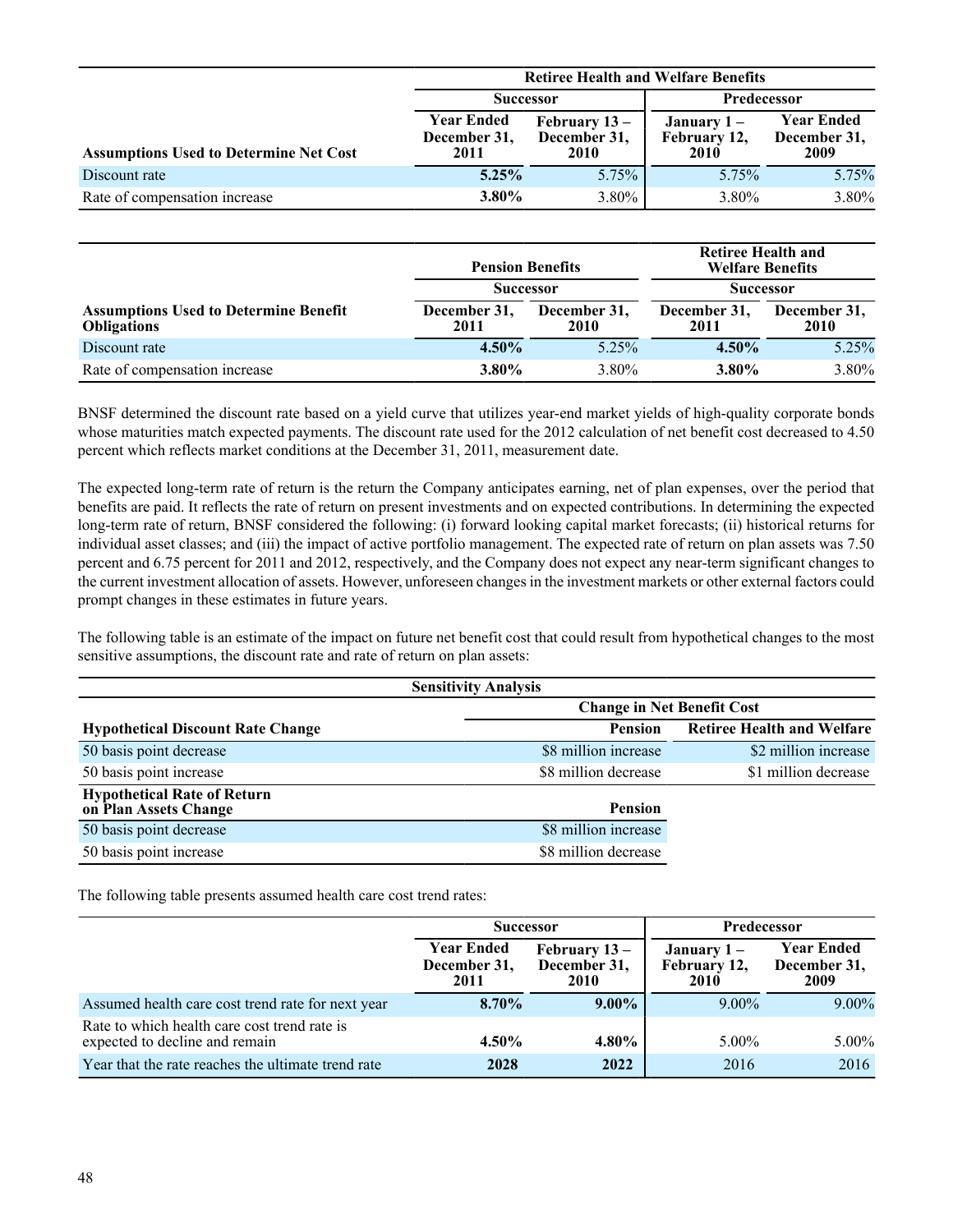|                                               | <b>Retiree Health and Welfare Benefits</b> |                                         |                                    |                                           |  |  |  |  |  |  |
|-----------------------------------------------|--------------------------------------------|-----------------------------------------|------------------------------------|-------------------------------------------|--|--|--|--|--|--|
|                                               | <b>Successor</b>                           |                                         | <b>Predecessor</b>                 |                                           |  |  |  |  |  |  |
| <b>Assumptions Used to Determine Net Cost</b> | <b>Year Ended</b><br>December 31,<br>2011  | February $13 -$<br>December 31,<br>2010 | January 1-<br>February 12,<br>2010 | <b>Year Ended</b><br>December 31,<br>2009 |  |  |  |  |  |  |
| Discount rate                                 | $5.25\%$                                   | $5.75\%$                                | 5.75%                              | 5.75%                                     |  |  |  |  |  |  |
| Rate of compensation increase                 | $3.80\%$                                   | 3.80%                                   | 3.80%                              | 3.80%                                     |  |  |  |  |  |  |

|                                                                    | <b>Pension Benefits</b> |                      | <b>Retiree Health and</b><br><b>Welfare Benefits</b> |                      |  |  |  |
|--------------------------------------------------------------------|-------------------------|----------------------|------------------------------------------------------|----------------------|--|--|--|
|                                                                    | Successor               |                      |                                                      |                      |  |  |  |
| <b>Assumptions Used to Determine Benefit</b><br><b>Obligations</b> | December 31,<br>2011    | December 31,<br>2010 | December 31,<br>2011                                 | December 31,<br>2010 |  |  |  |
| Discount rate                                                      | $4.50\%$                | 5.25%                | $4.50\%$                                             | 5.25%                |  |  |  |
| Rate of compensation increase                                      | $3.80\%$                | 3.80%                | 3.80%                                                | 3.80%                |  |  |  |

BNSF determined the discount rate based on a yield curve that utilizes year-end market yields of high-quality corporate bonds whose maturities match expected payments. The discount rate used for the 2012 calculation of net benefit cost decreased to 4.50 percent which reflects market conditions at the December 31, 2011, measurement date.

The expected long-term rate of return is the return the Company anticipates earning, net of plan expenses, over the period that benefits are paid. It reflects the rate of return on present investments and on expected contributions. In determining the expected long-term rate of return, BNSF considered the following: (i) forward looking capital market forecasts; (ii) historical returns for individual asset classes; and (iii) the impact of active portfolio management. The expected rate of return on plan assets was 7.50 percent and 6.75 percent for 2011 and 2012, respectively, and the Company does not expect any near-term significant changes to the current investment allocation of assets. However, unforeseen changes in the investment markets or other external factors could prompt changes in these estimates in future years.

The following table is an estimate of the impact on future net benefit cost that could result from hypothetical changes to the most sensitive assumptions, the discount rate and rate of return on plan assets:

| <b>Sensitivity Analysis</b>                                 |                                   |                                   |  |  |  |  |  |  |  |
|-------------------------------------------------------------|-----------------------------------|-----------------------------------|--|--|--|--|--|--|--|
|                                                             | <b>Change in Net Benefit Cost</b> |                                   |  |  |  |  |  |  |  |
| <b>Hypothetical Discount Rate Change</b>                    | <b>Pension</b>                    | <b>Retiree Health and Welfare</b> |  |  |  |  |  |  |  |
| 50 basis point decrease                                     | \$8 million increase              | \$2 million increase              |  |  |  |  |  |  |  |
| 50 basis point increase                                     | \$8 million decrease              | \$1 million decrease              |  |  |  |  |  |  |  |
| <b>Hypothetical Rate of Return</b><br>on Plan Assets Change | <b>Pension</b>                    |                                   |  |  |  |  |  |  |  |
| 50 basis point decrease                                     | \$8 million increase              |                                   |  |  |  |  |  |  |  |
| 50 basis point increase                                     | \$8 million decrease              |                                   |  |  |  |  |  |  |  |

The following table presents assumed health care cost trend rates:

|                                                                                | <b>Successor</b>                          |                                        | Predecessor                        |                                           |
|--------------------------------------------------------------------------------|-------------------------------------------|----------------------------------------|------------------------------------|-------------------------------------------|
|                                                                                | <b>Year Ended</b><br>December 31,<br>2011 | February $13-$<br>December 31,<br>2010 | January 1-<br>February 12,<br>2010 | <b>Year Ended</b><br>December 31,<br>2009 |
| Assumed health care cost trend rate for next year                              | 8.70%                                     | $9.00\%$                               | $9.00\%$                           | $9.00\%$                                  |
| Rate to which health care cost trend rate is<br>expected to decline and remain | $4.50\%$                                  | $4.80\%$                               | $5.00\%$                           | $5.00\%$                                  |
| Year that the rate reaches the ultimate trend rate                             | 2028                                      | 2022                                   | 2016                               | 2016                                      |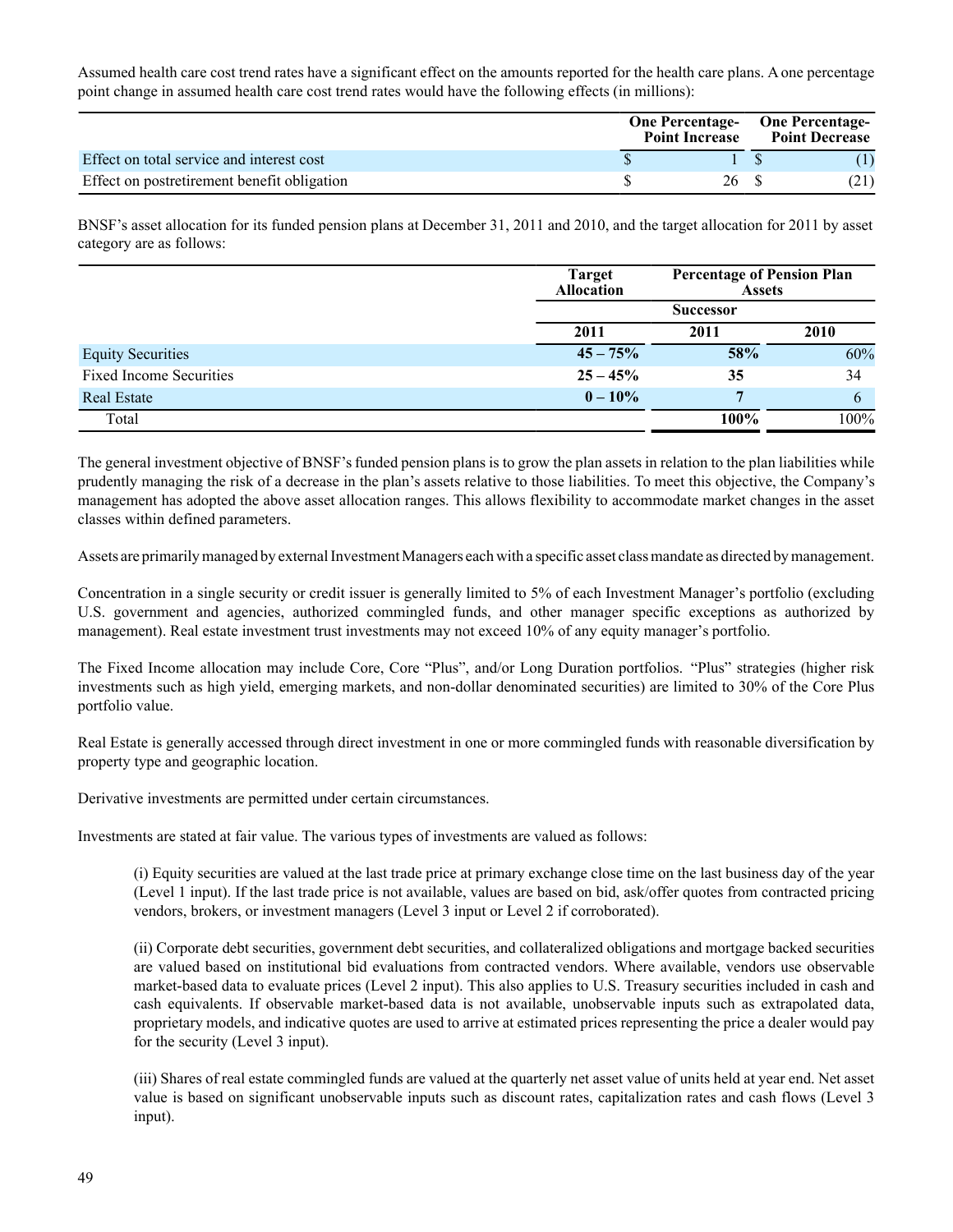Assumed health care cost trend rates have a significant effect on the amounts reported for the health care plans. A one percentage point change in assumed health care cost trend rates would have the following effects (in millions):

|                                             | <b>Point Increase</b> | One Percentage- One Percentage-<br><b>Point Decrease</b> |
|---------------------------------------------|-----------------------|----------------------------------------------------------|
| Effect on total service and interest cost   |                       |                                                          |
| Effect on postretirement benefit obligation | 26 S                  |                                                          |

BNSF's asset allocation for its funded pension plans at December 31, 2011 and 2010, and the target allocation for 2011 by asset category are as follows:

|                                | <b>Target</b><br><b>Allocation</b> | <b>Percentage of Pension Plan</b><br><b>Assets</b> |      |  |  |
|--------------------------------|------------------------------------|----------------------------------------------------|------|--|--|
|                                |                                    | <b>Successor</b>                                   |      |  |  |
|                                | 2011                               | 2011                                               | 2010 |  |  |
| <b>Equity Securities</b>       | $45 - 75%$                         | 58%                                                | 60%  |  |  |
| <b>Fixed Income Securities</b> | $25 - 45%$                         | 35                                                 | 34   |  |  |
| <b>Real Estate</b>             | $0 - 10\%$                         | 7                                                  | 6    |  |  |
| Total                          |                                    | 100%                                               | 100% |  |  |

The general investment objective of BNSF's funded pension plans is to grow the plan assets in relation to the plan liabilities while prudently managing the risk of a decrease in the plan's assets relative to those liabilities. To meet this objective, the Company's management has adopted the above asset allocation ranges. This allows flexibility to accommodate market changes in the asset classes within defined parameters.

Assets are primarily managed by external Investment Managers each with a specific asset class mandate as directed by management.

Concentration in a single security or credit issuer is generally limited to 5% of each Investment Manager's portfolio (excluding U.S. government and agencies, authorized commingled funds, and other manager specific exceptions as authorized by management). Real estate investment trust investments may not exceed 10% of any equity manager's portfolio.

The Fixed Income allocation may include Core, Core "Plus", and/or Long Duration portfolios. "Plus" strategies (higher risk investments such as high yield, emerging markets, and non-dollar denominated securities) are limited to 30% of the Core Plus portfolio value.

Real Estate is generally accessed through direct investment in one or more commingled funds with reasonable diversification by property type and geographic location.

Derivative investments are permitted under certain circumstances.

Investments are stated at fair value. The various types of investments are valued as follows:

(i) Equity securities are valued at the last trade price at primary exchange close time on the last business day of the year (Level 1 input). If the last trade price is not available, values are based on bid, ask/offer quotes from contracted pricing vendors, brokers, or investment managers (Level 3 input or Level 2 if corroborated).

(ii) Corporate debt securities, government debt securities, and collateralized obligations and mortgage backed securities are valued based on institutional bid evaluations from contracted vendors. Where available, vendors use observable market-based data to evaluate prices (Level 2 input). This also applies to U.S. Treasury securities included in cash and cash equivalents. If observable market-based data is not available, unobservable inputs such as extrapolated data, proprietary models, and indicative quotes are used to arrive at estimated prices representing the price a dealer would pay for the security (Level 3 input).

(iii) Shares of real estate commingled funds are valued at the quarterly net asset value of units held at year end. Net asset value is based on significant unobservable inputs such as discount rates, capitalization rates and cash flows (Level 3 input).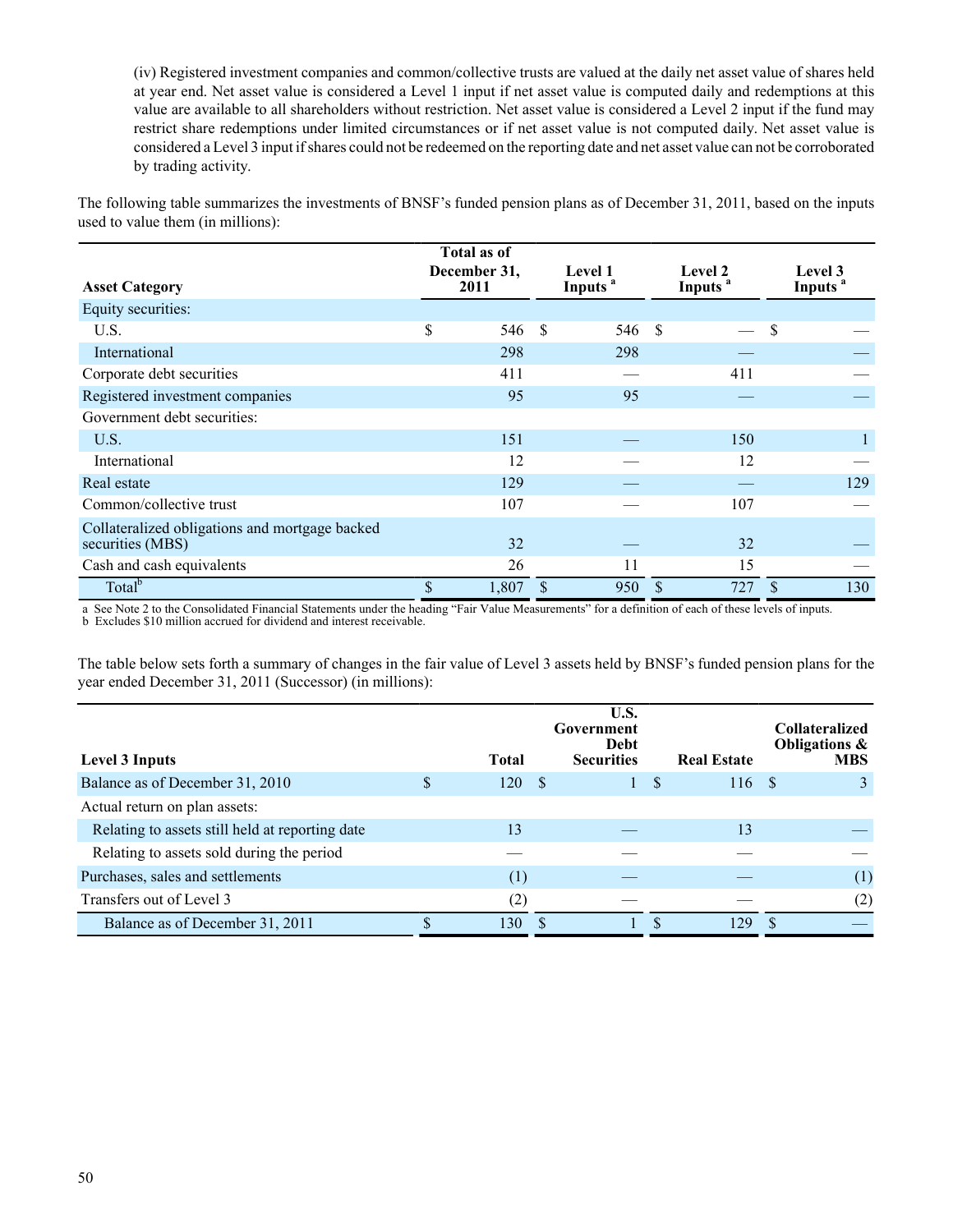(iv) Registered investment companies and common/collective trusts are valued at the daily net asset value of shares held at year end. Net asset value is considered a Level 1 input if net asset value is computed daily and redemptions at this value are available to all shareholders without restriction. Net asset value is considered a Level 2 input if the fund may restrict share redemptions under limited circumstances or if net asset value is not computed daily. Net asset value is considered a Level 3 input if shares could not be redeemed on the reporting date and net asset value can not be corroborated by trading activity.

The following table summarizes the investments of BNSF's funded pension plans as of December 31, 2011, based on the inputs used to value them (in millions):

|                                                                    |               | <b>Total as of</b>   |    |                                |     |                                |     |                                |
|--------------------------------------------------------------------|---------------|----------------------|----|--------------------------------|-----|--------------------------------|-----|--------------------------------|
| <b>Asset Category</b>                                              |               | December 31,<br>2011 |    | Level 1<br>Inputs <sup>a</sup> |     | Level 2<br>Inputs <sup>a</sup> |     | Level 3<br>Inputs <sup>a</sup> |
| Equity securities:                                                 |               |                      |    |                                |     |                                |     |                                |
| U.S.                                                               | <sup>\$</sup> | 546                  | -S | 546                            | -\$ |                                | S   |                                |
| International                                                      |               | 298                  |    | 298                            |     |                                |     |                                |
| Corporate debt securities                                          |               | 411                  |    |                                |     | 411                            |     |                                |
| Registered investment companies                                    |               | 95                   |    | 95                             |     |                                |     |                                |
| Government debt securities:                                        |               |                      |    |                                |     |                                |     |                                |
| U.S.                                                               |               | 151                  |    |                                |     | 150                            |     | 1                              |
| International                                                      |               | 12                   |    |                                |     | 12                             |     |                                |
| Real estate                                                        |               | 129                  |    |                                |     |                                |     | 129                            |
| Common/collective trust                                            |               | 107                  |    |                                |     | 107                            |     |                                |
| Collateralized obligations and mortgage backed<br>securities (MBS) |               | 32                   |    |                                |     | 32                             |     |                                |
| Cash and cash equivalents                                          |               | 26                   |    | 11                             |     | 15                             |     |                                |
| Total <sup>b</sup>                                                 | \$            | 1,807                | S  | 950                            | \$. | 727                            | \$. | 130                            |

a See Note 2 to the Consolidated Financial Statements under the heading "Fair Value Measurements" for a definition of each of these levels of inputs. b Excludes \$10 million accrued for dividend and interest receivable.

The table below sets forth a summary of changes in the fair value of Level 3 assets held by BNSF's funded pension plans for the year ended December 31, 2011 (Successor) (in millions):

| Level 3 Inputs                                  |   | <b>Total</b> |    | U.S.<br>Government<br>Debt<br><b>Securities</b> |   | <b>Real Estate</b> | <b>Collateralized</b><br>Obligations &<br><b>MBS</b> |
|-------------------------------------------------|---|--------------|----|-------------------------------------------------|---|--------------------|------------------------------------------------------|
| Balance as of December 31, 2010                 | S | 120          | -S |                                                 | S | 116S               |                                                      |
| Actual return on plan assets:                   |   |              |    |                                                 |   |                    |                                                      |
| Relating to assets still held at reporting date |   | 13           |    |                                                 |   | 13                 |                                                      |
| Relating to assets sold during the period       |   |              |    |                                                 |   |                    |                                                      |
| Purchases, sales and settlements                |   | (1)          |    |                                                 |   |                    | (1)                                                  |
| Transfers out of Level 3                        |   | (2)          |    |                                                 |   |                    | (2)                                                  |
| Balance as of December 31, 2011                 |   | 130          |    |                                                 |   | 129                |                                                      |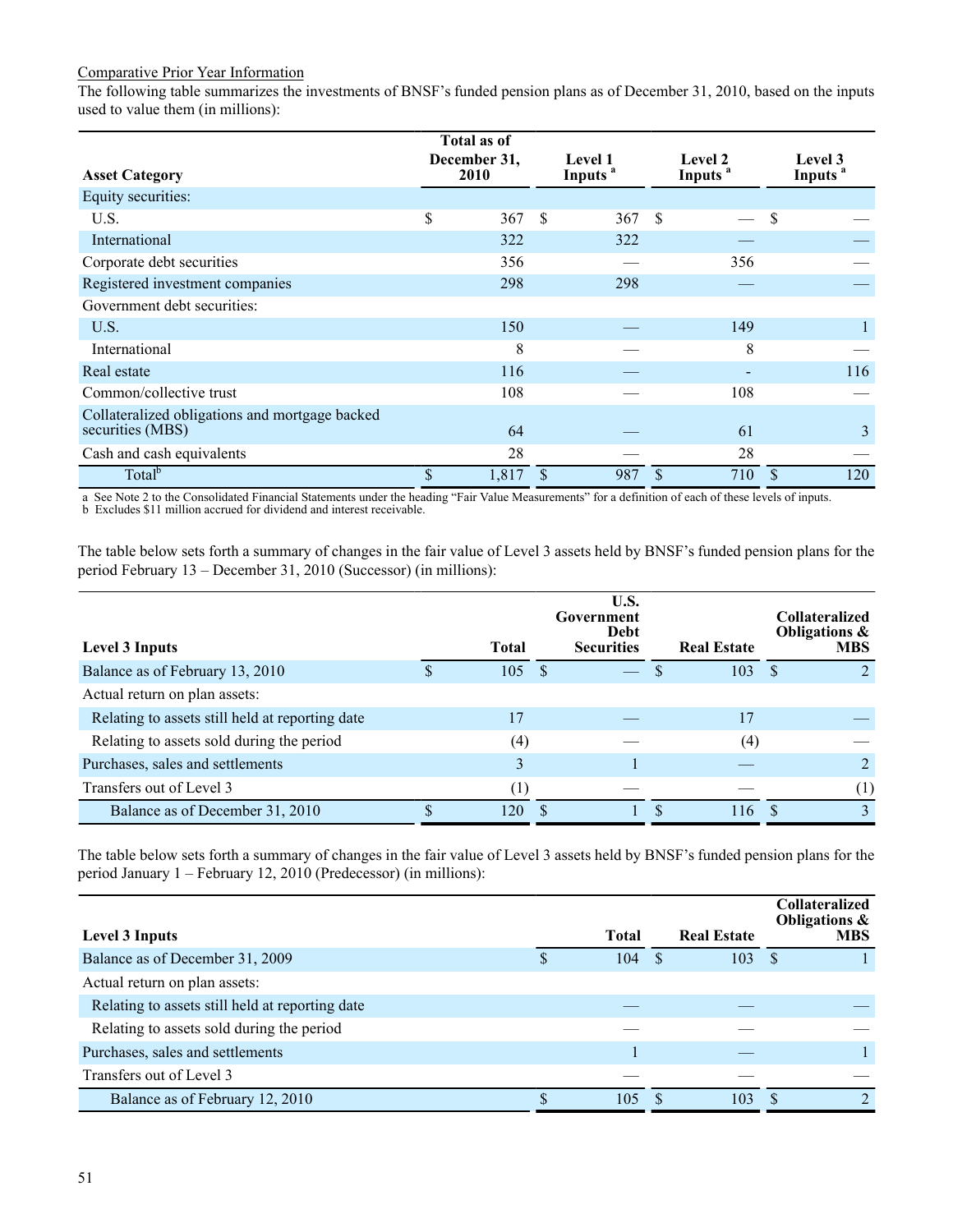### Comparative Prior Year Information

The following table summarizes the investments of BNSF's funded pension plans as of December 31, 2010, based on the inputs used to value them (in millions):

|                                                                    | <b>Total as of</b>          |                                       |     |               |                                |                                |
|--------------------------------------------------------------------|-----------------------------|---------------------------------------|-----|---------------|--------------------------------|--------------------------------|
| <b>Asset Category</b>                                              | December 31,<br><b>2010</b> | <b>Level 1</b><br>Inputs <sup>a</sup> |     |               | Level 2<br>Inputs <sup>a</sup> | Level 3<br>Inputs <sup>a</sup> |
| Equity securities:                                                 |                             |                                       |     |               |                                |                                |
| U.S.                                                               | \$<br>367                   | <sup>S</sup>                          | 367 | \$            |                                | \$                             |
| International                                                      | 322                         |                                       | 322 |               |                                |                                |
| Corporate debt securities                                          | 356                         |                                       |     |               | 356                            |                                |
| Registered investment companies                                    | 298                         |                                       | 298 |               |                                |                                |
| Government debt securities:                                        |                             |                                       |     |               |                                |                                |
| U.S.                                                               | 150                         |                                       |     |               | 149                            |                                |
| International                                                      | 8                           |                                       |     |               | 8                              |                                |
| Real estate                                                        | 116                         |                                       |     |               |                                | 116                            |
| Common/collective trust                                            | 108                         |                                       |     |               | 108                            |                                |
| Collateralized obligations and mortgage backed<br>securities (MBS) | 64                          |                                       |     |               | 61                             | 3                              |
| Cash and cash equivalents                                          | 28                          |                                       |     |               | 28                             |                                |
| Total <sup>b</sup>                                                 | \$<br>1,817                 | \$                                    | 987 | <sup>\$</sup> | 710                            | 120                            |

a See Note 2 to the Consolidated Financial Statements under the heading "Fair Value Measurements" for a definition of each of these levels of inputs. b Excludes \$11 million accrued for dividend and interest receivable.

The table below sets forth a summary of changes in the fair value of Level 3 assets held by BNSF's funded pension plans for the period February 13 – December 31, 2010 (Successor) (in millions):

| Level 3 Inputs                                  | <b>Total</b> | U.S.<br>Government<br><b>Debt</b><br><b>Securities</b> | <b>Real Estate</b> |          | <b>Collateralized</b><br><b>Obligations &amp;</b><br><b>MBS</b> |
|-------------------------------------------------|--------------|--------------------------------------------------------|--------------------|----------|-----------------------------------------------------------------|
| Balance as of February 13, 2010                 | 105          |                                                        | 103                |          |                                                                 |
| Actual return on plan assets:                   |              |                                                        |                    |          |                                                                 |
| Relating to assets still held at reporting date | 17           |                                                        | 17                 |          |                                                                 |
| Relating to assets sold during the period       | (4)          |                                                        | (4)                |          |                                                                 |
| Purchases, sales and settlements                | 3            |                                                        |                    |          | $\mathcal{D}_{\mathcal{L}}$                                     |
| Transfers out of Level 3                        | (1)          |                                                        |                    |          | (1)                                                             |
| Balance as of December 31, 2010                 | 120          |                                                        | 116                | <b>S</b> | $\mathbf{R}$                                                    |

The table below sets forth a summary of changes in the fair value of Level 3 assets held by BNSF's funded pension plans for the period January 1 – February 12, 2010 (Predecessor) (in millions):

|                                                 |              |                    |              | <b>Collateralized</b><br>Obligations & |
|-------------------------------------------------|--------------|--------------------|--------------|----------------------------------------|
| <b>Level 3 Inputs</b>                           | <b>Total</b> | <b>Real Estate</b> |              | <b>MBS</b>                             |
| Balance as of December 31, 2009                 | 104          | 103                | <sup>S</sup> |                                        |
| Actual return on plan assets:                   |              |                    |              |                                        |
| Relating to assets still held at reporting date |              |                    |              |                                        |
| Relating to assets sold during the period       |              |                    |              |                                        |
| Purchases, sales and settlements                |              |                    |              |                                        |
| Transfers out of Level 3                        |              |                    |              |                                        |
| Balance as of February 12, 2010                 | 105          | 103                |              | $\mathcal{D}$                          |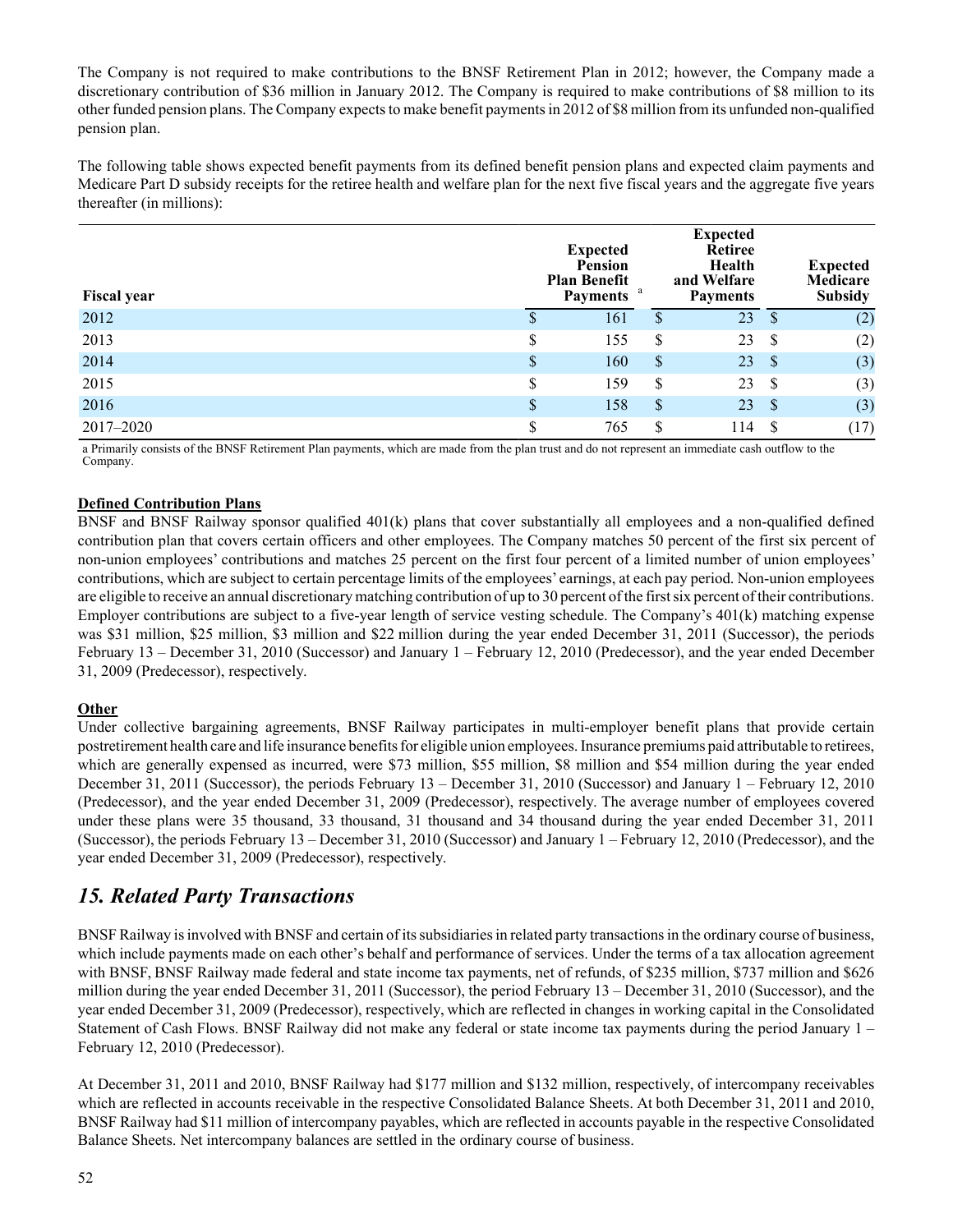The Company is not required to make contributions to the BNSF Retirement Plan in 2012; however, the Company made a discretionary contribution of \$36 million in January 2012. The Company is required to make contributions of \$8 million to its other funded pension plans. The Company expects to make benefit payments in 2012 of \$8 million from its unfunded non-qualified pension plan.

The following table shows expected benefit payments from its defined benefit pension plans and expected claim payments and Medicare Part D subsidy receipts for the retiree health and welfare plan for the next five fiscal years and the aggregate five years thereafter (in millions):

| <b>Fiscal year</b> |                           | <b>Expected</b><br><b>Pension</b><br><b>Plan Benefit</b><br><b>Payments</b> |                           | <b>Expected</b><br>Retiree<br>Health<br>and Welfare<br><b>Payments</b> |              | <b>Expected</b><br>Medicare<br><b>Subsidy</b> |
|--------------------|---------------------------|-----------------------------------------------------------------------------|---------------------------|------------------------------------------------------------------------|--------------|-----------------------------------------------|
| 2012               |                           | 161                                                                         | S                         | 23                                                                     | <sup>S</sup> | (2)                                           |
| 2013               | \$                        | 155                                                                         | S                         | 23                                                                     | - \$         | (2)                                           |
| 2014               | \$                        | 160                                                                         | \$                        | 23                                                                     | - \$         | (3)                                           |
| 2015               | \$                        | 159                                                                         | \$                        | 23                                                                     | - \$         | (3)                                           |
| 2016               | $\boldsymbol{\mathsf{S}}$ | 158                                                                         | $\boldsymbol{\mathsf{S}}$ | 23                                                                     | $\mathbf S$  | (3)                                           |
| 2017-2020          | \$                        | 765                                                                         | \$                        | 114                                                                    | S            | (17)                                          |

a Primarily consists of the BNSF Retirement Plan payments, which are made from the plan trust and do not represent an immediate cash outflow to the Company.

### **Defined Contribution Plans**

BNSF and BNSF Railway sponsor qualified 401(k) plans that cover substantially all employees and a non-qualified defined contribution plan that covers certain officers and other employees. The Company matches 50 percent of the first six percent of non-union employees' contributions and matches 25 percent on the first four percent of a limited number of union employees' contributions, which are subject to certain percentage limits of the employees' earnings, at each pay period. Non-union employees are eligible to receive an annual discretionary matching contribution of up to 30 percent of the first six percent of their contributions. Employer contributions are subject to a five-year length of service vesting schedule. The Company's 401(k) matching expense was \$31 million, \$25 million, \$3 million and \$22 million during the year ended December 31, 2011 (Successor), the periods February 13 – December 31, 2010 (Successor) and January 1 – February 12, 2010 (Predecessor), and the year ended December 31, 2009 (Predecessor), respectively.

### **Other**

Under collective bargaining agreements, BNSF Railway participates in multi-employer benefit plans that provide certain postretirement health care and life insurance benefits for eligible union employees. Insurance premiums paid attributable to retirees, which are generally expensed as incurred, were \$73 million, \$55 million, \$8 million and \$54 million during the year ended December 31, 2011 (Successor), the periods February 13 – December 31, 2010 (Successor) and January 1 – February 12, 2010 (Predecessor), and the year ended December 31, 2009 (Predecessor), respectively. The average number of employees covered under these plans were 35 thousand, 33 thousand, 31 thousand and 34 thousand during the year ended December 31, 2011 (Successor), the periods February 13 – December 31, 2010 (Successor) and January 1 – February 12, 2010 (Predecessor), and the year ended December 31, 2009 (Predecessor), respectively.

### *15. Related Party Transactions*

BNSF Railway is involved with BNSF and certain of its subsidiaries in related party transactions in the ordinary course of business, which include payments made on each other's behalf and performance of services. Under the terms of a tax allocation agreement with BNSF, BNSF Railway made federal and state income tax payments, net of refunds, of \$235 million, \$737 million and \$626 million during the year ended December 31, 2011 (Successor), the period February 13 – December 31, 2010 (Successor), and the year ended December 31, 2009 (Predecessor), respectively, which are reflected in changes in working capital in the Consolidated Statement of Cash Flows. BNSF Railway did not make any federal or state income tax payments during the period January 1 – February 12, 2010 (Predecessor).

At December 31, 2011 and 2010, BNSF Railway had \$177 million and \$132 million, respectively, of intercompany receivables which are reflected in accounts receivable in the respective Consolidated Balance Sheets. At both December 31, 2011 and 2010, BNSF Railway had \$11 million of intercompany payables, which are reflected in accounts payable in the respective Consolidated Balance Sheets. Net intercompany balances are settled in the ordinary course of business.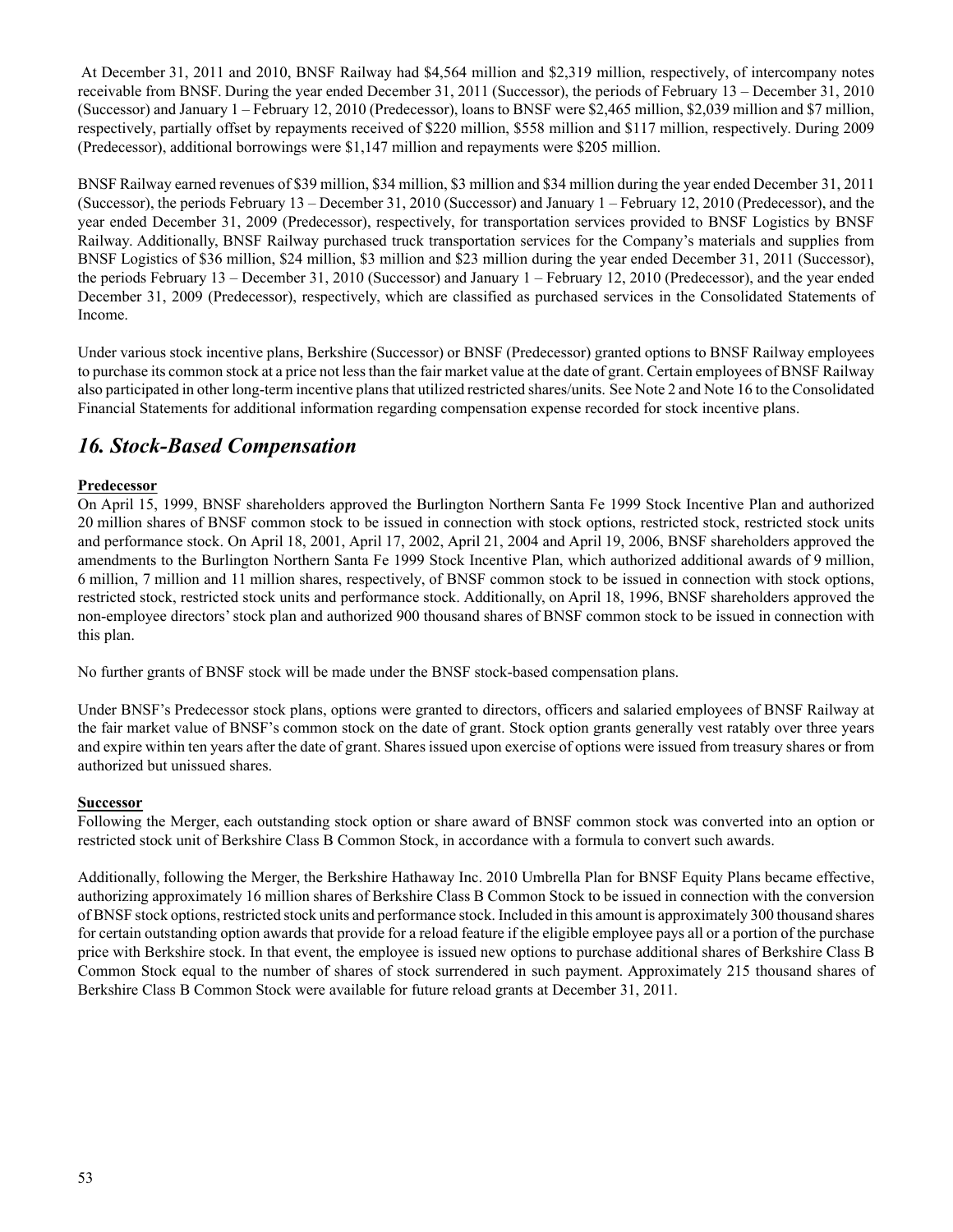At December 31, 2011 and 2010, BNSF Railway had \$4,564 million and \$2,319 million, respectively, of intercompany notes receivable from BNSF. During the year ended December 31, 2011 (Successor), the periods of February 13 – December 31, 2010 (Successor) and January 1 – February 12, 2010 (Predecessor), loans to BNSF were \$2,465 million, \$2,039 million and \$7 million, respectively, partially offset by repayments received of \$220 million, \$558 million and \$117 million, respectively. During 2009 (Predecessor), additional borrowings were \$1,147 million and repayments were \$205 million.

BNSF Railway earned revenues of \$39 million, \$34 million, \$3 million and \$34 million during the year ended December 31, 2011 (Successor), the periods February 13 – December 31, 2010 (Successor) and January 1 – February 12, 2010 (Predecessor), and the year ended December 31, 2009 (Predecessor), respectively, for transportation services provided to BNSF Logistics by BNSF Railway. Additionally, BNSF Railway purchased truck transportation services for the Company's materials and supplies from BNSF Logistics of \$36 million, \$24 million, \$3 million and \$23 million during the year ended December 31, 2011 (Successor), the periods February 13 – December 31, 2010 (Successor) and January 1 – February 12, 2010 (Predecessor), and the year ended December 31, 2009 (Predecessor), respectively, which are classified as purchased services in the Consolidated Statements of Income.

Under various stock incentive plans, Berkshire (Successor) or BNSF (Predecessor) granted options to BNSF Railway employees to purchase its common stock at a price not less than the fair market value at the date of grant. Certain employees of BNSF Railway also participated in other long-term incentive plans that utilized restricted shares/units. See Note 2 and Note 16 to the Consolidated Financial Statements for additional information regarding compensation expense recorded for stock incentive plans.

# *16. Stock-Based Compensation*

### **Predecessor**

On April 15, 1999, BNSF shareholders approved the Burlington Northern Santa Fe 1999 Stock Incentive Plan and authorized 20 million shares of BNSF common stock to be issued in connection with stock options, restricted stock, restricted stock units and performance stock. On April 18, 2001, April 17, 2002, April 21, 2004 and April 19, 2006, BNSF shareholders approved the amendments to the Burlington Northern Santa Fe 1999 Stock Incentive Plan, which authorized additional awards of 9 million, 6 million, 7 million and 11 million shares, respectively, of BNSF common stock to be issued in connection with stock options, restricted stock, restricted stock units and performance stock. Additionally, on April 18, 1996, BNSF shareholders approved the non-employee directors'stock plan and authorized 900 thousand shares of BNSF common stock to be issued in connection with this plan.

No further grants of BNSF stock will be made under the BNSF stock-based compensation plans.

Under BNSF's Predecessor stock plans, options were granted to directors, officers and salaried employees of BNSF Railway at the fair market value of BNSF's common stock on the date of grant. Stock option grants generally vest ratably over three years and expire within ten years after the date of grant. Shares issued upon exercise of options were issued from treasury shares or from authorized but unissued shares.

### **Successor**

Following the Merger, each outstanding stock option or share award of BNSF common stock was converted into an option or restricted stock unit of Berkshire Class B Common Stock, in accordance with a formula to convert such awards.

Additionally, following the Merger, the Berkshire Hathaway Inc. 2010 Umbrella Plan for BNSF Equity Plans became effective, authorizing approximately 16 million shares of Berkshire Class B Common Stock to be issued in connection with the conversion of BNSF stock options, restricted stock units and performance stock. Included in this amount is approximately 300 thousand shares for certain outstanding option awards that provide for a reload feature if the eligible employee pays all or a portion of the purchase price with Berkshire stock. In that event, the employee is issued new options to purchase additional shares of Berkshire Class B Common Stock equal to the number of shares of stock surrendered in such payment. Approximately 215 thousand shares of Berkshire Class B Common Stock were available for future reload grants at December 31, 2011.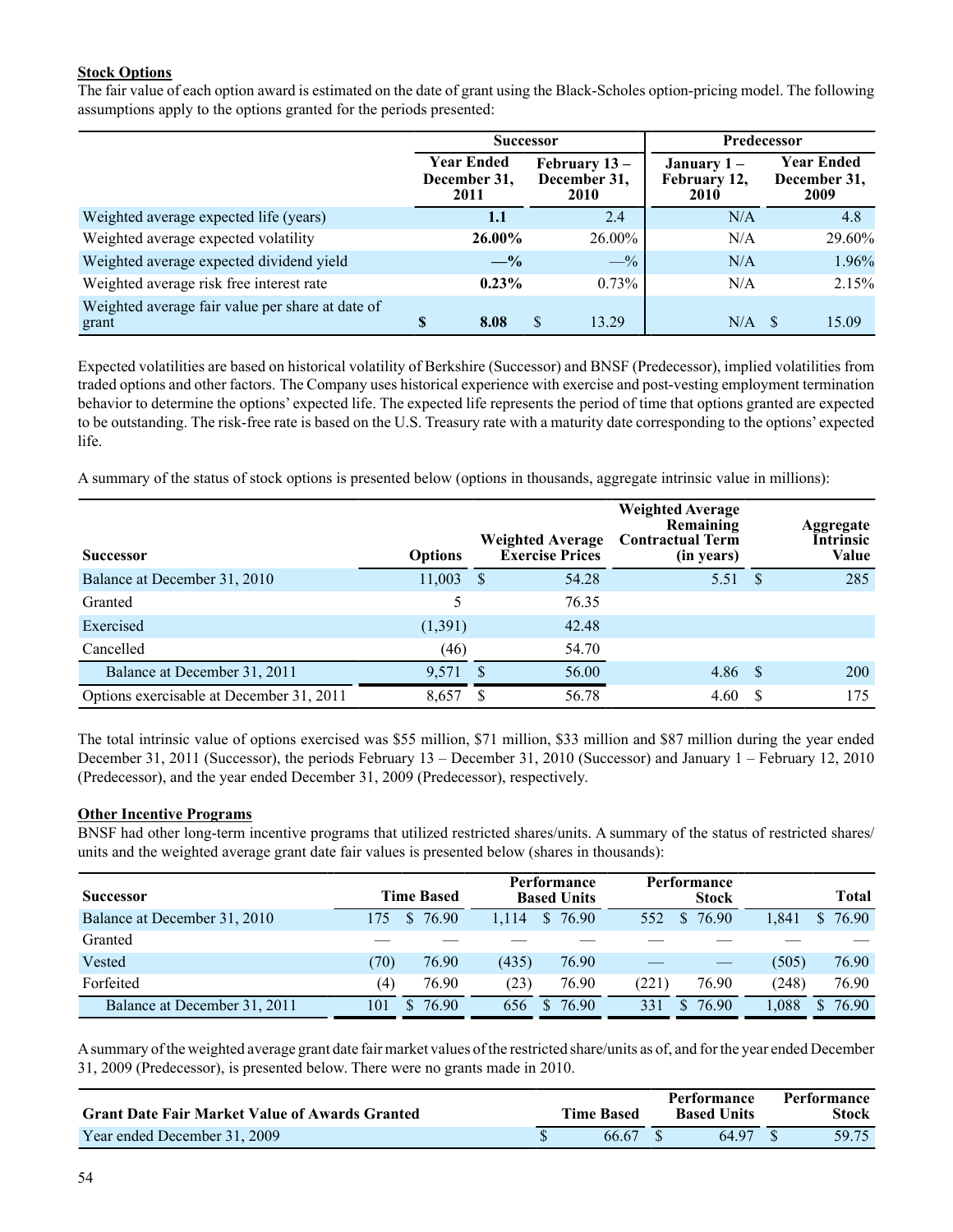### **Stock Options**

The fair value of each option award is estimated on the date of grant using the Black-Scholes option-pricing model. The following assumptions apply to the options granted for the periods presented:

|                                                           |   | <b>Successor</b>                          |     |                                       |                                    | <b>Predecessor</b>                        |
|-----------------------------------------------------------|---|-------------------------------------------|-----|---------------------------------------|------------------------------------|-------------------------------------------|
|                                                           |   | <b>Year Ended</b><br>December 31,<br>2011 |     | February 13 –<br>December 31,<br>2010 | January 1-<br>February 12,<br>2010 | <b>Year Ended</b><br>December 31,<br>2009 |
| Weighted average expected life (years)                    |   | 1.1                                       |     | 2.4                                   | N/A                                | 4.8                                       |
| Weighted average expected volatility                      |   | $26.00\%$                                 |     | 26.00%                                | N/A                                | 29.60%                                    |
| Weighted average expected dividend yield                  |   | $-$ %                                     |     | $- \frac{9}{6}$                       | N/A                                | 1.96%                                     |
| Weighted average risk free interest rate                  |   | $0.23\%$                                  |     | $0.73\%$                              | N/A                                | 2.15%                                     |
| Weighted average fair value per share at date of<br>grant | S | 8.08                                      | \$. | 13.29                                 | N/A                                | 15.09                                     |

Expected volatilities are based on historical volatility of Berkshire (Successor) and BNSF (Predecessor), implied volatilities from traded options and other factors. The Company uses historical experience with exercise and post-vesting employment termination behavior to determine the options' expected life. The expected life represents the period of time that options granted are expected to be outstanding. The risk-free rate is based on the U.S. Treasury rate with a maturity date corresponding to the options' expected life.

A summary of the status of stock options is presented below (options in thousands, aggregate intrinsic value in millions):

| <b>Successor</b>                         | <b>Options</b> |      | <b>Weighted Average</b><br><b>Exercise Prices</b> | <b>Weighted Average</b><br>Remaining<br><b>Contractual Term</b><br>(in years) |          | Aggregate<br>Intrinsic<br>Value |
|------------------------------------------|----------------|------|---------------------------------------------------|-------------------------------------------------------------------------------|----------|---------------------------------|
| Balance at December 31, 2010             | 11,003         | -8   | 54.28                                             | 5.51                                                                          | - \$     | 285                             |
| Granted                                  |                |      | 76.35                                             |                                                                               |          |                                 |
| Exercised                                | (1,391)        |      | 42.48                                             |                                                                               |          |                                 |
| Cancelled                                | (46)           |      | 54.70                                             |                                                                               |          |                                 |
| Balance at December 31, 2011             | 9,571          | - \$ | 56.00                                             | 4.86                                                                          | <b>S</b> | <b>200</b>                      |
| Options exercisable at December 31, 2011 | 8,657          |      | 56.78                                             | 4.60                                                                          |          | 175                             |

The total intrinsic value of options exercised was \$55 million, \$71 million, \$33 million and \$87 million during the year ended December 31, 2011 (Successor), the periods February 13 – December 31, 2010 (Successor) and January 1 – February 12, 2010 (Predecessor), and the year ended December 31, 2009 (Predecessor), respectively.

### **Other Incentive Programs**

BNSF had other long-term incentive programs that utilized restricted shares/units. A summary of the status of restricted shares/ units and the weighted average grant date fair values is presented below (shares in thousands):

| Successor                    |      | <b>Time Based</b>     |       | <b>Performance</b><br><b>Based Units</b> |       | <b>Performance</b><br><b>Stock</b> |       | <b>Total</b> |
|------------------------------|------|-----------------------|-------|------------------------------------------|-------|------------------------------------|-------|--------------|
| Balance at December 31, 2010 | 175  | 76.90<br><sup>S</sup> | 1.114 | \$76.90                                  | 552   | 76.90<br><sup>S</sup>              | 1.841 | 76.90<br>S   |
| Granted                      |      |                       |       |                                          |       |                                    |       |              |
| Vested                       | (70) | 76.90                 | (435) | 76.90                                    |       |                                    | (505) | 76.90        |
| Forfeited                    | (4)  | 76.90                 | (23)  | 76.90                                    | (221) | 76.90                              | (248) | 76.90        |
| Balance at December 31, 2011 | 101  | 76.90<br>S.           | 656   | 76.90                                    | 331   | 76.90                              | 1.088 | 76.90        |

Asummary of the weighted average grant date fair market values of the restricted share/units as of, and for the year ended December 31, 2009 (Predecessor), is presented below. There were no grants made in 2010.

| <b>Grant Date Fair Market Value of Awards Granted</b> | <b>Time Based</b> | Performance<br><b>Based Units</b> | Performance<br><b>Stock</b> |
|-------------------------------------------------------|-------------------|-----------------------------------|-----------------------------|
| Year ended December 31, 2009                          | 66.67             | 64.97                             | 59.75                       |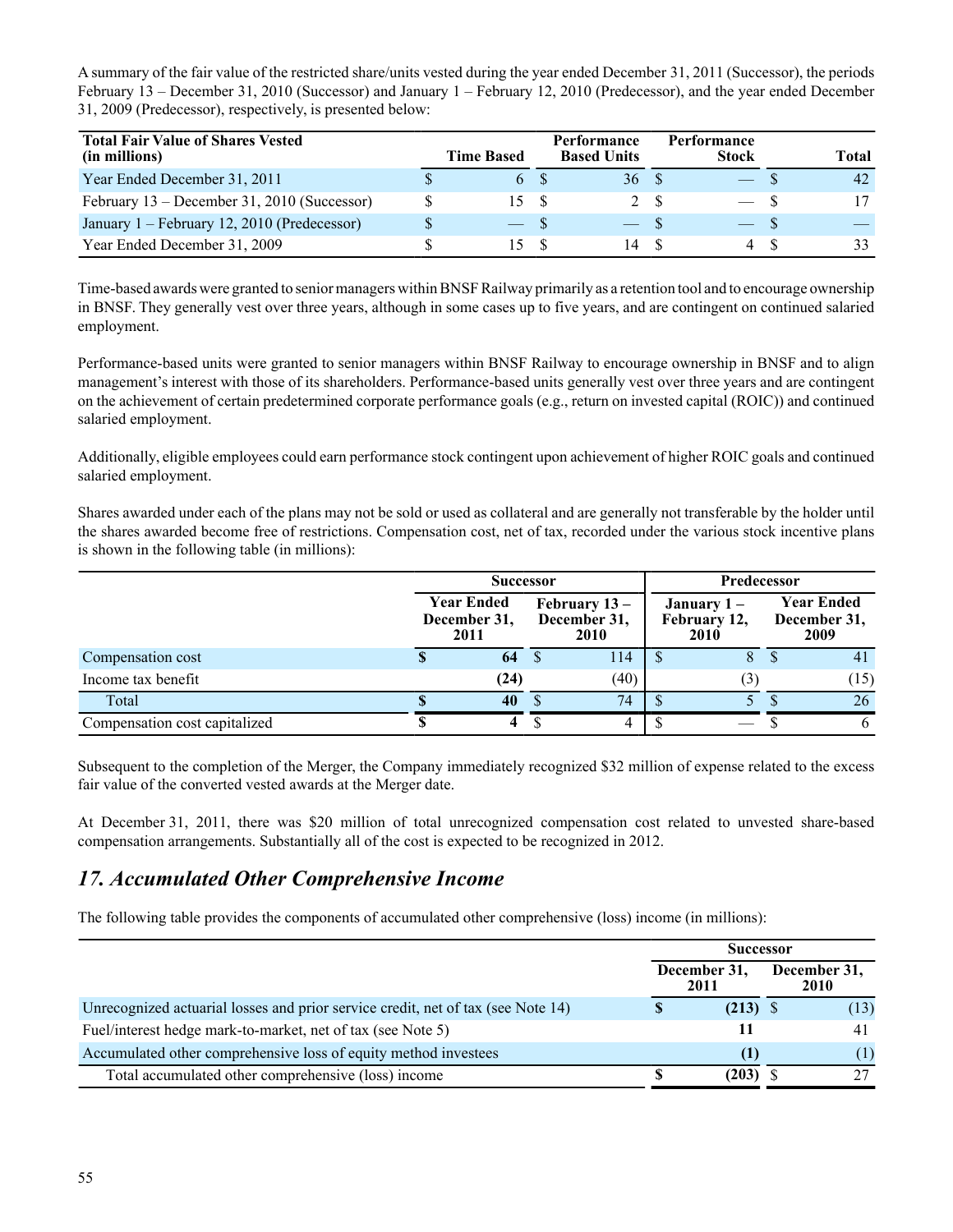A summary of the fair value of the restricted share/units vested during the year ended December 31, 2011 (Successor), the periods February 13 – December 31, 2010 (Successor) and January 1 – February 12, 2010 (Predecessor), and the year ended December 31, 2009 (Predecessor), respectively, is presented below:

| <b>Total Fair Value of Shares Vested</b><br>(in millions) | <b>Time Based</b> | Performance<br><b>Based Units</b> | <b>Performance</b><br><b>Stock</b> | <b>Total</b> |
|-----------------------------------------------------------|-------------------|-----------------------------------|------------------------------------|--------------|
| Year Ended December 31, 2011                              |                   | 36                                | $\overline{\phantom{0}}$           | 42           |
| February 13 – December 31, 2010 (Successor)               | 15 S              | 2 \$                              | $-$ \$                             | 17           |
| January 1 – February 12, 2010 (Predecessor)               | $-$ S             | $-$ S                             | $-$ S                              |              |
| Year Ended December 31, 2009                              |                   | 14                                | $\overline{4}$                     |              |

Time-based awards were granted to senior managers within BNSF Railway primarily as a retention tool and to encourage ownership in BNSF. They generally vest over three years, although in some cases up to five years, and are contingent on continued salaried employment.

Performance-based units were granted to senior managers within BNSF Railway to encourage ownership in BNSF and to align management's interest with those of its shareholders. Performance-based units generally vest over three years and are contingent on the achievement of certain predetermined corporate performance goals (e.g., return on invested capital (ROIC)) and continued salaried employment.

Additionally, eligible employees could earn performance stock contingent upon achievement of higher ROIC goals and continued salaried employment.

Shares awarded under each of the plans may not be sold or used as collateral and are generally not transferable by the holder until the shares awarded become free of restrictions. Compensation cost, net of tax, recorded under the various stock incentive plans is shown in the following table (in millions):

|                               |                                           | <b>Successor</b> |                                        | Predecessor                        |   |   |                                           |  |  |
|-------------------------------|-------------------------------------------|------------------|----------------------------------------|------------------------------------|---|---|-------------------------------------------|--|--|
|                               | <b>Year Ended</b><br>December 31,<br>2011 |                  | February $13-$<br>December 31,<br>2010 | January 1-<br>February 12,<br>2010 |   |   | <b>Year Ended</b><br>December 31,<br>2009 |  |  |
| Compensation cost             |                                           | 64               | 114                                    | S                                  | 8 | S | 41                                        |  |  |
| Income tax benefit            |                                           | (24)             | (40)                                   |                                    |   |   | (15)                                      |  |  |
| Total                         |                                           | 40               | 74                                     |                                    |   |   | 26                                        |  |  |
| Compensation cost capitalized |                                           |                  |                                        |                                    |   |   | 6                                         |  |  |

Subsequent to the completion of the Merger, the Company immediately recognized \$32 million of expense related to the excess fair value of the converted vested awards at the Merger date.

At December 31, 2011, there was \$20 million of total unrecognized compensation cost related to unvested share-based compensation arrangements. Substantially all of the cost is expected to be recognized in 2012.

# *17. Accumulated Other Comprehensive Income*

The following table provides the components of accumulated other comprehensive (loss) income (in millions):

|                                                                                  |   | <b>Successor</b>     |                      |
|----------------------------------------------------------------------------------|---|----------------------|----------------------|
|                                                                                  |   | December 31,<br>2011 | December 31,<br>2010 |
| Unrecognized actuarial losses and prior service credit, net of tax (see Note 14) | ъ | $(213)$ \$           | (13)                 |
| Fuel/interest hedge mark-to-market, net of tax (see Note 5)                      |   |                      |                      |
| Accumulated other comprehensive loss of equity method investees                  |   |                      | (1)                  |
| Total accumulated other comprehensive (loss) income                              |   | $(203)$ .            | つワ                   |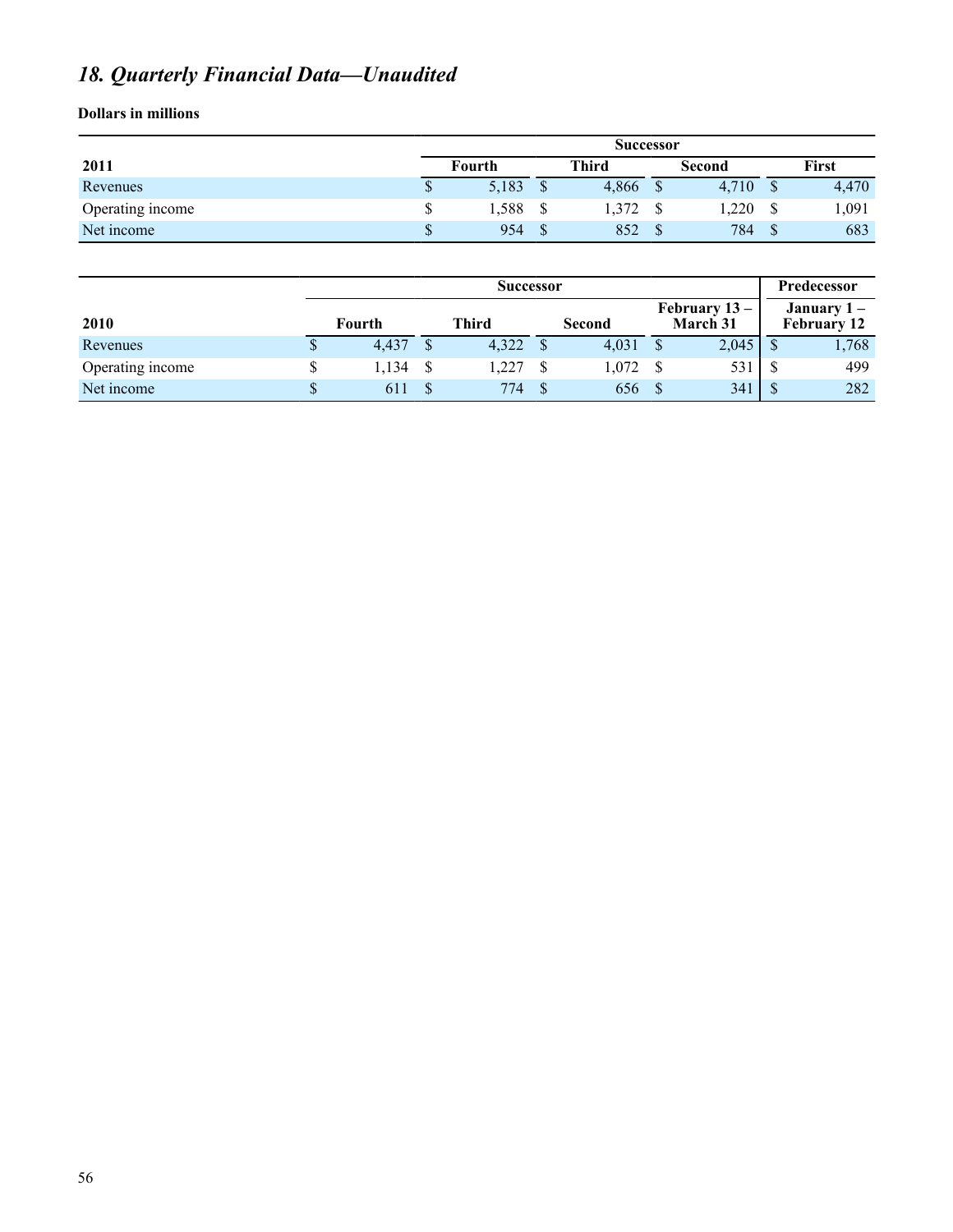# *18. Quarterly Financial Data—Unaudited*

**Dollars in millions**

|                  | <b>Successor</b> |  |       |  |               |  |       |  |  |  |  |
|------------------|------------------|--|-------|--|---------------|--|-------|--|--|--|--|
| 2011             | Fourth           |  | Third |  | <b>Second</b> |  | First |  |  |  |  |
| Revenues         | 5,183            |  | 4,866 |  | 4.710         |  | 4,470 |  |  |  |  |
| Operating income | l.588            |  | 1,372 |  | ,220          |  | 1,091 |  |  |  |  |
| Net income       | 954              |  | 852   |  | 784           |  | 683   |  |  |  |  |

|                  |  | <b>Successor</b> |              |       |  |        |  |                             |                                     |       |  |  |
|------------------|--|------------------|--------------|-------|--|--------|--|-----------------------------|-------------------------------------|-------|--|--|
| 2010             |  | Fourth           | <b>Third</b> |       |  | Second |  | February $13 -$<br>March 31 | January $1 -$<br><b>February 12</b> |       |  |  |
| Revenues         |  | 4.437            |              | 4,322 |  | 4,031  |  | 2,045                       |                                     | 1,768 |  |  |
| Operating income |  | 1,134            |              | 1.227 |  | 1,072  |  | 531                         |                                     | 499   |  |  |
| Net income       |  | 611              |              | 774   |  | 656    |  | 341                         |                                     | 282   |  |  |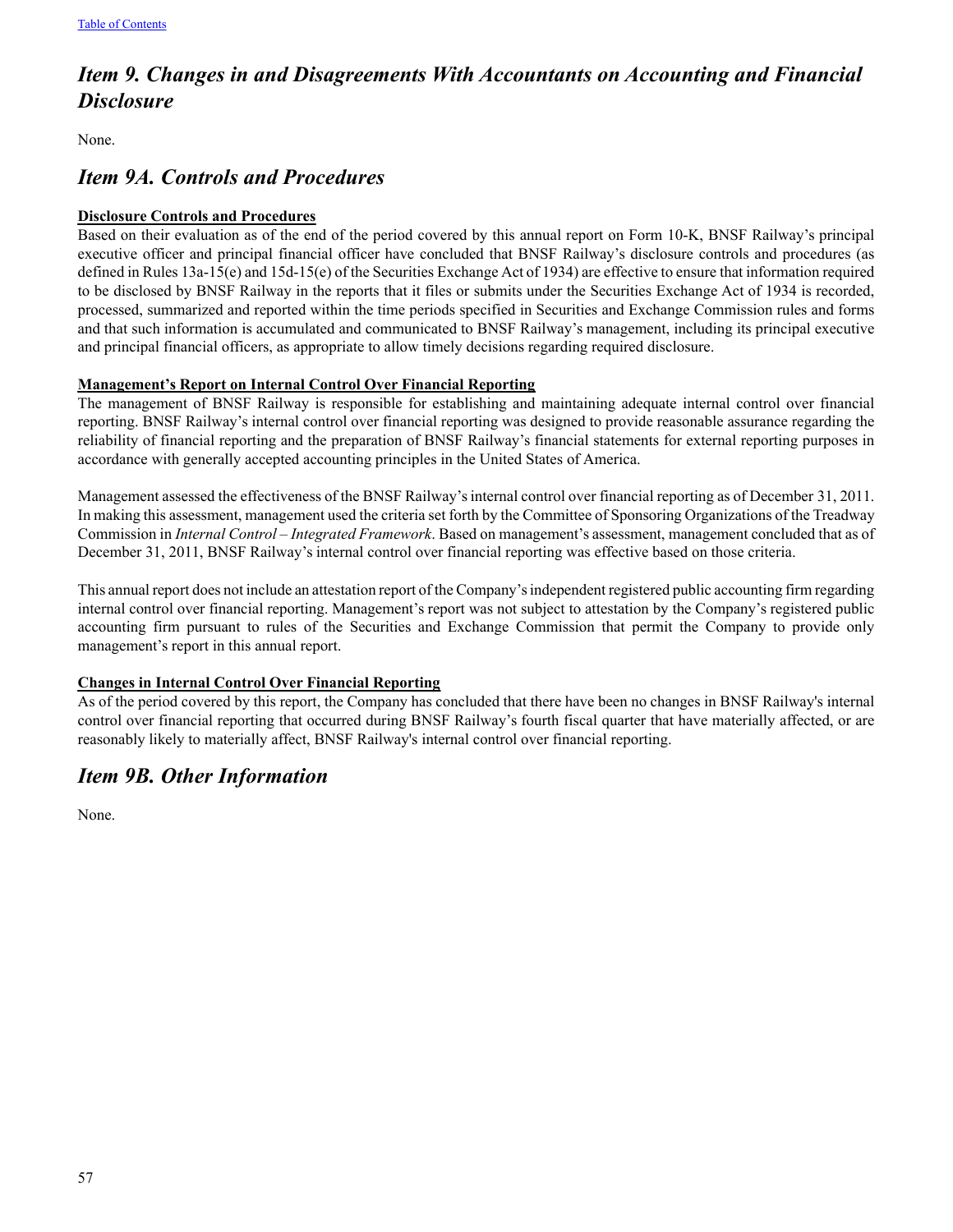# <span id="page-58-0"></span>*Item 9. Changes in and Disagreements With Accountants on Accounting and Financial Disclosure*

None.

### <span id="page-58-1"></span>*Item 9A. Controls and Procedures*

### **Disclosure Controls and Procedures**

Based on their evaluation as of the end of the period covered by this annual report on Form 10-K, BNSF Railway's principal executive officer and principal financial officer have concluded that BNSF Railway's disclosure controls and procedures (as defined in Rules 13a-15(e) and 15d-15(e) of the Securities Exchange Act of 1934) are effective to ensure that information required to be disclosed by BNSF Railway in the reports that it files or submits under the Securities Exchange Act of 1934 is recorded, processed, summarized and reported within the time periods specified in Securities and Exchange Commission rules and forms and that such information is accumulated and communicated to BNSF Railway's management, including its principal executive and principal financial officers, as appropriate to allow timely decisions regarding required disclosure.

### **Management's Report on Internal Control Over Financial Reporting**

The management of BNSF Railway is responsible for establishing and maintaining adequate internal control over financial reporting. BNSF Railway's internal control over financial reporting was designed to provide reasonable assurance regarding the reliability of financial reporting and the preparation of BNSF Railway's financial statements for external reporting purposes in accordance with generally accepted accounting principles in the United States of America.

Management assessed the effectiveness of the BNSF Railway's internal control over financial reporting as of December 31, 2011. In making this assessment, management used the criteria set forth by the Committee of Sponsoring Organizations of the Treadway Commission in *Internal Control – Integrated Framework*. Based on management's assessment, management concluded that as of December 31, 2011, BNSF Railway's internal control over financial reporting was effective based on those criteria.

This annual report does not include an attestation report of the Company's independent registered public accounting firm regarding internal control over financial reporting. Management's report was not subject to attestation by the Company's registered public accounting firm pursuant to rules of the Securities and Exchange Commission that permit the Company to provide only management's report in this annual report.

### **Changes in Internal Control Over Financial Reporting**

As of the period covered by this report, the Company has concluded that there have been no changes in BNSF Railway's internal control over financial reporting that occurred during BNSF Railway's fourth fiscal quarter that have materially affected, or are reasonably likely to materially affect, BNSF Railway's internal control over financial reporting.

## <span id="page-58-2"></span>*Item 9B. Other Information*

None.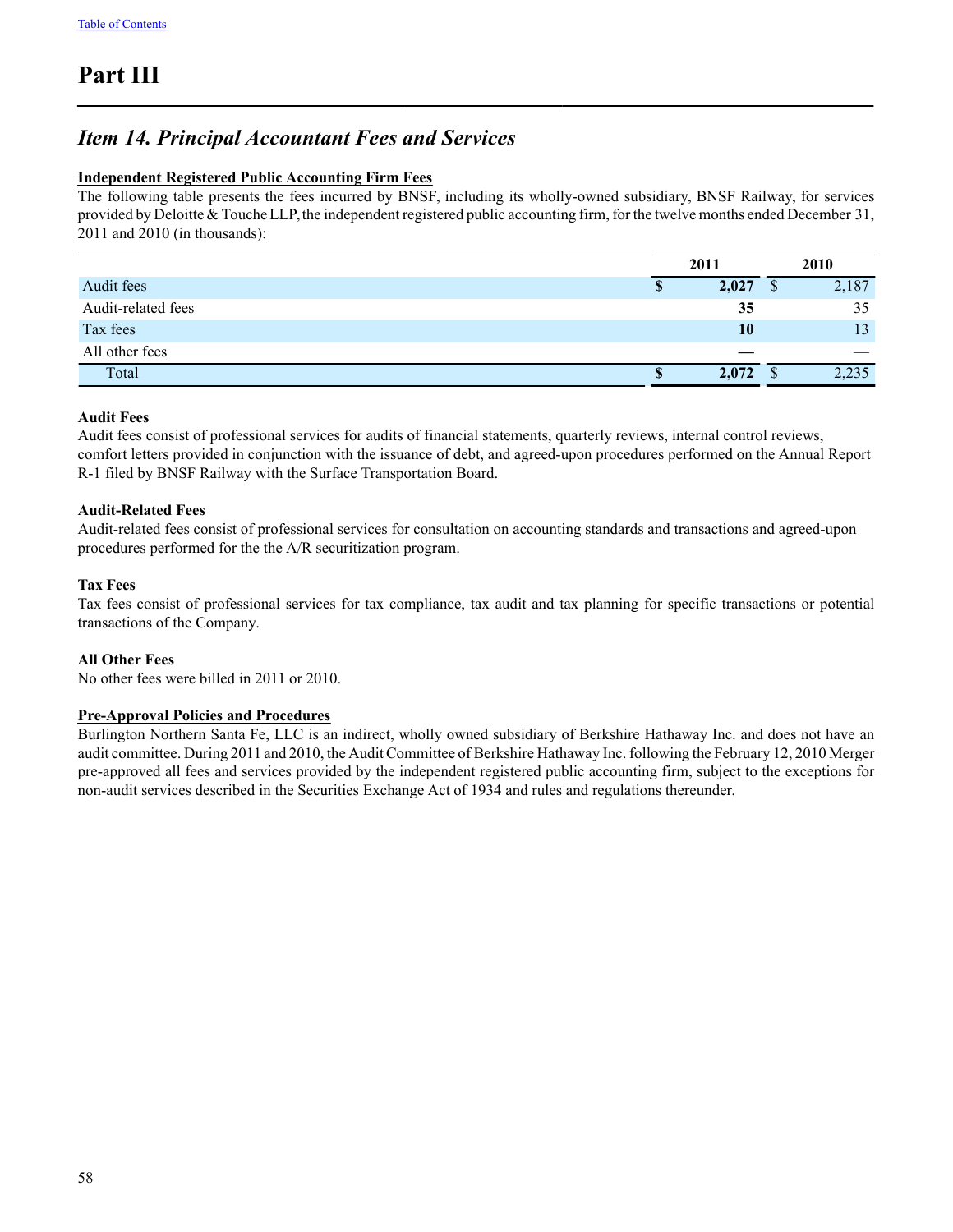# <span id="page-59-1"></span><span id="page-59-0"></span>*Item 14. Principal Accountant Fees and Services*

### **Independent Registered Public Accounting Firm Fees**

The following table presents the fees incurred by BNSF, including its wholly-owned subsidiary, BNSF Railway, for services provided by Deloitte & Touche LLP, the independent registered public accounting firm, for the twelve months ended December 31, 2011 and 2010 (in thousands):

|                    |   | 2011  |   | 2010  |  |
|--------------------|---|-------|---|-------|--|
| Audit fees         | S | 2,027 | S | 2,187 |  |
| Audit-related fees |   | 35    |   | 35    |  |
| Tax fees           |   | 10    |   | 13    |  |
| All other fees     |   |       |   |       |  |
| Total              | ъ | 2,072 |   | 2,235 |  |

### **Audit Fees**

Audit fees consist of professional services for audits of financial statements, quarterly reviews, internal control reviews, comfort letters provided in conjunction with the issuance of debt, and agreed-upon procedures performed on the Annual Report R-1 filed by BNSF Railway with the Surface Transportation Board.

### **Audit-Related Fees**

Audit-related fees consist of professional services for consultation on accounting standards and transactions and agreed-upon procedures performed for the the A/R securitization program.

### **Tax Fees**

Tax fees consist of professional services for tax compliance, tax audit and tax planning for specific transactions or potential transactions of the Company.

### **All Other Fees**

No other fees were billed in 2011 or 2010.

### **Pre-Approval Policies and Procedures**

Burlington Northern Santa Fe, LLC is an indirect, wholly owned subsidiary of Berkshire Hathaway Inc. and does not have an audit committee. During 2011 and 2010, the Audit Committee of Berkshire Hathaway Inc. following the February 12, 2010 Merger pre-approved all fees and services provided by the independent registered public accounting firm, subject to the exceptions for non-audit services described in the Securities Exchange Act of 1934 and rules and regulations thereunder.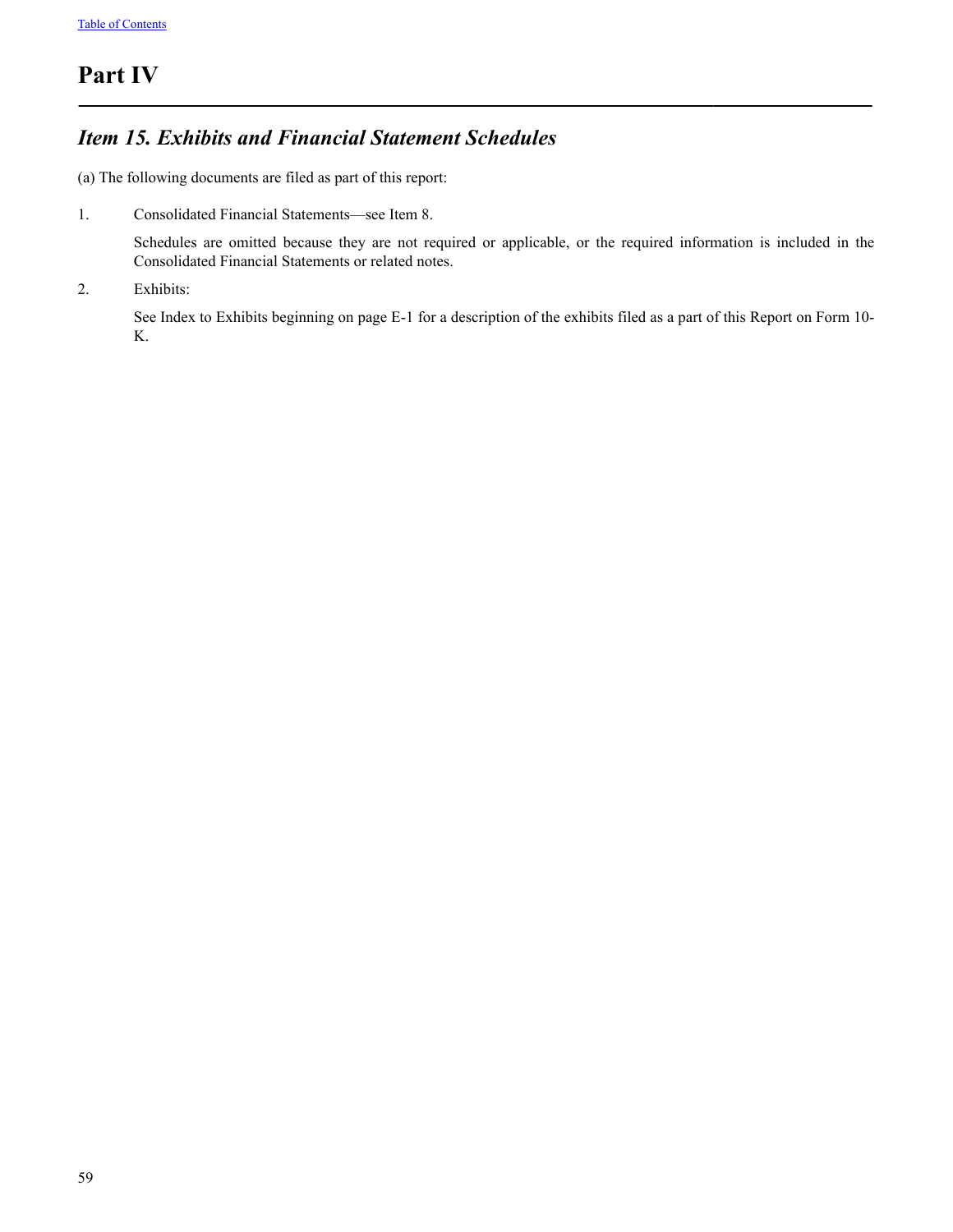# <span id="page-60-0"></span>**Part IV**

## <span id="page-60-1"></span>*Item 15. Exhibits and Financial Statement Schedules*

(a) The following documents are filed as part of this report:

1. Consolidated Financial Statements—see Item 8.

Schedules are omitted because they are not required or applicable, or the required information is included in the Consolidated Financial Statements or related notes.

2. Exhibits:

See Index to Exhibits beginning on page E-1 for a description of the exhibits filed as a part of this Report on Form 10- K.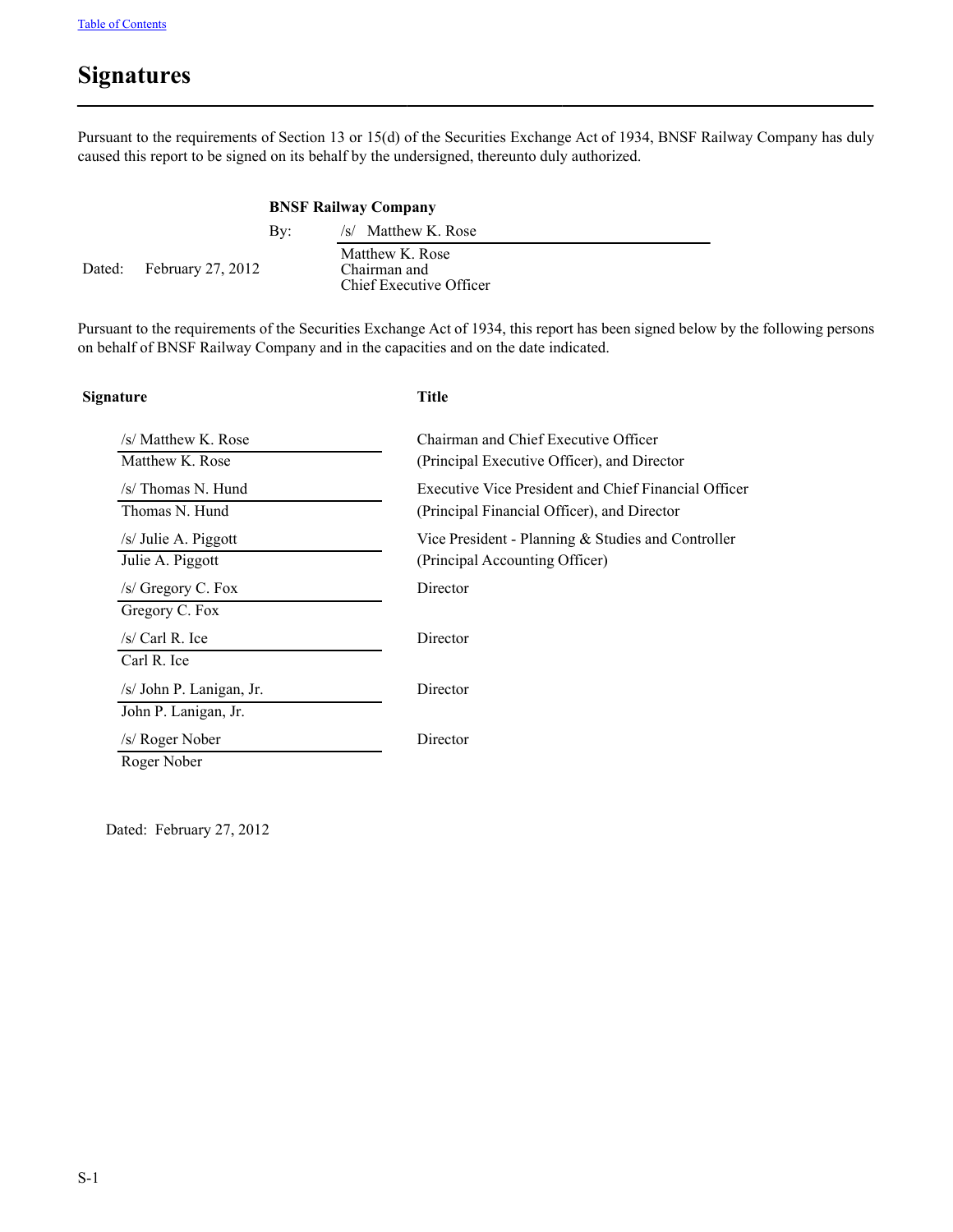# <span id="page-61-0"></span>**Signatures**

Pursuant to the requirements of Section 13 or 15(d) of the Securities Exchange Act of 1934, BNSF Railway Company has duly caused this report to be signed on its behalf by the undersigned, thereunto duly authorized.

|                          | <b>BNSF Railway Company</b> |                                                            |  |  |  |  |  |
|--------------------------|-----------------------------|------------------------------------------------------------|--|--|--|--|--|
|                          | Bv:                         | /s/ Matthew K. Rose                                        |  |  |  |  |  |
| Dated: February 27, 2012 |                             | Matthew K. Rose<br>Chairman and<br>Chief Executive Officer |  |  |  |  |  |

Pursuant to the requirements of the Securities Exchange Act of 1934, this report has been signed below by the following persons on behalf of BNSF Railway Company and in the capacities and on the date indicated.

#### **Signature**

#### **Title**

| /s/ Matthew K. Rose      | Chairman and Chief Executive Officer                  |
|--------------------------|-------------------------------------------------------|
| Matthew K. Rose          | (Principal Executive Officer), and Director           |
| /s/ Thomas N. Hund       | Executive Vice President and Chief Financial Officer  |
| Thomas N. Hund           | (Principal Financial Officer), and Director           |
| /s/ Julie A. Piggott     | Vice President - Planning $\&$ Studies and Controller |
| Julie A. Piggott         | (Principal Accounting Officer)                        |
| /s/ Gregory C. Fox       | Director                                              |
| Gregory C. Fox           |                                                       |
| $\sqrt{s}$ Carl R. Ice   | Director                                              |
| Carl R. Ice              |                                                       |
| /s/ John P. Lanigan, Jr. | Director                                              |
| John P. Lanigan, Jr.     |                                                       |
| /s/ Roger Nober          | Director                                              |
| Roger Nober              |                                                       |

Dated: February 27, 2012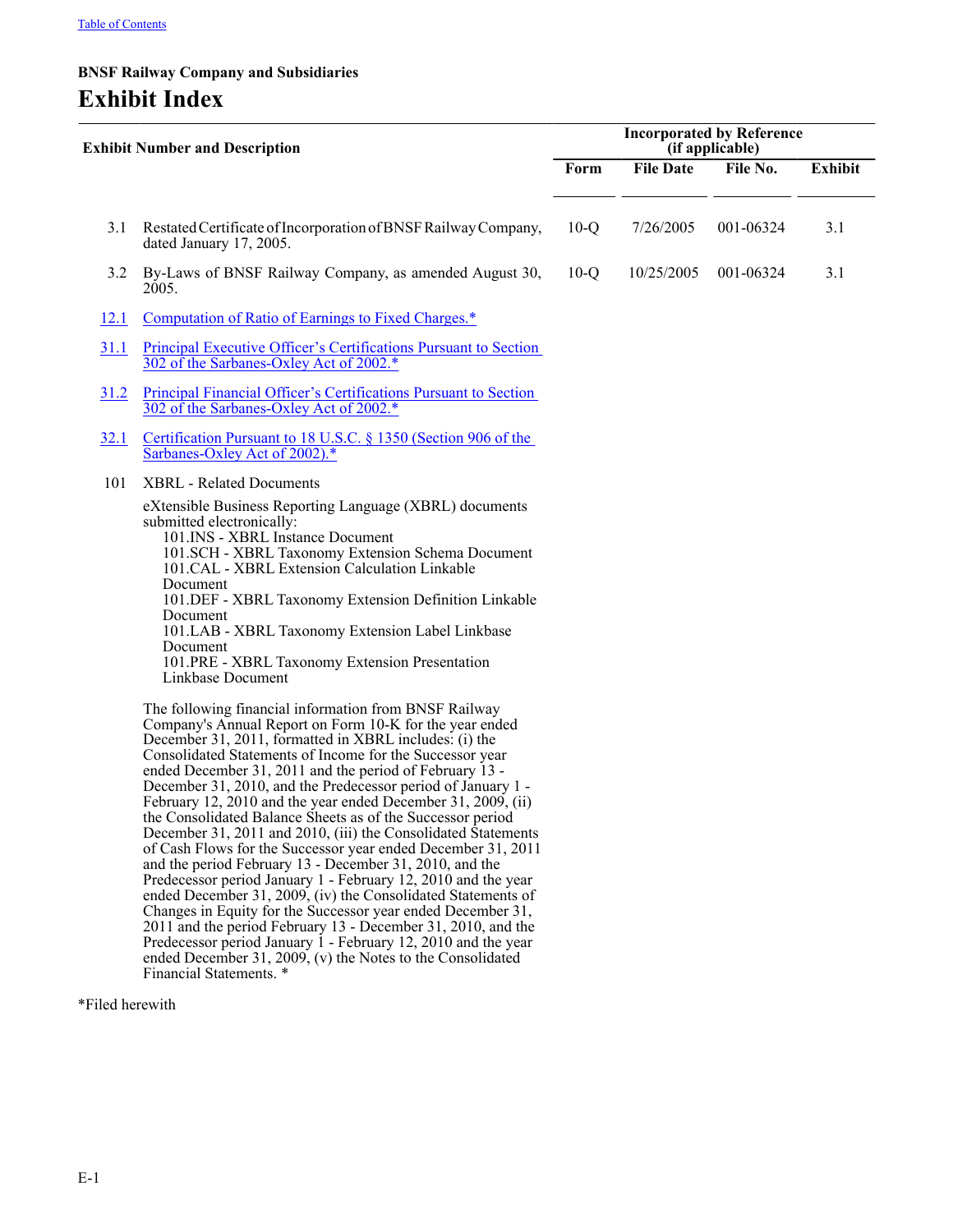# <span id="page-62-0"></span>**BNSF Railway Company and Subsidiaries Exhibit Index**

|      | <b>Exhibit Number and Description</b>                                                                                                                                                                                                                                                                                                                                                                                                                                                                                                                                                                                                                                                                                                                                                                                                                                                                                                                                                                                                                                                                                 | <b>Incorporated by Reference</b><br>(if applicable) |                  |           |                |  |  |  |
|------|-----------------------------------------------------------------------------------------------------------------------------------------------------------------------------------------------------------------------------------------------------------------------------------------------------------------------------------------------------------------------------------------------------------------------------------------------------------------------------------------------------------------------------------------------------------------------------------------------------------------------------------------------------------------------------------------------------------------------------------------------------------------------------------------------------------------------------------------------------------------------------------------------------------------------------------------------------------------------------------------------------------------------------------------------------------------------------------------------------------------------|-----------------------------------------------------|------------------|-----------|----------------|--|--|--|
|      |                                                                                                                                                                                                                                                                                                                                                                                                                                                                                                                                                                                                                                                                                                                                                                                                                                                                                                                                                                                                                                                                                                                       | Form                                                | <b>File Date</b> | File No.  | <b>Exhibit</b> |  |  |  |
| 3.1  | Restated Certificate of Incorporation of BNSF Railway Company,<br>dated January 17, 2005.                                                                                                                                                                                                                                                                                                                                                                                                                                                                                                                                                                                                                                                                                                                                                                                                                                                                                                                                                                                                                             | $10-Q$                                              | 7/26/2005        | 001-06324 | 3.1            |  |  |  |
| 3.2  | By-Laws of BNSF Railway Company, as amended August 30,<br>2005.                                                                                                                                                                                                                                                                                                                                                                                                                                                                                                                                                                                                                                                                                                                                                                                                                                                                                                                                                                                                                                                       | $10-Q$                                              | 10/25/2005       | 001-06324 | 3.1            |  |  |  |
| 12.1 | Computation of Ratio of Earnings to Fixed Charges.*                                                                                                                                                                                                                                                                                                                                                                                                                                                                                                                                                                                                                                                                                                                                                                                                                                                                                                                                                                                                                                                                   |                                                     |                  |           |                |  |  |  |
| 31.1 | Principal Executive Officer's Certifications Pursuant to Section<br>302 of the Sarbanes-Oxley Act of 2002.*                                                                                                                                                                                                                                                                                                                                                                                                                                                                                                                                                                                                                                                                                                                                                                                                                                                                                                                                                                                                           |                                                     |                  |           |                |  |  |  |
| 31.2 | Principal Financial Officer's Certifications Pursuant to Section<br>302 of the Sarbanes-Oxley Act of 2002.*                                                                                                                                                                                                                                                                                                                                                                                                                                                                                                                                                                                                                                                                                                                                                                                                                                                                                                                                                                                                           |                                                     |                  |           |                |  |  |  |
| 32.1 | Certification Pursuant to 18 U.S.C. § 1350 (Section 906 of the<br>Sarbanes-Oxley Act of 2002).*                                                                                                                                                                                                                                                                                                                                                                                                                                                                                                                                                                                                                                                                                                                                                                                                                                                                                                                                                                                                                       |                                                     |                  |           |                |  |  |  |
| 101  | <b>XBRL</b> - Related Documents                                                                                                                                                                                                                                                                                                                                                                                                                                                                                                                                                                                                                                                                                                                                                                                                                                                                                                                                                                                                                                                                                       |                                                     |                  |           |                |  |  |  |
|      | eXtensible Business Reporting Language (XBRL) documents<br>submitted electronically:<br>101.INS - XBRL Instance Document<br>101.SCH - XBRL Taxonomy Extension Schema Document<br>101.CAL - XBRL Extension Calculation Linkable<br>Document<br>101.DEF - XBRL Taxonomy Extension Definition Linkable<br>Document<br>101.LAB - XBRL Taxonomy Extension Label Linkbase<br>Document<br>101.PRE - XBRL Taxonomy Extension Presentation<br>Linkbase Document                                                                                                                                                                                                                                                                                                                                                                                                                                                                                                                                                                                                                                                                |                                                     |                  |           |                |  |  |  |
|      | The following financial information from BNSF Railway<br>Company's Annual Report on Form 10-K for the year ended<br>December 31, 2011, formatted in XBRL includes: (i) the<br>Consolidated Statements of Income for the Successor year<br>ended December 31, 2011 and the period of February 13 -<br>December 31, 2010, and the Predecessor period of January 1 -<br>February 12, 2010 and the year ended December 31, 2009, (ii)<br>the Consolidated Balance Sheets as of the Successor period<br>December 31, 2011 and 2010, (iii) the Consolidated Statements<br>of Cash Flows for the Successor year ended December 31, 2011<br>and the period February 13 - December 31, 2010, and the<br>Predecessor period January 1 - February 12, 2010 and the year<br>ended December 31, 2009, (iv) the Consolidated Statements of<br>Changes in Equity for the Successor year ended December 31,<br>2011 and the period February 13 - December 31, 2010, and the<br>Predecessor period January 1 - February 12, 2010 and the year<br>ended December 31, 2009, (v) the Notes to the Consolidated<br>Financial Statements. * |                                                     |                  |           |                |  |  |  |

\*Filed herewith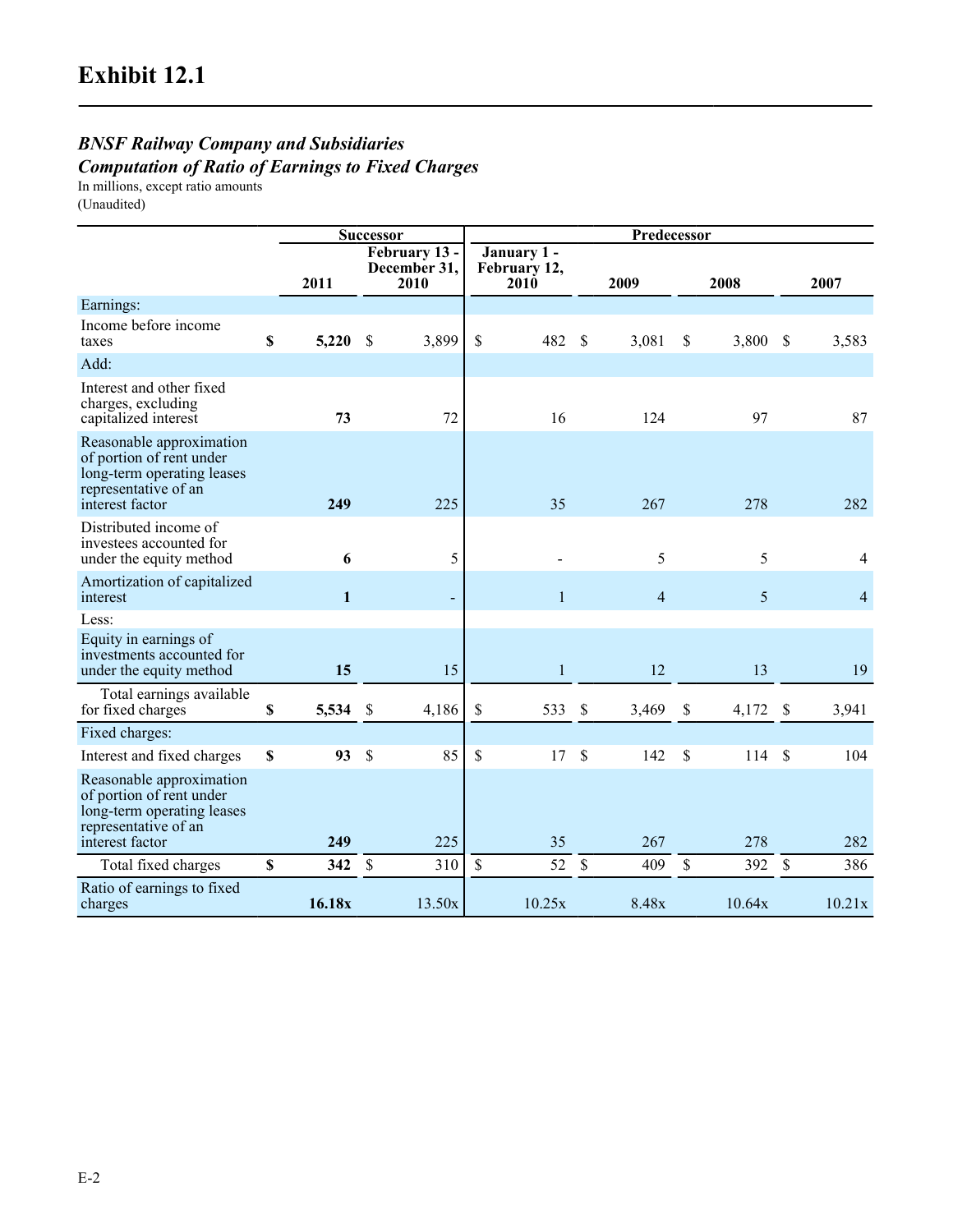## <span id="page-63-0"></span>*BNSF Railway Company and Subsidiaries Computation of Ratio of Earnings to Fixed Charges*

In millions, except ratio amounts (Unaudited)

|                                                                                                                               | Successor    |               |                                       | Predecessor |                                            |               |                |    |        |               |                |
|-------------------------------------------------------------------------------------------------------------------------------|--------------|---------------|---------------------------------------|-------------|--------------------------------------------|---------------|----------------|----|--------|---------------|----------------|
|                                                                                                                               | 2011         |               | February 13 -<br>December 31,<br>2010 |             | January 1 -<br>February 12,<br><b>2010</b> |               | 2009           |    | 2008   |               | 2007           |
| Earnings:                                                                                                                     |              |               |                                       |             |                                            |               |                |    |        |               |                |
| Income before income<br>taxes                                                                                                 | \$<br>5,220  | \$            | 3,899                                 | \$          | 482                                        | $\mathcal{S}$ | 3,081          | \$ | 3,800  | \$            | 3,583          |
| Add:                                                                                                                          |              |               |                                       |             |                                            |               |                |    |        |               |                |
| Interest and other fixed<br>charges, excluding<br>capitalized interest                                                        | 73           |               | 72                                    |             | 16                                         |               | 124            |    | 97     |               | 87             |
| Reasonable approximation<br>of portion of rent under<br>long-term operating leases<br>representative of an<br>interest factor | 249          |               | 225                                   |             | 35                                         |               | 267            |    | 278    |               | 282            |
| Distributed income of<br>investees accounted for<br>under the equity method                                                   | 6            |               | 5                                     |             |                                            |               | 5              |    | 5      |               | 4              |
| Amortization of capitalized<br>interest                                                                                       | $\mathbf{1}$ |               |                                       |             | $\mathbf{1}$                               |               | $\overline{4}$ |    | 5      |               | $\overline{4}$ |
| Less:                                                                                                                         |              |               |                                       |             |                                            |               |                |    |        |               |                |
| Equity in earnings of<br>investments accounted for<br>under the equity method                                                 | 15           |               | 15                                    |             | $\mathbf{1}$                               |               | 12             |    | 13     |               | 19             |
| Total earnings available<br>for fixed charges                                                                                 | \$<br>5,534  | \$            | 4,186                                 | \$          | 533                                        | \$            | 3,469          | \$ | 4,172  | \$            | 3,941          |
| Fixed charges:                                                                                                                |              |               |                                       |             |                                            |               |                |    |        |               |                |
| Interest and fixed charges                                                                                                    | \$<br>93     | \$            | 85                                    | \$          | 17                                         | \$            | 142            | \$ | 114    | \$            | 104            |
| Reasonable approximation<br>of portion of rent under<br>long-term operating leases<br>representative of an<br>interest factor | 249          |               | 225                                   |             | 35                                         |               | 267            |    | 278    |               | 282            |
| Total fixed charges                                                                                                           | \$<br>342    | $\mathcal{S}$ | 310                                   | \$          | 52                                         | $\mathcal{S}$ | 409            | \$ | 392    | $\mathcal{S}$ | 386            |
| Ratio of earnings to fixed<br>charges                                                                                         | 16.18x       |               | 13.50x                                |             | 10.25x                                     |               | 8.48x          |    | 10.64x |               | 10.21x         |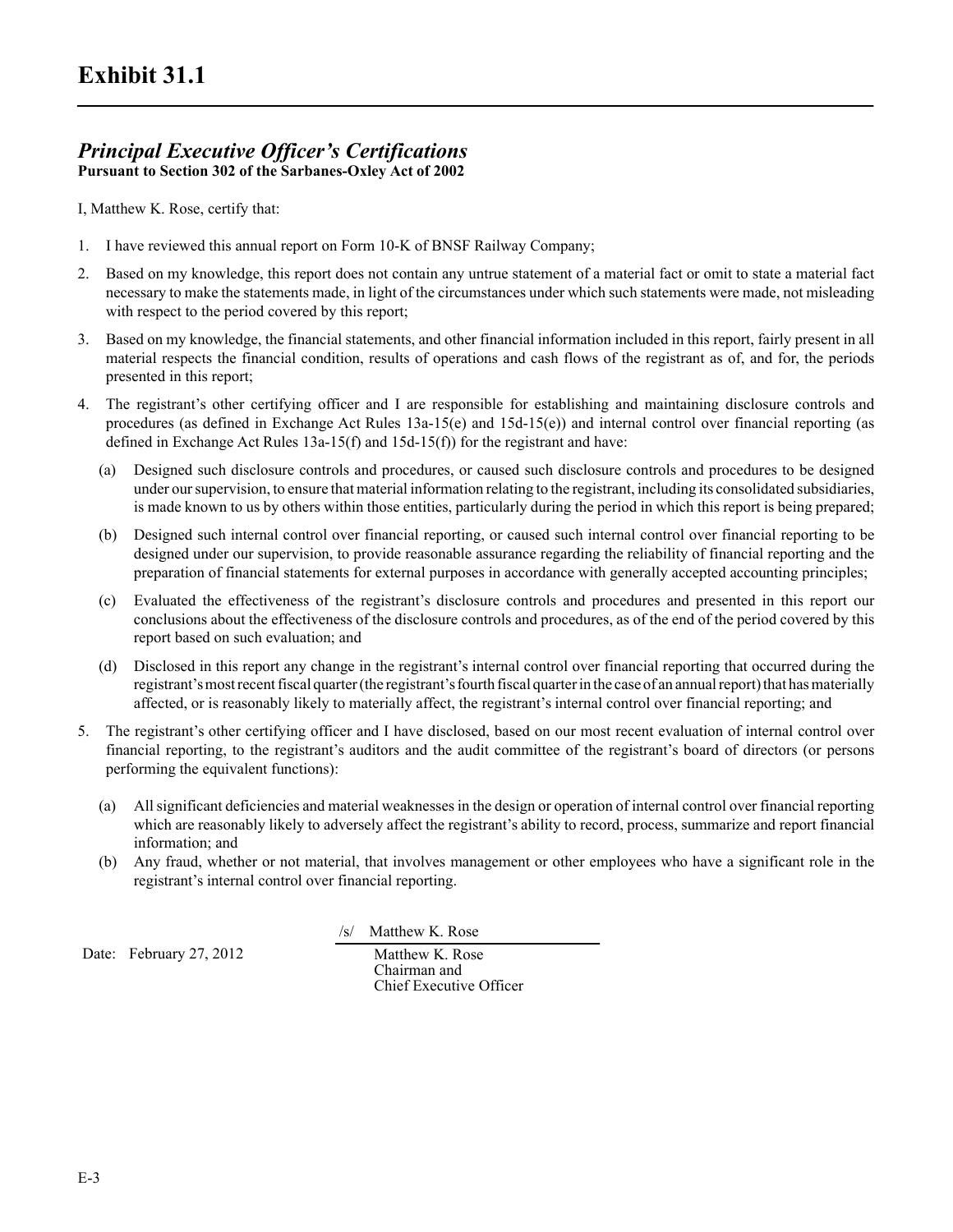# <span id="page-64-0"></span>*Principal Executive Officer's Certifications*

**Pursuant to Section 302 of the Sarbanes-Oxley Act of 2002**

I, Matthew K. Rose, certify that:

- 1. I have reviewed this annual report on Form 10-K of BNSF Railway Company;
- 2. Based on my knowledge, this report does not contain any untrue statement of a material fact or omit to state a material fact necessary to make the statements made, in light of the circumstances under which such statements were made, not misleading with respect to the period covered by this report;
- 3. Based on my knowledge, the financial statements, and other financial information included in this report, fairly present in all material respects the financial condition, results of operations and cash flows of the registrant as of, and for, the periods presented in this report;
- 4. The registrant's other certifying officer and I are responsible for establishing and maintaining disclosure controls and procedures (as defined in Exchange Act Rules 13a-15(e) and 15d-15(e)) and internal control over financial reporting (as defined in Exchange Act Rules 13a-15(f) and 15d-15(f)) for the registrant and have:
	- (a) Designed such disclosure controls and procedures, or caused such disclosure controls and procedures to be designed under our supervision, to ensure that material information relating to the registrant, including its consolidated subsidiaries, is made known to us by others within those entities, particularly during the period in which this report is being prepared;
	- (b) Designed such internal control over financial reporting, or caused such internal control over financial reporting to be designed under our supervision, to provide reasonable assurance regarding the reliability of financial reporting and the preparation of financial statements for external purposes in accordance with generally accepted accounting principles;
	- (c) Evaluated the effectiveness of the registrant's disclosure controls and procedures and presented in this report our conclusions about the effectiveness of the disclosure controls and procedures, as of the end of the period covered by this report based on such evaluation; and
	- (d) Disclosed in this report any change in the registrant's internal control over financial reporting that occurred during the registrant's most recent fiscal quarter (the registrant's fourth fiscal quarter in the case of an annual report) that has materially affected, or is reasonably likely to materially affect, the registrant's internal control over financial reporting; and
- 5. The registrant's other certifying officer and I have disclosed, based on our most recent evaluation of internal control over financial reporting, to the registrant's auditors and the audit committee of the registrant's board of directors (or persons performing the equivalent functions):
	- (a) All significant deficiencies and material weaknesses in the design or operation of internal control over financial reporting which are reasonably likely to adversely affect the registrant's ability to record, process, summarize and report financial information; and
	- (b) Any fraud, whether or not material, that involves management or other employees who have a significant role in the registrant's internal control over financial reporting.

/s/ Matthew K. Rose

Date: February 27, 2012

 Matthew K. Rose Chairman and Chief Executive Officer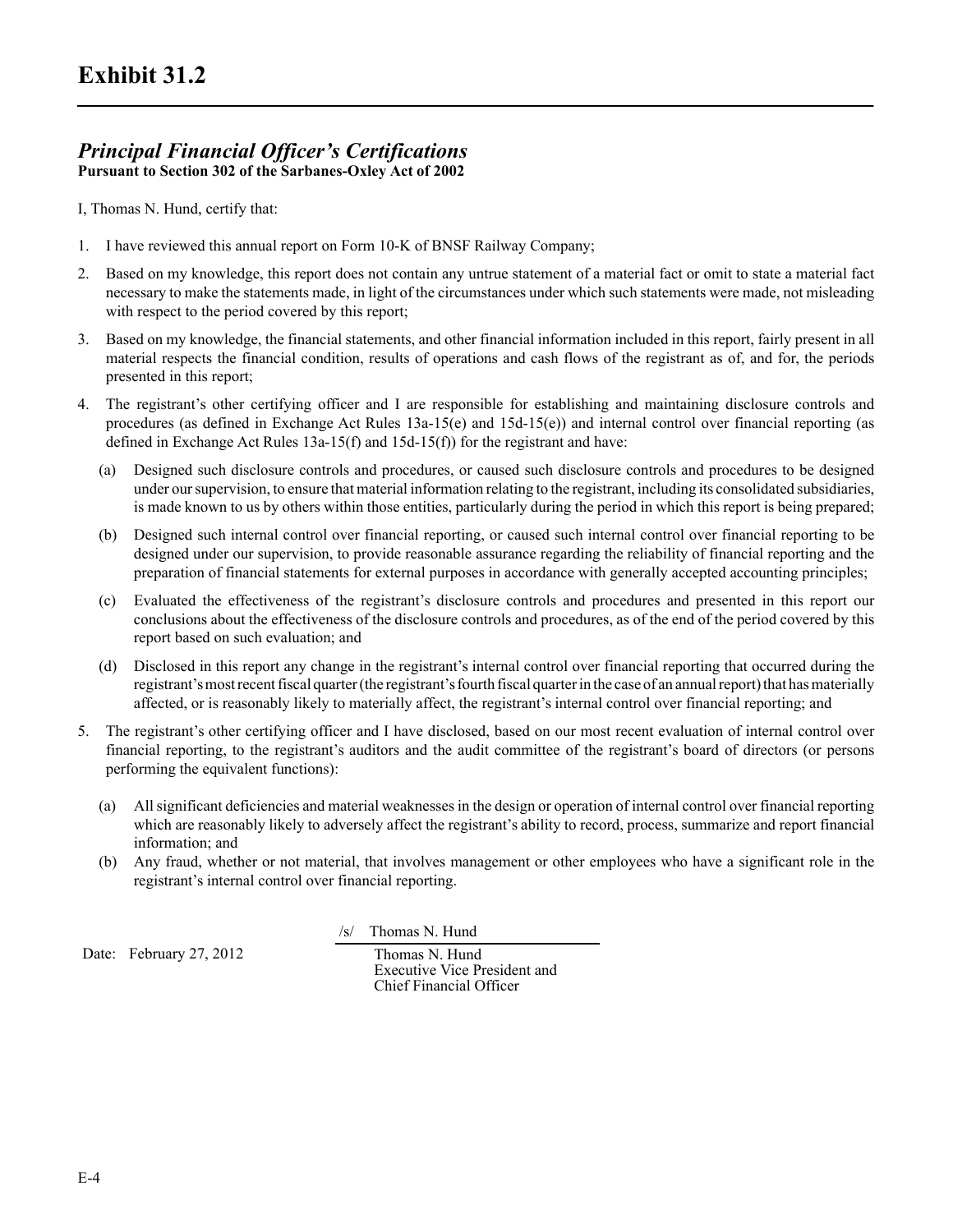### <span id="page-65-0"></span>*Principal Financial Officer's Certifications* **Pursuant to Section 302 of the Sarbanes-Oxley Act of 2002**

I, Thomas N. Hund, certify that:

- 1. I have reviewed this annual report on Form 10-K of BNSF Railway Company;
- 2. Based on my knowledge, this report does not contain any untrue statement of a material fact or omit to state a material fact necessary to make the statements made, in light of the circumstances under which such statements were made, not misleading with respect to the period covered by this report;
- 3. Based on my knowledge, the financial statements, and other financial information included in this report, fairly present in all material respects the financial condition, results of operations and cash flows of the registrant as of, and for, the periods presented in this report;
- 4. The registrant's other certifying officer and I are responsible for establishing and maintaining disclosure controls and procedures (as defined in Exchange Act Rules 13a-15(e) and 15d-15(e)) and internal control over financial reporting (as defined in Exchange Act Rules 13a-15(f) and 15d-15(f)) for the registrant and have:
	- (a) Designed such disclosure controls and procedures, or caused such disclosure controls and procedures to be designed under our supervision, to ensure that material information relating to the registrant, including its consolidated subsidiaries, is made known to us by others within those entities, particularly during the period in which this report is being prepared;
	- (b) Designed such internal control over financial reporting, or caused such internal control over financial reporting to be designed under our supervision, to provide reasonable assurance regarding the reliability of financial reporting and the preparation of financial statements for external purposes in accordance with generally accepted accounting principles;
	- (c) Evaluated the effectiveness of the registrant's disclosure controls and procedures and presented in this report our conclusions about the effectiveness of the disclosure controls and procedures, as of the end of the period covered by this report based on such evaluation; and
	- (d) Disclosed in this report any change in the registrant's internal control over financial reporting that occurred during the registrant's most recent fiscal quarter (the registrant's fourth fiscal quarter in the case of an annual report) that has materially affected, or is reasonably likely to materially affect, the registrant's internal control over financial reporting; and
- 5. The registrant's other certifying officer and I have disclosed, based on our most recent evaluation of internal control over financial reporting, to the registrant's auditors and the audit committee of the registrant's board of directors (or persons performing the equivalent functions):
	- (a) All significant deficiencies and material weaknesses in the design or operation of internal control over financial reporting which are reasonably likely to adversely affect the registrant's ability to record, process, summarize and report financial information; and
	- (b) Any fraud, whether or not material, that involves management or other employees who have a significant role in the registrant's internal control over financial reporting.

/s/ Thomas N. Hund

Date: February 27, 2012

 Thomas N. Hund Executive Vice President and Chief Financial Officer